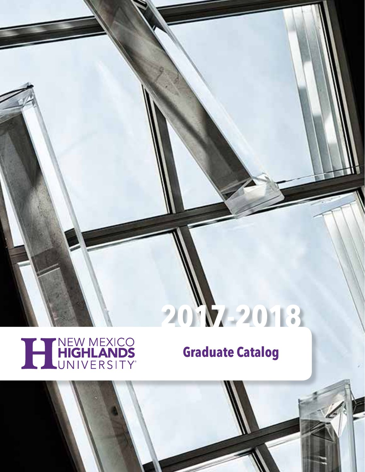## **2017-2018**

# THIGHLANDS

## **Graduate Catalog**

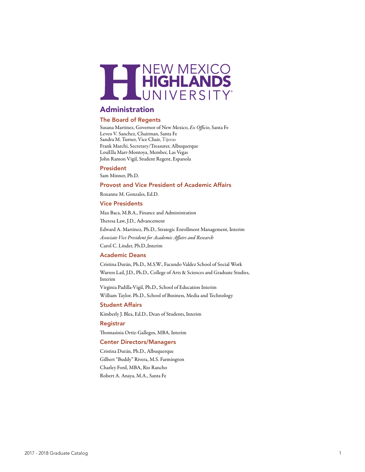

## Administration

#### The Board of Regents

Susana Martinez, Governor of New Mexico, *Ex Officio*, Santa Fe Leveo V. Sanchez, Chairman, Santa Fe Sandra M. Turner, Vice Chair, Tijeras Frank Marchi, Secretary/Treasurer, Albuquerque LouElla Marr-Montoya, Member, Las Vegas John Ramon Vigil, Student Regent, Espanola

#### President

Sam Minner, Ph.D.

#### Provost and Vice President of Academic Affairs

Roxanne M. Gonzales, Ed.D.

#### Vice Presidents

Max Baca, M.B.A., Finance and Administration Theresa Law, J.D., Advancement Edward A. Martinez, Ph.D., Strategic Enrollment Management, Interim *Associate Vice President for Academic Affairs and Research* Carol C. Linder, Ph.D.,Interim

#### Academic Deans

Cristina Durán, Ph.D., M.S.W., Facundo Valdez School of Social Work Warren Lail, J.D., Ph.D., College of Arts & Sciences and Graduate Studies, Interim Virginia Padilla-Vigil, Ph.D., School of Education Interim

William Taylor. Ph.D., School of Business, Media and Technology

#### Student Affairs

Kimberly J. Blea, Ed.D., Dean of Students, Interim

#### Registrar

Thomasinia Ortiz-Gallegos, MBA, Interim

#### Center Directors/Managers

Cristina Durán, Ph.D., Albuquerque Gilbert "Buddy" Rivera, M.S. Farmington Charley Ford, MBA, Rio Rancho Robert A. Anaya, M.A., Santa Fe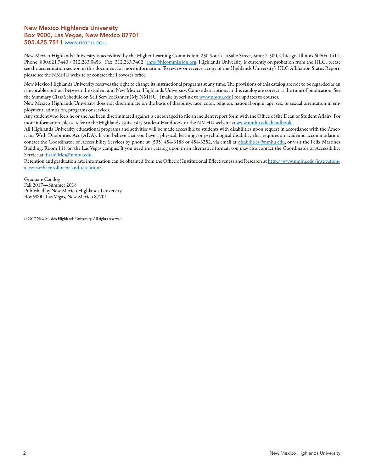#### New Mexico Highlands University Box 9000, Las Vegas, New Mexico 87701 505.425.7511 www.nmhu.edu

New Mexico Highlands University is accredited by the Higher Learning Commission, 230 South LaSalle Street, Suite 7-500, Chicago, Illinois 60604-1411, Phone: 800.621.7440 / 312.263.0456 | Fax: 312.263.7462 | info@hlcommission.org. Highlands University is currently on probation from the HLC; please see the accreditation section in this document for more information. To review or receive a copy of the Highlands University's HLC Affiliation Status Report, please see the NMHU website or contact the Provost's office.

New Mexico Highlands University reserves the right to change its instructional programs at any time. The provisions of this catalog are not to be regarded as an irrevocable contract between the student and New Mexico Highlands University. Course descriptions in this catalog are correct at the time of publication. See the Summary Class Schedule on Self Service Banner (My NMHU) (make hyperlink to www.nmhu.edu) for updates to courses.

New Mexico Highlands University does not discriminate on the basis of disability, race, color, religion, national origin, age, sex, or sexual orientation in employment, admission, programs or services.

Any student who feels he or she has been discriminated against is encouraged to file an incident report form with the Office of the Dean of Student Affairs. For more information, please refer to the Highlands University Student Handbook or the NMHU website at www.nmhu.edu/handbook.

All Highlands University educational programs and activities will be made accessible to students with disabilities upon request in accordance with the Americans With Disabilities Act (ADA). If you believe that you have a physical, learning, or psychological disability that requires an academic accommodation, contact the Coordinator of Accessibility Services by phone at (505) 454-3188 or 454-3252, via email at disabilities@nmhu.edu, or visit the Felix Martinez Building, Room 111 on the Las Vegas campus. If you need this catalog upon in an alternative format, you may also contact the Coordinator of Accessibility Service at disabilities@nmhu.edu.

Retention and graduation rate information can be obtained from the Office of Institutional Effectiveness and Research at http://www.nmhu.edu/institutional-research/enrollment-and-retention/

Graduate Catalog Fall 2017—Summer 2018 Published by New Mexico Highlands University, Box 9000, Las Vegas, New Mexico 87701

© 2017 New Mexico Highlands University. All rights reserved.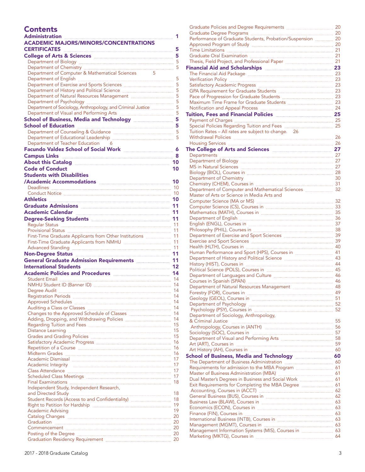## **Contents**

| Administration                                                                                                                                                                                                                       | 1   |
|--------------------------------------------------------------------------------------------------------------------------------------------------------------------------------------------------------------------------------------|-----|
| <b>ACADEMIC MAJORS/MINORS/CONCENTRATIONS</b>                                                                                                                                                                                         |     |
| <b>CERTIFICATES</b>                                                                                                                                                                                                                  |     |
| College of Arts & Sciences <b>Manual Access</b> 5                                                                                                                                                                                    |     |
|                                                                                                                                                                                                                                      |     |
|                                                                                                                                                                                                                                      |     |
| Department of Computer & Mathematical Sciences                                                                                                                                                                                       |     |
|                                                                                                                                                                                                                                      |     |
|                                                                                                                                                                                                                                      |     |
| Department of History and Political Science <b>[100]</b> Summing States and States States States States States States States States States States States States States States States States States States States States States Stat  |     |
|                                                                                                                                                                                                                                      |     |
|                                                                                                                                                                                                                                      |     |
|                                                                                                                                                                                                                                      |     |
| School of Business, Media and Technology <b>[20]</b> 5                                                                                                                                                                               |     |
|                                                                                                                                                                                                                                      |     |
|                                                                                                                                                                                                                                      |     |
|                                                                                                                                                                                                                                      |     |
| Department of Teacher Education 6                                                                                                                                                                                                    |     |
| Facundo Valdez School of Social Work <b>Manual Accord School</b> 6                                                                                                                                                                   |     |
|                                                                                                                                                                                                                                      |     |
| About this Catalog <b>EXECUTE: 2018</b> 10                                                                                                                                                                                           |     |
| <b>Code of Conduct</b>                                                                                                                                                                                                               | 10  |
| <b>Students with Disabilities</b>                                                                                                                                                                                                    |     |
| /Academic Accommodations <b>Manual Accommodations</b>                                                                                                                                                                                | 10  |
|                                                                                                                                                                                                                                      |     |
|                                                                                                                                                                                                                                      |     |
|                                                                                                                                                                                                                                      |     |
| Graduate Admissions <b>Manual Admissions</b> 11                                                                                                                                                                                      |     |
| Academic Calendar <b>Manual Academic Calendar</b> 11                                                                                                                                                                                 |     |
| Degree-Seeking Students <b>Engineering and Students</b> 11                                                                                                                                                                           |     |
|                                                                                                                                                                                                                                      |     |
|                                                                                                                                                                                                                                      |     |
| First-Time Graduate Applicants from Other Institutions  11                                                                                                                                                                           |     |
|                                                                                                                                                                                                                                      |     |
|                                                                                                                                                                                                                                      |     |
| Non-Degree Status <b>Maria Maria Maria Maria Maria Maria 11</b>                                                                                                                                                                      |     |
| General Graduate Admission Requirements <b>Entire Act and Taylor</b> 11                                                                                                                                                              |     |
| International Students <b>Manual According to the Students</b> 12                                                                                                                                                                    |     |
| Academic Policies and Procedures <b>Manual Academic Policies</b> 14                                                                                                                                                                  |     |
|                                                                                                                                                                                                                                      |     |
|                                                                                                                                                                                                                                      |     |
| Degree Audit <b>Marken and Tanah and Tanah and Tanah and Tanah and Tanah and Tanah and Tanah and Tanah and Tanah and Tanah and Tanah and Tanah and Tanah and Tanah and Tanah and Tanah and Tanah and Tanah and Tanah and Tanah a</b> |     |
|                                                                                                                                                                                                                                      |     |
| Approved Schedules <b>Election Contract Contract Contract Contract Contract Contract Contract Contract Contract Contract Contract Contract Contract Contract Contract Contract Contract Contract Contract Contract Contract Cont</b> | 14  |
|                                                                                                                                                                                                                                      |     |
|                                                                                                                                                                                                                                      |     |
| Regarding Tuition and Fees <b>Manual Exercise Contract 15</b>                                                                                                                                                                        |     |
|                                                                                                                                                                                                                                      |     |
|                                                                                                                                                                                                                                      |     |
|                                                                                                                                                                                                                                      |     |
|                                                                                                                                                                                                                                      | -16 |
|                                                                                                                                                                                                                                      |     |
| Academic Dismissal <b>Election Communities</b> 17                                                                                                                                                                                    |     |
|                                                                                                                                                                                                                                      |     |
|                                                                                                                                                                                                                                      |     |
|                                                                                                                                                                                                                                      | 17  |
|                                                                                                                                                                                                                                      |     |
| Independent Study, Independent Research,                                                                                                                                                                                             |     |
|                                                                                                                                                                                                                                      |     |
|                                                                                                                                                                                                                                      |     |
| Academic Advising                                                                                                                                                                                                                    | 19  |
|                                                                                                                                                                                                                                      |     |
| Graduation 20                                                                                                                                                                                                                        |     |
|                                                                                                                                                                                                                                      |     |
|                                                                                                                                                                                                                                      |     |
|                                                                                                                                                                                                                                      |     |

| Performance of Graduate Students, Probation/Suspension  20<br>Financial Aid and Scholarships <b>Manual Accord 23</b> 23<br>Tuition, Fees and Financial Policies <b>Manual According to the Contract of According to the Contract O</b><br>Tuition Rates - All rates are subject to change. 26<br>The College of Arts and Sciences <b>Manual Action 21</b> 27<br>MS in Natural Sciences <b>Matural Sciences</b> 27<br>Department of Chemistry<br>Chemistry (CHEM), Courses in <b>manufacture and the Chemistry</b> 31<br>Department of Computer and Mathematical Sciences  32<br>Master of Arts or Science in Media Arts and<br>Human Performance and Sport (HPS), Courses in <b>Manual</b> 41<br>Department of Natural Resources Management <b>Manual Access 48</b><br>Department of Sociology, Anthropology,<br>Sociology (SOC), Courses in <b>Election Contract (SCC)</b> , 57<br>School of Business, Media and Technology manual compares 60<br>Dual Master's Degrees in Business and Social Work <b></b> 61<br>Exit Requirements for Completing the MBA Degree <b>manual manual</b> 61<br>Accounting, Courses in (ACCT) <b>Manual Engineering Course</b> 62<br>Business Law (BLAW), Courses in <b>Election Contract Contract Contract Contract Contract Contract Control</b> 63<br>International Business (INTB), Courses in <b>manual contract and CO</b> 63 |  | 20 |
|-------------------------------------------------------------------------------------------------------------------------------------------------------------------------------------------------------------------------------------------------------------------------------------------------------------------------------------------------------------------------------------------------------------------------------------------------------------------------------------------------------------------------------------------------------------------------------------------------------------------------------------------------------------------------------------------------------------------------------------------------------------------------------------------------------------------------------------------------------------------------------------------------------------------------------------------------------------------------------------------------------------------------------------------------------------------------------------------------------------------------------------------------------------------------------------------------------------------------------------------------------------------------------------------------------------------------------------------------------------------|--|----|
|                                                                                                                                                                                                                                                                                                                                                                                                                                                                                                                                                                                                                                                                                                                                                                                                                                                                                                                                                                                                                                                                                                                                                                                                                                                                                                                                                                   |  |    |
|                                                                                                                                                                                                                                                                                                                                                                                                                                                                                                                                                                                                                                                                                                                                                                                                                                                                                                                                                                                                                                                                                                                                                                                                                                                                                                                                                                   |  |    |
|                                                                                                                                                                                                                                                                                                                                                                                                                                                                                                                                                                                                                                                                                                                                                                                                                                                                                                                                                                                                                                                                                                                                                                                                                                                                                                                                                                   |  |    |
|                                                                                                                                                                                                                                                                                                                                                                                                                                                                                                                                                                                                                                                                                                                                                                                                                                                                                                                                                                                                                                                                                                                                                                                                                                                                                                                                                                   |  |    |
|                                                                                                                                                                                                                                                                                                                                                                                                                                                                                                                                                                                                                                                                                                                                                                                                                                                                                                                                                                                                                                                                                                                                                                                                                                                                                                                                                                   |  |    |
|                                                                                                                                                                                                                                                                                                                                                                                                                                                                                                                                                                                                                                                                                                                                                                                                                                                                                                                                                                                                                                                                                                                                                                                                                                                                                                                                                                   |  |    |
|                                                                                                                                                                                                                                                                                                                                                                                                                                                                                                                                                                                                                                                                                                                                                                                                                                                                                                                                                                                                                                                                                                                                                                                                                                                                                                                                                                   |  |    |
|                                                                                                                                                                                                                                                                                                                                                                                                                                                                                                                                                                                                                                                                                                                                                                                                                                                                                                                                                                                                                                                                                                                                                                                                                                                                                                                                                                   |  |    |
|                                                                                                                                                                                                                                                                                                                                                                                                                                                                                                                                                                                                                                                                                                                                                                                                                                                                                                                                                                                                                                                                                                                                                                                                                                                                                                                                                                   |  |    |
|                                                                                                                                                                                                                                                                                                                                                                                                                                                                                                                                                                                                                                                                                                                                                                                                                                                                                                                                                                                                                                                                                                                                                                                                                                                                                                                                                                   |  |    |
|                                                                                                                                                                                                                                                                                                                                                                                                                                                                                                                                                                                                                                                                                                                                                                                                                                                                                                                                                                                                                                                                                                                                                                                                                                                                                                                                                                   |  |    |
|                                                                                                                                                                                                                                                                                                                                                                                                                                                                                                                                                                                                                                                                                                                                                                                                                                                                                                                                                                                                                                                                                                                                                                                                                                                                                                                                                                   |  |    |
|                                                                                                                                                                                                                                                                                                                                                                                                                                                                                                                                                                                                                                                                                                                                                                                                                                                                                                                                                                                                                                                                                                                                                                                                                                                                                                                                                                   |  |    |
|                                                                                                                                                                                                                                                                                                                                                                                                                                                                                                                                                                                                                                                                                                                                                                                                                                                                                                                                                                                                                                                                                                                                                                                                                                                                                                                                                                   |  |    |
|                                                                                                                                                                                                                                                                                                                                                                                                                                                                                                                                                                                                                                                                                                                                                                                                                                                                                                                                                                                                                                                                                                                                                                                                                                                                                                                                                                   |  |    |
|                                                                                                                                                                                                                                                                                                                                                                                                                                                                                                                                                                                                                                                                                                                                                                                                                                                                                                                                                                                                                                                                                                                                                                                                                                                                                                                                                                   |  |    |
|                                                                                                                                                                                                                                                                                                                                                                                                                                                                                                                                                                                                                                                                                                                                                                                                                                                                                                                                                                                                                                                                                                                                                                                                                                                                                                                                                                   |  |    |
|                                                                                                                                                                                                                                                                                                                                                                                                                                                                                                                                                                                                                                                                                                                                                                                                                                                                                                                                                                                                                                                                                                                                                                                                                                                                                                                                                                   |  |    |
|                                                                                                                                                                                                                                                                                                                                                                                                                                                                                                                                                                                                                                                                                                                                                                                                                                                                                                                                                                                                                                                                                                                                                                                                                                                                                                                                                                   |  |    |
|                                                                                                                                                                                                                                                                                                                                                                                                                                                                                                                                                                                                                                                                                                                                                                                                                                                                                                                                                                                                                                                                                                                                                                                                                                                                                                                                                                   |  |    |
|                                                                                                                                                                                                                                                                                                                                                                                                                                                                                                                                                                                                                                                                                                                                                                                                                                                                                                                                                                                                                                                                                                                                                                                                                                                                                                                                                                   |  |    |
|                                                                                                                                                                                                                                                                                                                                                                                                                                                                                                                                                                                                                                                                                                                                                                                                                                                                                                                                                                                                                                                                                                                                                                                                                                                                                                                                                                   |  |    |
|                                                                                                                                                                                                                                                                                                                                                                                                                                                                                                                                                                                                                                                                                                                                                                                                                                                                                                                                                                                                                                                                                                                                                                                                                                                                                                                                                                   |  |    |
|                                                                                                                                                                                                                                                                                                                                                                                                                                                                                                                                                                                                                                                                                                                                                                                                                                                                                                                                                                                                                                                                                                                                                                                                                                                                                                                                                                   |  |    |
|                                                                                                                                                                                                                                                                                                                                                                                                                                                                                                                                                                                                                                                                                                                                                                                                                                                                                                                                                                                                                                                                                                                                                                                                                                                                                                                                                                   |  |    |
|                                                                                                                                                                                                                                                                                                                                                                                                                                                                                                                                                                                                                                                                                                                                                                                                                                                                                                                                                                                                                                                                                                                                                                                                                                                                                                                                                                   |  | 30 |
|                                                                                                                                                                                                                                                                                                                                                                                                                                                                                                                                                                                                                                                                                                                                                                                                                                                                                                                                                                                                                                                                                                                                                                                                                                                                                                                                                                   |  |    |
|                                                                                                                                                                                                                                                                                                                                                                                                                                                                                                                                                                                                                                                                                                                                                                                                                                                                                                                                                                                                                                                                                                                                                                                                                                                                                                                                                                   |  |    |
|                                                                                                                                                                                                                                                                                                                                                                                                                                                                                                                                                                                                                                                                                                                                                                                                                                                                                                                                                                                                                                                                                                                                                                                                                                                                                                                                                                   |  |    |
|                                                                                                                                                                                                                                                                                                                                                                                                                                                                                                                                                                                                                                                                                                                                                                                                                                                                                                                                                                                                                                                                                                                                                                                                                                                                                                                                                                   |  |    |
|                                                                                                                                                                                                                                                                                                                                                                                                                                                                                                                                                                                                                                                                                                                                                                                                                                                                                                                                                                                                                                                                                                                                                                                                                                                                                                                                                                   |  |    |
|                                                                                                                                                                                                                                                                                                                                                                                                                                                                                                                                                                                                                                                                                                                                                                                                                                                                                                                                                                                                                                                                                                                                                                                                                                                                                                                                                                   |  |    |
|                                                                                                                                                                                                                                                                                                                                                                                                                                                                                                                                                                                                                                                                                                                                                                                                                                                                                                                                                                                                                                                                                                                                                                                                                                                                                                                                                                   |  |    |
|                                                                                                                                                                                                                                                                                                                                                                                                                                                                                                                                                                                                                                                                                                                                                                                                                                                                                                                                                                                                                                                                                                                                                                                                                                                                                                                                                                   |  |    |
|                                                                                                                                                                                                                                                                                                                                                                                                                                                                                                                                                                                                                                                                                                                                                                                                                                                                                                                                                                                                                                                                                                                                                                                                                                                                                                                                                                   |  |    |
|                                                                                                                                                                                                                                                                                                                                                                                                                                                                                                                                                                                                                                                                                                                                                                                                                                                                                                                                                                                                                                                                                                                                                                                                                                                                                                                                                                   |  |    |
|                                                                                                                                                                                                                                                                                                                                                                                                                                                                                                                                                                                                                                                                                                                                                                                                                                                                                                                                                                                                                                                                                                                                                                                                                                                                                                                                                                   |  |    |
|                                                                                                                                                                                                                                                                                                                                                                                                                                                                                                                                                                                                                                                                                                                                                                                                                                                                                                                                                                                                                                                                                                                                                                                                                                                                                                                                                                   |  |    |
|                                                                                                                                                                                                                                                                                                                                                                                                                                                                                                                                                                                                                                                                                                                                                                                                                                                                                                                                                                                                                                                                                                                                                                                                                                                                                                                                                                   |  |    |
|                                                                                                                                                                                                                                                                                                                                                                                                                                                                                                                                                                                                                                                                                                                                                                                                                                                                                                                                                                                                                                                                                                                                                                                                                                                                                                                                                                   |  |    |
|                                                                                                                                                                                                                                                                                                                                                                                                                                                                                                                                                                                                                                                                                                                                                                                                                                                                                                                                                                                                                                                                                                                                                                                                                                                                                                                                                                   |  |    |
|                                                                                                                                                                                                                                                                                                                                                                                                                                                                                                                                                                                                                                                                                                                                                                                                                                                                                                                                                                                                                                                                                                                                                                                                                                                                                                                                                                   |  |    |
|                                                                                                                                                                                                                                                                                                                                                                                                                                                                                                                                                                                                                                                                                                                                                                                                                                                                                                                                                                                                                                                                                                                                                                                                                                                                                                                                                                   |  |    |
|                                                                                                                                                                                                                                                                                                                                                                                                                                                                                                                                                                                                                                                                                                                                                                                                                                                                                                                                                                                                                                                                                                                                                                                                                                                                                                                                                                   |  |    |
|                                                                                                                                                                                                                                                                                                                                                                                                                                                                                                                                                                                                                                                                                                                                                                                                                                                                                                                                                                                                                                                                                                                                                                                                                                                                                                                                                                   |  |    |
|                                                                                                                                                                                                                                                                                                                                                                                                                                                                                                                                                                                                                                                                                                                                                                                                                                                                                                                                                                                                                                                                                                                                                                                                                                                                                                                                                                   |  |    |
|                                                                                                                                                                                                                                                                                                                                                                                                                                                                                                                                                                                                                                                                                                                                                                                                                                                                                                                                                                                                                                                                                                                                                                                                                                                                                                                                                                   |  |    |
|                                                                                                                                                                                                                                                                                                                                                                                                                                                                                                                                                                                                                                                                                                                                                                                                                                                                                                                                                                                                                                                                                                                                                                                                                                                                                                                                                                   |  |    |
|                                                                                                                                                                                                                                                                                                                                                                                                                                                                                                                                                                                                                                                                                                                                                                                                                                                                                                                                                                                                                                                                                                                                                                                                                                                                                                                                                                   |  |    |
|                                                                                                                                                                                                                                                                                                                                                                                                                                                                                                                                                                                                                                                                                                                                                                                                                                                                                                                                                                                                                                                                                                                                                                                                                                                                                                                                                                   |  |    |
|                                                                                                                                                                                                                                                                                                                                                                                                                                                                                                                                                                                                                                                                                                                                                                                                                                                                                                                                                                                                                                                                                                                                                                                                                                                                                                                                                                   |  |    |
|                                                                                                                                                                                                                                                                                                                                                                                                                                                                                                                                                                                                                                                                                                                                                                                                                                                                                                                                                                                                                                                                                                                                                                                                                                                                                                                                                                   |  |    |
|                                                                                                                                                                                                                                                                                                                                                                                                                                                                                                                                                                                                                                                                                                                                                                                                                                                                                                                                                                                                                                                                                                                                                                                                                                                                                                                                                                   |  |    |
|                                                                                                                                                                                                                                                                                                                                                                                                                                                                                                                                                                                                                                                                                                                                                                                                                                                                                                                                                                                                                                                                                                                                                                                                                                                                                                                                                                   |  |    |
|                                                                                                                                                                                                                                                                                                                                                                                                                                                                                                                                                                                                                                                                                                                                                                                                                                                                                                                                                                                                                                                                                                                                                                                                                                                                                                                                                                   |  |    |
|                                                                                                                                                                                                                                                                                                                                                                                                                                                                                                                                                                                                                                                                                                                                                                                                                                                                                                                                                                                                                                                                                                                                                                                                                                                                                                                                                                   |  |    |
|                                                                                                                                                                                                                                                                                                                                                                                                                                                                                                                                                                                                                                                                                                                                                                                                                                                                                                                                                                                                                                                                                                                                                                                                                                                                                                                                                                   |  |    |
|                                                                                                                                                                                                                                                                                                                                                                                                                                                                                                                                                                                                                                                                                                                                                                                                                                                                                                                                                                                                                                                                                                                                                                                                                                                                                                                                                                   |  |    |
|                                                                                                                                                                                                                                                                                                                                                                                                                                                                                                                                                                                                                                                                                                                                                                                                                                                                                                                                                                                                                                                                                                                                                                                                                                                                                                                                                                   |  |    |
|                                                                                                                                                                                                                                                                                                                                                                                                                                                                                                                                                                                                                                                                                                                                                                                                                                                                                                                                                                                                                                                                                                                                                                                                                                                                                                                                                                   |  |    |
|                                                                                                                                                                                                                                                                                                                                                                                                                                                                                                                                                                                                                                                                                                                                                                                                                                                                                                                                                                                                                                                                                                                                                                                                                                                                                                                                                                   |  |    |
|                                                                                                                                                                                                                                                                                                                                                                                                                                                                                                                                                                                                                                                                                                                                                                                                                                                                                                                                                                                                                                                                                                                                                                                                                                                                                                                                                                   |  |    |
|                                                                                                                                                                                                                                                                                                                                                                                                                                                                                                                                                                                                                                                                                                                                                                                                                                                                                                                                                                                                                                                                                                                                                                                                                                                                                                                                                                   |  |    |
|                                                                                                                                                                                                                                                                                                                                                                                                                                                                                                                                                                                                                                                                                                                                                                                                                                                                                                                                                                                                                                                                                                                                                                                                                                                                                                                                                                   |  |    |
|                                                                                                                                                                                                                                                                                                                                                                                                                                                                                                                                                                                                                                                                                                                                                                                                                                                                                                                                                                                                                                                                                                                                                                                                                                                                                                                                                                   |  |    |
|                                                                                                                                                                                                                                                                                                                                                                                                                                                                                                                                                                                                                                                                                                                                                                                                                                                                                                                                                                                                                                                                                                                                                                                                                                                                                                                                                                   |  |    |
|                                                                                                                                                                                                                                                                                                                                                                                                                                                                                                                                                                                                                                                                                                                                                                                                                                                                                                                                                                                                                                                                                                                                                                                                                                                                                                                                                                   |  |    |
|                                                                                                                                                                                                                                                                                                                                                                                                                                                                                                                                                                                                                                                                                                                                                                                                                                                                                                                                                                                                                                                                                                                                                                                                                                                                                                                                                                   |  |    |
|                                                                                                                                                                                                                                                                                                                                                                                                                                                                                                                                                                                                                                                                                                                                                                                                                                                                                                                                                                                                                                                                                                                                                                                                                                                                                                                                                                   |  |    |
|                                                                                                                                                                                                                                                                                                                                                                                                                                                                                                                                                                                                                                                                                                                                                                                                                                                                                                                                                                                                                                                                                                                                                                                                                                                                                                                                                                   |  |    |
|                                                                                                                                                                                                                                                                                                                                                                                                                                                                                                                                                                                                                                                                                                                                                                                                                                                                                                                                                                                                                                                                                                                                                                                                                                                                                                                                                                   |  |    |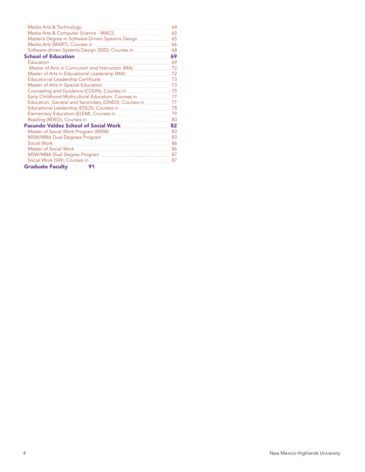| School of Education <u>Election</u> 69                                                |  |
|---------------------------------------------------------------------------------------|--|
|                                                                                       |  |
|                                                                                       |  |
| Master of Arts in Educational Leadership (MA) <b>Masser 2016</b> 72                   |  |
| Educational Leadership Certificate <b>Election Contract 120 annul 2018</b> 73         |  |
|                                                                                       |  |
| Counseling and Guidance (COUN), Courses in manual manual manual 75                    |  |
| Early Childhood Multicultural Education, Courses in manual manager 77                 |  |
| Education, General and Secondary (GNED), Courses in <b>Election</b> 27                |  |
| Educational Leadership (EDLD), Courses in <b>manually and the Contract Control</b> 78 |  |
|                                                                                       |  |
|                                                                                       |  |
|                                                                                       |  |
|                                                                                       |  |
|                                                                                       |  |
|                                                                                       |  |
|                                                                                       |  |
|                                                                                       |  |
|                                                                                       |  |
| <b>Graduate Faculty</b><br>91                                                         |  |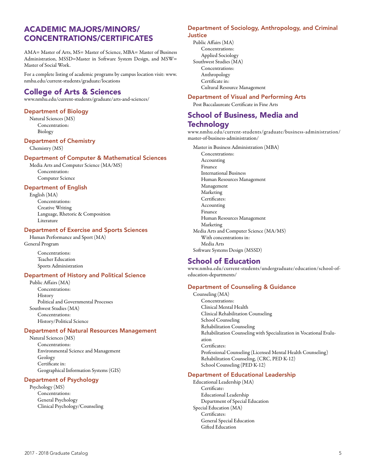## ACADEMIC MAJORS/MINORS/ CONCENTRATIONS/CERTIFICATES

AMA= Master of Arts, MS= Master of Science, MBA= Master of Business Administration, MSSD=Master in Software System Design, and MSW= Master of Social Work.

For a complete listing of academic programs by campus location visit: www. nmhu.edu/current-students/graduate/locations

## College of Arts & Sciences

www.nmhu.edu/current-students/graduate/arts-and-sciences/

#### Department of Biology

Natural Sciences (MS) Concentration: Biology

#### Department of Chemistry

Chemistry (MS)

#### Department of Computer & Mathematical Sciences

Media Arts and Computer Science (MA/MS) Concentration: Computer Science

#### Department of English

English (MA) Concentrations: Creative Writing Language, Rhetoric & Composition Literature

#### Department of Exercise and Sports Sciences

Human Performance and Sport (MA) General Program

> Concentrations: Teacher Education Sports Administration

#### Department of History and Political Science

Public Affairs (MA) Concentrations: History Political and Governmental Processes Southwest Studies (MA) Concentrations: History/Political Science

#### Department of Natural Resources Management

Natural Sciences (MS) Concentrations: Environmental Science and Management Geology Certificate in: Geographical Information Systems (GIS)

#### Department of Psychology

Psychology (MS) Concentrations: General Psychology Clinical Psychology/Counseling

#### Department of Sociology, Anthropology, and Criminal **Justice**

Public Affairs (MA) Concentrations: Applied Sociology Southwest Studies (MA) Concentrations: Anthropology Certificate in: Cultural Resource Management

#### Department of Visual and Performing Arts

Post Baccalaureate Certificate in Fine Arts

## School of Business, Media and

### **Technology**

www.nmhu.edu/current-students/graduate/business-administration/ master-of-business-administration/

Master in Business Administration (MBA) Concentrations: Accounting Finance International Business Human Resources Management Management Marketing Certificates: Accounting Finance Human Resources Management Marketing Media Arts and Computer Science (MA/MS) With concentrations in: Media Arts Software Systems Design (MSSD)

## School of Education

www.nmhu.edu/current-students/undergraduate/education/school-ofeducation-departments/

#### Department of Counseling & Guidance

Counseling (MA) Concentrations: Clinical Mental Health Clinical Rehabilitation Counseling School Counseling Rehabilitation Counseling Rehabilitation Counseling with Specialization in Vocational Evaluation Certificates: Professional Counseling (Licensed Mental Health Counseling) Rehabilitation Counseling, (CRC, PED K-12) School Counseling (PED K-12)

#### Department of Educational Leadership

Educational Leadership (MA) Certificate: Educational Leadership Department of Special Education Special Education (MA) Certificates: General Special Education Gifted Education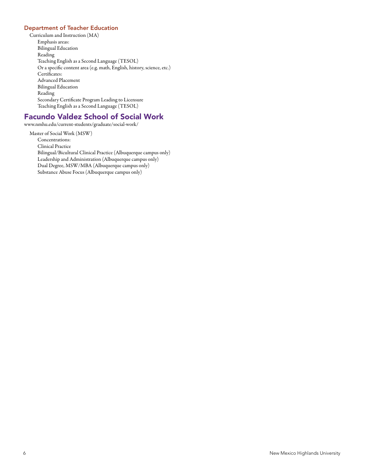#### Department of Teacher Education

Curriculum and Instruction (MA) Emphasis areas: Bilingual Education Reading Teaching English as a Second Language (TESOL) Or a specific content area (e.g. math, English, history, science, etc.) Certificates: Advanced Placement Bilingual Education Reading Secondary Certificate Program Leading to Licensure Teaching English as a Second Language (TESOL)

## Facundo Valdez School of Social Work

www.nmhu.edu/current-students/graduate/social-work/

Master of Social Work (MSW) Concentrations: Clinical Practice Bilingual/Bicultural Clinical Practice (Albuquerque campus only) Leadership and Administration (Albuquerque campus only) Dual Degree, MSW/MBA (Albuquerque campus only) Substance Abuse Focus (Albuquerque campus only)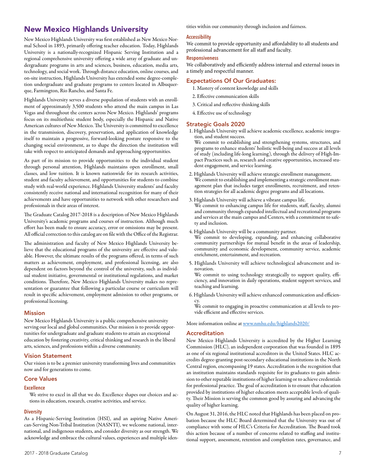## New Mexico Highlands University

New Mexico Highlands University was first established as New Mexico Normal School in 1893, primarily offering teacher education. Today, Highlands University is a nationally-recognized Hispanic Serving Institution and a regional comprehensive university offering a wide array of graduate and undergraduate programs in arts and sciences, business, education, media arts, technology, and social work. Through distance education, online courses, and on-site instruction, Highlands University has extended some degree-completion undergraduate and graduate programs to centers located in Albuquerque, Farmington, Rio Rancho, and Santa Fe.

Highlands University serves a diverse population of students with an enrollment of approximately 3,500 students who attend the main campus in Las Vegas and throughout the centers across New Mexico. Highlands' programs focus on its multiethnic student body, especially the Hispanic and Native American cultures of New Mexico. The University is committed to excellence in the transmission, discovery, preservation, and application of knowledge itself to maintain a progressive, forward-looking posture responsive to the changing social environment, as to shape the direction the institution will take with respect to anticipated demands and approaching opportunities.

As part of its mission to provide opportunities to the individual student through personal attention, Highlands maintains open enrollment, small classes, and low tuition. It is known nationwide for its research activities, student and faculty achievement, and opportunities for students to combine study with real-world experience. Highlands University students' and faculty consistently receive national and international recognition for many of their achievements and have opportunities to network with other researchers and professionals in their areas of interest.

The Graduate Catalog 2017-2018 is a description of New Mexico Highlands University's academic programs and courses of instruction. Although much effort has been made to ensure accuracy, error or omissions may be present. All official correction to this catalog are on file with the Office of the Registrar.

The administration and faculty of New Mexico Highlands University believe that the educational programs of the university are effective and valuable. However, the ultimate results of the programs offered, in terms of such matters as achievement, employment, and professional licensing, are also dependent on factors beyond the control of the university, such as individual student initiative, governmental or institutional regulations, and market conditions. Therefore, New Mexico Highlands University makes no representation or guarantee that following a particular course or curriculum will result in specific achievement, employment admission to other programs, or professional licensing.

#### Mission

New Mexico Highlands University is a public comprehensive university serving our local and global communities. Our mission is to provide opportunities for undergraduate and graduate students to attain an exceptional education by fostering creativity, critical thinking and research in the liberal arts, sciences, and professions within a diverse community.

#### Vision Statement

Our vision is to be a premier university transforming lives and communities now and for generations to come.

#### Core Values

#### **Excellence**

We strive to excel in all that we do. Excellence shapes our choices and actions in education, research, creative activities, and service.

#### **Diversity**

As a Hispanic-Serving Institution (HSI), and an aspiring Native American-Serving Non-Tribal Institution (NASNTI), we welcome national, international, and indigenous students, and consider diversity as our strength. We acknowledge and embrace the cultural values, experiences and multiple identities within our community through inclusion and fairness.

#### **Accessibility**

We commit to provide opportunity and affordability to all students and professional advancement for all staff and faculty.

#### **Responsiveness**

We collaboratively and efficiently address internal and external issues in a timely and respectful manner.

#### Expectations Of Our Graduates:

- 1. Mastery of content knowledge and skills
- 2. Effective communication skills
- 3. Critical and reflective thinking skills
- 4. Effective use of technology

#### Strategic Goals 2020

1. Highlands University will achieve academic excellence, academic integration, and student success.

We commit to establishing and strengthening systems, structures, and programs to enhance students' holistic well-being and success at all levels of study (including life-long learning), through the delivery of High-Impact Practices such as, research and creative opportunities, increased student engagement, and service learning.

- 2. Highlands University will achieve strategic enrollment management. We commit to establishing and implementing a strategic enrollment management plan that includes target enrollments, recruitment, and retention strategies for all academic degree programs and all locations.
- 3. Highlands University will achieve a vibrant campus life. We commit to enhancing campus life for students, staff, faculty, alumni and community through expanded intellectual and recreational programs and services at the main campus and Centers, with a commitment to safety and inclusion.
- 4. Highlands University will be a community partner.

We commit to developing, expanding, and enhancing collaborative community partnerships for mutual benefit in the areas of leadership, community and economic development, community service, academic enrichment, entertainment, and recreation.

5. Highlands University will achieve technological advancement and innovation.

We commit to using technology strategically to support quality, efficiency, and innovation in daily operations, student support services, and teaching and learning.

6. Highlands University will achieve enhanced communication and efficiency.

We commit to engaging in proactive communication at all levels to provide efficient and effective services.

More information online at www.nmhu.edu/highlands2020/

#### Accreditation

New Mexico Highlands University is accredited by the Higher Learning Commission (HLC), an independent corporation that was founded in 1895 as one of six regional institutional accreditors in the United States. HLC accredits degree-granting post-secondary educational institutions in the North Central region, encompassing 19 states. Accreditation is the recognition that an institution maintains standards requisite for its graduates to gain admission to other reputable institutions of higher learning or to achieve credentials for professional practice. The goal of accreditation is to ensure that education provided by institutions of higher education meets acceptable levels of quality. Their Mission is serving the common good by assuring and advancing the quality of higher learning.

On August 31, 2016, the HLC noted that Highlands has been placed on probation because the HLC Board determined that the University was out of compliance with some of HLC's Criteria for Accreditation. The Board took this action because of a number of concerns related to staffing and institutional support, assessment, retention and completion rates, governance, and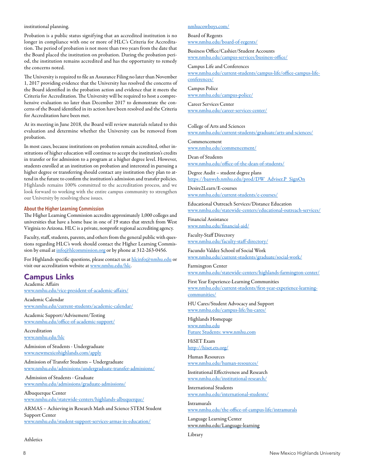#### institutional planning.

Probation is a public status signifying that an accredited institution is no longer in compliance with one or more of HLC's Criteria for Accreditation. The period of probation is not more than two years from the date that the Board placed the institution on probation. During the probation period, the institution remains accredited and has the opportunity to remedy the concerns noted.

The University is required to file an Assurance Filing no later than November 1, 2017 providing evidence that the University has resolved the concerns of the Board identified in the probation action and evidence that it meets the Criteria for Accreditation. The University will be required to host a comprehensive evaluation no later than December 2017 to demonstrate the concerns of the Board identified in its action have been resolved and the Criteria for Accreditation have been met.

At its meeting in June 2018, the Board will review materials related to this evaluation and determine whether the University can be removed from probation.

In most cases, because institutions on probation remain accredited, other institutions of higher education will continue to accept the institution's credits in transfer or for admission to a program at a higher degree level. However, students enrolled at an institution on probation and interested in pursuing a higher degree or transferring should contact any institution they plan to attend in the future to confirm the institution's admission and transfer policies. Highlands remains 100% committed to the accreditation process, and we look forward to working with the entire campus community to strengthen our University by resolving these issues.

#### **About the Higher Learning Commission**

The Higher Learning Commission accredits approximately 1,000 colleges and universities that have a home base in one of 19 states that stretch from West Virginia to Arizona. HLC is a private, nonprofit regional accrediting agency.

Faculty, staff, students, parents, and others from the general public with questions regarding HLC's work should contact the Higher Learning Commission by email at info@hlcommission.org or by phone at 312-263-0456.

For Highlands specific questions, please contact us at hlcinfo@nmhu.edu or visit our accreditation website at www.nmhu.edu/hlc.

## Campus Links

Academic Affairs www.nmhu.edu/vice-president-of-academic-affairs/

Academic Calendar www.nmhu.edu/current-students/academic-calendar/

Academic Support/Advisement/Testing www.nmhu.edu/office-of-academic-support/

Accreditation www.nmhu.edu/hlc

Admission of Students - Undergraduate www.newmexicohighlands.com/apply

Admission of Transfer Students – Undergraduate www.nmhu.edu/admissions/undergraduate-transfer-admissions/

 Admission of Students - Graduate www.nmhu.edu/admissions/graduate-admissions/

Albuquerque Center www.nmhu.edu/statewide-centers/highlands-albuquerque/

ARMAS – Achieving in Research Math and Science STEM Student Support Center www.nmhu.edu/student-support-services-armas-in-education/

#### nmhucowboys.com/

Board of Regents www.nmhu.edu/board-of-regents/

Business Office/Cashier/Student Accounts www.nmhu.edu/campus-services/business-office/

Campus Life and Conferences www.nmhu.edu/current-students/campus-life/office-campus-lifeconferences/

Campus Police www.nmhu.edu/campus-police/

Career Services Center www.nmhu.edu/career-services-center/

College of Arts and Sciences www.nmhu.edu/current-students/graduate/arts-and-sciences/

Commencement www.nmhu.edu/commencement/

Dean of Students www.nmhu.edu/office-of-the-dean-of-students/

Degree Audit – student degree plans https://banweb.nmhu.edu/prod/DW\_Adviser.P\_SignOn

Desire2Learn/E-courses www.nmhu.edu/current-students/e-courses/

Educational Outreach Services/Distance Education www.nmhu.edu/statewide-centers/educational-outreach-services/

Financial Assistance www.nmhu.edu/financial-aid/

Faculty-Staff Directory www.nmhu.edu/faculty-staff-directory/

Facundo Valdez School of Social Work www.nmhu.edu/current-students/graduate/social-work/

Farmington Center www.nmhu.edu/statewide-centers/highlands-farmington-center/

First Year Experience-Learning Communities www.nmhu.edu/current-students/first-year-experience-learningcommunities/

HU Cares/Student Advocacy and Support www.nmhu.edu/campus-life/hu-cares/

Highlands Homepage www.nmhu.edu Future Students: www.nmhu.com

HiSET Exam http://hiset.ets.org/

Human Resources www.nmhu.edu/human-resources/

Institutional Effectiveness and Research www.nmhu.edu/institutional-research/

International Students www.nmhu.edu/international-students/

Intramurals www.nmhu.edu/the-office-of-campus-life/intramurals

Language Learning Center www.nmhu.edu/Language-learning

Library

Athletics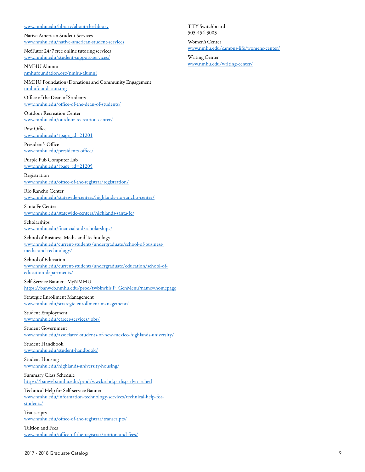#### www.nmhu.edu/library/about-the-library

Native American Student Services www.nmhu.edu/native-american-student-services

NetTutor 24/7 free online tutoring services www.nmhu.edu/student-support-services/

NMHU Alumni nmhufoundation.org/nmhu-alumni

NMHU Foundation/Donations and Community Engagement nmhufoundation.org

Office of the Dean of Students www.nmhu.edu/office-of-the-dean-of-students/

Outdoor Recreation Center www.nmhu.edu/outdoor-recreation-center/

Post Office www.nmhu.edu/?page\_id=21201

President's Office www.nmhu.edu/presidents-office/

Purple Pub Computer Lab www.nmhu.edu/?page\_id=21205

Registration www.nmhu.edu/office-of-the-registrar/registration/

Rio Rancho Center www.nmhu.edu/statewide-centers/highlands-rio-rancho-center/

Santa Fe Center www.nmhu.edu/statewide-centers/highlands-santa-fe/

Scholarships www.nmhu.edu/financial-aid/scholarships/

School of Business, Media and Technology www.nmhu.edu/current-students/undergraduate/school-of-businessmedia-and-technology/

School of Education www.nmhu.edu/current-students/undergraduate/education/school-ofeducation-departments/

Self-Service Banner - MyNMHU https://banweb.nmhu.edu/prod/twbkwbis.P\_GenMenu?name=homepage

Strategic Enrollment Management www.nmhu.edu/strategic-enrollment-management/

Student Employment www.nmhu.edu/career-services/jobs/

Student Government www.nmhu.edu/associated-students-of-new-mexico-highlands-university/

Student Handbook www.nmhu.edu/student-handbook/

Student Housing www.nmhu.edu/highlands-university-housing/

Summary Class Schedule https://banweb.nmhu.edu/prod/wwckschd.p\_disp\_dyn\_sched

Technical Help for Self-service Banner www.nmhu.edu/information-technology-services/technical-help-forstudents/

Transcripts www.nmhu.edu/office-of-the-registrar/transcripts/

Tuition and Fees www.nmhu.edu/office-of-the-registrar/tuition-and-fees/ TTY Switchboard 505-454-3003

Women's Center www.nmhu.edu/campus-life/womens-center/

Writing Center www.nmhu.edu/writing-center/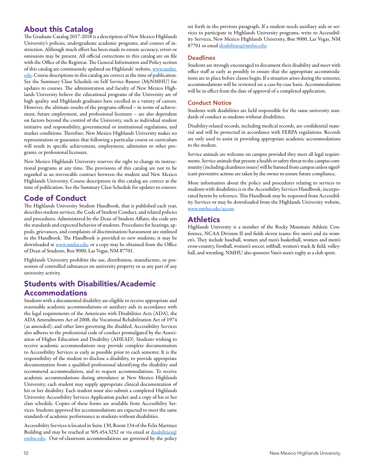## About this Catalog

The Graduate Catalog 2017-2018 is a description of New Mexico Highlands University's policies, undergraduate academic programs, and courses of instruction. Although much effort has been made to ensure accuracy, errors or omissions may be present. All official corrections to this catalog are on file with the Office of the Registrar. The General Information and Policy section of this catalog are continuously updated on Highlands' website, www.nmhu. edu. Course descriptions in this catalog are correct at the time of publication. See the Summary Class Schedule on Self Service Banner (MyNMHU) for updates to courses. The administration and faculty of New Mexico Highlands University believe the educational programs of the University are of high quality and Highlands graduates have excelled in a variety of careers. However, the ultimate results of the programs offered – in terms of achievement, future employment, and professional licensure – are also dependent on factors beyond the control of the University, such as individual student initiative and responsibility, governmental or institutional regulations, and market conditions. Therefore, New Mexico Highlands University makes no representation or guarantee that following a particular course or curriculum will result in specific achievement, employment, admission to other programs, or professional licensure.

New Mexico Highlands University reserves the right to change its instructional programs at any time. The provisions of this catalog are not to be regarded as an irrevocable contract between the student and New Mexico Highlands University. Course descriptions in this catalog are correct at the time of publication. See the Summary Class Schedule for updates to courses.

## Code of Conduct

The Highlands University Student Handbook, that is published each year, describes student services, the Code of Student Conduct, and related policies and procedures. Administered by the Dean of Student Affairs, the code sets the standards and expected behavior of students. Procedures for hearings, appeals, grievances, and complaints of discrimination/harassment are outlined in the Handbook. The Handbook is provided to new students; it may be downloaded at www.nmhu.edu, or a copy may be obtained from the Office of Dean of Students, Box 9000, Las Vegas, NM 87701.

Highlands University prohibits the use, distribution, manufacture, or possession of controlled substances on university property or as any part of any university activity.

## Students with Disabilities/Academic Accommodations

Students with a documented disability are eligible to receive appropriate and reasonable academic accommodations or auxiliary aids in accordance with the legal requirements of the Americans with Disabilities Acts (ADA), the ADA Amendments Act of 2008, the Vocational Rehabilitation Act of 1974 (as amended), and other laws governing the disabled. Accessibility Services also adheres to the professional code of conduct promulgated by the Association of Higher Education and Disability (AHEAD). Students wishing to receive academic accommodations may provide complete documentation to Accessibility Services as early as possible prior to each semester. It is the responsibility of the student to disclose a disability, to provide appropriate documentation from a qualified professional identifying the disability and recommend accommodation, and to request accommodations. To receive academic accommodations during attendance at New Mexico Highlands University, each student may supply appropriate clinical documentation of his or her disability. Each student must also submit a completed Highlands University Accessibility Services Application packet and a copy of his or her class schedule. Copies of these forms are available from Accessibility Services. Students approved for accommodations are expected to meet the same standards of academic performance as students without disabilities.

Accessibility Services is located in Suite 130, Room 134 of the Felix Martinez Building and may be reached at 505.454.3252 or via email at disabilities@ nmhu.edu. Out-of-classroom accommodations are governed by the policy

set forth in the previous paragraph. If a student needs auxiliary aids or services to participate in Highlands University programs, write to Accessibility Services, New Mexico Highlands University, Box 9000, Las Vegas, NM 87701 or email disabilities@nmhu.edu.

#### **Deadlines**

Students are strongly encouraged to document their disability and meet with office staff as early as possibly to ensure that the appropriate accommodations are in place before classes begin. If a situation arises during the semester, accommodations will be reviewed on a case-by-case basis. Accommodations will be in effect from the date of approval of a completed application.

#### Conduct Notice

Students with disabilities are held responsible for the same university standards of conduct as students without disabilities.

Disability-related records, including medical records, are confidential material and will be protected in accordance with FERPA regulations. Records are only used to assist in providing appropriate academic accommodations to the student.

Service animals are welcome on campus provided they meet all legal requirements. Service animals that present a health or safety threat to the campus community (including cleanliness issues) will be banned from campus unless significant preventive actions are taken by the owner to ensure future compliance.

More information about the policy and procedures relating to services to students with disabilities is in the Accessibility Services Handbook, incorporated herein by reference. This Handbook may be requested from Accessibility Services or may be downloaded from the Highlands University website, www.nmhu.edu/access.

## **Athletics**

Highlands University is a member of the Rocky Mountain Athletic Conference, NCAA Division II and fields eleven teams: five men's and six women's. They include baseball, women and men's basketball, women and mem's cross-country, football, women's soccer, softball, women's track & field, volleyball, and wrestling. NMHU also sponsors Vato's men's rugby as a club sport.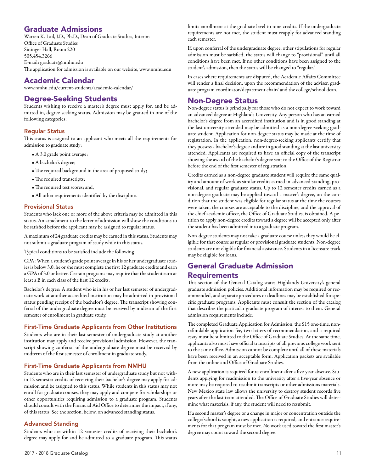## Graduate Admissions

Warren K. Lail, J.D., Ph.D., Dean of Graduate Studies, Interim Office of Graduate Studies Sininger Hall, Room 220 505.454.3266 E-mail: graduate@nmhu.edu The application for admission is available on our website, www.nmhu.edu

## Academic Calendar

www.nmhu.edu/current-students/academic-calendar/

## Degree-Seeking Students

Students wishing to receive a master's degree must apply for, and be admitted in, degree-seeking status. Admission may be granted in one of the following categories:

#### Regular Status

This status is assigned to an applicant who meets all the requirements for admission to graduate study:

- A 3.0 grade point average;
- A bachelor's degree;
- The required background in the area of proposed study;
- The required transcripts;
- The required test scores; and,
- All other requirements identified by the discipline.

#### Provisional Status

Students who lack one or more of the above criteria may be admitted in this status. An attachment to the letter of admission will show the conditions to be satisfied before the applicant may be assigned to regular status.

A maximum of 24 graduate credits may be earned in this status. Students may not submit a graduate program of study while in this status.

Typical conditions to be satisfied include the following:

GPA: When a student's grade point average in his or her undergraduate studies is below 3.0, he or she must complete the first 12 graduate credits and earn a GPA of 3.0 or better. Certain programs may require that the student earn at least a B in each class of the first 12 credits.

Bachelor's degree: A student who is in his or her last semester of undergraduate work at another accredited institution may be admitted in provisional status pending receipt of the bachelor's degree. The transcript showing conferral of the undergraduate degree must be received by midterm of the first semester of enrollment in graduate study.

#### First-Time Graduate Applicants from Other Institutions

Students who are in their last semester of undergraduate study at another institution may apply and receive provisional admission. However, the transcript showing conferral of the undergraduate degree must be received by midterm of the first semester of enrollment in graduate study.

#### First-Time Graduate Applicants from NMHU

Students who are in their last semester of undergraduate study but not within 12 semester credits of receiving their bachelor's degree may apply for admission and be assigned to this status. While students in this status may not enroll for graduate courses, they may apply and compete for scholarships or other opportunities requiring admission to a graduate program. Students should consult with the Financial Aid Office to determine the impact, if any, of this status. See the section, below, on advanced standing status.

#### Advanced Standing

Students who are within 12 semester credits of receiving their bachelor's degree may apply for and be admitted to a graduate program. This status limits enrollment at the graduate level to nine credits. If the undergraduate requirements are not met, the student must reapply for advanced standing each semester.

If, upon conferral of the undergraduate degree, other stipulations for regular admission must be satisfied, the status will change to "provisional" until all conditions have been met. If no other conditions have been assigned to the student's admission, then the status will be changed to "regular."

In cases where requirements are disputed, the Academic Affairs Committee will render a final decision, upon the recommendation of the adviser, graduate program coordinator/department chair/ and the college/school dean.

## Non-Degree Status

Non-degree status is principally for those who do not expect to work toward an advanced degree at Highlands University. Any person who has an earned bachelor's degree from an accredited institution and is in good standing at the last university attended may be admitted as a non-degree-seeking graduate student. Application for non-degree status may be made at the time of registration. In the application, non-degree-seeking applicants certify that they possess a bachelor's degree and are in good standing at the last university attended. Applicants are required to have an official copy of the transcript showing the award of the bachelor's degree sent to the Office of the Registrar before the end of the first semester of registration.

Credits earned as a non-degree graduate student will require the same quality and amount of work as similar credits earned in advanced-standing, provisional, and regular graduate status. Up to 12 semester credits earned as a non-degree graduate may be applied toward a master's degree, on the condition that the student was eligible for regular status at the time the courses were taken, the courses are acceptable to the discipline, and the approval of the chief academic officer, the Office of Graduate Studies, is obtained. A petition to apply non-degree credits toward a degree will be accepted only after the student has been admitted into a graduate program.

Non-degree students may not take a graduate course unless they would be eligible for that course as regular or provisional graduate students. Non-degree students are not eligible for financial assistance. Students in a licensure track may be eligible for loans.

## General Graduate Admission Requirements

This section of the General Catalog states Highlands University's general graduate admission policies. Additional information may be required or recommended, and separate procedures or deadlines may be established for specific graduate programs. Applicants must consult the section of the catalog that describes the particular graduate program of interest to them. General admission requirements include:

The completed Graduate Application for Admission, the \$15 one-time, nonrefundable application fee, two letters of recommendation, and a required essay must be submitted to the Office of Graduate Studies. At the same time, applicants also must have official transcripts of all previous college work sent to the same office. Admission cannot be complete until all of these materials have been received in an acceptable form. Application packets are available from the online and Office of Graduate Studies.

A new application is required for re-enrollment after a five-year absence. Students applying for readmission to the university after a five-year absence or more may be required to resubmit transcripts or other admissions materials. New Mexico state law allows the university to destroy student records five years after the last term attended. The Office of Graduate Studies will determine what materials, if any, the student will need to resubmit.

If a second master's degree or a change in major or concentration outside the college/school is sought, a new application is required, and entrance requirements for that program must be met. No work used toward the first master's degree may count toward the second degree.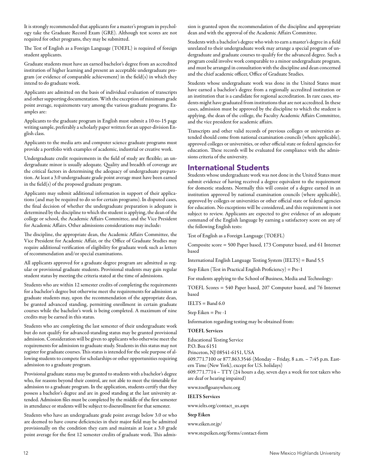It is strongly recommended that applicants for a master's program in psychology take the Graduate Record Exam (GRE). Although test scores are not required for other programs, they may be submitted.

The Test of English as a Foreign Language (TOEFL) is required of foreign student applicants.

Graduate students must have an earned bachelor's degree from an accredited institution of higher learning and present an acceptable undergraduate program (or evidence of comparable achievement) in the field(s) in which they intend to do graduate work.

Applicants are admitted on the basis of individual evaluation of transcripts and other supporting documentation. With the exception of minimum grade point average, requirements vary among the various graduate programs. Examples are:

Applicants to the graduate program in English must submit a 10-to-15 page writing sample, preferably a scholarly paper written for an upper-division English class.

Applicants to the media arts and computer science graduate programs must provide a portfolio with examples of academic, industrial or creative work.

Undergraduate credit requirements in the field of study are flexible; an undergraduate minor is usually adequate. Quality and breadth of coverage are the critical factors in determining the adequacy of undergraduate preparation. At least a 3.0 undergraduate grade point average must have been earned in the field(s) of the proposed graduate program.

Applicants may submit additional information in support of their applications (and may be required to do so for certain programs). In disputed cases, the final decision of whether the undergraduate preparation is adequate is determined by the discipline to which the student is applying, the dean of the college or school, the Academic Affairs Committee, and the Vice President for Academic Affairs. Other admissions considerations may include:

The discipline, the appropriate dean, the Academic Affairs Committee, the Vice President for Academic Affair, or the Office of Graduate Studies may require additional verification of eligibility for graduate work such as letters of recommendation and/or special examinations.

All applicants approved for a graduate degree program are admitted as regular or provisional graduate students. Provisional students may gain regular student status by meeting the criteria stated at the time of admissions.

Students who are within 12 semester credits of completing the requirements for a bachelor's degree but otherwise meet the requirements for admission as graduate students may, upon the recommendation of the appropriate dean, be granted advanced standing, permitting enrollment in certain graduate courses while the bachelor's work is being completed. A maximum of nine credits may be earned in this status.

Students who are completing the last semester of their undergraduate work but do not qualify for advanced-standing status may be granted provisional admission. Consideration will be given to applicants who otherwise meet the requirements for admission to graduate study. Students in this status may not register for graduate courses. This status is intended for the sole purpose of allowing students to compete for scholarships or other opportunities requiring admission to a graduate program.

Provisional graduate status may be granted to students with a bachelor's degree who, for reasons beyond their control, are not able to meet the timetable for admission to a graduate program. In the application, students certify that they possess a bachelor's degree and are in good standing at the last university attended. Admission files must be completed by the middle of the first semester in attendance or students will be subject to disenrollment for that semester.

Students who have an undergraduate grade point average below 3.0 or who are deemed to have course deficiencies in their major field may be admitted provisionally on the condition they earn and maintain at least a 3.0 grade point average for the first 12 semester credits of graduate work. This admission is granted upon the recommendation of the discipline and appropriate dean and with the approval of the Academic Affairs Committee.

Students with a bachelor's degree who wish to earn a master's degree in a field unrelated to their undergraduate work may arrange a special program of undergraduate and graduate courses to qualify for the advanced degree. Such a program could involve work comparable to a minor undergraduate program, and must be arranged in consultation with the discipline and dean concerned and the chief academic officer, Office of Graduate Studies.

Students whose undergraduate work was done in the United States must have earned a bachelor's degree from a regionally accredited institution or an institution that is a candidate for regional accreditation. In rare cases, students might have graduated from institutions that are not accredited. In these cases, admission must be approved by the discipline to which the student is applying, the dean of the college, the Faculty Academic Affairs Committee, and the vice president for academic affairs.

Transcripts and other valid records of previous colleges or universities attended should come from national examination councils (where applicable), approved colleges or universities, or other official state or federal agencies for education. These records will be evaluated for compliance with the admissions criteria of the university.

## International Students

Students whose undergraduate work was not done in the United States must submit evidence of having received a degree equivalent to the requirement for domestic students. Normally this will consist of a degree earned in an institution approved by national examination councils (where applicable), approved by colleges or universities or other official state or federal agencies for education. No exceptions will be considered, and this requirement is not subject to review. Applicants are expected to give evidence of an adequate command of the English language by earning a satisfactory score on any of the following English tests:

Test of English as a Foreign Language (TOEFL)

Composite score = 500 Paper based, 173 Computer based, and 61 Internet based

International English Language Testing System (IELTS) = Band 5.5

Step Eiken (Test in Practical English Proficiency) = Pre-1

For students applying to the School of Business, Media and Technology:

TOEFL Scores = 540 Paper based, 207 Computer based, and 76 Internet based

 $IELTS = Band 6.0$ 

Step Eiken = Pre -1

Information regarding testing may be obtained from:

#### TOEFL Services

Educational Testing Service

P.O. Box 6151

Princeton, NJ 08541-6151, USA

609.771.7100 or 877.863.3546 (Monday – Friday, 8 a.m. – 7:45 p.m. Eastern Time (New York), except for U.S. holidays)

609.771.7714 – TTY (24 hours a day, seven days a week for test takers who are deaf or hearing impaired)

www.toeflgoanywhere.org

#### IELTS Services

www.ielts.org/contact\_us.aspx

#### Step Eiken

www.eiken.or.jp/

www.stepeiken.org/forms/contact-form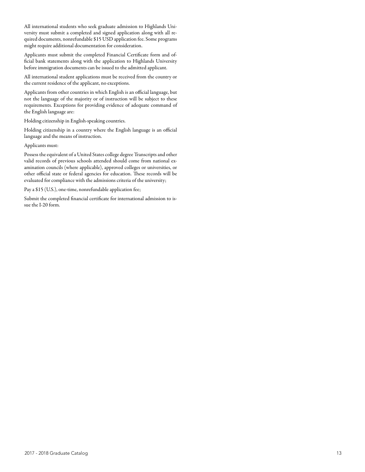All international students who seek graduate admission to Highlands University must submit a completed and signed application along with all required documents, nonrefundable \$15 USD application fee. Some programs might require additional documentation for consideration.

Applicants must submit the completed Financial Certificate form and official bank statements along with the application to Highlands University before immigration documents can be issued to the admitted applicant.

All international student applications must be received from the country or the current residence of the applicant, no exceptions.

Applicants from other countries in which English is an official language, but not the language of the majority or of instruction will be subject to these requirements. Exceptions for providing evidence of adequate command of the English language are:

Holding citizenship in English-speaking countries.

Holding citizenship in a country where the English language is an official language and the means of instruction.

Applicants must:

Possess the equivalent of a United States college degree Transcripts and other valid records of previous schools attended should come from national examination councils (where applicable), approved colleges or universities, or other official state or federal agencies for education. These records will be evaluated for compliance with the admissions criteria of the university;

Pay a \$15 (U.S.), one-time, nonrefundable application fee;

Submit the completed financial certificate for international admission to issue the I-20 form.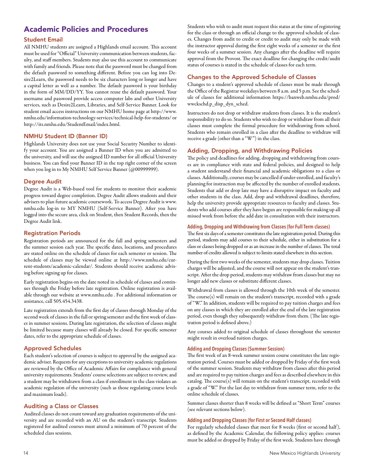## Academic Policies and Procedures

### Student Email

All NMHU students are assigned a Highlands email account. This account must be used for "Official" University communication between students, faculty, and staff members. Students may also use this account to communicate with family and friends. Please note that the password must be changed from the default password to something different. Before you can log into Desire2Learn, the password needs to be six characters long or longer and have a capital letter as well as a number. The default password is your birthday in the form of MM/DD/YY. You cannot reuse the default password. Your username and password provide access computer labs and other University services, such as Desire2Learn, Libraries, and Self-Service Banner. Look for student email access instructions on our NMHU home page at http://www. nmhu.edu/information-technology-services/technical-help-for-students/ or http://its.nmhu.edu/StudentEmail/index.html.

#### NMHU Student ID (Banner ID)

Highlands University does not use your Social Security Number to identify your account. You are assigned a Banner ID when you are admitted to the university, and will use the assigned ID number for all official University business. You can find your Banner ID in the top right corner of the screen when you log in to My NMHU Self Service Banner (@00999999).

#### Degree Audit

Degree Audit is a Web-based tool for students to monitor their academic progress toward degree completion. Degree Audit allows students and their advisers to plan future academic coursework. To access Degree Audit is www. nmhu.edu log-in to MY NMHU (Self-Service Banner). After you have logged into the secure area, click on Student, then Student Records, then the Degree Audit link.

#### Registration Periods

Registration periods are announced for the fall and spring semesters and the summer session each year. The specific dates, locations, and procedures are stated online on the schedule of classes for each semester or session. The schedule of classes may be viewed online at http://www.nmhu.edu/current-students/academic-calendar/. Students should receive academic advising before signing up for classes.

Early registration begins on the date noted in schedule of classes and continues through the Friday before late registration. Online registration is available through our website at www.nmhu.edu . For additional information or assistance, call 505.454.3438.

Late registration extends from the first day of classes through Monday of the second week of classes in the fall or spring semester and the first week of classes in summer sessions. During late registration, the selection of classes might be limited because many classes will already be closed. For specific semester dates, refer to the appropriate schedule of classes.

#### Approved Schedules

Each student's selection of courses is subject to approval by the assigned academic adviser. Requests for any exceptions to university academic regulations are reviewed by the Office of Academic Affairs for compliance with general university requirements. Students' course selections are subject to review, and a student may be withdrawn from a class if enrollment in the class violates an academic regulation of the university (such as those regulating course levels and maximum loads).

#### Auditing a Class or Classes

Audited classes do not count toward any graduation requirements of the university and are recorded with an AU on the student's transcript. Students registered for audited courses must attend a minimum of 70 percent of the scheduled class sessions.

Students who wish to audit must request this status at the time of registering for the class or through an official change to the approved schedule of classes. Changes from audit to credit or credit to audit may only be made with the instructor approval during the first eight weeks of a semester or the first four weeks of a summer session. Any changes after the deadline will require approval from the Provost. The exact deadline for changing the credit/audit status of courses is stated in the schedule of classes for each term.

#### Changes to the Approved Schedule of Classes

Changes to a student's approved schedule of classes must be made through the Office of the Registrar weekdays between 8 a.m. and 5 p.m. See the schedule of classes for additional information https://banweb.nmhu.edu/prod/ wwckschd.p\_disp\_dyn\_sched.

Instructors do not drop or withdraw students from classes. It is the student's responsibility to do so. Students who wish to drop or withdraw from all their classes must complete the formal procedure for withdrawing from school. Students who remain enrolled in a class after the deadline to withdraw will receive a grade (other than a "W") in the class.

#### Adding, Dropping, and Withdrawing Policies

The policy and deadlines for adding, dropping and withdrawing from courses are in compliance with state and federal policies, and designed to help a student understand their financial and academic obligations to a class or classes. Additionally, courses may be cancelled if under-enrolled, and faculty's planning for instruction may be affected by the number of enrolled students. Students that add or drop late may have a disruptive impact on faculty and other students in the class. Add, drop and withdrawal deadlines, therefore, help the university provide appropriate resources to faculty and classes. Students who add courses after they have begun are responsible for making up all missed work from before the add date in consultation with their instructors.

#### **Adding, Dropping and Withdrawing from Classes (for Full Term classes)**

The first six days of a semester constitutes the late registration period. During this period, students may add courses to their schedule, either in substitution for a class or classes being dropped or as an increase in the number of classes. The total number of credits allowed is subject to limits stated elsewhere in this section.

During the first two weeks of the semester, students may drop classes. Tuition charges will be adjusted, and the course will not appear on the student's transcript. After the drop period, students may withdraw from classes but may no longer add new classes or substitute different classes.

Withdrawal from classes is allowed through the 10th week of the semester. The course(s) will remain on the student's transcript, recorded with a grade of "W." In addition, students will be required to pay tuition charges and fees on any classes in which they are enrolled after the end of the late registration period, even though they subsequently withdraw from them. (The late registration period is defined above.)

Any courses added to original schedule of classes throughout the semester might result in overload tuition charges.

#### **Adding and Dropping Classes (Summer Session)**

The first week of an 8-week summer session course constitutes the late registration period. Courses must be added or dropped by Friday of the first week of the summer session. Students may withdraw from classes after this period and are required to pay tuition charges and fees as described elsewhere in this catalog. The course(s) will remain on the student's transcript, recorded with a grade of "W." For the last day to withdraw from summer term, refer to the online schedule of classes.

Summer classes shorter than 8 weeks will be defined as "Short Term" courses (see relevant sections below).

#### **Adding and Dropping Classes (for First or Second Half classes)**

For regularly scheduled classes that meet for 8 weeks (first or second half), as defined by the Academic Calendar, the following policy applies: courses must be added or dropped by Friday of the first week. Students have through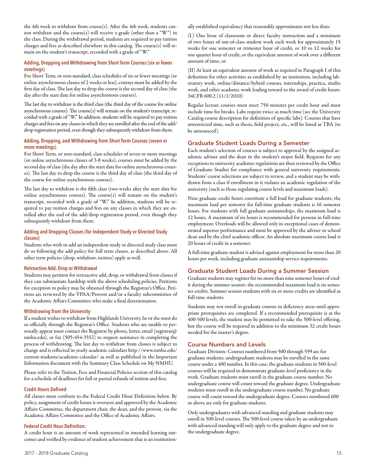the 4th week to withdraw from course(s). After the 4th week, students cannot withdraw and the course(s) will receive a grade (other than a "W") in the class. During the withdrawal period, students are required to pay tuition charges and fees as described elsewhere in this catalog. The course(s) will remain on the student's transcript, recorded with a grade of "W."

#### **Adding, Dropping and Withdrawing from Short Term Courses (six or fewer meetings)**

For Short Term, or non-standard, class schedules of six or fewer meetings (or online asynchronous classes of 2 weeks or less), courses must be added by the first day of class. The last day to drop the course is the second day of class (the day after the start date for online asynchronous courses).

The last day to withdraw is the third class (the third day of the course for online asynchronous courses). The course(s) will remain on the student's transcript, recorded with a grade of "W." In addition, students will be required to pay tuition charges and fees on any classes in which they are enrolled after the end of the add/ drop registration period, even though they subsequently withdraw from them.

#### **Adding, Dropping, and Withdrawing from Short Term Courses (seven or more meetings)**

For Short Term, or non-standard, class schedules of seven or more meetings (or online asynchronous classes of 3-8 weeks), courses must be added by the second day of class (the day after the start date for online asynchronous courses). The last day to drop the course is the third day of class (the third day of the course for online asynchronous courses).

The last day to withdraw is the fifth class (two weeks after the start date for online asynchronous courses). The course(s) will remain on the student's transcript, recorded with a grade of "W." In addition, students will be required to pay tuition charges and fees on any classes in which they are enrolled after the end of the add/drop registration period, even though they subsequently withdraw from them.

#### **Adding and Dropping Classes (for Independent Study or Directed Study classes)**

Students who wish to add an independent study or directed study class must do so following the add policy for full term classes, as described above. All other term policies (drop, withdraw, tuition) apply as well.

#### **Retroactive Add, Drop or Withdrawal**

Students may petition for retroactive add, drop, or withdrawal from classes if they can substantiate hardship with the above scheduling policies. Petitions for exception to policy may be obtained through the Registrar's Office. Petitions are reviewed by the VPAA/Provost and/or a faculty subcommittee of the Academic Affairs Committee who make a final determination.

#### **Withdrawing from the University**

If a student wishes to withdraw from Highlands University, he or she must do so officially through the Registrar's Office. Students who are unable to personally appear must contact the Registrar by phone, letter, email (registrar $@$ nmhu.edu), or fax (505-454-3552) to request assistance in completing the process of withdrawing. The last day to withdraw from classes is subject to change and is reflected in yearly academic calendars http://www.nmhu.edu/ current-students/academic-calendar/ as well as published in the Important Information document with the Summary Class Schedule on My NMHU.

Please refer to the Tuition, Fees and Financial Policies section of this catalog for a schedule of deadlines for full or partial refunds of tuition and fees.

#### **Credit Hours Defined**

All classes must conform to the Federal Credit Hour Definition below. By policy, assignment of credit hours is overseen and approved by the Academic Affairs Committee, the department chair, the dean, and the provost, via the Academic Affairs Committee and the Office of Academic Affairs.

#### **Federal Credit Hour Definition:**

A credit hour is an amount of work represented in intended learning outcomes and verified by evidence of student achievement that is an institutionally established equivalency that reasonably approximates not less than:

(I.) One hour of classroom or direct faculty instruction and a minimum of two hours of out-of-class student work each week for approximately 15 weeks for one semester or trimester hour of credit, or 10 to 12 weeks for one quarter hour of credit, or the equivalent amount of work over a different amount of time; or

(II) At least an equivalent amount of work as required in Paragraph I of this definition for other activities as established by an institution, including laboratory work, online/distance/hybrid courses, internships, practica, studio work, and other academic work leading toward to the award of credit hours. 34CFR 600.2 (11/1/2010)

Regular lecture courses must meet 750 minutes per credit hour and must include time for breaks. Labs require twice as much time (see the University Catalog course description for definition of specific labs). Courses that have unrestricted time, such as thesis, field project, etc., will be listed as TBA (to be announced).

#### Graduate Student Loads During a Semester

Each student's selection of courses is subject to approval by the assigned academic adviser and the dean in the student's major field. Requests for any exceptions to university academic regulations are then reviewed by the Office of Graduate Studies for compliance with general university requirements. Students' course selections are subject to review, and a student may be withdrawn from a class if enrollment in it violates an academic regulation of the university (such as those regulating course levels and maximum loads).

Nine graduate credit hours constitute a full load for graduate students; the maximum load per semester for full-time graduate students is 16 semester hours. For students with full graduate assistantships, the maximum load is 12 hours. A maximum of six hours is recommended for persons in full-time employment. Overloads will be allowed only in exceptional cases of demonstrated superior performance and must be approved by the adviser or school dean and by the chief academic officer. An absolute maximum course load is 20 hours of credit in a semester.

A full-time graduate student is advised against employment for more than 20 hours per week, including graduate assistantship service requirements.

#### Graduate Student Loads During a Summer Session

Graduate students may register for no more than nine semester hours of credit during the summer session; the recommended maximum load is six semester credits. Summer session students with six or more credits are identified as full-time students.

Students may not enroll in graduate courses in deficiency areas until appropriate prerequisites are completed. If a recommended prerequisite is at the 400-500 levels, the student may be permitted to take the 500-level offering, but the course will be required in addition to the minimum 32 credit hours needed for the master's degree.

#### Course Numbers and Levels

Graduate Division: Courses numbered from 500 through 599 are for graduate students; undergraduate students may be enrolled in the same course under a 400 number. In this case, the graduate students in 500-level courses will be required to demonstrate graduate-level proficiency in the work. Graduate students must enroll in the graduate course number. No undergraduate course will count toward the graduate degree. Undergraduate students must enroll in the undergraduate course number. No graduate course will count toward the undergraduate degree. Courses numbered 600 or above are only for graduate students.

Only undergraduates with advanced standing and graduate students may enroll in 500-level courses. The 500-level course taken by an undergraduate with advanced standing will only apply to the graduate degree and not to the undergraduate degree.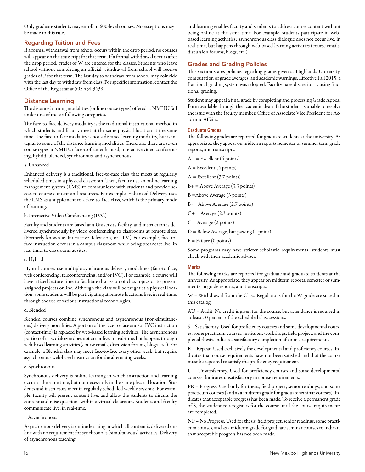Only graduate students may enroll in 600-level courses. No exceptions may be made to this rule.

#### Regarding Tuition and Fees

If a formal withdrawal from school occurs within the drop period, no courses will appear on the transcript for that term. If a formal withdrawal occurs after the drop period, grades of W are entered for the classes. Students who leave school without completing an official withdrawal from school will receive grades of F for that term. The last day to withdraw from school may coincide with the last day to withdraw from class. For specific information, contact the Office of the Registrar at 505.454.3438.

#### Distance Learning

The distance learning modalities (online course types) offered at NMHU fall under one of the six following categories.

The face-to-face delivery modality is the traditional instructional method in which students and faculty meet at the same physical location at the same time. The face-to-face modality is not a distance learning modality, but is integral to some of the distance learning modalities. Therefore, there are seven course types at NMHU: face-to-face, enhanced, interactive video conferencing, hybrid, blended, synchronous, and asynchronous.

#### a. Enhanced

Enhanced delivery is a traditional, face-to-face class that meets at regularly scheduled times in a physical classroom. Then, faculty use an online learning management system (LMS) to communicate with students and provide access to course content and resources. For example, Enhanced Delivery uses the LMS as a supplement to a face-to-face class, which is the primary mode of learning.

#### b. Interactive Video Conferencing (IVC)

Faculty and students are based at a University facility, and instruction is delivered synchronously by video conferencing to classrooms at remote sites. (Formerly known as Interactive Television, or ITV.) For example, face-toface instruction occurs in a campus classroom while being broadcast live, in real time, to classrooms at sites.

#### c. Hybrid

Hybrid courses use multiple synchronous delivery modalities (face-to face, web conferencing, teleconferencing, and/or IVC). For example, a course will have a fixed lecture time to facilitate discussion of class topics or to present assigned projects online. Although the class will be taught at a physical location, some students will be participating at remote locations live, in real-time, through the use of various instructional technologies.

#### d. Blended

Blended courses combine synchronous and asynchronous (non-simultaneous) delivery modalities. A portion of the face-to-face and/or IVC instruction (contact-time) is replaced by web-based learning activities. The asynchronous portion of class dialogue does not occur live, in real-time, but happens through web-based learning activities (course emails, discussion forums, blogs, etc.). For example, a Blended class may meet face-to-face every other week, but require asynchronous web-based instruction for the alternating weeks.

#### e. Synchronous

Synchronous delivery is online learning in which instruction and learning occur at the same time, but not necessarily in the same physical location. Students and instructors meet in regularly scheduled weekly sessions. For example, faculty will present content live, and allow the students to discuss the content and raise questions within a virtual classroom. Students and faculty communicate live, in real-time.

#### f. Asynchronous

Asynchronous delivery is online learning in which all content is delivered online with no requirement for synchronous (simultaneous) activities. Delivery of asynchronous teaching

and learning enables faculty and students to address course content without being online at the same time. For example, students participate in webbased learning activities; asynchronous class dialogue does not occur live, in real-time, but happens through web-based learning activities (course emails, discussion forums, blogs, etc.).

#### Grades and Grading Policies

This section states policies regarding grades given at Highlands University, computation of grade averages, and academic warnings. Effective Fall 2015, a fractional grading system was adopted. Faculty have discretion is using fractional grading.

Student may appeal a final grade by completing and processing Grade Appeal Form available through the academic dean if the student is unable to resolve the issue with the faculty member. Office of Associate Vice President for Academic Affairs.

#### **Graduate Grades**

The following grades are reported for graduate students at the university. As appropriate, they appear on midterm reports, semester or summer term grade reports, and transcripts.

 $A+$  = Excellent (4 points)  $A =$  Excellent (4 points) A-= Excellent (3.7 points)  $B+$  = Above Average (3.3 points) B =Above Average (3 points)  $B = A$ bove Average (2.7 points)

 $C+$  = Average (2.3 points)

- $C = Average(2 points)$
- D = Below Average, but passing (1 point)
- $F =$  Failure (0 points)

Some programs may have stricter scholastic requirements; students must check with their academic adviser.

#### **Marks**

The following marks are reported for graduate and graduate students at the university. As appropriate, they appear on midterm reports, semester or summer term grade reports, and transcripts.

W – Withdrawal from the Class. Regulations for the W grade are stated in this catalog.

AU – Audit. No credit is given for the course, but attendance is required in at least 70 percent of the scheduled class sessions.

S – Satisfactory. Used for proficiency courses and some developmental courses, some practicum courses, institutes, workshops, field project, and the completed thesis. Indicates satisfactory completion of course requirements.

R – Repeat. Used exclusively for developmental and proficiency courses. Indicates that course requirements have not been satisfied and that the course must be repeated to satisfy the proficiency requirement.

U – Unsatisfactory. Used for proficiency courses and some developmental courses. Indicates unsatisfactory in course requirements.

PR – Progress. Used only for thesis, field project, senior readings, and some practicum courses (and as a midterm grade for graduate seminar courses). Indicates that acceptable progress has been made. To receive a permanent grade of S, the student re-reregisters for the course until the course requirements are completed.

NP – No Progress. Used for thesis, field project, senior readings, some practicum courses, and as a midterm grade for graduate seminar courses to indicate that acceptable progress has not been made.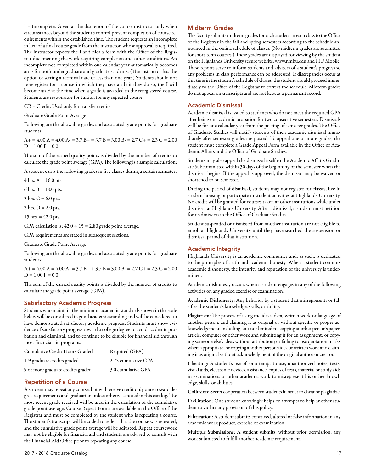I – Incomplete. Given at the discretion of the course instructor only when circumstances beyond the student's control prevent completion of course requirements within the established time. The student requests an incomplete in lieu of a final course grade from the instructor, whose approval is required. The instructor reports the I and files a form with the Office of the Registrar documenting the work requiring completion and other conditions. An incomplete not completed within one calendar year automatically becomes an F for both undergraduate and graduate students. (The instructor has the option of setting a terminal date of less than one year.) Students should not re-reregister for a course in which they have an I; if they do so, the I will become an F at the time when a grade is awarded in the reregistered course. Students are responsible for tuition for any repeated course.

CR – Credit. Used only for transfer credits.

Graduate Grade Point Average

Following are the allowable grades and associated grade points for graduate students:

 $A+=4.00 A = 4.00 A = 3.7 B = 3.7 B = 3.00 B = 2.7 C = 2.3 C = 2.00$  $D = 1.00$  F = 0.0

The sum of the earned quality points is divided by the number of credits to calculate the grade point average (GPA). The following is a sample calculation:

A student earns the following grades in five classes during a certain semester:

 $4$  hrs.  $A = 16.0$  pts.

6 hrs.  $B = 18.0$  pts.

 $3$  hrs.  $C = 6.0$  pts.

 $2$  hrs.  $D = 2.0$  pts.

15 hrs.  $= 42.0$  pts.

GPA calculation is:  $42.0 \div 15 = 2.80$  grade point average.

GPA requirements are stated in subsequent sections.

Graduate Grade Point Average

Following are the allowable grades and associated grade points for graduate students:

 $A+ = 4.00 A = 4.00 A = 3.7 B+ + 3.7 B = 3.00 B = 2.7 C+ = 2.3 C = 2.00$  $D = 1.00 F = 0.0$ 

The sum of the earned quality points is divided by the number of credits to calculate the grade point average (GPA).

#### Satisfactory Academic Progress

Students who maintain the minimum academic standards shown in the scale below will be considered in good academic standing and will be considered to have demonstrated satisfactory academic progress. Students must show evidence of satisfactory progress toward a college degree to avoid academic probation and dismissal, and to continue to be eligible for financial aid through most financial aid programs.

| Cumulative Credit Hours Graded    | Required (GPA)      |
|-----------------------------------|---------------------|
| 1-9 graduate credits graded       | 2.75 cumulative GPA |
| 9 or more graduate credits graded | 3.0 cumulative GPA  |

#### Repetition of a Course

A student may repeat any course, but will receive credit only once toward degree requirements and graduation unless otherwise noted in this catalog. The most recent grade received will be used in the calculation of the cumulative grade point average. Course Repeat Forms are available in the Office of the Registrar and must be completed by the student who is repeating a course. The student's transcript will be coded to reflect that the course was repeated, and the cumulative grade point average will be adjusted. Repeat coursework may not be eligible for financial aid and students are advised to consult with the Financial Aid Office prior to repeating any course.

#### Midterm Grades

The faculty submits midterm grades for each student in each class to the Office of the Registrar in the fall and spring semesters according to the schedule announced in the online schedule of classes. (No midterm grades are submitted for short-term courses.) These grades are displayed for viewing by the student on the Highlands University secure website, www.nmhu.edu and HU Mobile. These reports serve to inform students and advisers of a student's progress so any problems in class performance can be addressed. If discrepancies occur at this time in the student's schedule of classes, the student should proceed immediately to the Office of the Registrar to correct the schedule. Midterm grades do not appear on transcripts and are not kept as a permanent record.

#### Academic Dismissal

Academic dismissal is issued to students who do not meet the required GPA after being on academic probation for two consecutive semesters. Dismissals will be for one calendar year from the posting of semester grades. The Office of Graduate Studies will notify students of their academic dismissal immediately after semester grades are posted. To appeal one or more grades, the student must complete a Grade Appeal Form available in the Office of Academic Affairs and the Office of Graduate Studies.

Students may also appeal the dismissal itself to the Academic Affairs Graduate Subcommittee within 30 days of the beginning of the semester when the dismissal begins. If the appeal is approved, the dismissal may be waived or shortened to on semester.

During the period of dismissal, students may not register for classes, live in student housing or participate in student activities at Highlands University. No credit will be granted for courses taken at other institutions while under dismissal at Highlands University. After a dismissal, a student must petition for readmission in the Office of Graduate Studies.

Student suspended or dismissed from another institution are not eligible to enroll at Highlands University until they have searched the suspension or dismissal period of that institution.

#### Academic Integrity

Highlands University is an academic community and, as such, is dedicated to the principles of truth and academic honesty. When a student commits academic dishonesty, the integrity and reputation of the university is undermined.

Academic dishonesty occurs when a student engages in any of the following activities on any graded exercise or examination:

Academic Dishonesty: Any behavior by a student that misrepresents or falsifies the student's knowledge, skills, or ability.

Plagiarism: The process of using the ideas, data, written work or language of another person, and claiming it as original or without specific or proper acknowledgement, including, but not limited to, copying another person's paper, article, computer or other work and submitting it for an assignment; or copying someone else's ideas without attribution; or failing to use quotation marks where appropriate; or copying another person's idea or written work and claiming it as original without acknowledgment of the original author or creator.

Cheating: A student's use of, or attempt to use, unauthorized notes, texts, visual aids, electronic devices, assistance, copies of tests, material or study aids in examinations or other academic work to misrepresent his or her knowledge, skills, or abilities.

Collusion: Secret cooperation between students in order to cheat or plagiarize.

Facilitation: One student knowingly helps or attempts to help another student to violate any provision of this policy.

Fabrication: A student submits contrived, altered or false information in any academic work product, exercise or examination.

Multiple Submissions: A student submits, without prior permission, any work submitted to fulfill another academic requirement.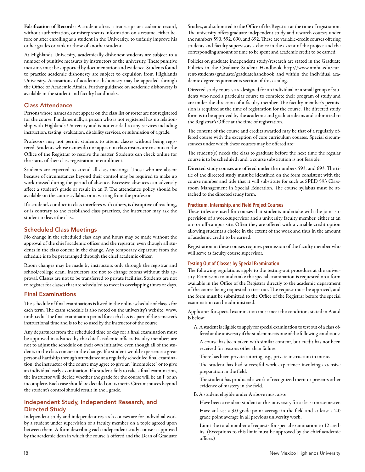Falsification of Records: A student alters a transcript or academic record, without authorization, or misrepresents information on a resume, either before or after enrolling as a student in the University, to unfairly improve his or her grades or rank or those of another student.

At Highlands University, academically dishonest students are subject to a number of punitive measures by instructors or the university. These punitive measures must be supported by documentation and evidence. Students found to practice academic dishonesty are subject to expulsion from Highlands University. Accusations of academic dishonesty may be appealed through the Office of Academic Affairs. Further guidance on academic dishonesty is available in the student and faculty handbooks.

#### Class Attendance

Persons whose names do not appear on the class list or roster are not registered for the course. Fundamentally, a person who is not registered has no relationship with Highlands University and is not entitled to any services including instruction, testing, evaluation, disability services, or submission of a grade.

Professors may not permit students to attend classes without being registered. Students whose names do not appear on class rosters are to contact the Office of the Registrar to resolve the matter. Students can check online for the status of their class registration or enrollment.

Students are expected to attend all class meetings. Those who are absent because of circumstances beyond their control may be required to make up work missed during the period of absence. Excessive absences can adversely affect a student's grade or result in an F. The attendance policy should be available on the course syllabus or in writing from the professor.

If a student's conduct in class interferes with others, is disruptive of teaching, or is contrary to the established class practices, the instructor may ask the student to leave the class.

#### Scheduled Class Meetings

No change in the scheduled class days and hours may be made without the approval of the chief academic officer and the registrar, even though all students in the class concur in the change. Any temporary departure from the schedule is to be prearranged through the chief academic officer.

Room changes may be made by instructors only through the registrar and school/college dean. Instructors are not to change rooms without this approval. Classes are not to be transferred to private facilities. Students are not to register for classes that are scheduled to meet in overlapping times or days.

#### Final Examinations

The schedule of final examinations is listed in the online schedule of classes for each term. The exam schedule is also noted on the university's website: www. nmhu.edu. The final examination period for each class is a part of the semester's instructional time and is to be so used by the instructor of the course.

Any departures from the scheduled time or day for a final examination must be approved in advance by the chief academic officer. Faculty members are not to adjust the schedule on their own initiative, even though all of the students in the class concur in the change. If a student would experience a great personal hardship through attendance at a regularly scheduled final examination, the instructor of the course may agree to give an "incomplete" or to give an individual early examination. If a student fails to take a final examination, the instructor will decide whether the grade for the course will be an F or an incomplete. Each case should be decided on its merit. Circumstances beyond the student's control should result in the I grade.

#### Independent Study, Independent Research, and Directed Study

Independent study and independent research courses are for individual work by a student under supervision of a faculty member on a topic agreed upon between them. A form describing each independent study course is approved by the academic dean in which the course is offered and the Dean of Graduate

Studies, and submitted to the Office of the Registrar at the time of registration. The university offers graduate independent study and research courses under the numbers 590, 592, 690, and 692. These are variable-credit courses offering students and faculty supervisors a choice in the extent of the project and the corresponding amount of time to be spent and academic credit to be earned.

Policies on graduate independent study/research are stated in the Graduate Policies in the Graduate Student Handbook http://www.nmhu.edu/current-students/graduate/graduatehandbook and within the individual academic degree requirements section of this catalog.

Directed study courses are designed for an individual or a small group of students who need a particular course to complete their program of study and are under the direction of a faculty member. The faculty member's permission is required at the time of registration for the course. The directed study form is to be approved by the academic and graduate deans and submitted to the Registrar's Office at the time of registration.

The content of the course and credits awarded may be that of a regularly offered course with the exception of core curriculum courses. Special circumstances under which these courses may be offered are:

The student(s) needs the class to graduate before the next time the regular course is to be scheduled; and, a course substitution is not feasible.

Directed study courses are offered under the numbers 593, and 693. The title of the directed study must be identified on the form consistent with the course number and title that it will substitute for such as SPED 593 Classroom Management in Special Education. The course syllabus must be attached to the directed study form.

#### **Practicum, Internship, and Field Project Courses**

These titles are used for courses that students undertake with the joint supervision of a work-supervisor and a university faculty member, either at an on- or off-campus site. Often they are offered with a variable-credit option allowing students a choice in the extent of the work and thus in the amount of academic credit to be earned.

Registration in these courses requires permission of the faculty member who will serve as faculty course supervisor.

#### **Testing Out of Classes by Special Examination**

The following regulations apply to the testing-out procedure at the university. Permission to undertake the special examination is requested on a form available in the Office of the Registrar directly to the academic department of the course being requested to test out. The request must be approved, and the form must be submitted to the Office of the Registrar before the special examination can be administered.

Applicants for special examination must meet the conditions stated in A and B below:

A. A student is eligible to apply for special examination to test out of a class offered at the university if the student meets one of the following conditions:

A course has been taken with similar content, but credit has not been received for reasons other than failure.

There has been private tutoring, e.g., private instruction in music.

The student has had successful work experience involving extensive preparation in the field.

The student has produced a work of recognized merit or presents other evidence of mastery in the field.

B. A student eligible under A above must also:

Have been a resident student at this university for at least one semester.

Have at least a 3.0 grade point average in the field and at least a 2.0 grade point average in all previous university work.

Limit the total number of requests for special examination to 12 credits. (Exceptions to this limit must be approved by the chief academic officer.)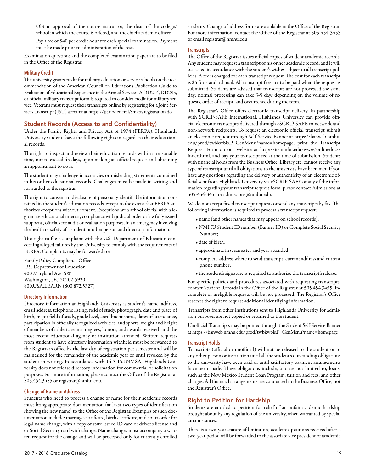Obtain approval of the course instructor, the dean of the college/ school in which the course is offered, and the chief academic officer.

Pay a fee of \$40 per credit hour for each special examination. Payment must be made prior to administration of the test.

Examination questions and the completed examination paper are to be filed in the Office of the Registrar.

#### **Military Credit**

The university grants credit for military education or service schools on the recommendation of the American Council on Education's Publication Guide to Evaluation of Educational Experience in the Armed Services. A DD214, DD295, or official military transcript form is required to consider credit for military service. Veterans must request their transcripts online by registering for a Joint Services Transcript (JST) account at https://jst.doded.mil/smart/registration.do

#### Student Records (Access to and Confidentiality)

Under the Family Rights and Privacy Act of 1974 (FERPA), Highlands University students have the following rights in regards to their educational records:

The right to inspect and review their education records within a reasonable time, not to exceed 45 days, upon making an official request and obtaining an appointment to do so.

The student may challenge inaccuracies or misleading statements contained in his or her educational records. Challenges must be made in writing and forwarded to the registrar.

The right to consent to disclosure of personally identifiable information contained in the student's education records, except to the extent that FERPA authorizes exceptions without consent. Exceptions are a school official with a legitimate educational interest, compliance with judicial order or lawfully issued subpoena, officials for audit or evaluation purposes, in an emergency involving the health or safety of a student or other person and directory information.

The right to file a complaint with the U.S. Department of Education concerning alleged failures by the University to comply with the requirements of FERPA. Complaints may be forwarded to:

Family Policy Compliance Office U.S. Department of Education 400 Maryland Ave, SW Washington, DC 20202-5920 800.USA.LEARN (800.872.5327)

#### **Directory Information**

Directory information at Highlands University is student's name, address, email address, telephone listing, field of study, photograph, date and place of birth, major field of study, grade level, enrollment status, dates of attendance, participation in officially recognized activities, and sports; weight and height of members of athletic teams; degrees, honors, and awards received; and the most recent educational agency or institution attended. Written requests from student to have directory information withheld must be forwarded to the Registrar's office by the last day of registration per semester and will be maintained for the remainder of the academic year or until revoked by the student in writing. In accordance with 14-3-15.1NMSA, Highlands University does not release directory information for commercial or solicitation purposes. For more information, please contact the Office of the Registrar at 505.454.3455 or registrar@nmhu.edu.

#### **Change of Name or Address**

Students who need to process a change of name for their academic records must bring appropriate documentation (at least two types of identification showing the new name) to the Office of the Registrar. Examples of such documentation include: marriage certificate, birth certificate, and court order for legal name change, with a copy of state-issued ID card or driver's license and or Social Security card with change. Name changes must accompany a written request for the change and will be processed only for currently enrolled

students. Change of address forms are available in the Office of the Registrar. For more information, contact the Office of the Registrar at 505-454-3455 or email registrar@nmhu.edu

#### **Transcripts**

The Office of the Registrar issues official copies of student academic records. Any student may request a transcript of his or her academic record, and it will be issued in accordance with the student's wishes subject to all transcript policies. A fee is charged for each transcript request. The cost for each transcript is \$5 for standard mail. All transcript fees are to be paid when the request is submitted. Students are advised that transcripts are not processed the same day; normal processing can take 3-5 days depending on the volume of requests, order of receipt, and occurrence during the term.

The Registrar's Office offers electronic transcript delivery. In partnership with SCRIP-SAFE International, Highlands University can provide official electronic transcripts delivered through eSCRIP-SAFE to network and non-network recipients. To request an electronic official transcript submit an electronic request through Self-Service Banner at https://banweb.nmhu. edu/prod/twbkwbis.P\_GenMenu?name=homepage, print the Transcript Request Form on our website at http://its.nmhu.edu/www/onlinedocs/ index.html, and pay your transcript fee at the time of submission. Students with financial holds from the Business Office, Library etc. cannot receive any type of transcript until all obligations to the university have been met. If you have any questions regarding the delivery or authenticity of an electronic official sent from Highlands University via eSCRIP-SAFE or any of the information regarding your transcript request form, please contact Admissions at 505-454-3455 or admissions@nmhu.edu.

We do not accept faxed transcript requests or send any transcripts by fax. The following information is required to process a transcript request:

- name (and other names that may appear on school records);
- NMHU Student ID number (Banner ID) or Complete Social Security Number;
- date of birth;
- approximate first semester and year attended;
- complete address where to send transcript, current address and current phone number;
- the student's signature is required to authorize the transcript's release.

For specific policies and procedures associated with requesting transcripts, contact Student Records in the Office of the Registrar at 505.454.3455. Incomplete or ineligible requests will be not processed. The Registrar's Office reserves the right to request additional identifying information.

Transcripts from other institutions sent to Highlands University for admission purposes are not copied or returned to the student.

Unofficial Transcripts may be printed through the Student Self-Service Banner at https://banweb.nmhu.edu/prod/twbkwbis.P\_GenMenu?name=homepage

#### **Transcript Holds**

Transcripts (official or unofficial) will not be released to the student or to any other person or institution until all the student's outstanding obligations to the university have been paid or until satisfactory payment arrangements have been made. These obligations include, but are not limited to, loans, such as the New Mexico Student Loan Program, tuition and fees, and other charges. All financial arrangements are conducted in the Business Office, not the Registrar's Office.

#### Right to Petition for Hardship

Students are entitled to petition for relief of an unfair academic hardship brought about by any regulation of the university, when warranted by special circumstances.

There is a two-year statute of limitation; academic petitions received after a two-year period will be forwarded to the associate vice president of academic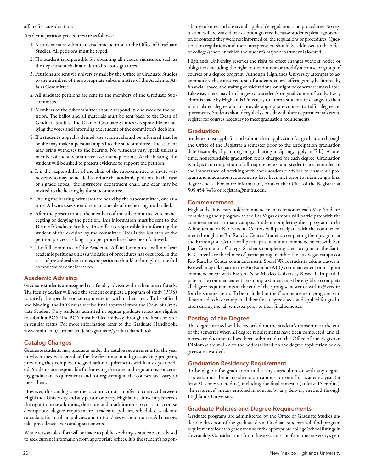affairs for consideration.

Academic petition procedures are as follows:

- 1. A student must submit an academic petition to the Office of Graduate Studies. All petitions must be typed.
- 2. The student is responsible for obtaining all needed signatures, such as the department chair and dean/director signatures.
- 3. Petitions are sent via university mail by the Office of Graduate Studies to the members of the appropriate subcommittee of the Academic Affairs Committee:
- a. All graduate petitions are sent to the members of the Graduate Subcommittee.
- 4. Members of the subcommittee should respond in one week to the petition. The ballot and all materials must be sent back to the Dean of Graduate Studies. The Dean of Graduate Studies is responsible for tallying the votes and informing the student of the committee's decision.
- 5. If a student's appeal is denied, the student should be informed that he or she may make a personal appeal to the subcommittee. The student may bring witnesses to the hearing. No witnesses may speak unless a member of the subcommittee asks them questions. At the hearing, the student will be asked to present evidence to support the petition.
- a. It is the responsibility of the chair of the subcommittee to invite witnesses who may be needed to refute the academic petition. In the case of a grade appeal, the instructor, department chair, and dean may be invited to the hearing by the subcommittee.
- b. During the hearing, witnesses are heard by the subcommittee, one at a time. All witnesses should remain outside of the hearing until called.
- 6. After the presentations, the members of the subcommittee vote on accepting or denying the petition. This information must be sent to the Dean of Graduate Studies. This office is responsible for informing the student of the decision by the committee. This is the last step of the petition process, as long as proper procedures have been followed.
- 7. The full committee of the Academic Affairs Committee will not hear academic petitions unless a violation of procedures has occurred. In the case of procedural violations, the petitions should be brought to the full committee for consideration.

#### Academic Advising

Graduate students are assigned to a faculty adviser within their area of study. The faculty adviser will help the student complete a program of study (POS) to satisfy the specific course requirements within their area. To be official and binding, the POS must receive final approval from the Dean of Graduate Studies. Only students admitted in regular graduate status are eligible to submit a POS. The POS must be filed midway through the first semester in regular status. For more information refer to the Graduate Handbook: www.nmhu.edu/current-students/graduate/graduatehandbook

#### Catalog Changes

Graduate students may graduate under the catalog requirements for the year in which they were enrolled for the first time in a degree-seeking program, providing they complete the graduation requirements within a six-year period. Students are responsible for knowing the rules and regulations concerning graduation requirements and for registering in the courses necessary to meet them.

However, this catalog is neither a contract nor an offer to contract between Highlands University and any person or party. Highlands University reserves the right to make additions, deletions and modifications to curricula, course descriptions, degree requirements, academic policies, schedules, academic calendars, financial aid policies, and tuition/fees without notice. All changes take precedence over catalog statements.

While reasonable effort will be made to publicize changes, students are advised to seek current information from appropriate offices. It is the student's responsibility to know and observe all applicable regulations and procedures. No regulation will be waived or exception granted because students plead ignorance of, or contend they were not informed of, the regulations or procedures. Questions on regulations and their interpretation should be addressed to the office or college/school in which the student's major department is located.

Highlands University reserves the right to effect changes without notice or obligation including the right to discontinue or modify a course or group of courses or a degree program. Although Highlands University attempts to accommodate the course requests of students, course offerings may be limited by financial, space, and staffing considerations, or might be otherwise unavailable. Likewise, there may be changes to a student's original course of study. Every effort is made by Highlands University to inform students of changes to their matriculated degree and to provide appropriate courses to fulfill degree requirements. Students should regularly consult with their department adviser to register for courses necessary to meet graduation requirements.

#### **Graduation**

Students must apply for and submit their application for graduation through the Office of the Registrar a semester prior to the anticipation graduation date (example, if planning on graduating in Spring, apply in Fall). A onetime, nonrefundable graduation fee is charged for each degree. Graduation is subject to completion of all requirements, and students are reminded of the importance of working with their academic adviser to ensure all program and graduation requirements have been met prior to submitting a final degree check. For more information, contact the Office of the Registrar at 505.454.3436 or registrar@nmhu.edu.

#### Commencement

Highlands University holds commencement ceremonies each May. Students completing their program at the Las Vegas campus will participate with the commencement at main campus. Student completing their program at the Albuquerque or Rio Rancho Centers will participate with the commencement through the Rio Rancho Center. Students completing their program at the Farmington Center will participate in a joint commencement with San Juan Community College. Students completing their program at the Santa Fe Center have the choice of participating in either the Las Vegas campus or Rio Rancho Center commencement. Social Work students taking classes in Roswell may take part in the Rio Rancho/ABQ commencement or in a joint commencement with Eastern New Mexico University-Roswell. To participate in the commencement ceremony, a student must be eligible to complete all degree requirements at the end of the spring semester or within 9 credits for the summer term. To be included in the Commencement program, students need to have completed their final degree check and applied for graduation during the fall semester prior to their final semester.

#### Posting of the Degree

The degree earned will be recorded on the student's transcript at the end of the semester when all degree requirements have been completed, and all necessary documents have been submitted to the Office of the Registrar. Diplomas are mailed to the address listed on the degree application as degrees are awarded.

#### Graduation Residency Requirement

To be eligible for graduation under any curriculum or with any degree, students must be in residence on campus for one full academic year (at least 30 semester credits), including the final semester (at least 15 credits). "In residence" means enrolled in courses by any delivery method through Highlands University.

#### Graduate Policies and Degree Requirements

Graduate programs are administered by the Office of Graduate Studies under the direction of the graduate dean. Graduate students will find program requirements for each graduate under the appropriate college/school listings in this catalog. Considerations from those sections and from the university's gen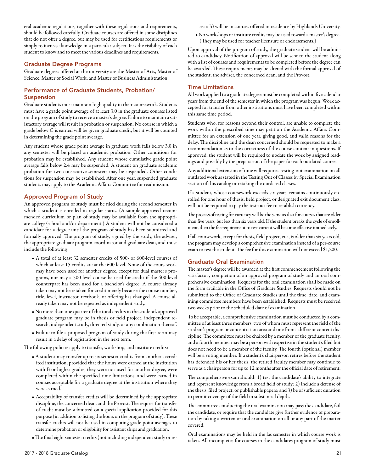eral academic regulations, together with these regulations and requirements, should be followed carefully. Graduate courses are offered in some disciplines that do not offer a degree, but may be used for certifications requirements or simply to increase knowledge in a particular subject. It is the risibility of each student to know and to meet the various deadlines and requirements.

#### Graduate Degree Programs

Graduate degrees offered at the university are the Master of Arts, Master of Science, Master of Social Work, and Master of Business Administration.

#### Performance of Graduate Students, Probation/ **Suspension**

Graduate students must maintain high quality in their coursework. Students must have a grade point average of at least 3.0 in the graduate courses listed on the program of study to receive a master's degree. Failure to maintain a satisfactory average will result in probation or suspension. No course in which a grade below C is earned will be given graduate credit, but it will be counted in determining the grade point average.

Any student whose grade point average in graduate work falls below 3.0 in any semester will be placed on academic probation. Other conditions for probation may be established. Any student whose cumulative grade point average falls below 2.4 may be suspended. A student on graduate academic probation for two consecutive semesters may be suspended. Other conditions for suspension may be established. After one year, suspended graduate students may apply to the Academic Affairs Committee for readmission.

#### Approved Program of Study

An approved program of study must be filed during the second semester in which a student is enrolled in regular status. (A sample approved recommended curriculum or plan of study may be available from the appropriate college/school and/or department.) A student will not be considered a candidate for a degree until the program of study has been submitted and formally approved. The program of study, signed by the study, the adviser, the appropriate graduate program coordinator and graduate dean, and must include the following:

- A total of at least 32 semester credits of 500- or 600-level courses of which at least 15 credits are at the 600 level. None of the coursework may have been used for another degree, except for dual master's programs, nor may a 500-level course be used for credit if the 400-level counterpart has been used for a bachelor's degree. A course already taken may not be retaken for credit merely because the course number, title, level, instructor, textbook, or offering has changed. A course already taken may not be repeated as independent study.
- No more than one quarter of the total credits in the student's approved graduate program may be in thesis or field project, independent research, independent study, directed study, or any combination thereof.
- Failure to file a proposed program of study during the first term may result in a delay of registration in the next term.

The following policies apply to transfer, workshop, and institute credits:

- A student may transfer up to six semester credits from another accredited institution, provided that the hours were earned at the institution with B or higher grades, they were not used for another degree, were completed within the specified time limitations, and were earned in courses acceptable for a graduate degree at the institution where they were earned.
- Acceptability of transfer credits will be determined by the appropriate discipline, the concerned dean, and the Provost. The request for transfer of credit must be submitted on a special application provided for this purpose (in addition to listing the hours on the program of study). These transfer credits will not be used in computing grade point averages to determine probation or eligibility for assistant ships and graduation.
- The final eight semester credits (not including independent study or re-

search) will be in courses offered in residence by Highlands University.

• No workshops or institute credits may be used toward a master's degree. (They may be used for teacher licensure or endorsements.)

Upon approval of the program of study, the graduate student will be admitted to candidacy. Notification of approval will be sent to the student along with a list of courses and requirements to be completed before the degree can be awarded. These requirements may be altered with the formal approval of the student, the adviser, the concerned dean, and the Provost.

#### Time Limitations

All work applied to a graduate degree must be completed within five calendar years from the end of the semester in which the program was begun. Work accepted for transfer from other institutions must have been completed within this same time period.

Students who, for reasons beyond their control, are unable to complete the work within the prescribed time may petition the Academic Affairs Committee for an extension of one year, giving good, and valid reasons for the delay. The discipline and the dean concerned should be requested to make a recommendation as to the correctness of the course content in questions. If approved, the student will be required to update the work by assigned readings and possibly by the preparation of the paper for each outdated course.

Any additional extension of time will require a testing-out examination on all outdated work as stated in the Testing Out of Classes by Special Examination section of this catalog or retaking the outdated classes.

If a student, whose coursework exceeds six years, remains continuously enrolled for one hour of thesis, field project, or designated exit document class, will not be required to pay the test-out fee to establish currency.

The process of testing for currency will be the same as that for courses that are older than five years, but less than six years old. If the student breaks the cycle of enrollment, then the fee requirement to test current will become effective immediately.

If all coursework, except for thesis, field project, etc., is older than six years old, the program may develop a comprehensive examination instead of a per-course exam to test the student. The fee for this examination will not exceed \$1,200.

#### Graduate Oral Examination

The master's degree will be awarded at the first commencement following the satisfactory completion of an approved program of study and an oral comprehensive examination. Requests for the oral examination shall be made on the form available in the Office of Graduate Studies. Requests should not be submitted to the Office of Graduate Studies until the time, date, and examining committee members have been established. Requests must be received two weeks prior to the scheduled date of examination.

To be acceptable, a comprehensive examination must be conducted by a committee of at least three members, two of whom must represent the field of the student's program or concentration area and one from a different content discipline. The committee must be chaired by a member of the graduate faculty, and a fourth member may be a person with expertise in the student's filed but does not need to be a member of the faculty. The fourth (optional) member will be a voting member. If a student's chairperson retires before the student has defended his or her thesis, the retired faculty member may continue to serve as a chairperson for up to 12 months after the official date of retirement.

The comprehensive exam should: 1) test the candidate's ability to integrate and represent knowledge from a broad field of study: 2) include a defense of the thesis, filed project, or publishable papers; and 3) be of sufficient duration to permit coverage of the field in substantial depth.

The committee conducting the oral examination may pass the candidate, fail the candidate, or require that the candidate give further evidence of preparation by taking a written or oral examination on all or any part of the matter covered.

Oral examinations may be held in the las semester in which course work is taken. All incompletes for courses in the candidates program of study must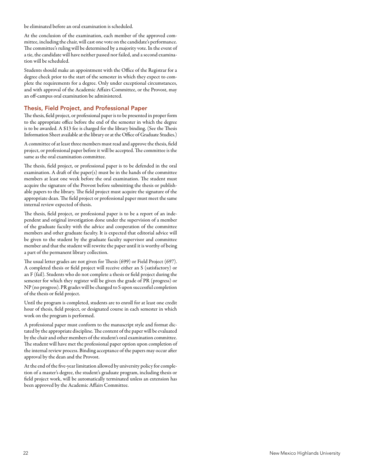be eliminated before an oral examination is scheduled.

At the conclusion of the examination, each member of the approved committee, including the chair, will cast one vote on the candidate's performance. The committee's ruling will be determined by a majority vote. In the event of a tie, the candidate will have neither passed nor failed, and a second examination will be scheduled.

Students should make an appointment with the Office of the Registrar for a degree check prior to the start of the semester in which they expect to complete the requirements for a degree. Only under exceptional circumstances, and with approval of the Academic Affairs Committee, or the Provost, may an off-campus oral examination be administered.

#### Thesis, Field Project, and Professional Paper

The thesis, field project, or professional paper is to be presented in proper form to the appropriate office before the end of the semester in which the degree is to be awarded. A \$13 fee is charged for the library binding. (See the Thesis Information Sheet available at the library or at the Office of Graduate Studies.)

A committee of at least three members must read and approve the thesis, field project, or professional paper before it will be accepted. The committee is the same as the oral examination committee.

The thesis, field project, or professional paper is to be defended in the oral examination. A draft of the paper(s) must be in the hands of the committee members at least one week before the oral examination. The student must acquire the signature of the Provost before submitting the thesis or publishable papers to the library. The field project must acquire the signature of the appropriate dean. The field project or professional paper must meet the same internal review expected of thesis.

The thesis, field project, or professional paper is to be a report of an independent and original investigation done under the supervision of a member of the graduate faculty with the advice and cooperation of the committee members and other graduate faculty. It is expected that editorial advice will be given to the student by the graduate faculty supervisor and committee member and that the student will rewrite the paper until it is worthy of being a part of the permanent library collection.

The usual letter grades are not given for Thesis (699) or Field Project (697). A completed thesis or field project will receive either an S (satisfactory) or an F (fail). Students who do not complete a thesis or field project during the semester for which they register will be given the grade of PR (progress) or NP (no progress). PR grades will be changed to S upon successful completion of the thesis or field project.

Until the program is completed, students are to enroll for at least one credit hour of thesis, field project, or designated course in each semester in which work on the program is performed.

A professional paper must conform to the manuscript style and format dictated by the appropriate discipline. The content of the paper will be evaluated by the chair and other members of the student's oral examination committee. The student will have met the professional paper option upon completion of the internal review process. Binding acceptance of the papers may occur after approval by the dean and the Provost.

At the end of the five-year limitation allowed by university policy for completion of a master's degree, the student's graduate program, including thesis or field project work, will be automatically terminated unless an extension has been approved by the Academic Affairs Committee.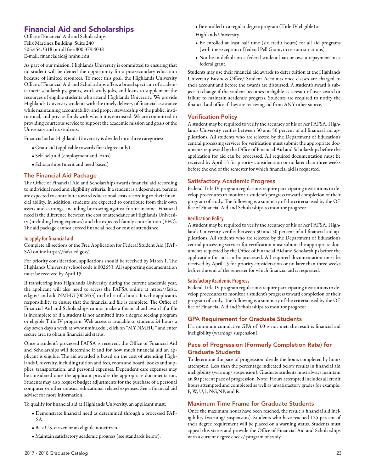## Financial Aid and Scholarships

Office of Financial Aid and Scholarships Felix Martinez Building, Suite 240 505.454.3318 or toll free 800.379.4038 E-mail: financialaid@nmhu.edu

As part of our mission, Highlands University is committed to ensuring that no student will be denied the opportunity for a postsecondary education because of limited resources. To meet this goal, the Highlands University Office of Financial Aid and Scholarships offers a broad spectrum of academic merit scholarships, grants, work-study jobs, and loans to supplement the resources of eligible students who attend Highlands University. We provide Highlands University students with the timely delivery of financial assistance while maintaining accountability and proper stewardship of the public, institutional, and private funds with which it is entrusted. We are committed to providing courteous service to support the academic mission and goals of the University and its students.

Financial aid at Highlands University is divided into three categories:

- Grant aid (applicable towards first degree only)
- Self-help aid (employment and loans)
- Scholarships (merit and need based)

#### The Financial Aid Package

The Office of Financial Aid and Scholarships awards financial aid according to individual need and eligibility criteria. If a student is a dependent, parents are expected to contribute toward educational costs according to their financial ability. In addition, students are expected to contribute from their own assets and earnings, including borrowing against future income. Financial need is the difference between the cost of attendance at Highlands University (including living expenses) and the expected family contribution (EFC). The aid package cannot exceed financial need or cost of attendance.

#### **To apply for financial aid:**

Complete all sections of the Free Application for Federal Student Aid (FAF-SA) online https://fafsa.ed.gov/.

For priority consideration, applications should be received by March 1. The Highlands University school code is 002653. All supporting documentation must be received by April 15.

If transferring into Highlands University during the current academic year, the applicant will also need to access the FAFSA online at https://fafsa. ed.gov/ and add NMHU (002653) to the list of schools. It is the applicant's responsibility to ensure that the financial aid file is complete. The Office of Financial Aid and Scholarships cannot make a financial aid award if a file is incomplete or if a student is not admitted into a degree seeking program or eligible Title IV program. Web access is available to students 24 hours a day seven days a week at www.nmhu.edu ; click on "MY NMHU" and enter secure area to obtain financial aid status.

Once a student's processed FAFSA is received, the Office of Financial Aid and Scholarships will determine if and for how much financial aid an applicant is eligible. The aid awarded is based on the cost of attending Highlands University, including tuition and fees, room and board, books and supplies, transportation, and personal expenses. Dependent care expenses may be considered once the applicant provides the appropriate documentation. Students may also request budget adjustments for the purchase of a personal computer or other unusual educational related expenses. See a financial aid adviser for more information.

To qualify for financial aid at Highlands University, an applicant must:

- Demonstrate financial need as determined through a processed FAF-SA.
- Be a U.S. citizen or an eligible noncitizen.
- Maintain satisfactory academic progress (see standards below).
- Be enrolled in a regular degree program (Title IV eligible) at Highlands University.
- Be enrolled at least half time (six credit hours) for all aid programs (with the exception of federal Pell Grant, in certain situations).
- Not be in default on a federal student loan or owe a repayment on a federal grant.

Students may use their financial aid awards to defer tuition at the Highlands University Business Office/ Student Accounts once classes are charged to their account and before the awards are disbursed. A student's award is subject to change if the student becomes ineligible as a result of over-award or failure to maintain academic progress. Students are required to notify the financial aid office if they are receiving aid from ANY other source.

#### Verification Policy

A student may be required to verify the accuracy of his or her FAFSA. Highlands University verifies between 30 and 50 percent of all financial aid applications. All students who are selected by the Department of Education's central processing servicer for verification must submit the appropriate documents requested by the Office of Financial Aid and Scholarships before the application for aid can be processed. All required documentation must be received by April 15 for priority consideration or no later than three weeks before the end of the semester for which financial aid is requested.

#### Satisfactory Academic Progress

Federal Title IV program regulations require participating institutions to develop procedures to monitor a student's progress toward completion of their program of study. The following is a summary of the criteria used by the Office of Financial Aid and Scholarships to monitor progress:

#### **Verification Policy**

A student may be required to verify the accuracy of his or her FAFSA. Highlands University verifies between 30 and 50 percent of all financial aid applications. All students who are selected by the Department of Education's central processing servicer for verification must submit the appropriate documents requested by the Office of Financial Aid and Scholarships before the application for aid can be processed. All required documentation must be received by April 15 for priority consideration or no later than three weeks before the end of the semester for which financial aid is requested.

#### **Satisfactory Academic Progress**

Federal Title IV program regulations require participating institutions to develop procedures to monitor a student's progress toward completion of their program of study. The following is a summary of the criteria used by the Office of Financial Aid and Scholarships to monitor progress:

#### GPA Requirement for Graduate Students

If a minimum cumulative GPA of 3.0 is not met, the result is financial aid ineligibility (warning/ suspension).

#### Pace of Progression (Formerly Completion Rate) for Graduate Students

To determine the pace of progression, divide the hours completed by hours attempted. Less than the percentage indicated below results in financial aid ineligibility (warning/ suspension). Graduate students must always maintain an 80 percent pace of progression. Note: Hours attempted includes all credit hours attempted and completed as well as unsatisfactory grades for example: F, W, U, I, NG,NP, and R.

#### Maximum Time Frame for Graduate Students

Once the maximum hours have been reached, the result is financial aid ineligibility (warning/ suspension). Students who have reached 125 percent of their degree requirement will be placed on a warning status. Students must appeal this status and provide the Office of Financial Aid and Scholarships with a current degree check/ program of study.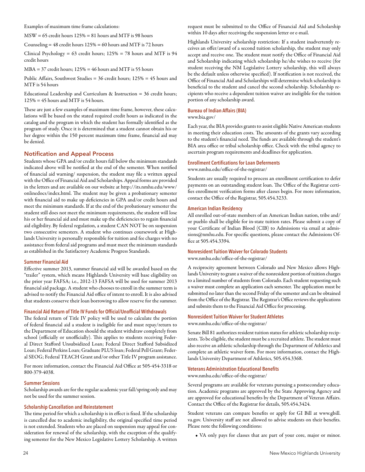Examples of maximum time frame calculations:

MSW = 65 credit hours 125% = 81 hours and MTF is 98 hours

Counseling  $= 48$  credit hours  $125\% = 60$  hours and MTF is 72 hours

Clinical Psychology =  $63$  credit hours;  $125\% = 78$  hours and MTF is  $94$ credit hours

MBA = 37 credit hours; 125% = 46 hours and MTF is 55 hours

Public Affairs, Southwest Studies = 36 credit hours; 125% = 45 hours and MTF is 54 hours

Educational Leadership and Curriculum & Instruction = 36 credit hours;  $125\% = 45$  hours and MTF is 54 hours.

These are just a few examples of maximum time frame, however, these calculations will be based on the stated required credit hours as indicated in the catalog and the program in which the student has formally identified as the program of study. Once it is determined that a student cannot obtain his or her degree within the 150 percent maximum time frame, financial aid may be denied.

#### Notification and Appeal Process

Students whose GPA and/or credit hours fall below the minimum standards indicated above will be notified at the end of the semester. When notified of financial aid warning/ suspension, the student may file a written appeal with the Office of Financial Aid and Scholarships. Appeal forms are provided in the letters and are available on our website at http://its.nmhu.edu/www/ onlinedocs/index.html. The student may be given a probationary semester with financial aid to make up deficiencies in GPA and/or credit hours and meet the minimum standards. If at the end of the probationary semester the student still does not meet the minimum requirements, the student will lose his or her financial aid and must make up the deficiencies to regain financial aid eligibility. By federal regulation, a student CAN NOT be on suspension two consecutive semesters. A student who continues coursework at Highlands University is personally responsible for tuition and fee charges with no assistance from federal aid programs and must meet the minimum standards as established in the Satisfactory Academic Progress Standards.

#### **Summer Financial Aid**

Effective summer 2013, summer financial aid will be awarded based on the "trailer" system, which means Highlands University will base eligibility on the prior year FAFSA; i.e., 2012-13 FAFSA will be used for summer 2013 financial aid package. A student who chooses to enroll in the summer term is advised to notify the Financial Aid office of intent to enroll. It is also advised that students conserve their loan borrowing to allow reserve for the summer.

#### **Financial Aid Return of Title IV Funds for Official/Unofficial Withdrawals**

The federal return of Title IV policy will be used to calculate the portion of federal financial aid a student is ineligible for and must repay/return to the Department of Education should the student withdraw completely from school (officially or unofficially). This applies to students receiving Federal Direct Stafford Unsubsidized Loan; Federal Direct Stafford Subsidized Loan; Federal Perkins Loan; Graduate PLUS loan; Federal Pell Grant; Federal SEOG; Federal TEACH Grant and/or other Title IV program assistance.

For more information, contact the Financial Aid Office at 505-454-3318 or 800-379-4038.

#### **Summer Sessions**

Scholarship awards are for the regular academic year fall/spring only and may not be used for the summer session.

#### **Scholarship Cancellation and Reinstatement**

The time period for which a scholarship is in effect is fixed. If the scholarship is cancelled due to academic ineligibility, the original specified time period is not extended. Students who are placed on suspension may appeal for consideration for renewal of the scholarship, with the exception of the qualifying semester for the New Mexico Legislative Lottery Scholarship. A written request must be submitted to the Office of Financial Aid and Scholarship within 10 days after receiving the suspension letter or e-mail.

Highlands University scholarship restriction: If a student inadvertently receives an offer/award of a second tuition scholarship, the student may only accept and receive one. The student must notify the Office of Financial Aid and Scholarship indicating which scholarship he/she wishes to receive (for student receiving the NM Legislative Lottery scholarship, this will always be the default unless otherwise specified). If notification is not received, the Office of Financial Aid and Scholarships will determine which scholarship is beneficial to the student and cancel the second scholarship. Scholarship recipients who receive a dependent tuition waiver are ineligible for the tuition portion of any scholarship award.

#### **Bureau of Indian Affairs (BIA)**

www.bia.gov/

Each year, the BIA provides grants to assist eligible Native American students in meeting their education costs. The amounts of the grants vary according to the student's financial need. The funds are available through the student's BIA area office or tribal scholarship office. Check with the tribal agency to ascertain program requirements and deadlines for application.

#### **Enrollment Certifications for Loan Deferments**

www.nmhu.edu/office-of-the-registrar/

Students are usually required to process an enrollment certification to defer payments on an outstanding student loan. The Office of the Registrar certifies enrollment verification forms after classes begin. For more information, contact the Office of the Registrar, 505.454.3233.

#### **American Indian Residency**

All enrolled out-of-state members of an American Indian nation, tribe and/ or pueblo shall be eligible for in-state tuition rates. Please submit a copy of your Certificate of Indian Blood (CIB) to Admissions via email at admissions@nmhu.edu. For specific questions, please contact the Admissions Office at 505.454.3394.

#### **Nonresident Tuition Waiver for Colorado Students**

www.nmhu.edu/office-of-the-registrar/

A reciprocity agreement between Colorado and New Mexico allows Highlands University to grant a waiver of the nonresident portion of tuition charges to a limited number of students from Colorado. Each student requesting such a waiver must complete an application each semester. The application must be submitted no later than the second Friday of the semester and can be obtained from the Office of the Registrar. The Registrar's Office reviews the applications and submits them to the Financial Aid Office for processing.

#### **Nonresident Tuition Waiver for Student Athletes**

www.nmhu.edu/office-of-the-registrar/

Senate Bill 81 authorizes resident tuition status for athletic scholarship recipients. To be eligible, the student must be a recruited athlete. The student must also receive an athletic scholarship through the Department of Athletics and complete an athletic waiver form. For more information, contact the Highlands University Department of Athletics, 505.454.3368.

#### **Veterans Administration Educational Benefits**

www.nmhu.edu/office-of-the-registrar/

Several programs are available for veterans pursuing a postsecondary education. Academic programs are approved by the State Approving Agency and are approved for educational benefits by the Department of Veteran Affairs. Contact the Office of the Registrar for details, 505.454.3424.

Student veterans can compare benefits or apply for GI Bill at www.gbill. va.gov. University staff are not allowed to advise students on their benefits. Please note the following conditions:

• VA only pays for classes that are part of your core, major or minor.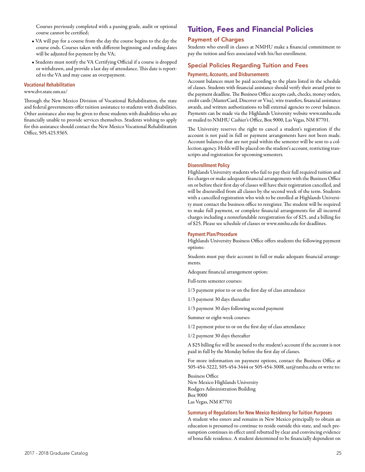Courses previously completed with a passing grade, audit or optional course cannot be certified;

- VA will pay for a course from the day the course begins to the day the course ends. Courses taken with different beginning and ending dates will be adjusted for payment by the VA;
- Students must notify the VA Certifying Official if a course is dropped or withdrawn, and provide a last day of attendance. This date is reported to the VA and may cause an overpayment.

#### **Vocational Rehabilitation**

#### www.dvr.state.nm.us/

Through the New Mexico Division of Vocational Rehabilitation, the state and federal governments offer tuition assistance to students with disabilities. Other assistance also may be given to those students with disabilities who are financially unable to provide services themselves. Students wishing to apply for this assistance should contact the New Mexico Vocational Rehabilitation Office, 505.425.9365.

## Tuition, Fees and Financial Policies

#### Payment of Charges

Students who enroll in classes at NMHU make a financial commitment to pay the tuition and fees associated with his/her enrollment.

#### Special Policies Regarding Tuition and Fees

#### **Payments, Accounts, and Disbursements**

Account balances must be paid according to the plans listed in the schedule of classes. Students with financial assistance should verify their award prior to the payment deadline. The Business Office accepts cash, checks, money orders, credit cards (MasterCard, Discover or Visa), wire transfers, financial assistance awards, and written authorizations to bill external agencies to cover balances. Payments can be made via the Highlands University website www.nmhu.edu or mailed to NMHU Cashier's Office, Box 9000, Las Vegas, NM 87701.

The University reserves the right to cancel a student's registration if the account is not paid in full or payment arrangements have not been made. Account balances that are not paid within the semester will be sent to a collection agency. Holds will be placed on the student's account, restricting transcripts and registration for upcoming semesters.

#### **Disenrollment Policy**

Highlands University students who fail to pay their full required tuition and fee charges or make adequate financial arrangements with the Business Office on or before their first day of classes will have their registration cancelled, and will be disenrolled from all classes by the second week of the term. Students with a cancelled registration who wish to be enrolled at Highlands University must contact the business office to reregister. The student will be required to make full payment, or complete financial arrangements for all incurred charges including a nonrefundable reregistration fee of \$25, and a billing fee of \$25. Please see schedule of classes or www.nmhu.edu for deadlines.

#### **Payment Plan/Procedure**

Highlands University Business Office offers students the following payment options:

Students must pay their account in full or make adequate financial arrangements.

Adequate financial arrangement option:

Full-term semester courses:

1/3 payment prior to or on the first day of class attendance

1/3 payment 30 days thereafter

1/3 payment 30 days following second payment

Summer or eight-week courses:

1/2 payment prior to or on the first day of class attendance

1/2 payment 30 days thereafter

A \$25 billing fee will be assessed to the student's account if the account is not paid in full by the Monday before the first day of classes.

For more information on payment options, contact the Business Office at 505-454-3222, 505-454-3444 or 505-454-3008, sar@nmhu.edu or write to:

Business Office New Mexico Highlands University Rodgers Administration Building Box 9000 Las Vegas, NM 87701

#### **Summary of Regulations for New Mexico Residency for Tuition Purposes**

A student who enters and remains in New Mexico principally to obtain an education is presumed to continue to reside outside this state, and such presumption continues in effect until rebutted by clear and convincing evidence of bona fide residence. A student determined to be financially dependent on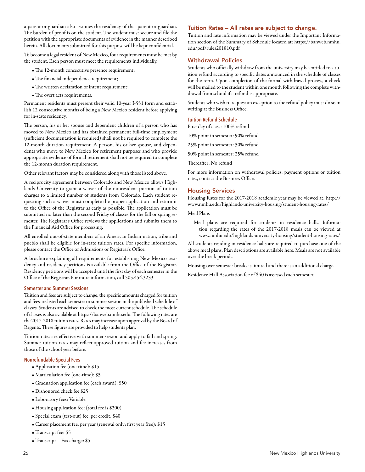a parent or guardian also assumes the residency of that parent or guardian. The burden of proof is on the student. The student must secure and file the petition with the appropriate documents of evidence in the manner described herein. All documents submitted for this purpose will be kept confidential.

To become a legal resident of New Mexico, four requirements must be met by the student. Each person must meet the requirements individually.

- The 12-month consecutive presence requirement;
- The financial independence requirement;
- The written declaration of intent requirement;
- The overt acts requirements.

Permanent residents must present their valid 10-year I-551 form and establish 12 consecutive months of being a New Mexico resident before applying for in-state residency.

The person, his or her spouse and dependent children of a person who has moved to New Mexico and has obtained permanent full-time employment (sufficient documentation is required) shall not be required to complete the 12-month duration requirement. A person, his or her spouse, and dependents who move to New Mexico for retirement purposes and who provide appropriate evidence of formal retirement shall not be required to complete the 12-month duration requirement.

Other relevant factors may be considered along with those listed above.

A reciprocity agreement between Colorado and New Mexico allows Highlands University to grant a waiver of the nonresident portion of tuition charges to a limited number of students from Colorado. Each student requesting such a waiver must complete the proper application and return it to the Office of the Registrar as early as possible. The application must be submitted no later than the second Friday of classes for the fall or spring semester. The Registrar's Office reviews the applications and submits them to the Financial Aid Office for processing.

All enrolled out-of-state members of an American Indian nation, tribe and pueblo shall be eligible for in-state tuition rates. For specific information, please contact the Office of Admissions or Registrar's Office.

A brochure explaining all requirements for establishing New Mexico residency and residency petitions is available from the Office of the Registrar. Residency petitions will be accepted until the first day of each semester in the Office of the Registrar. For more information, call 505.454.3233.

#### **Semester and Summer Sessions**

Tuition and fees are subject to change, the specific amounts charged for tuition and fees are listed each semester or summer session in the published schedule of classes. Students are advised to check the most current schedule. The schedule of classes is also available at https://banweb.nmhu.edu. The following rates are the 2017-2018 tuition rates. Rates may increase upon approval by the Board of Regents. These figures are provided to help students plan.

Tuition rates are effective with summer session and apply to fall and spring. Summer tuition rates may reflect approved tuition and fee increases from those of the school year before.

#### **Nonrefundable Special Fees**

- Application fee (one-time): \$15
- Matriculation fee (one-time): \$5
- Graduation application fee (each award): \$50
- Dishonored check fee \$25
- Laboratory fees: Variable
- Housing application fee: (total fee is \$200)
- Special exam (test-out) fee, per credit: \$40
- Career placement fee, per year (renewal only; first year free): \$15
- Transcript fee: \$5
- Transcript Fax charge: \$5

#### Tuition Rates – All rates are subject to change.

Tuition and rate information may be viewed under the Important Information section of the Summary of Schedule located at: https://banweb.nmhu. edu/pdf/rules201810.pdf

#### Withdrawal Policies

Students who officially withdraw from the university may be entitled to a tuition refund according to specific dates announced in the schedule of classes for the term. Upon completion of the formal withdrawal process, a check will be mailed to the student within one month following the complete withdrawal from school if a refund is appropriate.

Students who wish to request an exception to the refund policy must do so in writing at the Business Office.

#### **Tuition Refund Schedule**

First day of class: 100% refund

10% point in semester: 90% refund

25% point in semester: 50% refund

50% point in semester: 25% refund

Thereafter: No refund

For more information on withdrawal policies, payment options or tuition rates, contact the Business Office.

#### Housing Services

Housing Rates for the 2017-2018 academic year may be viewed at: http:// www.nmhu.edu/highlands-university-housing/student-housing-rates/

Meal Plans

Meal plans are required for students in residence halls. Information regarding the rates of the 2017-2018 meals can be viewed at www.nmhu.edu/highlands-university-housing/student-housing-rates/

All students residing in residence halls are required to purchase one of the above meal plans. Plan descriptions are available here. Meals are not available over the break periods.

Housing over semester breaks is limited and there is an additional charge.

Residence Hall Association fee of \$40 is assessed each semester.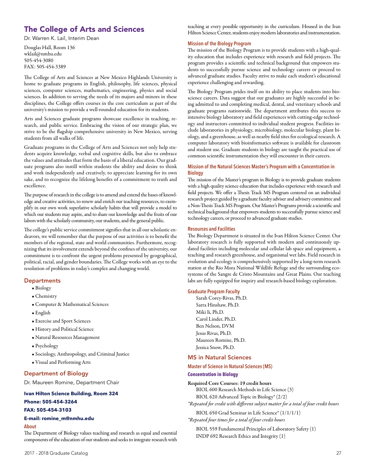## The College of Arts and Sciences

Dr. Warren K. Lail, Interim Dean

Douglas Hall, Room 136 wklail@nmhu.edu 505-454-3080 FAX: 505-454-3389

The College of Arts and Sciences at New Mexico Highlands University is home to graduate programs in English, philosophy, life sciences, physical sciences, computer sciences, mathematics, engineering, physics and social sciences. In addition to serving the needs of its majors and minors in these disciplines, the College offers courses in the core curriculum as part of the university's mission to provide a well-rounded education for its students.

Arts and Sciences graduate programs showcase excellence in teaching, research, and public service. Embracing the vision of our strategic plan, we strive to be the flagship comprehensive university in New Mexico, serving students from all walks of life.

Graduate programs in the College of Arts and Sciences not only help students acquire knowledge, verbal and cognitive skills, but also to embrace the values and attitudes that form the basis of a liberal education. Our graduate programs also instill within students the ability and desire to think and work independently and creatively, to appreciate learning for its own sake, and to recognize the lifelong benefits of a commitment to truth and excellence.

The purpose of research in the college is to amend and extend the bases of knowledge and creative activities, to renew and enrich our teaching resources, to exemplify in our own work superlative scholarly habits that will provide a model to which our students may aspire, and to share our knowledge and the fruits of our labors with the scholarly community, our students, and the general public.

The college's public service commitment signifies that in all our scholastic endeavors, we will remember that the purpose of our activities is to benefit the members of the regional, state and world communities. Furthermore, recognizing that its involvement extends beyond the confines of the university, our commitment is to confront the urgent problems presented by geographical, political, racial, and gender boundaries. The College works with an eye to the resolution of problems in today's complex and changing world.

#### **Departments**

- Biology
- Chemistry
- Computer & Mathematical Sciences
- English
- Exercise and Sport Sciences
- History and Political Science
- Natural Resources Management
- Psychology
- Sociology, Anthropology, and Criminal Justice
- Visual and Performing Arts

#### Department of Biology

Dr. Maureen Romine, Department Chair

#### **Ivan Hilton Science Building, Room 324**

#### **Phone: 505-454-3264**

#### **FAX: 505-454-3103**

#### **E-mail: romine\_m@nmhu.edu**

#### **About**

The Department of Biology values teaching and research as equal and essential components of the education of our students and seeks to integrate research with teaching at every possible opportunity in the curriculum. Housed in the Ivan Hilton Science Center, students enjoy modern laboratories and instrumentation.

#### **Mission of the Biology Program**

The mission of the Biology Program is to provide students with a high-quality education that includes experience with research and field projects. The program provides a scientific and technical background that empowers students to successfully pursue science and technology careers or proceed to advanced graduate studies. Faculty strive to make each student's educational experience challenging and rewarding.

The Biology Program prides itself on its ability to place students into bioscience careers. Data suggest that our graduates are highly successful in being admitted to and completing medical, dental, and veterinary schools and graduate programs nationwide. The department attributes this success to intensive biology laboratory and field experiences with cutting-edge technology and instructors committed to individual student progress. Facilities include laboratories in physiology, microbiology, molecular biology, plant biology, and a greenhouse, as well as nearby field sites for ecological research. A computer laboratory with bioinformatics software is available for classroom and student use. Graduate students in biology are taught the practical use of common scientific instrumentation they will encounter in their careers.

#### **Mission of the Natural Sciences Master's Program with a Concentration in Biology**

The mission of the Master's program in Biology is to provide graduate students with a high quality science education that includes experience with research and field projects. We offer a Thesis Track MS Program centered on an individual research project guided by a graduate faculty adviser and advisery committee and a Non-Thesis Track MS Program. Our Master's Programs provide a scientific and technical background that empowers students to successfully pursue science and technology careers, or proceed to advanced graduate studies.

#### **Resources and Facilities**

The Biology Department is situated in the Ivan Hilton Science Center. Our laboratory research is fully supported with modern and continuously updated facilities including molecular and cellular lab space and equipment, a teaching and research greenhouse, and organismal wet labs. Field research in evolution and ecology is comprehensively supported by a long-term research station at the Rio Mora National Wildlife Refuge and the surrounding ecosystems of the Sangre de Cristo Mountains and Great Plains. Our teaching labs are fully equipped for inquiry and research-based biology exploration.

#### **Graduate Program Faculty**

Sarah Corey-Rivas, Ph.D. Sarra Hinshaw, Ph.D. Miki Ii, Ph.D. Carol Linder, Ph.D. Ben Nelson, DVM Jesus Rivas, Ph.D. Maureen Romine, Ph.D. Jessica Snow, Ph.D.

#### MS in Natural Sciences

#### **Master of Science in Natural Sciences (MS)**

#### **Concentration in Biology**

#### Required Core Courses: 19 credit hours

BIOL 600 Research Methods in Life Science (3) BIOL 620 Advanced Topic in Biology\* (2/2)

*\*Repeated for credit with different subject matter for a total of four credit hours* 

BIOL 650 Grad Seminar in Life Science\* (1/1/1/1) *\*Repeated four times for a total of four credit hours* 

BIOL 559 Fundamental Principles of Laboratory Safety (1) INDP 692 Research Ethics and Integrity (1)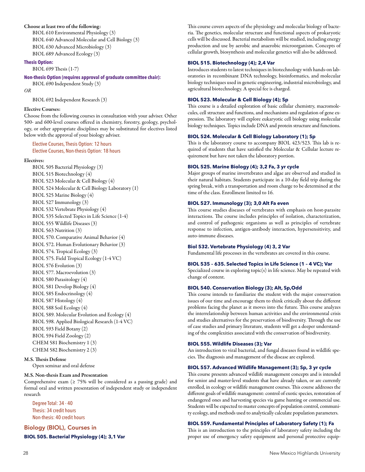#### Choose at least two of the following:

BIOL 610 Environmental Physiology (3) BIOL 640 Advanced Molecular and Cell Biology (3) BIOL 630 Advanced Microbiology (3) BIOL 689 Advanced Ecology (3)

#### **Thesis Option:**

BIOL 699 Thesis (1-7)

#### **Non-thesis Option (requires approval of graduate committee chair):**

BIOL 690 Independent Study (3)

*OR* 

BIOL 692 Independent Research (3)

#### Elective Courses:

Choose from the following courses in consultation with your adviser. Other 500- and 600-level courses offered in chemistry, forestry, geology, psychology, or other appropriate disciplines may be substituted for electives listed below with the approval of your biology adviser.

#### Elective Courses, Thesis Option: 12 hours Elective Courses, Non-thesis Option: 18 hours

#### Electives:

BIOL 505 Bacterial Physiology (3) BIOL 515 Biotechnology (4) BIOL 523 Molecular & Cell Biology (4) BIOL 524 Molecular & Cell Biology Laboratory (1) BIOL 525 Marine Biology (4) BIOL 527 Immunology (3) BIOL 532 Vertebrate Physiology (4) BIOL 535 Selected Topics in Life Science (1-4) BIOL 555 Wildlife Diseases (3) BIOL 563 Nutrition (3) BIOL 570. Comparative Animal Behavior (4) BIOL 572. Human Evolutionary Behavior (3) BIOL 574. Tropical Ecology (3) BIOL 575. Field Tropical Ecology (1-4 VC) BIOL 576 Evolution (3) BIOL 577. Macroevolution (3) BIOL 580 Parasitology (4) BIOL 581 Develop Biology (4) BIOL 585 Endocrinology (4) BIOL 587 Histology (4) BIOL 588 Soil Ecology (4) BIOL 589. Molecular Evolution and Ecology (4) BIOL 598. Applied Biological Research (1-4 VC) BIOL 593 Field Botany (2) BIOL 594 Field Zoology (2) CHEM 581 Biochemistry 1 (3) CHEM 582 Biochemistry 2 (3)

#### M.S. Thesis Defense

Open seminar and oral defense

#### M.S. Non-thesis Exam and Presentation

Comprehensive exam ( $\geq$  75% will be considered as a passing grade) and formal oral and written presentation of independent study or independent research

Degree Total: 34 - 40 Thesis: 34 credit hours Non-thesis: 40 credit hours

Biology (BIOL), Courses in **BIOL 505. Bacterial Physiology (4); 3,1 Var**  This course covers aspects of the physiology and molecular biology of bacteria. The genetics, molecular structure and functional aspects of prokaryotic cells will be discussed. Bacterial metabolism will be studied, including energy production and use by aerobic and anaerobic microorganism. Concepts of cellular growth, biosynthesis and molecular genetics will also be addressed.

#### **BIOL 515. Biotechnology (4); 2,4 Var**

Introduces students to latest techniques in biotechnology with hands-on laboratories in recombinant DNA technology, bioinformatics, and molecular biology techniques used in genetic engineering, industrial microbiology, and agricultural biotechnology. A special fee is charged.

#### **BIOL 523. Molecular & Cell Biology (4); Sp**

This course is a detailed exploration of basic cellular chemistry, macromolecules, cell structure and functions, and mechanisms and regulation of gene expression. The laboratory will explore eukaryotic cell biology using molecular biology techniques. Topics include DNA and protein structure and functions.

#### **BIOL 524. Molecular & Cell Biology Laboratory (1); Sp**

This is the laboratory course to accompany BIOL 423/523. This lab is required of students that have satisfied the Molecular & Cellular lecture requirement but have not taken the laboratory portion.

#### **BIOL 525. Marine Biology (4); 3,2 Fa, 3 yr cycle**

Major groups of marine invertebrates and algae are observed and studied in their natural habitats. Students participate in a 10-day field trip during the spring break, with a transportation and room charge to be determined at the time of the class. Enrollment limited to 16.

#### **BIOL 527. Immunology (3); 3,0 Alt Fa even**

This course studies diseases of vertebrates with emphasis on host-parasite interactions. The course includes principles of isolation, characterization, and control of pathogenic organisms as well as principles of vertebrate response to infection, antigen-antibody interaction, hypersensitivity, and auto-immune diseases.

#### **Biol 532. Vertebrate Physiology (4) 3, 2 Var**

Fundamental life processes in the vertebrates are covered in this course.

#### **BIOL 535 – 635. Selected Topics in Life Science (1 – 4 VC); Var**

Specialized course in exploring topic(s) in life science. May be repeated with change of content.

#### **BIOL 540. Conservation Biology (3); Alt, Sp,Odd**

This course intends to familiarize the student with the major conservation issues of our time and encourage them to think critically about the different problems facing the planet as it moves into the future. This course analyzes the interrelationship between human activities and the environmental crisis and studies alternatives for the preservation of biodiversity. Through the use of case studies and primary literature, students will get a deeper understanding of the complexities associated with the conservation of biodiversity.

#### **BIOL 555. Wildlife Diseases (3); Var**

An introduction to viral bacterial, and fungal diseases found in wildlife species. The diagnosis and management of the disease are explored.

#### **BIOL 557. Advanced Wildlife Management (3); Sp, 3 yr cycle**

This course presents advanced wildlife management concepts and is intended for senior and master-level students that have already taken, or are currently enrolled, in ecology or wildlife management courses. This course addresses the different goals of wildlife management: control of exotic species, restoration of endangered ones and harvesting species via game hunting or commercial use. Students will be expected to master concepts of population control, community ecology, and methods used to analytically calculate population parameters.

#### **BIOL 559. Fundamental Principles of Laboratory Safety (1); Fa**

This is an introduction to the principles of laboratory safety including the proper use of emergency safety equipment and personal protective equip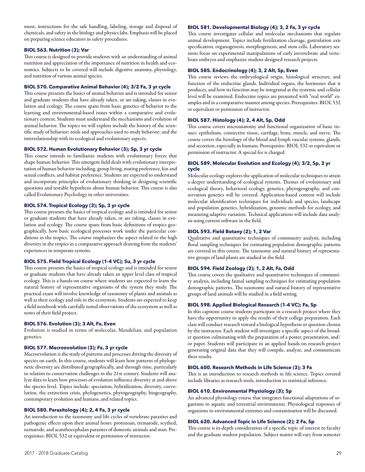ment, instructions for the safe handling, labeling, storage and disposal of chemicals, and safety in the biology and physics labs. Emphasis will be placed on preparing science educators in safety procedures.

#### **BIOL 563. Nutrition (3); Var**

This course is designed to provide students with an understanding of animal nutrition and appreciation of the importance of nutrition in health and economics. Subjects to be covered will include digestive anatomy, physiology, and nutrition of various animal species.

#### **BIOL 570. Comparative Animal Behavior (4); 3/2 Fa, 3 yr cycle**

This course presents the basics of animal behavior and is intended for senior and graduate students that have already taken, or are taking, classes in evolution and ecology. The course spans from basic genetics of behavior to the learning and environmental-based issues within a comparative and evolutionary context. Students must understand the mechanisms and evolution of animal behavior. The topics we will explore include the history of the scientific study of behavior; tools and approaches used to study behavior; and the interrelationship with its ecological and evolutionary aspects.

#### **BIOL 572. Human Evolutionary Behavior (3); Sp, 3 yr cycle**

This course intends to familiarize students with evolutionary forces that shape human behavior. This emergent field deals with evolutionary interpretation of human behavior including, group living, mating preference, kin and sexual conflicts, and habitat preference. Students are expected to understand and incorporate principles of evolutionary thinking in designing scientific questions and testable hypothesis about human behavior. This course is also called Evolutionary Psychology in other universities.

#### **BIOL 574. Tropical Ecology (3); Sp, 3 yr cycle**

This course presents the basics of tropical ecology and is intended for senior or graduate students that have already taken, or are taking, classes in evolution and ecology. The course spans from basic definitions of tropics geographically, how basic ecological processes work under the particular conditions in the tropics. The course emphasizes the aspect related to the high diversity in the tropics in a comparative approach drawing from the students' experiences in temperate systems.

#### **BIOL 575. Field Tropical Ecology (1-4 VC); Su, 3 yr cycle**

This course presents the basics of tropical ecology and is intended for senior or graduate students that have already taken an upper level class of tropical ecology. This is a hands-on course where students are expected to learn the natural history of representative organisms of the system they study. The practical exam will involve knowledge of taxonomy of plants and animals as well as their ecology and role in the ecosystem. Students are expected to keep a field notebook with carefully noted observations of the ecosystem as well as notes of their field project.

#### **BIOL 576. Evolution (3); 3 Alt, Fa, Even**

Evolution is studied in terms of molecular, Mendelian, and population genetics.

#### **BIOL 577. Macroevolution (3); Fa, 3 yr cycle**

Macroevolution is the study of patterns and processes driving the diversity of species on earth. In this course, students will learn how patterns of phylogenetic diversity are distributed geographically, and through time, particularly in relation to conservation challenges in the 21st century. Students will analyze data to learn how processes of evolution influence diversity at and above the species level. Topics include: speciation, hybridization, diversity, coevolution, the extinction crisis, phylogenetics, phytogeography, biogeography, contemporary evolution and humans, and related topics.

#### **BIOL 580. Parasitology (4); 2, 4 Fa, 3 yr cycle**

An introduction to the taxonomy and life cycles of vertebrate parasites and pathogenic effects upon their animal hosts: protozoan, trematode, scythed, nematode, and acanthocephalan parasites of domestic animals and man. Prerequisites: BIOL 532 or equivalent or permission of instructor.

#### **BIOL 581. Developmental Biology (4); 3, 2 Fa, 3 yr cycle**

This course investigates cellular and molecular mechanisms that regulate animal development. Topics include fertilization cleavage, gastrulation axis specification, organogenesis, morphogenesis, and stem cells. Laboratory sessions focus on experimental manipulations of early invertebrate and vertebrate embryos and emphasize student-designed research projects.

#### **BIOL 585. Endocrinology (4); 3, 2 Alt, Sp, Even**

This course reviews the embryological origin, histological structure, and function of the endocrine glands. Individual organs, the hormones that it produces, and how its function may be integrated at the systemic and cellular level will be examined. Endocrine topics are presented with "real world" examples and in a comparative manner among species. Prerequisites: BIOL 532 or equivalent or permission of instructor.

#### **BIOL 587. Histology (4); 2, 4 Alt, Sp, Odd**

This course covers microanatomy and functional organization of basic tissues: epithelium, connective tissue, cartilage, bone, muscle, and nerve. The course covers the histology of the blood and lymph vascular systems, glands, and secretion, especially in humans. Prerequisite: BIOL 532 or equivalent or permission of instructor. A special fee is charged.

#### **BIOL 589. Molecular Evolution and Ecology (4); 3/2, Sp, 3 yr cycle**

Molecular ecology explores the application of molecular techniques to attain a deeper understanding of ecological systems. Themes of evolutionary and ecological theory, behavioral ecology, genetics, phytogeography, and conservation genetics will be covered. Application-based content will include molecular identification techniques for individuals and species, landscape and population genetics, hybridization, genomic methods for ecology, and measuring adaptive variation. Technical applications will include data analysis using current software in the field.

#### **BIOL 593. Field Botany (2); 1, 2 Var**

Qualitative and quantitative techniques of community analysis, including floral sampling techniques for estimating population demographic patterns are covered in this course. The taxonomy and natural history of representative groups of land plants are studied in the field.

#### **BIOL 594. Field Zoology (2); 1, 2 Alt, Fa, Odd**

This course covers the qualitative and quantitative techniques of community analysis, including faunal sampling techniques for estimating population demographic patterns. The taxonomy and natural history of representative groups of land animals will be studied in a field setting.

#### **BIOL 598. Applied Biological Research (1-4 VC); Fa, Sp**

In this capstone course students participate in a research project where they have the opportunity to apply the results of their college preparation. Each class will conduct research toward a biological hypothesis or question chosen by the instructor. Each student will investigate a specific aspect of the broader question culminating with the preparation of a poster, presentation, and/ or paper. Students will participate in an applied hands-on research project generating original data that they will compile, analyze, and communicate their results.

#### **BIOL 600. Research Methods in Life Science (3); 3 Fa**

This is an introduction to research methods in life science. Topics covered include libraries as research tools, introduction to statistical inference.

#### **BIOL 610. Environmental Physiology (3); Sp**

An advanced physiology course that integrates functional adaptations of organisms to aquatic and terrestrial environments. Physiological responses of organisms to environmental extremes and contamination will be discussed.

#### **BIOL 620. Advanced Topic in Life Science (2); 2 Fa, Sp**

This course is in-depth consideration of a specific topic of interest to faculty and the graduate student population. Subject matter will vary from semester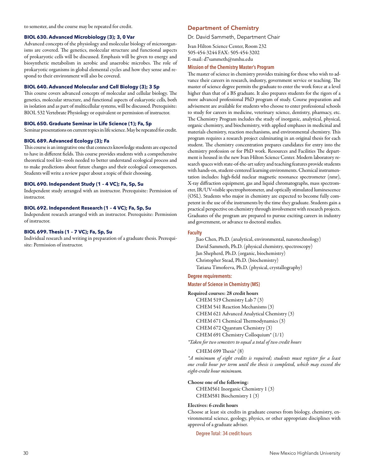to semester, and the course may be repeated for credit.

#### **BIOL 630. Advanced Microbiology (3); 3, 0 Var**

Advanced concepts of the physiology and molecular biology of microorganisms are covered. The genetics, molecular structure and functional aspects of prokaryotic cells will be discussed. Emphasis will be given to energy and biosynthetic metabolism in aerobic and anaerobic microbes. The role of prokaryotic organisms in global elemental cycles and how they sense and respond to their environment will also be covered.

#### **BIOL 640. Advanced Molecular and Cell Biology (3); 3 Sp**

This course covers advanced concepts of molecular and cellular biology. The genetics, molecular structure, and functional aspects of eukaryotic cells, both in isolation and as part of multicellular systems, will be discussed. Prerequisite: BIOL 532 Vertebrate Physiology or equivalent or permission of instructor.

#### **BIOL 650. Graduate Seminar in Life Science (1); Fa, Sp**

Seminar presentations on current topics in life science. May be repeated for credit.

#### **BIOL 689. Advanced Ecology (3); Fa**

This course is an integrative one that connects knowledge students are expected to have in different fields. This course provides students with a comprehensive theoretical tool kit--tools needed to better understand ecological process and to make predictions about future changes and their ecological consequences. Students will write a review paper about a topic of their choosing.

#### **BIOL 690. Independent Study (1 – 4 VC); Fa, Sp, Su**

Independent study arranged with an instructor. Prerequisite: Permission of instructor.

#### **BIOL 692. Independent Research (1 – 4 VC); Fa, Sp, Su**

Independent research arranged with an instructor. Prerequisite: Permission of instructor.

#### **BIOL 699. Thesis (1 – 7 VC); Fa, Sp, Su**

Individual research and writing in preparation of a graduate thesis. Prerequisite: Permission of instructor.

#### Department of Chemistry

Dr. David Sammeth, Department Chair

Ivan Hilton Science Center, Room 232 505-454-3244 FAX: 505-454-3202 E-mail: d7sammeth@nmhu.edu

#### **Mission of the Chemistry Master's Program**

The master of science in chemistry provides training for those who wish to advance their careers in research, industry, government service or teaching. The master of science degree permits the graduate to enter the work force at a level higher than that of a BS graduate. It also prepares students for the rigors of a more advanced professional PhD program of study. Course preparation and advisement are available for students who choose to enter professional schools to study for careers in medicine, veterinary science, dentistry, pharmacy, etc. The Chemistry Program includes the study of inorganic, analytical, physical, organic chemistry, and biochemistry, with applied emphases in medicinal and materials chemistry, reaction mechanisms, and environmental chemistry. This program requires a research project culminating in an original thesis for each student. The chemistry concentration prepares candidates for entry into the chemistry profession or for PhD work. Resources and Facilities The department is housed in the new Ivan Hilton Science Center. Modern laboratory research spaces with state-of-the-art safety and teaching features provide students with hands-on, student-centered learning environments. Chemical instrumentation includes: high-field nuclear magnetic resonance spectrometer (nmr), X-ray diffraction equipment, gas and liquid chromatographs, mass spectrometer, IR/UV-visible spectrophotometer, and optically stimulated luminescence (OSL). Students who major in chemistry are expected to become fully competent in the use of the instruments by the time they graduate. Students gain a practical perspective on chemistry through involvement with research projects. Graduates of the program are prepared to pursue exciting careers in industry and government, or advance to doctoral studies.

#### **Faculty**

Jiao Chen, Ph.D. (analytical, environmental, nanotechnology) David Sammeth, Ph.D. (physical chemistry, spectroscopy) Jan Shepherd, Ph.D. (organic, biochemistry) Christopher Stead, Ph.D. (biochemistry) Tatiana Timofeeva, Ph.D. (physical, crystallography)

#### **Degree requirements:**

#### **Master of Science in Chemistry (MS)**

#### Required courses: 28 credit hours

CHEM 519 Chemistry Lab 7 (3)

CHEM 541 Reaction Mechanisms (3)

CHEM 621 Advanced Analytical Chemistry (3)

- CHEM 671 Chemical Thermodynamics (3)
- CHEM 672 Quantum Chemistry (3) CHEM 691 Chemistry Colloquium\* (1/1)

*\*Taken for two semesters to equal a total of two credit hours* 

CHEM 699 Thesis\* (8)

*\*A minimum of eight credits is required; students must register for a least one credit hour per term until the thesis is completed, which may exceed the eight-credit hour minimum.* 

#### Choose one of the following:

CHEM561 Inorganic Chemistry 1 (3) CHEM581 Biochemistry 1 (3)

#### Electives: 6 credit hours

Choose at least six credits in graduate courses from biology, chemistry, environmental science, geology, physics, or other appropriate disciplines with approval of a graduate adviser.

Degree Total: 34 credit hours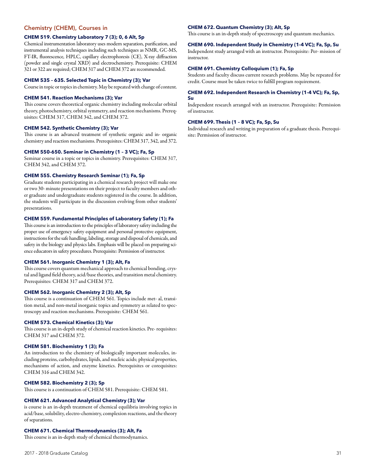#### Chemistry (CHEM), Courses in

#### **CHEM 519. Chemistry Laboratory 7 (3); 0, 6 Alt, Sp**

Chemical instrumentation laboratory uses modern separation, purification, and instrumental analysis techniques including such techniques as NMR, GC-MS, FT-IR, fluorescence, HPLC, capillary electrophoresis (CE), X-ray diffraction (powder and single crystal XRD) and electrochemistry. Prerequisite: CHEM 321 or 322 are required; CHEM 317 and CHEM 372 are recommended.

#### **CHEM 535 – 635. Selected Topic in Chemistry (3); Var**

Course in topic or topics in chemistry. May be repeated with change of content.

#### **CHEM 541. Reaction Mechanisms (3); Var**

This course covers theoretical organic chemistry including molecular orbital theory, photochemistry, orbital symmetry, and reaction mechanisms. Prerequisites: CHEM 317, CHEM 342, and CHEM 372.

#### **CHEM 542. Synthetic Chemistry (3); Var**

This course is an advanced treatment of synthetic organic and in- organic chemistry and reaction mechanisms. Prerequisites: CHEM 317, 342, and 372.

#### **CHEM 550-650. Seminar in Chemistry (1 – 3 VC); Fa, Sp**

Seminar course in a topic or topics in chemistry. Prerequisites: CHEM 317, CHEM 342, and CHEM 372.

#### **CHEM 555. Chemistry Research Seminar (1); Fa, Sp**

Graduate students participating in a chemical research project will make one or two 30- minute presentations on their project to faculty members and other graduate and undergraduate students registered in the course. In addition, the students will participate in the discussion evolving from other students' presentations.

#### **CHEM 559. Fundamental Principles of Laboratory Safety (1); Fa**

This course is an introduction to the principles of laboratory safety including the proper use of emergency safety equipment and personal protective equipment, instructions for the safe handling, labeling, storage and disposal of chemicals, and safety in the biology and physics labs. Emphasis will be placed on preparing science educators in safety procedures. Prerequisite: Permission of instructor.

#### **CHEM 561. Inorganic Chemistry 1 (3); Alt, Fa**

This course covers quantum mechanical approach to chemical bonding, crystal and ligand field theory, acid/base theories, and transition metal chemistry. Prerequisites: CHEM 317 and CHEM 372.

#### **CHEM 562. Inorganic Chemistry 2 (3); Alt, Sp**

This course is a continuation of CHEM 561. Topics include met- al, transition metal, and non-metal inorganic topics and symmetry as related to spectroscopy and reaction mechanisms. Prerequisite: CHEM 561.

#### **CHEM 573. Chemical Kinetics (3); Var**

This course is an in-depth study of chemical reaction kinetics. Pre- requisites: CHEM 317 and CHEM 372.

#### **CHEM 581. Biochemistry 1 (3); Fa**

An introduction to the chemistry of biologically important molecules, including proteins, carbohydrates, lipids, and nucleic acids; physical properties, mechanisms of action, and enzyme kinetics. Prerequisites or corequisites: CHEM 316 and CHEM 342.

#### **CHEM 582. Biochemistry 2 (3); Sp**

This course is a continuation of CHEM 581. Prerequisite: CHEM 581.

#### **CHEM 621. Advanced Analytical Chemistry (3); Var**

is course is an in-depth treatment of chemical equilibria involving topics in acid/base, solubility, electro-chemistry, complexion reactions, and the theory of separations.

#### **CHEM 671. Chemical Thermodynamics (3); Alt, Fa**

This course is an in-depth study of chemical thermodynamics.

#### **CHEM 672. Quantum Chemistry (3); Alt, Sp**

This course is an in-depth study of spectroscopy and quantum mechanics.

#### **CHEM 690. Independent Study in Chemistry (1-4 VC); Fa, Sp, Su**

Independent study arranged with an instructor. Prerequisite: Per- mission of instructor.

#### **CHEM 691. Chemistry Colloquium (1); Fa, Sp**

Students and faculty discuss current research problems. May be repeated for credit. Course must be taken twice to fulfill program requirement.

#### **CHEM 692. Independent Research in Chemistry (1-4 VC); Fa, Sp, Su**

Independent research arranged with an instructor. Prerequisite: Permission of instructor.

#### **CHEM 699. Thesis (1 – 8 VC); Fa, Sp, Su**

Individual research and writing in preparation of a graduate thesis. Prerequisite: Permission of instructor.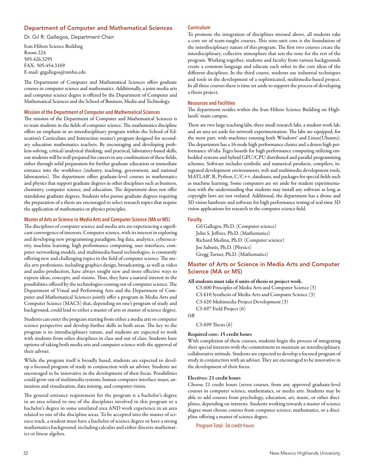#### Department of Computer and Mathematical Sciences

Dr. Gil R. Gallegos, Department Chair

Ivan Hilton Science Building Room 224 505.426.3295 FAX: 505.454.3169 E-mail: grgallegos@nmhu.edu

The Department of Computer and Mathematical Sciences offers graduate courses in computer science and mathematics. Additionally, a joint media arts and computer science degree is offered by the Department of Computer and Mathematical Sciences and the School of Business, Media and Technology.

#### **Mission of the Department of Computer and Mathematical Sciences**

The mission of the Department of Computer and Mathematical Sciences is to train students in the fields of computer science. The mathematics discipline offers an emphasis in an interdisciplinary program within the School of Education's Curriculum and Instruction master's program designed for secondary education mathematics teachers. By encouraging and developing problem-solving, critical/analytical thinking, and practical, laboratory-based skills, our students will be well-prepared for careers in any combination of these fields, either through solid preparation for further graduate education or immediate entrance into the workforce (industry, teaching, government, and national laboratories). The department offers graduate-level courses in mathematics and physics that support graduate degrees in other disciplines such as business, chemistry, computer science, and education. The department does not offer standalone graduate degrees. Students who pursue graduate degrees requiring the preparation of a thesis are encouraged to select research topics that require the application of mathematics or physics principles.

#### **Master of Arts or Science in Media Arts and Computer Science (MA or MS)**

The disciplines of computer science and media arts are experiencing a significant convergence of interests. Computer science, with its interest in exploring and developing new programming paradigms, big data, analytics, cybersecurity, machine learning, high performance computing, user interfaces, computer networking models, and multimedia-based technologies, is constantly offering new and challenging topics in the field of computer science. The media arts professions, including graphics design, broadcasting, as well as video and audio production, have always sought new and more effective ways to express ideas, concepts, and visions. Thus, they have a natural interest in the possibilities offered by the technologies coming out of computer science. The Department of Visual and Performing Arts and the Department of Computer and Mathematical Sciences jointly offer a program in Media Arts and Computer Science (MACS) that, depending on one's program of study and background, could lead to either a master of arts or master of science degree.

Students can enter the program starting from either a media arts or computer science perspective and develop further skills in both areas. The key to the program is its interdisciplinary nature, and students are expected to work with students from other disciplines in class and out of class. Students have options of taking both media arts and computer science with the approval of their adviser.

While the program itself is broadly based, students are expected to develop a focused program of study in conjunction with an adviser. Students are encouraged to be innovative in the development of their focus. Possibilities could grow out of multimedia systems, human-computer interface issues, animation and visualization, data mining, and computer vision.

The general entrance requirement for the program is a bachelor's degree in an area related to one of the disciplines involved in this program or a bachelor's degree in some unrelated area AND work experience in an area related to one of the discipline areas. To be accepted into the master of science track, a student must have a bachelor of science degree or have a strong mathematics background, including calculus and either discrete mathematics or linear algebra.

#### **Curriculum**

To promote the integration of disciplines stressed above, all students take a core set of team-taught courses. This nine-unit core is the foundation of the interdisciplinary nature of this program. The first two courses create the interdisciplinary, collective atmosphere that sets the tone for the rest of the program. Working together, students and faculty from various backgrounds create a common language and educate each other in the core ideas of the different disciplines. In the third course, students use industrial techniques and tools in the development of a sophisticated, multimedia-based project. In all three courses there is time set aside to support the process of developing a thesis project.

#### **Resources and Facilities**

The department resides within the Ivan Hilton Science Building on Highlands' main campus.

There are two large teaching labs, three small research labs, a student work lab, and an area set aside for network experimentation. The labs are equipped, for the most part, with machines running both Windows® and Linux(Ubuntu). The department has a 16-node high performance cluster and a dozen high performance nVidia Tegra boards for high performance computing utilizing embedded systems and hybrid GPU/CPU distributed and parallel programming schemes. Software includes symbolic and numerical products, compilers, integrated development environments, web and multimedia development tools, MATLAB®, R, Python, C/C++, databases, and packages for special fields such as machine learning. Some computers are set aside for student experimentation with the understanding that students may install any software as long as copyright laws are not violated. Additional, the department has a drone and 3D vision hardware and software for high performance testing of real-time 3D vision applications for research in the computer science field.

#### **Faculty**

Gil Gallegos, Ph.D. (Computer science) John S. Jeffries, Ph.D. (Mathematics) Richard Medina, Ph.D. (Computer science) Joe Sabutis, Ph.D. (Physics) Gregg Turner, Ph.D. (Mathematics)

#### Master of Arts or Science in Media Arts and Computer Science (MA or MS)

#### All students must take 6 units of thesis or project work.

CS 600 Principles of Media Arts and Computer Science (3) CS 610 Synthesis of Media Arts and Computer Science (3) CS 620 Multimedia Project Development (3) CS 697 Field Project (6)

*OR*

CS 699 Thesis (6)

#### Required core: 15 credit hours

With completion of these courses, students begin the process of integrating their special interests with the commitment to maintain an interdisciplinary, collaborative attitude. Students are expected to develop a focused program of study in conjunction with an adviser. They are encouraged to be innovative in the development of their focus.

#### Electives: 21 credit hours

Choose 21 credit hours (seven courses, from any approved graduate-level courses in computer science, mathematics, or media arts. Students may be able to add courses from psychology, education, art, music, or other disciplines, depending on interests. Students working towards a master of science degree must choose courses from computer science, mathematics, or a discipline offering a master of science degree.

Program Total: 36 credit hours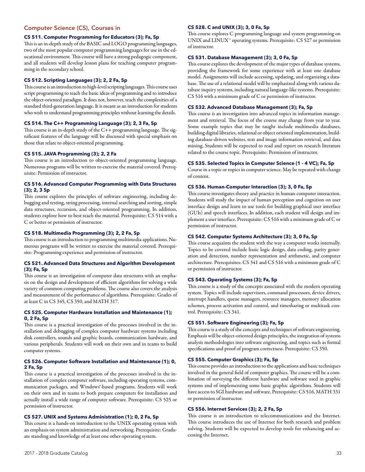#### Computer Science (CS), Courses in

#### **CS 511. Computer Programming for Educators (3); Fa, Sp**

This is an in-depth study of the BASIC and LOGO programming languages, two of the most popular computer programming languages for use in the educational environment. This course will have a strong pedagogic component, and all students will develop lesson plans for teaching computer programming in the secondary school.

#### **CS 512. Scripting Languages (3); 2, 2 Fa, Sp**

This course is an introduction to high-level scripting languages. This course uses script programming to teach the basic ideas of programming and to introduce the object-oriented paradigm. It does not, however, teach the complexities of a standard third-generation language. It is meant as an introduction for students who wish to understand programming principles without learning the details.

#### **CS 514. The C++ Programming Language (3); 2, 3 Fa, Sp**

This course is an in-depth study of the C++ programming language. The significant features of the language will be discussed with special emphasis on those that relate to object-oriented programming.

#### **CS 515. JAVA Programming (3); 2, 2 Fa**

This course is an introduction to object-oriented programming language. Numerous programs will be written to exercise the material covered. Prerequisite: Permission of instructor.

#### **CS 516. Advanced Computer Programming with Data Structures (3); 2, 3 Sp**

This course explores the principles of software engineering, including debugging and testing, string processing, internal searching and sorting, simple data structures, recursion, and object-oriented programming. In addition, students explore how to best teach the material. Prerequisite: CS 514 with a C or better or permission of instructor.

#### **CS 518. Multimedia Programming (3); 2, 2 Fa, Sp**

This course is an introduction to programming multimedia applications. Numerous programs will be written to exercise the material covered. Prerequisite: Programming experience and permission of instructor.

#### **CS 521. Advanced Data Structures and Algorithm Development (3); Fa, Sp**

This course is an investigation of computer data structures with an emphasis on the design and development of efficient algorithms for solving a wide variety of common computing problems. The course also covers the analysis and measurement of the performance of algorithms. Prerequisite: Grades of at least C in CS 345, CS 350, and MATH 317.

#### **CS 525. Computer Hardware Installation and Maintenance (1); 0, 2 Fa, Sp**

This course is a practical investigation of the processes involved in the installation and debugging of complex computer hardware systems including disk controllers, sounds and graphic boards, communication hardware, and various peripherals. Students will work on their own and in teams to build computer systems.

#### **CS 526. Computer Software Installation and Maintenance (1); 0, 2 Fa, Sp**

This course is a practical investigation of the processes involved in the installation of complex computer software, including operating systems, communication packages, and Windows®-based programs. Students will work on their own and in teams to both prepare computers for installation and actually install a wide range of computer software. Prerequisite: CS 525 or permission of instructor.

#### **CS 527. UNIX and Systems Administration (1); 0, 2 Fa, Sp**

This course is a hands-on introduction to the UNIX operating system with an emphasis on system administration and networking. Prerequisite: Graduate standing and knowledge of at least one other operating system.

#### **CS 528. C and UNIX (3); 3, 0 Fa, Sp**

This course explores C programming language and system programming on UNIX and LINUX™ operating systems. Prerequisite: CS 527 or permission of instructor.

#### **CS 531. Database Management (3); 3, 0 Fa, Sp**

This course explores the development of the major types of database systems, providing the framework for some experience with at least one database model. Assignments will include accessing, updating, and organizing a database. The use of a relational model will be emphasized along with various database inquiry systems, including natural language-like systems. Prerequisite: CS 516 with a minimum grade of C or permission of instructor.

#### **CS 532. Advanced Database Management (3); Fa, Sp**

This course is an investigation into advanced topics in information management and retrieval. The focus of the course may change from year to year. Some example topics that may be taught include multimedia databases, building digital libraries, relational or object oriented implementation, building database-driven websites, text and image information retrieval, and data mining. Students will be expected to read and report on research literature related to the course topic. Prerequisite: Permission of instructor.

#### **CS 535. Selected Topics in Computer Science (1 - 4 VC); Fa, Sp**

Course in a topic or topics in computer science. May be repeated with change of content.

#### **CS 536. Human-Computer Interaction (3); 3, 0 Fa, Sp**

This course investigates theory and practice in human-computer interaction. Students will study the impact of human perception and cognition on user interface design and learn to use tools for building graphical user interface (GUIs) and speech interfaces. In addition, each student will design and implement a user interface. Prerequisite: CS 516 with a minimum grade of C or permission of instructor.

#### **CS 542. Computer Systems Architecture (3); 3, 0 Fa, Sp**

This course acquaints the student with the way a computer works internally. Topics to be covered include basic logic design, data coding, parity generation and detection, number representation and arithmetic, and computer architecture. Prerequisites: CS 341 and CS 516 with a minimum grade of C or permission of instructor.

#### **CS 543. Operating Systems (3); Fa, Sp**

This course is a study of the concepts associated with the modern operating system. Topics will include supervisors, command processors, device drivers, interrupt handlers, queue managers, resource managers, memory allocation schemes, process activation and control, and timesharing or multitask control. Prerequisite: CS 341.

#### **CS 551. Software Engineering (3); Fa, Sp**

This course is a study of the concepts and techniques of software engineering. Emphasis will be object-oriented design principles, the integration of systems analysis methodologies into software engineering, and topics such as formal specifications and proof of program correctness. Prerequisite: CS 350.

#### **CS 555. Computer Graphics (3); Fa, Sp**

This course provides an introduction to the applications and basic techniques involved in the general field of computer graphics. The course will be a combination of surveying the different hardware and software used in graphic systems and of implementing some basic graphic algorithms. Students will have access to SGI hardware and software. Prerequisite: CS 516, MATH 331 or permission of instructor.

#### **CS 556. Internet Services (3); 2, 2 Fa, Sp**

This course is an introduction to telecommunications and the Internet. This course introduces the use of Internet for both research and problem solving. Students will be expected to develop tools for enhancing and accessing the Internet.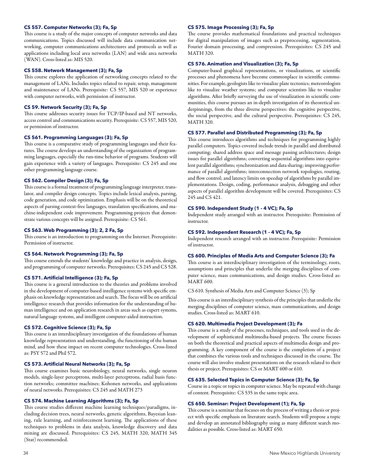#### **CS 557. Computer Networks (3); Fa, Sp**

This course is a study of the major concepts of computer networks and data communications. Topics discussed will include data communication networking, computer communications architectures and protocols as well as applications including local area networks (LAN) and wide area networks (WAN). Cross-listed as: MIS 520.

#### **CS 558. Network Management (3); Fa, Sp**

This course explores the application of networking concepts related to the management of LANs. Includes topics related to repair, setup, management and maintenance of LANs. Prerequisite: CS 557, MIS 520 or experience with computer networks, with permission of instructor.

#### **CS 59. Network Security (3); Fa, Sp**

This course addresses security issues for TCP/IP-based and NT networks, access control and communications security. Prerequisite: CS 557, MIS 520, or permission of instructor.

#### **CS 561. Programming Languages (3); Fa, Sp**

This course is a comparative study of programming languages and their features. The course develops an understanding of the organization of programming languages, especially the run-time behavior of programs. Students will gain experience with a variety of languages. Prerequisite: CS 245 and one other programming language course.

#### **CS 562. Compiler Design (3); Fa, Sp**

This course is a formal treatment of programming language interpreter, translator, and compiler design concepts. Topics include lexical analysis, parsing, code generation, and code optimization. Emphasis will be on the theoretical aspects of parsing context-free languages, translation specifications, and machine-independent code improvement. Programming projects that demonstrate various concepts will be assigned. Prerequisite: CS 561.

#### **CS 563. Web Programming (3); 2, 2 Fa, Sp**

This course is an introduction to programming on the Internet. Prerequisite: Permission of instructor.

#### **CS 564. Network Programming (3); Fa, Sp**

This course extends the students' knowledge and practice in analysis, design, and programming of computer networks. Prerequisites: CS 245 and CS 528.

#### **CS 571. Artificial Intelligence (3); Fa, Sp**

This course is a general introduction to the theories and problems involved in the development of computer-based intelligence systems with specific emphasis on knowledge representation and search. The focus will be on artificial intelligence research that provides information for the understanding of human intelligence and on application research in areas such as expert systems, natural language systems, and intelligent computer-aided instruction.

#### **CS 572. Cognitive Science (3); Fa, Sp**

This course is an interdisciplinary investigation of the foundations of human knowledge representation and understanding, the functioning of the human mind, and how these impact on recent computer technologies. Cross-listed as: PSY 572 and Phil 572.

#### **CS 573. Artificial Neural Networks (3); Fa, Sp**

This course examines basic neurobiology, neural networks, single neuron models, single-layer perceptrons, multi-layer perceptrons, radial basis function networks; committee machines; Kohonen networks, and applications of neural networks. Prerequisites: CS 245 and MATH 273

#### **CS 574. Machine Learning Algorithms (3); Fa, Sp**

This course studies different machine learning techniques/paradigms, including decision trees, neural networks, genetic algorithms, Bayesian leaning, rule learning, and reinforcement learning. The applications of these techniques to problems in data analysis, knowledge discovery and data mining are discussed. Prerequisites: CS 245, MATH 320, MATH 345 (Stat) recommended.

#### **CS 575. Image Processing (3); Fa, Sp**

The course provides mathematical foundations and practical techniques for digital manipulation of images such as preprocessing, segmentation, Fourier domain processing, and compression. Prerequisites: CS 245 and MATH 320.

#### **CS 576. Animation and Visualization (3); Fa, Sp**

Computer-based graphical representations, or visualizations, or scientific processes and phenomena have become commonplace in scientific communities. For example, geologists like to visualize plate tectonics; meteorologists like to visualize weather systems; and computer scientists like to visualize algorithms. After briefly surveying the use of visualization in scientific communities, this course pursues an in-depth investigation of its theoretical underpinnings, from the three diverse perspectives: the cognitive perspective, the social perspective, and the cultural perspective. Prerequisites: CS 245, MATH 320.

#### **CS 577. Parallel and Distributed Programming (3); Fa, Sp**

This course introduces algorithms and techniques for programming highly parallel computers. Topics covered include trends in parallel and distributed computing; shared address space and message passing architectures; design issues for parallel algorithms; converting sequential algorithms into equivalent parallel algorithms; synchronization and data sharing; improving performance of parallel algorithms; interconnection network topologies, routing, and flow control; and latency limits on speedup of algorithms by parallel implementations. Design, coding, performance analysis, debugging and other aspects of parallel algorithm development will be covered. Prerequisites: CS 245 and CS 421.

#### **CS 590. Independent Study (1 - 4 VC); Fa, Sp**

Independent study arranged with an instructor. Prerequisite: Permission of instructor.

#### **CS 592. Independent Research (1 - 4 VC); Fa, Sp**

Independent research arranged with an instructor. Prerequisite: Permission of instructor.

#### **CS 600. Principles of Media Arts and Computer Science (3); Fa**

This course is an interdisciplinary investigation of the terminology, roots, assumptions and principles that underlie the merging disciplines of computer science, mass communications, and design studies. Cross-listed as: MART 600.

CS 610. Synthesis of Media Arts and Computer Science (3); Sp

This course is an interdisciplinary synthesis of the principles that underlie the merging disciplines of computer science, mass communications, and design studies. Cross-listed as: MART 610.

#### **CS 620. Multimedia Project Development (3); Fa**

This course is a study of the processes, techniques, and tools used in the development of sophisticated multimedia-based projects. The course focuses on both the theoretical and practical aspects of multimedia design and programming. A key component of the course is the completion of a project that combines the various tools and techniques discussed in the course. The course will also involve student presentations on the research related to their thesis or project. Prerequisites: CS or MART 600 or 610.

#### **CS 635. Selected Topics in Computer Science (3); Fa, Sp**

Course in a topic or topics in computer science. May be repeated with change of content. Prerequisite: CS 535 in the same topic area.

#### **CS 650. Seminar: Project Development (1); Fa, Sp**

This course is a seminar that focuses on the process of writing a thesis or project with specific emphasis on literature search. Students will propose a topic and develop an annotated bibliography using as many different search modalities as possible. Cross-listed as: MART 650.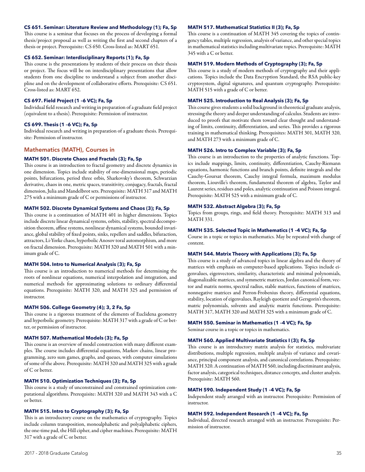#### **CS 651. Seminar: Literature Review and Methodology (1); Fa, Sp**

This course is a seminar that focuses on the process of developing a formal thesis/project proposal as well as writing the first and second chapters of a thesis or project. Prerequisite: CS 650. Cross-listed as: MART 651.

#### **CS 652. Seminar: Interdisciplinary Reports (1); Fa, Sp**

This course is the presentations by students of their process on their thesis or project. The focus will be on interdisciplinary presentations that allow students from one discipline to understand a subject from another discipline and on the development of collaborative efforts. Prerequisite: CS 651. Cross-listed as: MART 652.

#### **CS 697. Field Project (1 –6 VC); Fa, Sp**

Individual field research and writing in preparation of a graduate field project (equivalent to a thesis). Prerequisite: Permission of instructor.

#### **CS 699. Thesis (1 –6 VC); Fa, Sp**

Individual research and writing in preparation of a graduate thesis. Prerequisite: Permission of instructor.

#### Mathematics (MATH), Courses in

#### **MATH 501. Discrete Chaos and Fractals (3); Fa, Sp**

This course is an introduction to fractal geometry and discrete dynamics in one dimension. Topics include stability of one-dimensional maps, periodic points, bifurcations, period three orbis, Sharkovsky's theorem, Schwarzian derivative, chaos in one, metric spaces, transitivity, conjugacy, fractals, fractal dimension, Julia and Mandelbrot sets. Prerequisite: MATH 317 and MATH 275 with a minimum grade of C or permissions of instructor.

#### **MATH 502. Discrete Dynamical Systems and Chaos (3); Fa, Sp**

This course is a continuation of MATH 401 in higher dimensions. Topics include discrete linear dynamical systems, orbits, stability, spectral decomposition theorem, affine systems, nonlinear dynamical systems, bounded invariance, global stability of fixed points, sinks, repellers and saddles, bifuraction, attractors, Li-Yorke chaos, hyperbolic Anosov toral automorphism, and more on fractal dimension. Prerequisite: MATH 320 and MATH 501 with a minimum grade of C.

#### **MATH 504. Intro to Numerical Analysis (3); Fa, Sp**

This course is an introduction to numerical methods for determining the roots of nonlinear equations, numerical interpolation and integration, and numerical methods for approximating solutions to ordinary differential equations. Prerequisite: MATH 320, and MATH 325 and permission of instructor.

#### **MATH 506. College Geometry (4); 3, 2 Fa, Sp**

This course is a rigorous treatment of the elements of Euclidena geometry and hyperbolic geometry. Prerequisite: MATH 317 with a grade of C or better, or permission of instructor.

#### **MATH 507. Mathematical Models (3); Fa, Sp**

This course is an overview of model construction with many different examples. The course includes differential equations, Markov chains, linear programming, zero sum games, graphs, and queues, with computer simulations of some of the above. Prerequisite: MATH 320 and MATH 325 with a grade of C or better.

#### **MATH 510. Optimization Techniques (3); Fa, Sp**

This course is a study of unconstrained and constrained optimization computational algorithms. Prerequisite: MATH 320 and MATH 343 with a C or better.

#### **MATH 515. Intro to Cryptography (3); Fa, Sp**

This is an introductory course on the mathematics of cryptography. Topics include column transposition, monoalphabetic and polyalphabetic ciphers, the one-time pad, the Hill cipher, and cipher machines. Prerequisite: MATH 317 with a grade of C or better.

#### **MATH 517. Mathematical Statistics II (3); Fa, Sp**

This course is a continuation of MATH 345 covering the topics of contingency tables, multiple regression, analysis of variance, and other special topics in mathematical statistics including multivariate topics. Prerequisite: MATH 345 with a C or better.

#### **MATH 519. Modern Methods of Cryptography (3); Fa, Sp**

This course is a study of modern methods of cryptography and their applications. Topics include the Data Encryption Standard, the RSA public-key cryptosystem, digital signatures, and quantum cryptography. Prerequisite: MATH 515 with a grade of C or better.

#### **MATH 525. Introduction to Real Analysis (3); Fa, Sp**

This course gives students a solid background in theoretical graduate analysis, stressing the theory and deeper understanding of calculus. Students are introduced to proofs that motivate them toward clear thought and understanding of limits, continuity, differentiation, and series. This provides a rigorous training in mathematical thinking. Prerequisites: MATH 301, MATH 320, and MATH 273 with a minimum grade of C.

#### **MATH 526. Intro to Complex Variable (3); Fa, Sp**

This course is an introduction to the properties of analytic functions. Topics include mappings, limits, continuity, differentiation, Cauchy-Riemann equations, harmonic functions and branch points, definite integrals and the Cauchy-Goursat theorem, Cauchy integral formula, maximum modulus theorem, Liouville's theorem, fundamental theorem of algebra, Taylor and Laurent series, residues and poles, analytic continuation and Poisson integral. Prerequisite: MATH 525 with a minimum grade of C.

#### **MATH 532. Abstract Algebra (3); Fa, Sp**

Topics from groups, rings, and field theory. Prerequisite: MATH 313 and MATH 331.

#### **MATH 535. Selected Topic in Mathematics (1 –4 VC); Fa, Sp**

Course in a topic or topics in mathematics. May be repeated with change of content.

#### **MATH 544. Matrix Theory with Applications (3); Fa, Sp**

This course is a study of advanced topics in linear algebra and the theory of matrices with emphasis on computer-based applications. Topics include eigenvalues, eigenvectors, similarity, characteristic and minimal polynomials, diagonalizable matrices, and symmetric matrices, Jordan canonical form, vector and matrix norms, spectral radius, stable matrices, functions of matrices, nonnegative matrices and Perron-Frobenius theory, differential equations, stability, location of eigenvalues, Rayleigh quotient and Gersgorin's theorem, matric polynomials, solvents and analytic matrix functions. Prerequisite: MATH 317, MATH 320 and MATH 325 with a minimum grade of C.

#### **MATH 550. Seminar in Mathematics (1 –4 VC); Fa, Sp**

Seminar course in a topic or topics in mathematics.

#### **MATH 560. Applied Multivariate Statistics I (3); Fa, Sp**

This course is an introductory matrix analysis for statistics, multivariate distributions, multiple regression, multiple analysis of variance and covariance, principal component analysis, and canonical correlations. Prerequisite: MATH 320. A continuation of MATH 560, including discriminant analysis, factor analysis, categorical techniques, distance concepts, and cluster analysis. Prerequisite: MATH 560.

#### **MATH 590. Independent Study (1 –4 VC); Fa, Sp**

Independent study arranged with an instructor. Prerequisite: Permission of instructor.

#### **MATH 592. Independent Research (1 –4 VC); Fa, Sp**

Individual, directed research arranged with an instructor. Prerequisite: Permission of instructor.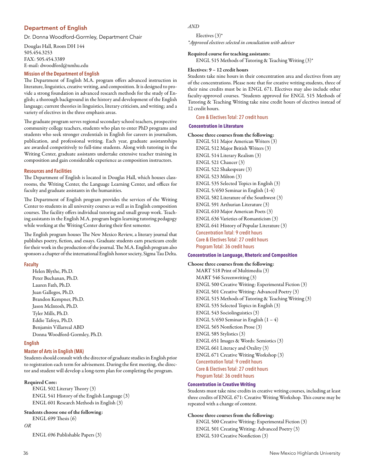# Department of English

Dr. Donna Woodford-Gormley, Department Chair

Douglas Hall, Room DH 144 505.454.3253 FAX: 505.454.3389 E-mail: dwoodford@nmhu.edu

# **Mission of the Department of English**

The Department of English M.A. program offers advanced instruction in literature, linguistics, creative writing, and composition. It is designed to provide a strong foundation in advanced research methods for the study of English; a thorough background in the history and development of the English language; current theories in linguistics, literary criticism, and writing; and a variety of electives in the three emphasis areas.

The graduate program serves regional secondary school teachers, prospective community college teachers, students who plan to enter PhD programs and students who seek stronger credentials in English for careers in journalism, publication, and professional writing. Each year, graduate assistantships are awarded competitively to full-time students. Along with tutoring in the Writing Center, graduate assistants undertake extensive teacher training in composition and gain considerable experience as composition instructors.

### **Resources and Facilities**

The Department of English is located in Douglas Hall, which houses classrooms, the Writing Center, the Language Learning Center, and offices for faculty and graduate assistants in the humanities.

The Department of English program provides the services of the Writing Center to students in all university courses as well as in English composition courses. The facility offers individual tutoring and small group work. Teaching assistants in the English M.A. program begin learning tutoring pedagogy while working at the Writing Center during their first semester.

The English program houses The New Mexico Review, a literary journal that publishes poetry, fiction, and essays. Graduate students earn practicum credit for their work in the production of the journal. The M.A. English program also sponsors a chapter of the international English honor society, Sigma Tau Delta.

# **Faculty**

Helen Blythe, Ph.D. Peter Buchanan, Ph.D. Lauren Fath, Ph.D. Juan Gallegos, Ph.D. Brandon Kempner, Ph.D. Jason McIntosh, Ph.D. Tyler Mills, Ph.D. Eddie Tafoya, Ph.D. Benjamin Villarreal ABD Donna Woodford-Gormley, Ph.D.

# **English**

# **Master of Arts in English (MA)**

Students should consult with the director of graduate studies in English prior to registration each term for advisement. During the first meeting, the director and student will develop a long-term plan for completing the program.

# Required Core:

ENGL 502 Literary Theory (3) ENGL 541 History of the English Language (3) ENGL 601 Research Methods in English (3)

# Students choose one of the following:

ENGL 699 Thesis (6)

### *OR*

ENGL 696 Publishable Papers (3)

# *AND*

Electives (3)\* *\*Approved electives selected in consultation with adviser* 

# Required course for teaching assistants:

ENGL 515 Methods of Tutoring & Teaching Writing (3)\*

# Electives: 9 – 12 credit hours

Students take nine hours in their concentration area and electives from any of the concentrations. Please note that for creative writing students, three of their nine credits must be in ENGL 671. Electives may also include other faculty-approved courses. \*Students approved for ENGL 515 Methods of Tutoring & Teaching Writing take nine credit hours of electives instead of 12 credit hours.

# Core & Electives Total: 27 credit hours

# **Concentration in Literature**

# Choose three courses from the following:

ENGL 511 Major American Writers (3) ENGL 512 Major British Writers (3) ENGL 514 Literary Realism (3) ENGL 521 Chaucer (3) ENGL 522 Shakespeare (3) ENGL 523 Milton (3) ENGL 535 Selected Topics in English (3) ENGL 5/650 Seminar in English (1-4) ENGL 582 Literature of the Southwest (3) ENGL 591 Arthurian Literature (3) ENGL 610 Major American Poets (3) ENGL 636 Varieties of Romanticism (3) ENGL 641 History of Popular Literature (3) Concentration Total: 9 credit hours Core & Electives Total: 27 credit hours Program Total: 36 credit hours

# **Concentration in Language, Rhetoric and Composition**

Choose three courses from the following: MART 518 Print of Multimedia (3) MART 546 Screenwriting (3) ENGL 500 Creative Writing: Experimental Fiction (3) ENGL 501 Creative Writing: Advanced Poetry (3) ENGL 515 Methods of Tutoring & Teaching Writing (3) ENGL 535 Selected Topics in English (3) ENGL 543 Sociolinguistics (3) ENGL 5/650 Seminar in English  $(1 – 4)$ ENGL 565 Nonfiction Prose (3) ENGL 585 Stylistics (3) ENGL 651 Images & Words: Semiotics (3) ENGL 661 Literacy and Orality (3) ENGL 671 Creative Writing Workshop (3) Concentration Total: 9 credit hours Core & Electives Total: 27 credit hours Program Total: 36 credit hours

# **Concentration in Creative Writing**

Students must take nine credits in creative writing courses, including at least three credits of ENGL 671: Creative Writing Workshop. This course may be repeated with a change of content.

# Choose three courses from the following:

ENGL 500 Creative Writing: Experimental Fiction (3) ENGL 501 Creating Writing: Advanced Poetry (3) ENGL 510 Creative Nonfiction (3)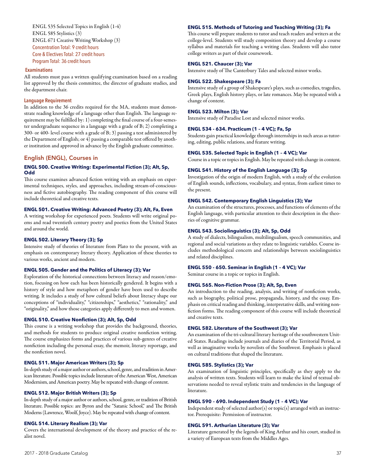ENGL 535 Selected Topics in English (1-4) ENGL 585 Stylistics (3) ENGL 671 Creative Writing Workshop (3) Concentration Total: 9 credit hours Core & Electives Total: 27 credit hours Program Total: 36 credit hours

#### **Examinations**

All students must pass a written qualifying examination based on a reading list approved by the thesis committee, the director of graduate studies, and the department chair.

#### **Language Requirement**

In addition to the 36 credits required for the MA, students must demonstrate reading knowledge of a language other than English. The language requirement may be fulfilled by: 1) completing the final course of a four-semester undergraduate sequence in a language with a grade of B; 2) completing a 300- or 400- level course with a grade of B; 3) passing a test administered by the Department of English; or 4) passing a comparable test offered by another institution and approved in advance by the English graduate committee.

# English (ENGL), Courses in

# **ENGL 500. Creative Writing: Experimental Fiction (3); Alt, Sp, Odd**

This course examines advanced fiction writing with an emphasis on experimental techniques, styles, and approaches, including stream-of-consciousness and fictive autobiography. The reading component of this course will include theoretical and creative texts.

# **ENGL 501. Creative Writing: Advanced Poetry (3); Alt, Fa, Even**

A writing workshop for experienced poets. Students will write original poems and read twentieth century poetry and poetics from the United States and around the world.

# **ENGL 502. Literary Theory (3); Sp**

Intensive study of theories of literature from Plato to the present, with an emphasis on contemporary literary theory. Application of these theories to various works, ancient and modern.

#### **ENGL 505. Gender and the Politics of Literacy (3); Var**

Exploration of the historical connections between literacy and reason/emotion, focusing on how each has been historically gendered. It begins with a history of style and how metaphors of gender have been used to describe writing. It includes a study of how cultural beliefs about literacy shape our conceptions of "individuality," "citizenships," "aesthetics," "rationality," and "originality," and how those categories apply differently to men and women.

#### **ENGL 510. Creative Nonfiction (3); Alt, Sp, Odd**

This course is a writing workshop that provides the background, theories, and methods for students to produce original creative nonfiction writing. The course emphasizes forms and practices of various sub-genres of creative nonfiction including the personal essay, the memoir, literary reportage, and the nonfiction novel.

#### **ENGL 511. Major American Writers (3); Sp**

In-depth study of a major author or authors, school, genre, and tradition in American literature. Possible topics include literature of the American West, American Modernism, and American poetry. May be repeated with change of content.

#### **ENGL 512. Major British Writers (3); Sp**

In-depth study of a major author or authors, school, genre, or tradition of British literature. Possible topics: are Byron and the "Satanic School," and The British Moderns (Lawrence, Woolf, Joyce). May be repeated with change of content.

# **ENGL 514. Literary Realism (3); Var**

Covers the international development of the theory and practice of the realist novel.

# **ENGL 515. Methods of Tutoring and Teaching Writing (3); Fa**

This course will prepare students to tutor and teach readers and writers at the college-level. Students will study composition theory and develop a course syllabus and materials for teaching a writing class. Students will also tutor college writers as part of their coursework.

#### **ENGL 521. Chaucer (3); Var**

Intensive study of The Canterbury Tales and selected minor works.

# **ENGL 522. Shakespeare (3); Fa**

Intensive study of a group of Shakespeare's plays, such as comedies, tragedies, Greek plays, English history plays, or late romances. May be repeated with a change of content.

# **ENGL 523. Milton (3); Var**

Intensive study of Paradise Lost and selected minor works.

# **ENGL 534 - 634. Practicum (1 – 4 VC); Fa, Sp**

Students gain practical knowledge through internships in such areas as tutoring, editing, public relations, and feature writing.

# **ENGL 535. Selected Topic in English (1 – 4 VC); Var**

Course in a topic or topics in English. May be repeated with change in content.

# **ENGL 541. History of the English Language (3); Sp**

Investigation of the origin of modern English, with a study of the evolution of English sounds, inflections, vocabulary, and syntax, from earliest times to the present.

#### **ENGL 542. Contemporary English Linguistics (3); Var**

An examination of the structures, processes, and functions of elements of the English language, with particular attention to their description in the theories of cognitive grammar.

#### **ENGL 543. Sociolinguistics (3); Alt, Sp, Odd**

A study of dialects, bilingualism, multilingualism, speech communities, and regional and social variations as they relate to linguistic variables. Course includes methodological concern and relationships between sociolinguistics and related disciplines.

# **ENGL 550 - 650. Seminar in English (1 – 4 VC); Var**

Seminar course in a topic or topics in English.

# **ENGL 565. Non-Fiction Prose (3); Alt, Sp, Even**

An introduction to the reading, analysis, and writing of nonfiction works, such as biography, political prose, propaganda, history, and the essay. Emphasis on critical reading and thinking, interpretative skills, and writing nonfiction forms. The reading component of this course will include theoretical and creative texts.

#### **ENGL 582. Literature of the Southwest (3); Var**

An examination of the tri-cultural literary heritage of the southwestern United States. Readings include journals and diaries of the Territorial Period, as well as imaginative works by novelists of the Southwest. Emphasis is placed on cultural traditions that shaped the literature.

#### **ENGL 585. Stylistics (3); Var**

An examination of linguistic principles, specifically as they apply to the analysis of written texts. Students will learn to make the kind of textual observations needed to reveal stylistic traits and tendencies in the language of literature.

#### **ENGL 590 – 690. Independent Study (1 – 4 VC); Var**

Independent study of selected author(s) or topic(s) arranged with an instructor. Prerequisite: Permission of instructor.

## **ENGL 591. Arthurian Literature (3); Var**

Literature generated by the legends of King Arthur and his court, studied in a variety of European texts from the Middles Ages.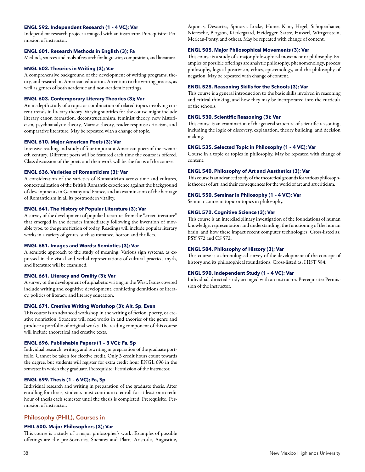### **ENGL 592. Independent Research (1 – 4 VC); Var**

Independent research project arranged with an instructor. Prerequisite: Permission of instructor.

### **ENGL 601. Research Methods in English (3); Fa**

Methods, sources, and tools of research for linguistics, composition, and literature.

# **ENGL 602. Theories in Writing (3); Var**

A comprehensive background of the development of writing programs, theory, and research in American education. Attention to the writing process, as well as genres of both academic and non-academic settings.

### **ENGL 603. Contemporary Literary Theories (3); Var**

An in-depth study of a topic or combination of related topics involving current trends in literary theory. Varying subtitles for the course might include literary canon formation, deconstructionism, feminist theory, new historicism, psychoanalytic theory, Marxist theory, reader-response criticism, and comparative literature. May be repeated with a change of topic.

### **ENGL 610. Major American Poets (3); Var**

Intensive reading and study of four important American poets of the twentieth century. Different poets will be featured each time the course is offered. Class discussion of the poets and their work will be the focus of the course.

# **ENGL 636. Varieties of Romanticism (3); Var**

A consideration of the varieties of Romanticism across time and cultures, contextualization of the British Romantic experience against the background of developments in Germany and France, and an examination of the heritage of Romanticism in all its postmodern vitality.

### **ENGL 641. The History of Popular Literature (3); Var**

A survey of the development of popular literature, from the "street literature" that emerged in the decades immediately following the invention of movable type, to the genre fiction of today. Readings will include popular literary works in a variety of genres, such as romance, horror, and thrillers.

# **ENGL 651. Images and Words: Semiotics (3); Var**

A semiotic approach to the study of meaning. Various sign systems, as expressed in the visual and verbal representations of cultural practice, myth, and literature will be examined.

# **ENGL 661. Literacy and Orality (3); Var**

A survey of the development of alphabetic writing in the West. Issues covered include writing and cognitive development, conflicting definitions of literacy, politics of literacy, and literacy education.

#### **ENGL 671. Creative Writing Workshop (3); Alt, Sp, Even**

This course is an advanced workshop in the writing of fiction, poetry, or creative nonfiction. Students will read works in and theories of the genre and produce a portfolio of original works. The reading component of this course will include theoretical and creative texts.

#### **ENGL 696. Publishable Papers (1 – 3 VC); Fa, Sp**

Individual research, writing, and rewriting in preparation of the graduate portfolio. Cannot be taken for elective credit. Only 3 credit hours count towards the degree, but students will register for extra credit hour ENGL 696 in the semester in which they graduate. Prerequisite: Permission of the instructor.

# **ENGL 699. Thesis (1 – 6 VC); Fa, Sp**

Individual research and writing in preparation of the graduate thesis. After enrolling for thesis, students must continue to enroll for at least one credit hour of thesis each semester until the thesis is completed. Prerequisite: Permission of instructor.

### Philosophy (PHIL), Courses in

# **PHIL 500. Major Philosophers (3); Var**

This course is a study of a major philosopher's work. Examples of possible offerings are the pre-Socratics, Socrates and Plato, Aristotle, Augustine, Aquinas, Descartes, Spinoza, Locke, Hume, Kant, Hegel, Schopenhauer, Nietzsche, Bergson, Kierkegaard, Heidegger, Sartre, Husserl, Wittgenstein, Merleau-Ponty, and others. May be repeated with change of content.

#### **ENGL 505. Major Philosophical Movements (3); Var**

This course is a study of a major philosophical movement or philosophy. Examples of possible offerings are analytic philosophy, phenomenology, process philosophy, logical positivism, ethics, epistemology, and the philosophy of negation. May be repeated with change of content.

#### **ENGL 525. Reasoning Skills for the Schools (3); Var**

This course is a general introduction to the basic skills involved in reasoning and critical thinking, and how they may be incorporated into the curricula of the schools.

# **ENGL 530. Scientific Reasoning (3); Var**

This course is an examination of the general structure of scientific reasoning, including the logic of discovery, explanation, theory building, and decision making.

## **ENGL 535. Selected Topic in Philosophy (1 – 4 VC); Var**

Course in a topic or topics in philosophy. May be repeated with change of content.

#### **ENGL 540. Philosophy of Art and Aesthetics (3); Var**

This course is an advanced study of the theoretical grounds for various philosophic theories of art, and their consequences for the world of art and art criticism.

# **ENGL 550. Seminar in Philosophy (1 – 4 VC); Var**

Seminar course in topic or topics in philosophy.

# **ENGL 572. Cognitive Science (3); Var**

This course is an interdisciplinary investigation of the foundations of human knowledge, representation and understanding, the functioning of the human brain, and how these impact recent computer technologies. Cross-listed as: PSY 572 and CS 572.

# **ENGL 584. Philosophy of History (3); Var**

This course is a chronological survey of the development of the concept of history and its philosophical foundations. Cross-listed as: HIST 584.

### **ENGL 590. Independent Study (1 – 4 VC); Var**

Individual, directed study arranged with an instructor. Prerequisite: Permission of the instructor.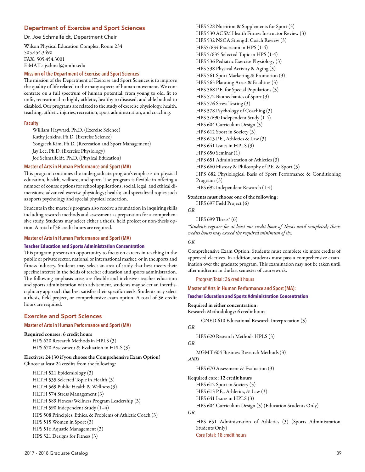# Department of Exercise and Sport Sciences

Dr. Joe Schmalfeldt, Department Chair

Wilson Physical Education Complex, Room 234 505.454.3490 FAX: 505.454.3001 E-MAIL: jschmal@nmhu.edu

#### **Mission of the Department of Exercise and Sport Sciences**

The mission of the Department of Exercise and Sport Sciences is to improve the quality of life related to the many aspects of human movement. We concentrate on a full spectrum of human potential, from young to old, fit to unfit, recreational to highly athletic, healthy to diseased, and able bodied to disabled. Our programs are related to the study of exercise physiology, health, teaching, athletic injuries, recreation, sport administration, and coaching.

#### **Faculty**

William Hayward, Ph.D. (Exercise Science) Kathy Jenkins, Ph.D. (Exercise Science) Yongseek Kim, Ph.D. (Recreation and Sport Management) Jay Lee, Ph.D. (Exercise Physiology) Joe Schmalfeldt, Ph.D. (Physical Education)

### **Master of Arts in Human Performance and Sport (MA)**

This program continues the undergraduate program's emphasis on physical education, health, wellness, and sport. The program is flexible in offering a number of course options for school applications; social, legal, and ethical dimensions; advanced exercise physiology; health; and specialized topics such as sports psychology and special physical education.

Students in the master's program also receive a foundation in inquiring skills including research methods and assessment as preparation for a comprehensive study. Students may select either a thesis, field project or non-thesis option. A total of 36 credit hours are required.

#### **Master of Arts in Human Performance and Sport (MA)**

#### **Teacher Education and Sports Administration Concentration**

This program presents an opportunity to focus on careers in teaching in the public or private sector, national or international market, or in the sports and fitness industry. Students may select an area of study that best meets their specific interest in the fields of teacher education and sports administration. The following emphasis areas are flexible and inclusive: teacher education and sports administration with advisement, students may select an interdisciplinary approach that best satisfies their specific needs. Students may select a thesis, field project, or comprehensive exam option. A total of 36 credit hours are required.

## Exercise and Sport Sciences

### **Master of Arts in Human Performance and Sport (MA)**

#### Required courses: 6 credit hours

HPS 620 Research Methods in HPLS (3) HPS 670 Assessment & Evaluation in HPLS (3)

### Electives: 24 (30 if you choose the Comprehensive Exam Option) Choose at least 24 credits from the following:

HLTH 521 Epidemiology (3) HLTH 535 Selected Topic in Health (3) HLTH 569 Public Health & Wellness (3) HLTH 574 Stress Management (3) HLTH 589 Fitness/Wellness Program Leadership (3) HLTH 590 Independent Study (1–4) HPS 508 Principles, Ethics, & Problems of Athletic Coach (3) HPS 515 Women in Sport (3) HPS 516 Aquatic Management (3) HPS 521 Designs for Fitness (3)

HPS 528 Nutrition & Supplements for Sport (3) HPS 530 ACSM Health Fitness Instructor Review (3) HPS 532 NSCA Strength Coach Review (3) HPS5/634 Practicum in HPS (1-4) HPS 5/635 Selected Topic in HPS (1-4) HPS 536 Pediatric Exercise Physiology (3) HPS 538 Physical Activity & Aging (3) HPS 561 Sport Marketing & Promotion (3) HPS 565 Planning Areas & Facilities (3) HPS 568 P.E. for Special Populations (3) HPS 572 Biomechanics of Sport (3) HPS 576 Stress Testing (3) HPS 578 Psychology of Coaching (3) HPS 5/690 Independent Study (1-4) HPS 604 Curriculum Design (3) HPS 612 Sport in Society (3) HPS 613 P.E., Athletics & Law (3) HPS 641 Issues in HPLS (3) HPS 650 Seminar (1) HPS 651 Administration of Athletics (3) HPS 660 History & Philosophy of P.E. & Sport (3) HPS 682 Physiological Basis of Sport Performance & Conditioning Programs (3) HPS 692 Independent Research (1-4)

Students must choose one of the following: HPS 697 Field Project (6)

```
OR
```
HPS 699 Thesis\* (6)

*\*Students register for at least one credit hour of Thesis until completed; thesis credits hours may exceed the required minimum of six.* 

### *OR*

Comprehensive Exam Option: Students must complete six more credits of approved electives. In addition, students must pass a comprehensive examination over the graduate program. This examination may not be taken until after midterms in the last semester of coursework.

Program Total: 36 credit hours

**Master of Arts in Human Performance and Sport (MA):** 

# **Teacher Education and Sports Administration Concentration**

Required in either concentration:

Research Methodology: 6 credit hours

GNED 610 Educational Research Interpretation (3)

# *OR*

HPS 620 Research Methods HPLS (3)

# *OR*

MGMT 604 Business Research Methods (3)

#### *AND*

HPS 670 Assessment & Evaluation (3)

#### Required core: 12 credit hours

HPS 612 Sport in Society (3) HPS 613 P.E., Athletics, & Law (3) HPS 641 Issues in HPLS (3)

HPS 604 Curriculum Design (3) (Education Students Only)

```
OR
```
HPS 651 Administration of Athletics (3) (Sports Administration Students Only) Core Total: 18 credit hours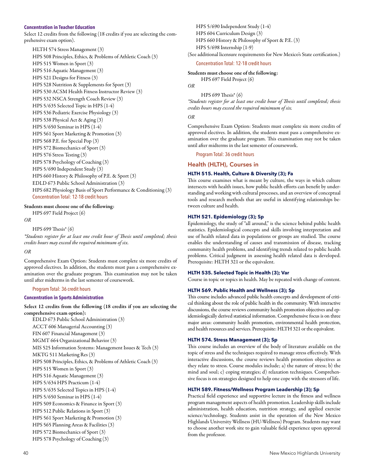#### **Concentration in Teacher Education**

Select 12 credits from the following (18 credits if you are selecting the comprehensive exam option).

HLTH 574 Stress Management (3) HPS 508 Principles, Ethics, & Problems of Athletic Coach (3) HPS 515 Women in Sport (3) HPS 516 Aquatic Management (3) HPS 521 Designs for Fitness (3) HPS 528 Nutrition & Supplements for Sport (3) HPS 530 ACSM Health Fitness Instructor Review (3) HPS 532 NSCA Strength Coach Review (3) HPS 5/635 Selected Topic in HPS (1-4) HPS 536 Pediatric Exercise Physiology (3) HPS 538 Physical Act & Aging (3) HPS 5/650 Seminar in HPS (1-4) HPS 561 Sport Marketing & Promotion (3) HPS 568 P.E. for Special Pop (3) HPS 572 Biomechanics of Sport (3) HPS 576 Stress Testing (3) HPS 578 Psychology of Coaching (3) HPS 5/690 Independent Study (3) HPS 660 History & Philosophy of P.E. & Sport (3) EDLD 673 Public School Administration (3) HPS 682 Physiology Basis of Sport Performance & Conditioning (3) Concentration Total: 12-18 credit hours

# Students must choose one of the following:

*OR*

HPS 699 Thesis\* (6)

HPS 697 Field Project (6)

*\*Students register for at least one credit hour of Thesis until completed; thesis credits hours may exceed the required minimum of six.* 

### *OR*

Comprehensive Exam Option: Students must complete six more credits of approved electives. In addition, the students must pass a comprehensive examination over the graduate program. This examination may not be taken until after midterms in the last semester of coursework.

### Program Total: 36 credit hours

### **Concentration in Sports Administration**

Select 12 credits from the following (18 credits if you are selecting the comprehensive exam option):

EDLD 673 Public School Administration (3) ACCT 606 Managerial Accounting (3) FIN 607 Financial Management (3) MGMT 664 Organizational Behavior (3) MIS 525 Information Systems: Management Issues & Tech (3) MKTG 511 Marketing Res (3) HPS 508 Principles, Ethics, & Problems of Athletic Coach (3) HPS 515 Women in Sport (3) HPS 516 Aquatic Management (3) HPS 5/634 HPS Practicum (1-4) HPS 5/635 Selected Topics in HPS (1-4) HPS 5/650 Seminar in HPS (1-4) HPS 509 Economics & Finance in Sport (3) HPS 512 Public Relations in Sport (3) HPS 561 Sport Marketing & Promotion (3) HPS 565 Planning Areas & Facilities (3) HPS 572 Biomechanics of Sport (3) HPS 578 Psychology of Coaching (3)

HPS 5/690 Independent Study (1-4) HPS 604 Curriculum Design (3) HPS 660 History & Philosophy of Sport & P.E. (3) HPS 5/698 Internship (1-9)

(See additional licensure requirements for New Mexico's State certification.)

# Concentration Total: 12-18 credit hours

#### Students must choose one of the following:

HPS 697 Field Project (6)

```
OR
```
HPS 699 Thesis\* (6) *\*Students register for at least one credit hour of Thesis until completed; thesis credits hours may exceed the required minimum of six.* 

#### *OR*

Comprehensive Exam Option: Students must complete six more credits of approved electives. In addition, the students must pass a comprehensive examination over the graduate program. This examination may not be taken until after midterms in the last semester of coursework.

Program Total: 36 credit hours

#### Health (HLTH), Courses in

# **HLTH 515. Health, Culture & Diversity (3); Fa**

This course examines what is meant by culture, the ways in which culture intersects with health issues, how public health efforts can benefit by understanding and working with cultural processes, and an overview of conceptual tools and research methods that are useful in identifying relationships between culture and health.

# **HLTH 521. Epidemiology (3); Sp**

Epidemiology, the study of "all around," is the science behind public health statistics. Epidemiological concepts and skills involving interpretation and use of health related data in populations or groups are studied. The course enables the understanding of causes and transmission of disease, tracking community health problems, and identifying trends related to public health problems. Critical judgment in assessing health related data is developed. Prerequisite: HLTH 321 or the equivalent.

## **HLTH 535. Selected Topic in Health (3); Var**

Course in topic or topics in health. May be repeated with change of content.

#### **HLTH 569. Public Health and Wellness (3); Sp**

This course includes advanced public health concepts and development of critical thinking about the role of public health in the community. With interactive discussions, the course reviews community health promotion objectives and epidemiologically derived statistical information. Comprehensive focus is on three major areas: community health promotion, environmental health protection, and health resources and services. Prerequisite: HLTH 321 or the equivalent.

### **HLTH 574. Stress Management (3); Sp**

This course includes an overview of the body of literature available on the topic of stress and the techniques required to manage stress effectively. With interactive discussions, the course reviews health promotion objectives as they relate to stress. Course modules include; a) the nature of stress; b) the mind and soul; c) coping strategies; d) relaxation techniques. Comprehensive focus is on strategies designed to help one cope with the stressors of life.

# **HLTH 589. Fitness/Wellness Program Leadership (3); Sp**

Practical field experience and supportive lecture in the fitness and wellness program management aspects of health promotion. Leadership skills include administration, health education, nutrition strategy, and applied exercise science/technology. Students assist in the operation of the New Mexico Highlands University Wellness (HU-Wellness) Program. Students may want to choose another work site to gain valuable field experience upon approval from the professor.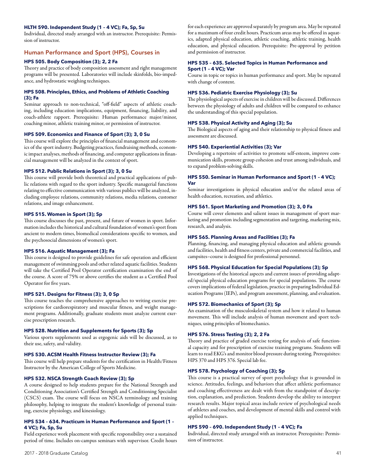# **HLTH 590. Independent Study (1 – 4 VC); Fa, Sp, Su**

Individual, directed study arranged with an instructor. Prerequisite: Permission of instructor.

# Human Performance and Sport (HPS), Courses in

# **HPS 505. Body Composition (3); 2, 2 Fa**

Theory and practice of body composition assessment and right management programs will be presented. Laboratories will include skinfolds, bio-impedance, and hydrostatic weighing techniques.

# **HPS 508. Principles, Ethics, and Problems of Athletic Coaching (3); Fa**

Seminar approach to non-technical, "off-field" aspects of athletic coaching, including education implications, equipment, financing, liability, and coach-athlete rapport. Prerequisite: Human performance major/minor, coaching minor, athletic training minor, or permission of instructor.

### **HPS 509. Economics and Finance of Sport (3); 3, 0 Su**

This course will explore the principles of financial management and economics of the sport industry. Budgeting practices, fundraising methods, economic impact analyses, methods of financing, and computer applications in financial management will be analyzed in the context of sport.

#### **HPS 512. Public Relations in Sport (3); 3, 0 Su**

This course will provide both theoretical and practical applications of public relations with regard to the sport industry. Specific managerial functions relating to effective communication with various publics will be analyzed, including employee relations, community relations, media relations, customer relations, and image enhancement.

#### **HPS 515. Women in Sport (3); Sp**

This course discusses the past, present, and future of women in sport. Information includes the historical and cultural foundation of women's sport from ancient to modern times, biomedical considerations specific to women, and the psychosocial dimensions of women's sport.

#### **HPS 516. Aquatic Management (3); Fa**

This course is designed to provide guidelines for safe operation and efficient management of swimming pools and other related aquatic facilities. Students will take the Certified Pool Operator certification examination the end of the course. A score of 75% or above certifies the student as a Certified Pool Operator for five years.

## **HPS 521. Designs for Fitness (3); 3, 0 Sp**

This course teaches the comprehensive approaches to writing exercise prescriptions for cardiorespiratory and muscular fitness, and weight management programs. Additionally, graduate students must analyze current exercise prescription research.

# **HPS 528. Nutrition and Supplements for Sports (3); Sp**

Various sports supplements used as ergogenic aids will be discussed, as to their use, safety, and validity.

# **HPS 530. ACSM Health Fitness Instructor Review (3); Fa**

This course will help prepare students for the certification in Health/Fitness Instructor by the American College of Sports Medicine.

#### **HPS 532. NSCA Strength Coach Review (3); Sp**

A course designed to help students prepare for the National Strength and Conditioning Association's Certified Strength and Conditioning Specialist (CSCS) exam. The course will focus on NSCA terminology and training philosophy, helping to integrate the student's knowledge of personal training, exercise physiology, and kinesiology.

### **HPS 534 – 634. Practicum in Human Performance and Sport (1 – 4 VC); Fa, Sp, Su**

Field experience work placement with specific responsibility over a sustained period of time. Includes on-campus seminars with supervisor. Credit hours for each experience are approved separately by program area. May be repeated for a maximum of four credit hours. Practicum areas may be offered in aquatics, adapted physical education, athletic coaching, athletic training, health education, and physical education. Prerequisite: Pre-approval by petition and permission of instructor.

## **HPS 535 – 635. Selected Topics in Human Performance and Sport (1 – 4 VC); Var**

Course in topic or topics in human performance and sport. May be repeated with change of content.

#### **HPS 536. Pediatric Exercise Physiology (3); Su**

The physiological aspects of exercise in children will be discussed. Differences between the physiology of adults and children will be compared to enhance the understanding of this special population.

### **HPS 538. Physical Activity and Aging (3); Su**

The Biological aspects of aging and their relationship to physical fitness and assessment are discussed.

# **HPS 540. Experiential Activities (3); Var**

Developing a repertoire of activities to promote self-esteem, improve communication skills, promote group cohesion and trust among individuals, and to expand problem-solving skills.

#### **HPS 550. Seminar in Human Performance and Sport (1 – 4 VC); Var**

Seminar investigations in physical education and/or the related areas of health education, recreation, and athletics.

#### **HPS 561. Sport Marketing and Promotion (3); 3, 0 Fa**

Course will cover elements and salient issues in management of sport marketing and promotion including segmentation and targeting, marketing mix, research, and analysis.

#### **HPS 565. Planning Areas and Facilities (3); Fa**

Planning, financing, and managing physical education and athletic grounds and facilities, health and fitness centers, private and commercial facilities, and campsites–course is designed for professional personnel.

### **HPS 568. Physical Education for Special Populations (3); Sp**

Investigations of the historical aspects and current issues of providing adapted/special physical education programs for special populations. The course covers implications of federal legislation, practice in preparing Individual Education Programs (IEPs), and program assessment, planning, and evaluation.

# **HPS 572. Biomechanics of Sport (3); Sp**

An examination of the musculoskeletal system and how it related to human movement. This will include analysis of human movement and sport techniques, using principles of biomechanics.

#### **HPS 576. Stress Testing (3); 2, 2 Fa**

Theory and practice of graded exercise testing for analysis of safe functional capacity and for prescription of exercise training programs. Students will learn to read EKG's and monitor blood pressure during testing. Prerequisites: HPS 370 and HPS 376. Special lab fee.

#### **HPS 578. Psychology of Coaching (3); Sp**

This course is a practical survey of sport psychology that is grounded in science. Attitudes, feelings, and behaviors that affect athletic performance and coaching effectiveness are dealt with from the standpoint of description, explanation, and prediction. Students develop the ability to interpret research results. Major topical areas include review of psychological needs of athletes and coaches, and development of mental skills and control with applied techniques.

#### **HPS 590 – 690. Independent Study (1 – 4 VC); Fa**

Individual, directed study arranged with an instructor. Prerequisite: Permission of instructor.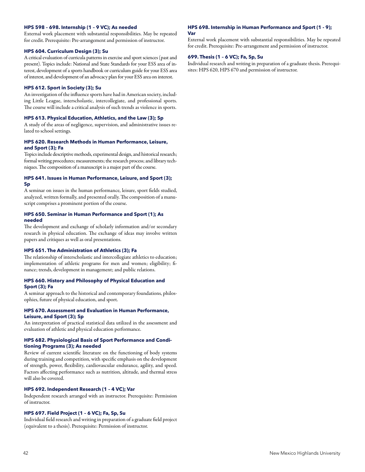# **HPS 598 – 698. Internship (1 – 9 VC); As needed**

External work placement with substantial responsibilities. May be repeated for credit. Prerequisite: Pre-arrangement and permission of instructor.

#### **HPS 604. Curriculum Design (3); Su**

A critical evaluation of curricula patterns in exercise and sport sciences (past and present). Topics include: National and State Standards for your ESS area of interest, development of a sports handbook or curriculum guide for your ESS area of interest, and development of an advocacy plan for your ESS area on interest.

#### **HPS 612. Sport in Society (3); Su**

An investigation of the influence sports have had in American society, including Little League, interscholastic, intercollegiate, and professional sports. The course will include a critical analysis of such trends as violence in sports.

## **HPS 613. Physical Education, Athletics, and the Law (3); Sp**

A study of the areas of negligence, supervision, and administrative issues related to school settings.

# **HPS 620. Research Methods in Human Performance, Leisure, and Sport (3); Fa**

Topics include descriptive methods, experimental design, and historical research; formal writing procedures; measurements; the research process; and library techniques. The composition of a manuscript is a major part of the course.

### **HPS 641. Issues in Human Performance, Leisure, and Sport (3); Sp**

A seminar on issues in the human performance, leisure, sport fields studied, analyzed, written formally, and presented orally. The composition of a manuscript comprises a prominent portion of the course.

# **HPS 650. Seminar in Human Performance and Sport (1); As needed**

The development and exchange of scholarly information and/or secondary research in physical education. The exchange of ideas may involve written papers and critiques as well as oral presentations.

### **HPS 651. The Administration of Athletics (3); Fa**

The relationship of interscholastic and intercollegiate athletics to education; implementation of athletic programs for men and women; eligibility; finance; trends, development in management; and public relations.

### **HPS 660. History and Philosophy of Physical Education and Sport (3); Fa**

A seminar approach to the historical and contemporary foundations, philosophies, future of physical education, and sport.

# **HPS 670. Assessment and Evaluation in Human Performance, Leisure, and Sport (3); Sp**

An interpretation of practical statistical data utilized in the assessment and evaluation of athletic and physical education performance.

# **HPS 682. Physiological Basis of Sport Performance and Conditioning Programs (3); As needed**

Review of current scientific literature on the functioning of body systems during training and competition, with specific emphasis on the development of strength, power, flexibility, cardiovascular endurance, agility, and speed. Factors affecting performance such as nutrition, altitude, and thermal stress will also be covered.

# **HPS 692. Independent Research (1 – 4 VC); Var**

Independent research arranged with an instructor. Prerequisite: Permission of instructor.

#### **HPS 697. Field Project (1 – 6 VC); Fa, Sp, Su**

Individual field research and writing in preparation of a graduate field project (equivalent to a thesis). Prerequisite: Permission of instructor.

#### **HPS 698. Internship in Human Performance and Sport (1 - 9); Var**

External work placement with substantial responsibilities. May be repeated for credit. Prerequisite: Pre-arrangement and permission of instructor.

#### **699. Thesis (1 – 6 VC); Fa, Sp, Su**

Individual research and writing in preparation of a graduate thesis. Prerequisites: HPS 620, HPS 670 and permission of instructor.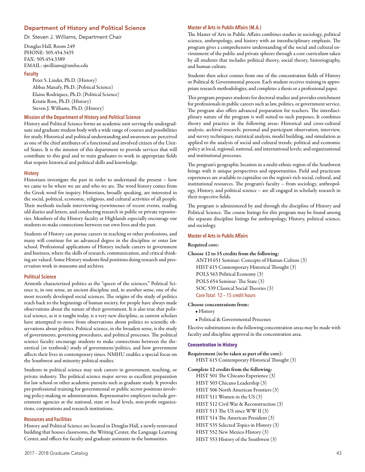# Department of History and Political Science

Dr. Steven J. Williams, Department Chair

Douglas Hall, Room 249 PHONE: 505.454.3435 FAX: 505.454.3389 EMAIL: sjwilliams@nmhu.edu

#### **Faculty**

Peter S. Linder, Ph.D. (History) Abbas Manafy, Ph.D. (Political Science) Elaine Rodriquez, Ph.D. (Political Science) Kristie Ross, Ph.D. (History) Steven J. Williams, Ph.D. (History)

# **Mission of the Department of History and Political Science**

History and Political Science forms an academic unit serving the undergraduate and graduate student body with a wide range of courses and possibilities for study. Historical and political understanding and awareness are perceived as one of the chief attributes of a functional and involved citizen of the United States. It is the mission of this department to provide services that will contribute to this goal and to train graduates to work in appropriate fields that require historical and political skills and knowledge.

#### **History**

Historians investigate the past in order to understand the present – how we came to be where we are and who we are. The word history comes from the Greek word for inquiry. Historians, broadly speaking, are interested in the social, political, economic, religious, and cultural activities of all people. Their methods include interviewing eyewitnesses of recent events, reading old diaries and letters, and conducting research in public or private repositories. Members of the History faculty at Highlands especially encourage our students to make connections between our own lives and the past.

Students of History can pursue careers in teaching or other professions, and many will continue for an advanced degree in the discipline or enter law school. Professional applications of History include careers in government and business, where the skills of research, communication, and critical thinking are valued. Some History students find positions doing research and preservation work in museums and archives.

### **Political Science**

Aristotle characterized politics as the "queen of the sciences." Political Science is, in one sense, an ancient discipline and, in another sense, one of the most recently developed social sciences. The origins of the study of politics reach back to the beginnings of human society, for people have always made observations about the nature of their government. It is also true that political science, as it is taught today, is a very new discipline, as current scholars have attempted to move from observations about politics to scientific observations about politics. Political science, in the broadest sense, is the study of governments, governing procedures, and political processes. The political science faculty encourage students to make connections between the theoretical (or textbook) study of government/politics, and how government affects their lives in contemporary times. NMHU enables a special focus on the Southwest and minority political studies.

Students in political science may seek careers in government, teaching, or private industry. The political science major serves as excellent preparation for law school or other academic pursuits such as graduate study. It provides pre-professional training for governmental or public sector positions involving policy-making or administration. Representative employers include government agencies at the national, state or local levels, non-profit organizations, corporations and research institutions.

## **Resources and Facilities**

History and Political Science are located in Douglas Hall, a newly-renovated building that houses classrooms, the Writing Center, the Language Learning Center, and offices for faculty and graduate assistants in the humanities.

## 2017 - 2018 Graduate Catalog 43

#### **Master of Arts in Public Affairs (M.A.)**

The Master of Arts in Public Affairs combines studies in sociology, political science, anthropology, and history with an interdisciplinary emphasis. The program gives a comprehensive understanding of the social and cultural environment of the public and private spheres through a core curriculum taken by all students that includes political theory, social theory, historiography, and human culture.

Students then select courses from one of the concentration fields of History or Political & Governmental process. Each student receives training in appropriate research methodologies, and completes a thesis or a professional paper.

This program prepares students for doctoral studies and provides enrichment for professionals in public careers such as law, politics, or government service. The program also offers advanced preparation for teachers. The interdisciplinary nature of the program is well suited to such purposes. It combines theory and practice in the following areas: Historical and cross-cultural analysis; archival research; personal and participant observation, interview, and survey techniques; statistical analysis, model building, and simulation as applied to the analysis of social and cultural trends; political and economic policy at local, regional, national, and international levels; and organizational and institutional processes.

The program's geographic location in a multi-ethnic region of the Southwest brings with it unique perspectives and opportunities. Field and practicum experiences are available to capitalize on the region's rich social, cultural, and institutional resources. The program's faculty – from sociology, anthropology, History, and political science – are all engaged in scholarly research in their respective fields.

The program is administered by and through the discipline of History and Political Science. The course listings for this program may be found among the separate discipline listings for anthropology, History, political science, and sociology.

## **Master of Arts in Public Affairs**

# Required core:

#### Choose 12 to 15 credits from the following:

ANTH 651 Seminar: Concepts of Human Culture (3) HIST 615 Contemporary Historical Thought (3) POLS 563 Political Economy (3) POLS 654 Seminar: The State (3) SOC 539 Classical Social Theories (3) Core Total: 12 – 15 credit hours

#### Choose concentrations from:

• History

• Political & Governmental Processes

Elective substitutions in the following concentration areas may be made with faculty and discipline approval in the concentration area.

#### **Concentration in History**

Requirement (to be taken as part of the core): HIST 615 Contemporary Historical Thought (3)

Complete 12 credits from the following:

HIST 501 The Chicano Experience (3) HIST 503 Chicano Leadership (3) HIST 506 North American Frontiers (3) HIST 511 Women in the US (3) HIST 512 Civil War & Reconstruction (3) HIST 513 The US since WW II (3) HIST 514 The American President (3) HIST 535 Selected Topics in History (3) HIST 552 New Mexico History (3) HIST 553 History of the Southwest (3)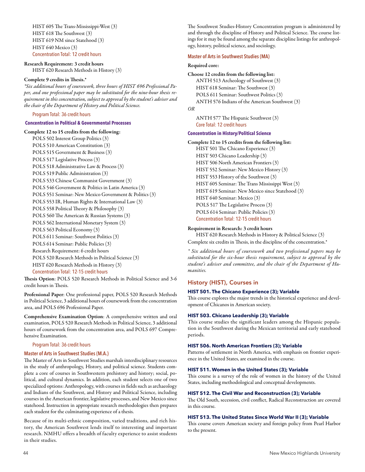HIST 605 The Trans-Mississippi-West (3) HIST 618 The Southwest (3) HIST 619 NM since Statehood (3) HIST 640 Mexico (3) Concentration Total: 12 credit hours

# Research Requirement: 3 credit hours

HIST 620 Research Methods in History (3)

### Complete 9 credits in Thesis.\*

*\*Six additional hours of coursework, three hours of HIST 696 Professional Paper, and one professional paper may be substituted for the nine-hour thesis requirement in this concentration, subject to approval by the student's adviser and the chair of the Department of History and Political Science.* 

# Program Total: 36 credit hours

## **Concentration in Political & Governmental Processes**

Complete 12 to 15 credits from the following: POLS 502 Interest Group Politics (3) POLS 510 American Constitution (3) POLS 515 Government & Business (3) POLS 517 Legislative Process (3) POLS 518 Administrative Law & Process (3) POLS 519 Public Administration (3) POLS 533 Chinese Communist Government (3) POLS 546 Government & Politics in Latin America (3) POLS 551 Seminar: New Mexico Government & Politics (3) POLS 553 IR, Human Rights & International Law (3) POLS 558 Political Theory & Philosophy (3) POLS 560 The American & Russian Systems (3) POLS 562 International Monetary System (3) POLS 563 Political Economy (3) POLS 611 Seminar: Southwest Politics (3) POLS 614 Seminar: Public Policies (3) Research Requirement: 6 credit hours POLS 520 Research Methods in Political Science (3) HIST 620 Research Methods in History (3) Concentration Total: 12-15 credit hours

Thesis Option: POLS 520 Research Methods in Political Science and 3-6 credit hours in Thesis.

Professional Paper: One professional paper, POLS 520 Research Methods in Political Science, 3 additional hours of coursework from the concentration area, and POLS 696 Professional Paper.

Comprehensive Examination Option: A comprehensive written and oral examination, POLS 520 Research Methods in Political Science, 3 additional hours of coursework from the concentration area, and POLS 697 Comprehensive Examination.

### Program Total: 36 credit hours

### **Master of Arts in Southwest Studies (M.A.)**

The Master of Arts in Southwest Studies marshals interdisciplinary resources in the study of anthropology, History, and political science. Students complete a core of courses in Southwestern prehistory and history; social, political, and cultural dynamics. In addition, each student selects one of two specialized options: Anthropology, with courses in fields such as archaeology and Indians of the Southwest, and History and Political Science, including courses in the American frontier, legislative processes, and New Mexico since statehood. Instruction in appropriate research methodologies then prepares each student for the culminating experience of a thesis.

Because of its multi-ethnic composition, varied traditions, and rich history, the American Southwest lends itself to interesting and important research. NMHU offers a breadth of faculty experience to assist students in their studies.

The Southwest Studies-History Concentration program is administered by and through the discipline of History and Political Science. The course listings for it may be found among the separate discipline listings for anthropology, history, political science, and sociology.

# **Master of Arts in Southwest Studies (MA)**

#### Required core:

Choose 12 credits from the following list: ANTH 513 Archeology of Southwest (3) HIST 618 Seminar: The Southwest (3) POLS 611 Seminar: Southwest Politics (3) ANTH 576 Indians of the American Southwest (3) *OR* 

ANTH 577 The Hispanic Southwest (3) Core Total: 12 credit hours

# **Concentration in History/Political Science**

# Complete 12 to 15 credits from the following list:

HIST 501 The Chicano Experience (3) HIST 503 Chicano Leadership (3) HIST 506 North American Frontiers (3) HIST 552 Seminar: New Mexico History (3) HIST 553 History of the Southwest (3) HIST 605 Seminar: The Trans Mississippi West (3) HIST 619 Seminar: New Mexico since Statehood (3) HIST 640 Seminar: Mexico (3) POLS 517 The Legislative Process (3) POLS 614 Seminar: Public Policies (3) Concentration Total: 12-15 credit hours

### Requirement in Research: 3 credit hours

HIST 620 Research Methods in History & Political Science (3) Complete six credits in Thesis, in the discipline of the concentration.\*

*\* Six additional hours of coursework and two professional papers may be substituted for the six-hour thesis requirement, subject to approval by the student's adviser and committee, and the chair of the Department of Humanities.* 

### History (HIST), Courses in

# **HIST 501. The Chicano Experience (3); Variable**

This course explores the major trends in the historical experience and development of Chicanos in American society.

### **HIST 503. Chicano Leadership (3); Variable**

This course studies the significant leaders among the Hispanic population in the Southwest during the Mexican territorial and early statehood periods.

#### **HIST 506. North American Frontiers (3); Variable**

Patterns of settlement in North America, with emphasis on frontier experience in the United States, are examined in the course.

# **HIST 511. Women in the United States (3); Variable**

This course is a survey of the role of women in the history of the United States, including methodological and conceptual developments.

### **HIST 512. The Civil War and Reconstruction (3); Variable**

The Old South, secession, civil conflict, Radical Reconstruction are covered in this course.

# **HIST 513. The United States Since World War II (3); Variable**

This course covers American society and foreign policy from Pearl Harbor to the present.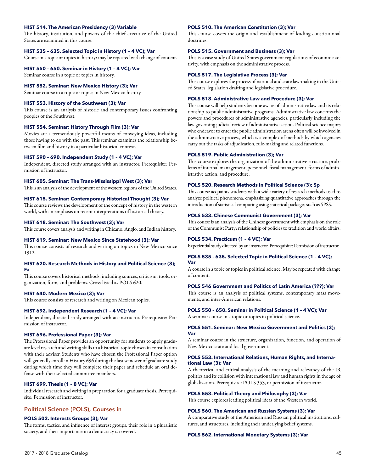### **HIST 514. The American Presidency (3) Variable**

The history, institution, and powers of the chief executive of the United States are examined in this course.

# **HIST 535 – 635. Selected Topic in History (1 – 4 VC); Var**

Course in a topic or topics in history: may be repeated with change of content.

**HIST 550 – 650. Seminar in History (1 – 4 VC); Var** 

Seminar course in a topic or topics in history.

# **HIST 552. Seminar: New Mexico History (3); Var**

Seminar course in a topic or topics in New Mexico history.

### **HIST 553. History of the Southwest (3); Var**

This course is an analysis of historic and contemporary issues confronting peoples of the Southwest.

# **HIST 554. Seminar: History Through Film (3); Var**

Movies are a tremendously powerful means of conveying ideas, including those having to do with the past. This seminar examines the relationship between film and history in a particular historical context.

# **HIST 590 – 690. Independent Study (1 – 4 VC); Var**

Independent, directed study arranged with an instructor. Prerequisite: Permission of instructor.

#### **HIST 605. Seminar: The Trans-Mississippi West (3); Var**

This is an analysis of the development of the western regions of the United States.

## **HIST 615. Seminar: Contemporary Historical Thought (3); Var**

This course reviews the development of the concept of history in the western world, with an emphasis on recent interpretations of historical theory.

# **HIST 618. Seminar: The Southwest (3); Var**

This course covers analysis and writing in Chicano, Anglo, and Indian history.

#### **HIST 619. Seminar: New Mexico Since Statehood (3); Var**

This course consists of research and writing on topics in New Mexico since 1912.

#### **HIST 620. Research Methods in History and Political Science (3); Fa**

This course covers historical methods, including sources, criticism, tools, organization, form, and problems. Cross-listed as POLS 620.

#### **HIST 640. Modern Mexico (3); Var**

This course consists of research and writing on Mexican topics.

### **HIST 692. Independent Research (1 – 4 VC); Var**

Independent, directed study arranged with an instructor. Prerequisite: Permission of instructor.

#### **HIST 696. Professional Paper (3); Var**

The Professional Paper provides an opportunity for students to apply graduate level research and writing skills to a historical topic chosen in consultation with their adviser. Students who have chosen the Professional Paper option will generally enroll in History 696 during the last semester of graduate study during which time they will complete their paper and schedule an oral defense with their selected committee members.

# **HIST 699. Thesis (1 – 8 VC); Var**

Individual research and writing in preparation for a graduate thesis. Prerequisite: Permission of instructor.

# Political Science (POLS), Courses in

#### **POLS 502. Interests Groups (3); Var**

The forms, tactics, and influence of interest groups, their role in a pluralistic society, and their importance in a democracy is covered.

#### **POLS 510. The American Constitution (3); Var**

This course covers the origin and establishment of leading constitutional doctrines.

#### **POLS 515. Government and Business (3); Var**

This is a case study of United States government regulations of economic activity, with emphasis on the administrative process.

#### **POLS 517. The Legislative Process (3); Var**

This course explores the process of national and state law-making in the United States, legislation drafting and legislative procedure.

## **POLS 518. Administrative Law and Procedure (3); Var**

This course will help students become aware of administrative law and its relationship to public administrative programs. Administrative law concerns the powers and procedures of administrative agencies, particularly including the law governing judicial review of administrative action. Political science majors who endeavor to enter the public administration arena often will be involved in the administrative process, which is a complex of methods by which agencies carry out the tasks of adjudication, rule-making and related functions.

### **POLS 519. Public Administration (3); Var**

This course explores the organization of the administrative structure, problems of internal management, personnel, fiscal management, forms of administrative action, and procedure.

#### **POLS 520. Research Methods in Political Science (3); Sp**

This course acquaints students with a wide variety of research methods used to analyze political phenomena, emphasizing quantitative approaches through the introduction of statistical computing using statistical packages such as SPSS.

## **POLS 533. Chinese Communist Government (3); Var**

This course is an analysis of the Chinese government with emphasis on the role of the Communist Party; relationship of policies to tradition and world affairs.

#### **POLS 534. Practicum (1 – 4 VC); Var**

Experiential study directed by an instructor. Prerequisite: Permission of instructor.

# **POLS 535 - 635. Selected Topic in Political Science (1 – 4 VC); Var**

A course in a topic or topics in political science. May be repeated with change of content.

#### **POLS 546 Government and Politics of Latin America (???); Var**

This course is an analysis of political systems, contemporary mass movements, and inter-American relations.

#### **POLS 550 – 650. Seminar in Political Science (1 – 4 VC); Var**

A seminar course in a topic or topics in political science.

#### **POLS 551. Seminar: New Mexico Government and Politics (3); Var**

A seminar course in the structure, organization, function, and operation of New Mexico state and local government.

### **POLS 553. International Relations, Human Rights, and International Law (3); Var**

A theoretical and critical analysis of the meaning and relevancy of the IR politics and its collision with international law and human rights in the age of globalization. Prerequisite: POLS 353, or permission of instructor.

#### **POLS 558. Political Theory and Philosophy (3); Var**

This course explores leading political ideas of the Western world.

#### **POLS 560. The American and Russian Systems (3); Var**

A comparative study of the American and Russian political institutions, cultures, and structures, including their underlying belief systems.

#### **POLS 562. International Monetary Systems (3); Var**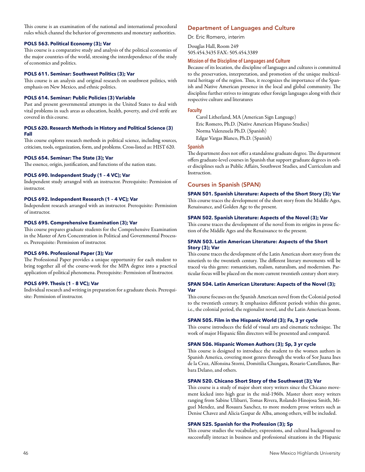This course is an examination of the national and international procedural rules which channel the behavior of governments and monetary authorities.

## **POLS 563. Political Economy (3); Var**

This course is a comparative study and analysis of the political economies of the major countries of the world, stressing the interdependence of the study of economics and politics.

## **POLS 611. Seminar: Southwest Politics (3); Var**

This course is an analysis and original research on southwest politics, with emphasis on New Mexico, and ethnic politics.

# **POLS 614. Seminar: Public Policies (3) Variable**

Past and present governmental attempts in the United States to deal with vital problems in such areas as education, health, poverty, and civil strife are covered in this course.

# **POLS 620. Research Methods in History and Political Science (3) Fall**

This course explores research methods in political science, including sources, criticism, tools, organization, form, and problems. Cross-listed as: HIST 620.

# **POLS 654. Seminar: The State (3); Var**

The essence, origin, justification, and functions of the nation state.

# **POLS 690. Independent Study (1 – 4 VC); Var**

Independent study arranged with an instructor. Prerequisite: Permission of instructor.

# **POLS 692. Independent Research (1 – 4 VC); Var**

Independent research arranged with an instructor. Prerequisite: Permission of instructor.

### **POLS 695. Comprehensive Examination (3); Var**

This course prepares graduate students for the Comprehensive Examination in the Master of Arts Concentration in Political and Governmental Processes. Prerequisite: Permission of instructor.

### **POLS 696. Professional Paper (3); Var**

The Professional Paper provides a unique opportunity for each student to bring together all of the course-work for the MPA degree into a practical application of political phenomena. Prerequisite: Permission of Instructor.

# **POLS 699. Thesis (1 – 8 VC); Var**

Individual research and writing in preparation for a graduate thesis. Prerequisite: Permission of instructor.

# Department of Languages and Culture

Dr. Eric Romero, interim

Douglas Hall, Room 249 505.454.3435 FAX: 505.454.3389

# **Mission of the Discipline of Languages and Culture**

Because of its location, the discipline of languages and cultures is committed to the preservation, interpretation, and promotion of the unique multicultural heritage of the region. Thus, it recognizes the importance of the Spanish and Native American presence in the local and global community. The discipline further strives to integrate other foreign languages along with their respective culture and literatures

#### **Faculty**

Carol Litherland, MA (American Sign Language) Eric Romero, Ph.D. (Native American Hispano Studies) Norma Valenzuela Ph.D. (Spanish) Edgar Vargas Blanco, Ph.D. (Spanish)

#### **Spanish**

The department does not offer a standalone graduate degree. The department offers graduate-level courses in Spanish that support graduate degrees in other disciplines such as Public Affairs, Southwest Studies, and Curriculum and Instruction.

# Courses in Spanish (SPAN)

**SPAN 501. Spanish Literature: Aspects of the Short Story (3); Var**  This course traces the development of the short story from the Middle Ages, Renaissance, and Golden Age to the present.

### **SPAN 502. Spanish Literature: Aspects of the Novel (3); Var**

This course traces the development of the novel from its origins in prose fiction of the Middle Ages and the Renaissance to the present.

### **SPAN 503. Latin American Literature: Aspects of the Short Story (3); Var**

This course traces the development of the Latin American short story from the ninetieth to the twentieth century. The different literary movements will be traced via this genre: romanticism, realism, naturalism, and modernism. Particular focus will be placed on the more current twentieth century short story.

### **SPAN 504. Latin American Literature: Aspects of the Novel (3); Var**

This course focuses on the Spanish American novel from the Colonial period to the twentieth century. It emphasizes different periods within this genre, i.e., the colonial period, the regionalist novel, and the Latin American boom.

# **SPAN 505. Film in the Hispanic World (3); Fa, 3 yr cycle**

This course introduces the field of visual arts and cinematic technique. The work of major Hispanic film directors will be presented and compared.

## **SPAN 506. Hispanic Women Authors (3); Sp, 3 yr cycle**

This course is designed to introduce the student to the women authors in Spanish America, covering most genres through the works of Sor Juana Ines de la Cruz, Alfonsina Storni, Domitilia Chungara, Rosario Castellanos, Barbara Delano, and others.

#### **SPAN 520. Chicano Short Story of the Southwest (3); Var**

This course is a study of major short story writers since the Chicano movement kicked into high gear in the mid-1960s. Master short story writers ranging from Sabine Ulibarri, Tomas Rivera, Rolando Hinojosa Smith, Miguel Mendez, and Rosaura Sanchez, to more modern prose writers such as Denise Chavez and Alicia Gaspar de Alba, among others, will be included.

### **SPAN 525. Spanish for the Profession (3); Sp**

This course studies the vocabulary, expressions, and cultural background to successfully interact in business and professional situations in the Hispanic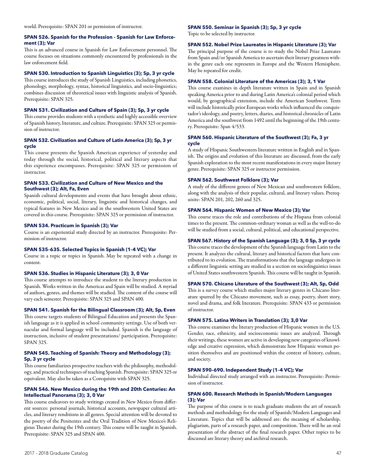### **SPAN 526. Spanish for the Profession - Spanish for Law Enforcement (3); Var**

This is an advanced course in Spanish for Law Enforcement personnel. The course focuses on situations commonly encountered by professionals in the law enforcement field.

# **SPAN 530. Introduction to Spanish Linguistics (3); Sp, 3 yr cycle**

This course introduces the study of Spanish Linguistics, including phonetics, phonology, morphology, syntax, historical linguistics, and socio-linguistics; combines discussion of theoretical issues with linguistic analysis of Spanish. Prerequisite: SPAN 325.

# **SPAN 531. Civilization and Culture of Spain (3); Sp, 3 yr cycle**

This course provides students with a synthetic and highly accessible overview of Spanish history, literature, and culture. Prerequisite: SPAN 325 or permission of instructor.

# **SPAN 532. Civilization and Culture of Latin America (3); Sp, 3 yr cycle**

This course presents the Spanish American experience of yesterday and today through the social, historical, political and literary aspects that this experience encompasses. Prerequisite: SPAN 325 or permission of instructor.

# **SPAN 533. Civilization and Culture of New Mexico and the Southwest (3); Alt, Fa, Even**

Spanish cultural developments and events that have brought about ethnic, economic, political, social, literary, linguistic and historical changes, and typical features in New Mexico and in the southwestern United States are covered in this course. Prerequisite: SPAN 325 or permission of instructor.

# **SPAN 534. Practicum in Spanish (3); Var**

Course is an experiential study directed by an instructor. Prerequisite: Permission of instructor.

# **SPAN 535–635. Selected Topics in Spanish (1–4 VC); Var**

Course in a topic or topics in Spanish. May be repeated with a change in content.

# **SPAN 536. Studies in Hispanic Literature (3); 3, 0 Var**

This course attempts to introduce the student to the literary production in Spanish. Works written in the Americas and Spain will be studied. A myriad of authors, genres, and themes will be studied. The content of the course will vary each semester. Prerequisite: SPAN 325 and SPAN 400.

# **SPAN 541. Spanish for the Bilingual Classroom (3); Alt, Sp, Even**

This course targets students of Bilingual Education and presents the Spanish language as it is applied in school community settings. Use of both vernacular and formal language will be included. Spanish is the language of instruction, inclusive of student presentations/ participation. Prerequisite: SPAN 325.

# **SPAN 545. Teaching of Spanish: Theory and Methodology (3); Sp, 3 yr cycle**

This course familiarizes prospective teachers with the philosophy, methodology, and practical techniques of teaching Spanish. Prerequisite: SPAN 325 or equivalent. May also be taken as a Corequisite with SPAN 325.

# **SPAN 546. New Mexico during the 19th and 20th Centuries: An Intellectual Panorama (3); 3, 0 Var**

This course endeavors to study writings created in New Mexico from different sources: personal journals, historical accounts, newspaper cultural articles, and literary renditions in all genres. Special attention will be devoted to the poetry of the Penitentes and the Oral Tradition of New Mexico's Religious Theater during the 19th century. This course will be taught in Spanish. Prerequisite: SPAN 325 and SPAN 400.

# **SPAN 550. Seminar in Spanish (3); Sp, 3 yr cycle**

Topic to be selected by instructor.

# **SPAN 552. Nobel Prize Laureates in Hispanic Literature (3); Var**

The principal purpose of the course is to study the Nobel Prize Laureates from Spain and/or Spanish America to ascertain their literary greatness within the genre each one represents in Europe and the Western Hemisphere. May be repeated for credit.

# **SPAN 558. Colonial Literature of the Americas (3); 3, 1 Var**

This course examines in depth literature written in Spain and in Spanish speaking America prior to and during Latin America's colonial period which would, by geographical extension, include the American Southwest. Texts will include historically prior European works which influenced the conquistador's ideology, and poetry, letters, diaries, and historical chronicles of Latin America and the southwest from 1492 until the beginning of the 19th century. Prerequisite: Span 4/533.

# **SPAN 560. Hispanic Literature of the Southwest (3); Fa, 3 yr cycle**

A study of Hispanic Southwestern literature written in English and in Spanish. The origins and evolution of this literature are discussed, from the early Spanish exploration to the most recent manifestations in every major literary genre. Prerequisite: SPAN 325 or instructor permission.

# **SPAN 562. Southwest Folklore (3); Var**

A study of the different genres of New Mexican and southwestern folklore, along with the analysis of their popular, cultural, and literary values. Prerequisite: SPAN 201, 202, 260 and 325.

# **SPAN 564. Hispanic Women of New Mexico (3); Var**

This course traces the role and contributions of the Hispana from colonial times to the present. The common-ordinary woman as well as the well-to-do will be studied from a social, cultural, political, and educational perspective.

# **SPAN 567. History of the Spanish Language (3); 3, 0 Sp, 3 yr cycle**

This course traces the development of the Spanish language from Latin to the present. It analyzes the cultural, literary and historical factors that have contributed to its evolution. The transformations that the language undergoes in a different linguistic setting are studied in a section on sociolinguistics issues of United States southwestern Spanish. This course will be taught in Spanish.

# **SPAN 570. Chicano Literature of the Southwest (3); Alt, Sp, Odd**

This is a survey course which studies major literary genres in Chicano literature spurred by the Chicano movement, such as essay, poetry, short story, novel and drama, and folk literature. Prerequisite: SPAN 433 or permission of instructor.

# **SPAN 575. Latina Writers in Translation (3); 3,0 Var**

This course examines the literary production of Hispanic women in the U.S. Gender, race, ethnicity, and socioeconomic issues are analyzed. Through their writings, these women are active in developing new categories of knowledge and creative expression, which demonstrate how Hispanic women position themselves and are positioned within the context of history, culture, and society.

# **SPAN 590–690. Independent Study (1–4 VC); Var**

Individual directed study arranged with an instructor. Prerequisite: Permission of instructor.

# **SPAN 600. Research Methods in Spanish/Modern Languages (3); Var**

The purpose of this course is to teach graduate students the art of research methods and methodology for the study of Spanish/Modern Languages and Literature. Topics that will be addressed are: the meaning of scholarship, plagiarism, parts of a research paper, and composition. There will be an oral presentation of the abstract of the final research paper. Other topics to be discussed are literary theory and archival research.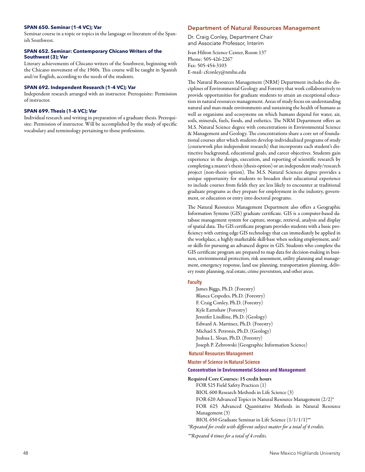#### **SPAN 650. Seminar (1–4 VC); Var**

Seminar course in a topic or topics in the language or literature of the Spanish Southwest.

### **SPAN 652. Seminar: Contemporary Chicano Writers of the Southwest (3); Var**

Literary achievements of Chicano writers of the Southwest, beginning with the Chicano movement of the 1960s. This course will be taught in Spanish and/or English, according to the needs of the students.

#### **SPAN 692. Independent Research (1–4 VC); Var**

Independent research arranged with an instructor. Prerequisite: Permission of instructor.

#### **SPAN 699. Thesis (1–6 VC); Var**

Individual research and writing in preparation of a graduate thesis. Prerequisite: Permission of instructor. Will be accomplished by the study of specific vocabulary and terminology pertaining to those professions.

#### Department of Natural Resources Management

Dr. Craig Conley, Department Chair and Associate Professor, Interim

Ivan Hilton Science Center, Room 137 Phone: 505-426-2267 Fax: 505-454-3103 E-mail: cfconley@nmhu.edu

The Natural Resources Management (NRM) Department includes the disciplines of Environmental Geology and Forestry that work collaboratively to provide opportunities for graduate students to attain an exceptional education in natural resources management. Areas of study focus on understanding natural and man-made environments and sustaining the health of humans as well as organisms and ecosystems on which humans depend for water, air, soils, minerals, fuels, foods, and esthetics. The NRM Department offers an M.S. Natural Science degree with concentrations in Environmental Science & Management and Geology. The concentrations share a core set of foundational courses after which students develop individualized programs of study (coursework plus independent research) that incorporate each student's distinctive background, educational goals, and career objectives. Students gain experience in the design, execution, and reporting of scientific research by completing a master's thesis (thesis option) or an independent study/research project (non-thesis option). The M.S. Natural Sciences degree provides a unique opportunity for students to broaden their educational experience to include courses from fields they are less likely to encounter at traditional graduate programs as they prepare for employment in the industry, government, or education or entry into doctoral programs.

The Natural Resources Management Department also offers a Geographic Information Systems (GIS) graduate certificate. GIS is a computer-based database management system for capture, storage, retrieval, analysis and display of spatial data. The GIS certificate program provides students with a basic proficiency with cutting edge GIS technology that can immediately be applied in the workplace, a highly marketable skill-base when seeking employment, and/ or skills for pursuing an advanced degree in GIS. Students who complete the GIS certificate program are prepared to map data for decision-making in business, environmental protection, risk assessment, utility planning and management, emergency response, land use planning, transportation planning, delivery route planning, real estate, crime prevention, and other areas.

# **Faculty**

James Biggs, Ph.D. (Forestry) Blanca Cespedes, Ph.D. (Forestry) F. Craig Conley, Ph.D. (Forestry) Kyle Earnshaw (Forestry) Jennifer Lindline, Ph.D. (Geology) Edward A. Martinez, Ph.D. (Forestry) Michael S. Petronis, Ph.D. (Geology) Joshua L. Sloan, Ph.D. (Forestry) Joseph P. Zebrowski (Geographic Information Science)

### **Natural Resources Management**

**Master of Science in Natural Science** 

#### **Concentration in Environmental Science and Management**

Required Core Courses: 15 credit hours

FOR 525 Field Safety Practices (1) BIOL 600 Research Methods in Life Science (3) FOR 620 Advanced Topics in Natural Resource Management (2/2)\* FOR 625 Advanced Quantitative Methods in Natural Resource Management (3) BIOL 650 Graduate Seminar in Life Science (1/1/1/1)\*\*

*\*Repeated for credit with different subject matter for a total of 4 credits.* 

*\*\*Repeated 4 times for a total of 4 credits.*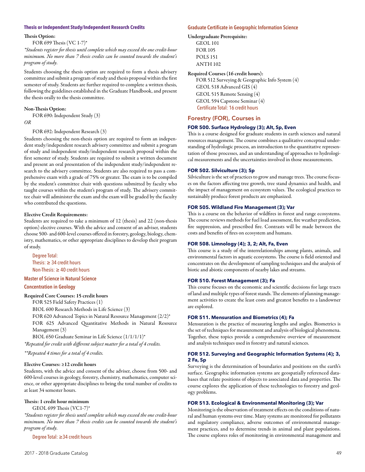#### **Thesis or Independent Study/Independent Research Credits**

#### Thesis Option:

FOR 699 Thesis (VC 1-7)\*

*\*Students register for thesis until complete which may exceed the one credit-hour minimum. No more than 7 thesis credits can be counted towards the student's program of study.* 

Students choosing the thesis option are required to form a thesis advisery committee and submit a program of study and thesis proposal within the first semester of study. Students are further required to complete a written thesis, following the guidelines established in the Graduate Handbook, and present the thesis orally to the thesis committee.

#### Non-Thesis Option:

FOR 690: Independent Study (3)

#### *OR*

FOR 692: Independent Research (3)

Students choosing the non-thesis option are required to form an independent study/independent research advisery committee and submit a program of study and independent study/independent research proposal within the first semester of study. Students are required to submit a written document and present an oral presentation of the independent study/independent research to the advisery committee. Students are also required to pass a comprehensive exam with a grade of 75% or greater. The exam is to be compiled by the student's committee chair with questions submitted by faculty who taught courses within the student's program of study. The advisery committee chair will administer the exam and the exam will be graded by the faculty who contributed the questions.

#### Elective Credit Requirements:

Students are required to take a minimum of 12 (thesis) and 22 (non-thesis option) elective courses. With the advice and consent of an adviser, students choose 500- and 600-level courses offered in forestry, geology, biology, chemistry, mathematics, or other appropriate disciplines to develop their program of study.

Degree Total: Thesis:  $\geq 34$  credit hours Non-Thesis: ≥ 40 credit hours

## **Master of Science in Natural Science**

## **Concentration in Geology**

Required Core Courses: 15 credit hours

FOR 525 Field Safety Practices (1)

BIOL 600 Research Methods in Life Science (3)

FOR 620 Advanced Topics in Natural Resource Management (2/2)\* FOR 625 Advanced Quantitative Methods in Natural Resource

Management (3) BIOL 650 Graduate Seminar in Life Science (1/1/1/1)\*

*\*Repeated for credit with different subject matter for a total of 4 credits.* 

#### *\*\*Repeated 4 times for a total of 4 credits.*

#### Elective Courses: ≥12 credit hours

Students, with the advice and consent of the adviser, choose from 500- and 600-level courses in geology, forestry, chemistry, mathematics, computer science, or other appropriate disciplines to bring the total number of credits to at least 34 semester hours.

#### Thesis: 1 credit hour minimum

GEOL 699 Thesis (VC1-7)\*

*\*Students register for thesis until complete which may exceed the one credit-hour minimum. No more than 7 thesis credits can be counted towards the student's program of study.* 

Degree Total: ≥34 credit hours

#### **Graduate Certificate in Geographic Information Science**

### Undergraduate Prerequisite:

GEOL 101 FOR 105 POLS 151 ANTH 102

#### Required Courses (16 credit hours):

FOR 512 Surveying & Geographic Info System (4) GEOL 518 Advanced GIS (4) GEOL 515 Remote Sensing (4) GEOL 594 Capstone Seminar (4) Certificate Total: 16 credit hours

# Forestry (FOR), Courses in

# **FOR 500. Surface Hydrology (3); Alt, Sp, Even**

This is a course designed for graduate students in earth sciences and natural resources management. The course combines a qualitative conceptual understanding of hydrologic process, an introduction to the quantitative representation of those processes, and an understanding of approaches to hydrological measurements and the uncertainties involved in those measurements.

# **FOR 502. Silviculture (3); Sp**

Silviculture is the set of practices to grow and manage trees. The course focuses on the factors affecting tree growth, tree stand dynamics and health, and the impact of management on ecosystem values. The ecological practices to sustainably produce forest products are emphasized.

### **FOR 505. Wildland Fire Management (3); Var**

This is a course on the behavior of wildfires in forest and range ecosystems. The course reviews methods for fuel load assessment, fire weather prediction, fire suppression, and prescribed fire. Contrasts will be made between the costs and benefits of fires on ecosystem and humans.

#### **FOR 508. Limnology (4); 3, 2; Alt, Fa, Even**

This course is a study of the interrelationships among plants, animals, and environmental factors in aquatic ecosystems. The course is field oriented and concentrates on the development of sampling techniques and the analysis of biotic and abiotic components of nearby lakes and streams.

#### **FOR 510. Forest Management (3); Fa**

This course focuses on the economic and scientific decisions for large tracts of land and multiple types of forest stands. The elements of planning management activities to create the least costs and greatest benefits to a landowner are explored.

#### **FOR 511. Mensuration and Biometrics (4); Fa**

Mensuration is the practice of measuring lengths and angles. Biometrics is the set of techniques for measurement and analysis of biological phenomena. Together, these topics provide a comprehensive overview of measurement and analysis techniques used in forestry and natural sciences.

## **FOR 512. Surveying and Geographic Information Systems (4); 3, 2 Fa, Sp**

Surveying is the determination of boundaries and positions on the earth's surface. Geographic information systems are geospatially referenced databases that relate positions of objects to associated data and properties. The course explores the application of these technologies to forestry and geology problems.

#### **FOR 513. Ecological & Environmental Monitoring (3); Var**

Monitoring is the observation of treatment effects on the conditions of natural and human systems over time. Many systems are monitored for pollutants and regulatory compliance, adverse outcomes of environmental management practices, and to determine trends in animal and plant populations. The course explores roles of monitoring in environmental management and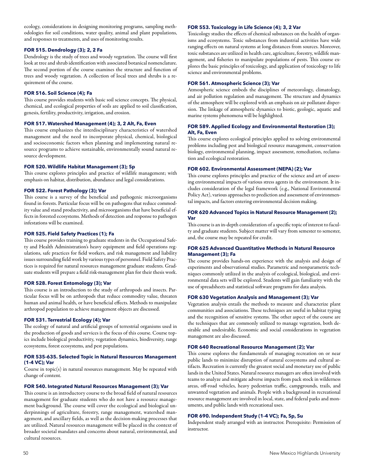ecology, considerations in designing monitoring programs, sampling methodologies for soil conditions, water quality, animal and plant populations, and responses to treatments, and uses of monitoring results.

# **FOR 515. Dendrology (3); 2, 2 Fa**

Dendrology is the study of trees and woody vegetation. The course will first look at tree and shrub identification with associated botanical nomenclature. The second portion of the course examines the structure and function of trees and woody vegetation. A collection of local trees and shrubs is a requirement of the course.

# **FOR 516. Soil Science (4); Fa**

This course provides students with basic soil science concepts. The physical, chemical, and ecological properties of soils are applied to soil classification, genesis, fertility, productivity, irrigation, and erosion.

### **FOR 517. Watershed Management (4); 3, 2 Alt, Fa, Even**

This course emphasizes the interdisciplinary characteristics of watershed management and the need to incorporate physical, chemical, biological and socioeconomic factors when planning and implementing natural resource programs to achieve sustainable, environmentally sound natural resource development.

# **FOR 520. Wildlife Habitat Management (3); Sp**

This course explores principles and practice of wildlife management; with emphasis on habitat, distribution, abundance and legal considerations.

# **FOR 522. Forest Pathology (3); Var**

This course is a survey of the beneficial and pathogenic microorganisms found in forests. Particular focus will be on pathogens that reduce commodity value and stand productivity, and microorganisms that have beneficial effects in forested ecosystems. Methods of detection and response to pathogen infestations will be examined.

### **FOR 525. Field Safety Practices (1); Fa**

This course provides training to graduate students in the Occupational Safety and Health Administration's heavy equipment and field operations regulations, safe practices for field workers, and risk management and liability issues surrounding field work by various types of personnel. Field Safety Practices is required for natural resources management graduate students. Graduate students will prepare a field risk-management plan for their thesis work.

# **FOR 528. Forest Entomology (3); Var**

This course is an introduction to the study of arthropods and insects. Particular focus will be on arthropods that reduce commodity value, threaten human and animal health, or have beneficial effects. Methods to manipulate arthropod population to achieve management objects are discussed.

### **FOR 531. Terrestrial Ecology (4); Var**

The ecology of natural and artificial groups of terrestrial organisms used in the production of goods and services is the focus of this course. Course topics include biological productivity, vegetation dynamics, biodiversity, range ecosystems, forest ecosystems, and pest populations.

### **FOR 535-635. Selected Topic in Natural Resources Management (1-4 VC); Var**

Course in topic(s) in natural resources management. May be repeated with change of content.

# **FOR 540. Integrated Natural Resources Management (3); Var**

This course is an introductory course to the broad field of natural resources management for graduate students who do not have a resource management background. The course will cover the ecological and biological underpinnings of agriculture, forestry, range management, watershed management, and ancillary fields, as well as the decision-making processes that are utilized. Natural resources management will be placed in the context of broader societal mandates and concerns about natural, environmental, and cultural resources.

# **FOR 553. Toxicology in Life Science (4); 3, 2 Var**

Toxicology studies the effects of chemical substances on the health of organisms and ecosystems. Toxic substances from industrial activities have wide ranging effects on natural systems at long distances from sources. Moreover, toxic substances are utilized in health care, agriculture, forestry, wildlife management, and fisheries to manipulate populations of pests. This course explores the basic principles of toxicology, and application of toxicology to life science and environmental problems.

### **FOR 561. Atmospheric Science (3); Var**

Atmospheric science embeds the disciplines of meteorology, climatology, and air pollution regulation and management. The structure and dynamics of the atmosphere will be explored with an emphasis on air pollutant dispersion. The linkage of atmospheric dynamics to biotic, geologic, aquatic and marine systems phenomena will be highlighted.

### **FOR 589. Applied Ecology and Environmental Restoration (3); Alt, Fa, Even**

This course explores ecological principles applied to solving environmental problems including pest and biological resource management, conservation biology, environmental planning, impact assessment, remediation, reclamation and ecological restoration.

# **FOR 602. Environmental Assessment (NEPA) (2); Var**

This course explores principles and practice of the science and art of assessing environmental impacts of various stress agents in the environment. It includes consideration of the legal framework (e.g., National Environmental Policy Act), various approaches to prediction and assessment of environmental impacts, and factors entering environmental decision making.

### **FOR 620 Advanced Topics in Natural Resource Management (2); Var**

This course is an in-depth consideration of a specific topic of interest to faculty and graduate students. Subject matter will vary from semester to semester, and, the course may be repeated for credit.

### **FOR 625 Advanced Quantitative Methods in Natural Resource Management (3); Fa**

The course provides hands-on experience with the analysis and design of experiments and observational studies. Parametric and nonparametric techniques commonly utilized in the analysis of ecological, biological, and environmental data sets will be explored. Students will gain familiarity with the use of spreadsheets and statistical software programs for data analysis.

### **FOR 630 Vegetation Analysis and Management (3); Var**

Vegetation analysis entails the methods to measure and characterize plant communities and associations. These techniques are useful in habitat typing and the recognition of sensitive systems. The other aspect of the course are the techniques that are commonly utilized to manage vegetation, both desirable and undesirable. Economic and social considerations in vegetation management are also discussed.

### **FOR 640 Recreational Resource Management (2); Var**

This course explores the fundamentals of managing recreation on or near public lands to minimize disruption of natural ecosystems and cultural artifacts. Recreation is currently the greatest social and monetary use of public lands in the United States. Natural resource managers are often involved with teams to analyze and mitigate adverse impacts from pack stock in wilderness areas, off-road vehicles, heavy pedestrian traffic, campgrounds, trails, and unwanted vegetation and animals. People with a background in recreational resource management are involved in local, state, and federal parks and monuments, and public lands with recreational uses.

# **FOR 690. Independent Study (1-4 VC); Fa, Sp, Su**

Independent study arranged with an instructor. Prerequisite: Permission of instructor.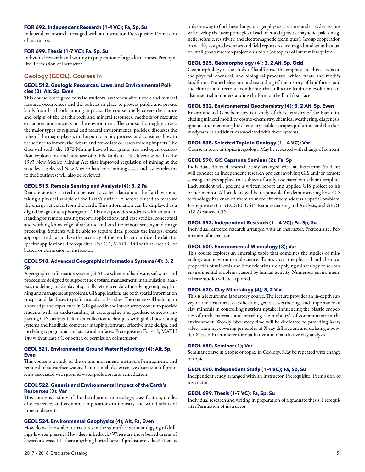## **FOR 692. Independent Research (1-4 VC); Fa, Sp, Su**

Independent research arranged with an instructor. Prerequisite: Permission of instructor.

#### **FOR 699. Thesis (1-7 VC); Fa, Sp, Su**

Individual research and writing in preparation of a graduate thesis. Prerequisite: Permission of instructor.

# Geology (GEOL), Courses in

## **GEOL 512. Geologic Resources, Laws, and Environmental Policies (3); Alt, Sp, Even**

This course is designed to raise students' awareness about rock and mineral resource occurrences and the policies in place to protect public and private lands from hard rock mining impacts. The course briefly covers the nature and origin of the Earth's rock and mineral resources, methods of resource extraction, and impacts on the environment. The course thoroughly covers the major types of regional and federal environmental policies, discusses the roles of the major players in the public policy process, and considers how to use science to inform the debate and remediate or lessen mining impacts. The class will study the 1872 Mining Law, which grants free and open occupation, exploration, and purchase of public lands to U.S. citizens as well as the 1993 New Mexico Mining Act that improved regulation of mining at the state level. Selected New Mexico hard rock mining cases and issues relevant to the Southwest will also be reviewed.

# **GEOL 515. Remote Sensing and Analysis (4); 3, 2 Fa**

Remote sensing is a technique used to collect data about the Earth without taking a physical sample of the Earth's surface. A sensor is used to measure the energy reflected from the earth. This information can be displayed as a digital image or as a photograph. This class provides students with an understanding of remote sensing theory, applications, and case studies, conceptual and working knowledge of airborne and satellite remote sensing and image processing. Students will be able to acquire data, process the images, create appropriate data, analyze the accuracy of the results, and utilize the data for specific applications. Prerequisites: For 412, MATH 140 with at least a C or better, or permission of instructor.

## **GEOL 518. Advanced Geographic Information Systems (4); 3, 2 Sp**

A geographic information system (GIS) is a scheme of hardware, software, and procedures designed to support the capture, management, manipulation, analysis, modeling and display of spatially referenced data for solving complex planning and management problems. GIS applications are both spatial information (maps) and databases to perform analytical studies. The course will build upon knowledge and experience in GIS gained in the introductory course to provide students with an understanding of cartographic and geodetic concepts impacting GIS analysis, field data-collection techniques with global positioning systems and handheld computer mapping software, effective map design, and modeling topographic and statistical surfaces. Prerequisites: For 412, MATH 140 with at least a C or better, or permission of instructor.

# **GEOL 521. Environmental Ground Water Hydrology (4); Alt, Sp, Even**

This course is a study of the origin, movement, method of entrapment, and removal of subsurface waters. Course includes extensive discussion of problems associated with ground water pollution and remediation.

# **GEOL 522. Genesis and Environmental Impact of the Earth's Resources (3); Var**

This course is a study of the distribution, mineralogy, classification, modes of occurrence, and economic implications to industry and world affairs of mineral deposits.

### **GEOL 524. Environmental Geophysics (4); Alt, Fa, Even**

How do we know about structures in the subsurface without digging of drilling? Is water present? How deep is bedrock? Where are those buried drums of hazardous waste? Is there anything buried here of prehistoric value? There is

only one way to find these things out: geophysics. Lectures and class discussions will develop the basic principles of each method (gravity, magnetic, paleo-magnetic, seismic, resistivity, and electromagnetic techniques). Group cooperation on weekly assigned exercises and field reports is encouraged, and an individual or small group research project on a topic (or topics) of interest is required.

### **GEOL 525. Geomorphology (4); 3, 2 Alt, Sp, Odd**

Geomorphology is the study of landforms. The emphasis in this class is on the physical, chemical, and biological processes, which create and modify landforms. Nonetheless, an understanding of the history of landforms, and the climatic and tectonic conditions that influence landform evolution, are also essential to understanding the form of the Earth's surface.

### **GEOL 532. Environmental Geochemistry (4); 3, 2 Alt, Sp, Even**

Environmental Geochemistry is a study of the chemistry of the Earth, including mineral mobility, cosmo-chemistry, chemical weathering, diagenesis, igneous and metamorphic chemistry, stable isotopes, pollution, and the thermodynamics and kinetics associated with these systems.

### **GEOL 535. Selected Topic in Geology (1 – 4 VC); Var**

Course in topic or topics in geology. May be repeated with change of content.

# **GEOL 590. GIS Capstone Seminar (2); Fa, Sp**

Individual, directed research study arranged with an instructor. Students will conduct an independent research project involving GIS and/or remote sensing analysis applied to a subject of study associated with their discipline. Each student will present a written report and applied GIS project to his or her mentor. All students will be responsible for demonstrating how GIS technology has enabled them to more effectively address a spatial problem. Prerequisites: For 412, GEOL 415 Remote Sensing and Analysis, and GEOL 418 Advanced GIS.

# **GEOL 592. Independent Research (1 – 4 VC); Fa, Sp, Su**

Individual, directed research arranged with an instructor. Prerequisite: Permission of instructor.

#### **GEOL 600. Environmental Mineralogy (3); Var**

This course explores an emerging topic that combines the studies of mineralogy and environmental science. Topics cover the physical and chemical properties of minerals and how scientists are applying mineralogy to serious environmental problems caused by human activity. Numerous environmental case studies will be explored.

# **GEOL 620. Clay Mineralogy (4); 3, 2 Var**

This is a lecture and laboratory course. The lecture provides an in-depth survey of the structures, classification, genesis, weathering, and importance of clay minerals in controlling nutrient uptake, influencing the plastic properties of earth materials and retarding the mobility's of contaminants in the environment. Weekly laboratory time will be dedicated to providing X-ray safety training, covering principles of X-ray diffraction, and utilizing a powder X-ray diffractometer for qualitative and quantitative clay analysis.

#### **GEOL 650. Seminar (1); Var**

Seminar course in a topic or topics in Geology. May be repeated with change of topic.

# **GEOL 690. Independent Study (1-4 VC); Fa, Sp, Su**

Independent study arranged with an instructor. Prerequisite: Permission of instructor.

# **GEOL 699. Thesis (1-7 VC); Fa, Sp, Su**

Individual research and writing in preparation of a graduate thesis. Prerequisite: Permission of instructor.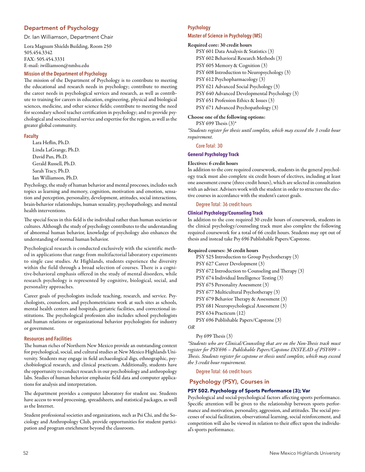# Department of Psychology

Dr. Ian Williamson, Department Chair

Lora Magnum Shields Building, Room 250 505.454.3342 FAX: 505.454.3331 E-mail: iwilliamson@nmhu.edu

# **Mission of the Department of Psychology**

The mission of the Department of Psychology is to contribute to meeting the educational and research needs in psychology; contribute to meeting the career needs in psychological services and research, as well as contribute to training for careers in education, engineering, physical and biological sciences, medicine, and other science fields; contribute to meeting the need for secondary school teacher certification in psychology; and to provide psychological and sociocultural service and expertise for the region, as well as the greater global community.

### **Faculty**

Lara Heflin, Ph.D. Linda LaGrange, Ph.D. David Pan, Ph.D. Gerald Russell, Ph.D. Sarah Tracy, Ph.D. Ian Williamson, Ph.D.

Psychology, the study of human behavior and mental processes, includes such topics as learning and memory, cognition, motivation and emotion, sensation and perception, personality, development, attitudes, social interactions, brain-behavior relationships, human sexuality, psychopathology, and mental health interventions.

The special focus in this field is the individual rather than human societies or cultures. Although the study of psychology contributes to the understanding of abnormal human behavior, knowledge of psychology also enhances the understanding of normal human behavior.

Psychological research is conducted exclusively with the scientific method in applications that range from multifactorial laboratory experiments to single case studies. At Highlands, students experience the diversity within the field through a broad selection of courses. There is a cognitive-behavioral emphasis offered in the study of mental disorders, while research psychology is represented by cognitive, biological, social, and personality approaches.

Career goals of psychologists include teaching, research, and service. Psychologists, counselors, and psychometricians work at such sites as schools, mental health centers and hospitals, geriatric facilities, and correctional institutions. The psychological profession also includes school psychologists and human relations or organizational behavior psychologists for industry or government.

### **Resources and Facilities**

The human riches of Northern New Mexico provide an outstanding context for psychological, social, and cultural studies at New Mexico Highlands University. Students may engage in field archaeological digs, ethnographic, psychobiological research, and clinical practicum. Additionally, students have the opportunity to conduct research in our psychobiology and anthropology labs. Studies of human behavior emphasize field data and computer applications for analysis and interpretation.

The department provides a computer laboratory for student use. Students have access to word processing, spreadsheets, and statistical packages, as well as the Internet.

Student professional societies and organizations, such as Psi Chi, and the Sociology and Anthropology Club, provide opportunities for student participation and program enrichment beyond the classroom.

# **Psychology**

### **Master of Science in Psychology (MS)**

#### Required core: 30 credit hours

PSY 601 Data Analysis & Statistics (3) PSY 602 Behavioral Research Methods (3) PSY 605 Memory & Cognition (3) PSY 608 Introduction to Neuropsychology (3) PSY 612 Psychopharmacology (3) PSY 621 Advanced Social Psychology (3) PSY 640 Advanced Developmental Psychology (3) PSY 651 Profession Ethics & Issues (3) PSY 671 Advanced Psychopathology (3)

# Choose one of the following options:

PSY 699 Thesis (3)\*

*\*Students register for thesis until complete, which may exceed the 3 credit hour requirement.* 

Core Total: 30

# **General Psychology Track**

#### Electives: 6 credit hours

In addition to the core required coursework, students in the general psychology track must also complete six credit hours of electives, including at least one assessment course (three credit hours), which are selected in consultation with an adviser. Advisers work with the student in order to structure the elective courses in accordance with the student's career goals.

## Degree Total: 36 credit hours

# **Clinical Psychology/Counseling Track**

In addition to the core required 30 credit hours of coursework, students in the clinical psychology/counseling track must also complete the following required coursework for a total of 66 credit hours. Students may opt out of thesis and instead take Psy 696 Publishable Papers/Capstone.

# Required courses: 36 credit hours

PSY 525 Introduction to Group Psychotherapy (3) PSY 627 Career Development (3) PSY 672 Introduction to Counseling and Therapy (3) PSY 674 Individual Intelligence Testing (3) PSY 675 Personality Assessment (3) PSY 677 Multicultural Psychotherapy (3) PSY 679 Behavior Therapy & Assessment (3) PSY 681 Neuropsychological Assessment (3) PSY 634 Practicum (12) PSY 696 Publishable Papers/Capstone (3)

*OR*

### Psy 699 Thesis (3)

*\*Students who are Clinical/Counseling that are on the Non-Thesis track must register for PSY696 – Publishable Papers/Capstone INSTEAD of PSY699 – Thesis. Students register for capstone or thesis until complete, which may exceed the 3 credit hour requirement.* 

Degree Total: 66 credit hours

# Psychology (PSY), Courses in

# **PSY 502. Psychology of Sports Performance (3); Var**

Psychological and social-psychological factors affecting sports performance. Specific attention will be given to the relationship between sports performance and motivation, personality, aggression, and attitudes. The social processes of social facilitation, observational learning, social reinforcement, and competition will also be viewed in relation to their effect upon the individual's sports performance.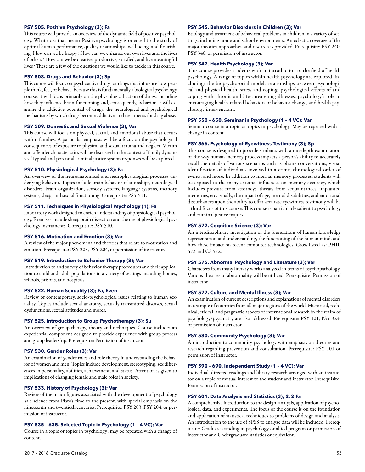### **PSY 505. Positive Psychology (3); Fa**

This course will provide an overview of the dynamic field of positive psychology. What does that mean? Positive psychology is oriented to the study of optimal human performance, quality relationships, well-being, and flourishing. How can we be happy? How can we enhance our own lives and the lives of others? How can we be creative, productive, satisfied, and live meaningful lives? These are a few of the questions we would like to tackle in this course.

### **PSY 508. Drugs and Behavior (3); Sp**

This course will focus on psychoactive drugs, or drugs that influence how people think, feel, or behave. Because this is fundamentally a biological psychology course, it will focus primarily on the physiological action of drugs, including how they influence brain functioning and, consequently, behavior. It will examine the addictive potential of drugs, the neurological and psychological mechanisms by which drugs become addictive, and treatments for drug abuse.

#### **PSY 509. Domestic and Sexual Violence (3); Var**

This course will focus on physical, sexual, and emotional abuse that occurs within families. A particular emphasis will be a focus on the psychological consequences of exposure to physical and sexual trauma and neglect. Victim and offender characteristics will be discussed in the context of family dynamics. Typical and potential criminal justice system responses will be explored.

#### **PSY 510. Physiological Psychology (3); Fa**

An overview of the neuroanatomical and neurophysiological processes underlying behavior. Topics include brain-behavior relationships, neurological disorders, brain organization, sensory systems, language systems, memory systems, sleep, and sexual functioning. Corequisite: PSY 511.

# **PSY 511. Techniques in Physiological Psychology (1); Fa**

Laboratory work designed to enrich understanding of physiological psychology. Exercises include sheep brain dissection and the use of physiological psychology instruments. Corequisite: PSY 510.

### **PSY 516. Motivation and Emotion (3); Var**

A review of the major phenomena and theories that relate to motivation and emotion. Prerequisite: PSY 203, PSY 204, or permission of instructor.

#### **PSY 519. Introduction to Behavior Therapy (3); Var**

Introduction to and survey of behavior therapy procedures and their application to child and adult populations in a variety of settings including homes, schools, prisons, and hospitals.

#### **PSY 522. Human Sexuality (3); Fa, Even**

Review of contemporary, socio-psychological issues relating to human sexuality. Topics include sexual anatomy, sexually-transmitted diseases, sexual dysfunctions, sexual attitudes and mores.

### **PSY 525. Introduction to Group Psychotherapy (3); Su**

An overview of group therapy, theory and techniques. Course includes an experiential component designed to provide experience with group process and group leadership. Prerequisite: Permission of instructor.

# **PSY 530. Gender Roles (3); Var**

An examination of gender roles and role theory in understanding the behavior of women and men. Topics include development, stereotyping, sex differences in personality, abilities, achievement, and status. Attention is given to implications of changing female and male roles in society.

#### **PSY 533. History of Psychology (3); Var**

Review of the major figures associated with the development of psychology as a science from Plato's time to the present, with special emphasis on the nineteenth and twentieth centuries. Prerequisite: PSY 203, PSY 204, or permission of instructor.

#### **PSY 535 – 635. Selected Topic in Psychology (1 – 4 VC); Var**

Course in a topic or topics in psychology: may be repeated with a change of content.

#### **PSY 545. Behavior Disorders in Children (3); Var**

Etiology and treatment of behavioral problems in children in a variety of settings, including home and school environments. An eclectic coverage of the major theories, approaches, and research is provided. Prerequisite: PSY 240, PSY 340, or permission of instructor.

#### **PSY 547. Health Psychology (3); Var**

This course provides students with an introduction to the field of health psychology. A range of topics within health psychology are explored, including: the biopsychosocial model, relationships between psychological and physical health, stress and coping, psychological effects of and coping with chronic and life-threatening illnesses, psychology's role in encouraging health-related behaviors or behavior change, and health psychology interventions.

#### **PSY 550 – 650. Seminar in Psychology (1 – 4 VC); Var**

Seminar course in a topic or topics in psychology. May be repeated with a change in content.

### **PSY 566. Psychology of Eyewitness Testimony (3); Sp**

This course is designed to provide students with an in-depth examination of the way human memory process impacts a person's ability to accurately recall the details of various scenarios such as phone conversations, visual identification of individuals involved in a crime, chronological order of events, and more. In addition to internal memory processes, students will be exposed to the many external influences on memory accuracy, which includes pressure from attorneys, threats from acquaintances, implanted memories, etc. Finally, the impact of age, mental disabilities, and emotional disturbances upon the ability to offer accurate eyewitness testimony will be a third focus of this course. This course is particularly salient to psychology and criminal justice majors.

#### **PSY 572. Cognitive Science (3); Var**

An interdisciplinary investigation of the foundations of human knowledge representation and understanding, the functioning of the human mind, and how these impact on recent computer technologies. Cross-listed as: PHIL 572 and CS 572.

### **PSY 575. Abnormal Psychology and Literature (3); Var**

Characters from many literary works analyzed in terms of psychopathology. Various theories of abnormality will be utilized. Prerequisite: Permission of instructor.

#### **PSY 577. Culture and Mental Illness (3); Var**

An examination of current descriptions and explanations of mental disorders in a sample of countries from all major regions of the world. Historical, technical, ethical, and pragmatic aspects of international research in the realm of psychology/psychiatry are also addressed. Prerequisite: PSY 101, PSY 324, or permission of instructor.

#### **PSY 580. Community Psychology (3); Var**

An introduction to community psychology with emphasis on theories and research regarding prevention and consultation. Prerequisite: PSY 101 or permission of instructor.

#### **PSY 590 – 690. Independent Study (1 – 4 VC); Var**

Individual, directed readings and library research arranged with an instructor on a topic of mutual interest to the student and instructor. Prerequisite: Permission of instructor.

#### **PSY 601. Data Analysis and Statistics (3); 2, 2 Fa**

A comprehensive introduction to the design, analysis, application of psychological data, and experiments. The focus of the course is on the foundation and application of statistical techniques to problems of design and analysis. An introduction to the use of SPSS to analyze data will be included. Prerequisite: Graduate standing in psychology or allied program or permission of instructor and Undergraduate statistics or equivalent.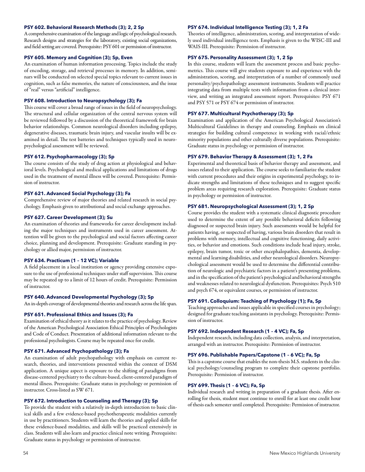### **PSY 602. Behavioral Research Methods (3); 2, 2 Sp**

A comprehensive examination of the language and logic of psychological research. Research designs and strategies for the laboratory, existing social organizations, and field setting are covered. Prerequisite: PSY 601 or permission of instructor.

#### **PSY 605. Memory and Cognition (3); Sp, Even**

An examination of human information processing. Topics include the study of encoding, storage, and retrieval processes in memory. In addition, seminars will be conducted on selected special topics relevant to current issues in cognition, such as false memories, the nature of consciousness, and the issue of "real" versus "artificial" intelligence.

### **PSY 608. Introduction to Neuropsychology (3); Fa**

This course will cover a broad range of issues in the field of neuropsychology. The structural and cellular organization of the central nervous system will be reviewed followed by a discussion of the theoretical framework for brain behavior relationships. Common neurological disorders including epilepsy, degenerative diseases, traumatic brain injury, and vascular insults will be examined in detail. The test batteries and techniques typically used in neuropsychological assessment will be reviewed.

# **PSY 612. Psychopharmacology (3); Sp**

The course consists of the study of drug action at physiological and behavioral levels. Psychological and medical applications and limitations of drugs used in the treatment of mental illness will be covered. Prerequisite: Permission of instructor.

# **PSY 621. Advanced Social Psychology (3); Fa**

Comprehensive review of major theories and related research in social psychology. Emphasis given to attributional and social exchange approaches.

### **PSY 627. Career Development (3); Su**

An examination of theories and frameworks for career development including the major techniques and instruments used in career assessment. Attention will be given to the psychological and social factors affecting career choice, planning and development. Prerequisite: Graduate standing in psychology or allied major, permission of instructor.

#### **PSY 634. Practicum (1 – 12 VC); Variable**

A field placement in a local institution or agency providing extensive exposure to the use of professional techniques under staff supervision. This course may be repeated up to a limit of 12 hours of credit. Prerequisite: Permission of instructor.

# **PSY 640. Advanced Developmental Psychology (3); Sp**

An in-depth coverage of developmental theories and research across the life span.

## **PSY 651. Professional Ethics and Issues (3); Fa**

Examination of ethical theory as it relates to the practice of psychology. Review of the American Psychological Association Ethical Principles of Psychologists and Code of Conduct. Presentation of additional information relevant to the professional psychologists. Course may be repeated once for credit.

# **PSY 671. Advanced Psychopathology (3); Fa**

An examination of adult psychopathology with emphasis on current research, theories, and interventions presented within the context of DSM application. A unique aspect is exposure to the shifting of paradigms from disease-centered psychiatry to the culture-based, client-centered paradigm of mental illness. Prerequisite: Graduate status in psychology or permission of instructor. Cross-listed as SW 671.

#### **PSY 672. Introduction to Counseling and Therapy (3); Sp**

To provide the student with a relatively in-depth introduction to basic clinical skills and a few evidence-based psychotherapeutic modalities currently in use by practitioners. Students will learn the theories and applied skills for these evidence-based modalities, and skills will be practiced extensively in class. Students will also learn and practice clinical note writing. Prerequisite: Graduate status in psychology or permission of instructor.

# **PSY 674. Individual Intelligence Testing (3); 1, 2 Fa**

Theories of intelligence, administration, scoring, and interpretation of widely used individual intelligence tests. Emphasis is given to the WISC-III and WAIS-III. Prerequisite: Permission of instructor.

#### **PSY 675. Personality Assessment (3); 1, 2 Sp**

In this course, students will learn the assessment process and basic psychometrics. This course will give students exposure to and experience with the administration, scoring, and interpretation of a number of commonly used personality/psychopathology assessment instruments. Students will practice integrating data from multiple tests with information from a clinical interview, and writing an integrated assessment report. Prerequisites: PSY 671 and PSY 571 or PSY 674 or permission of instructor.

#### **PSY 677. Multicultural Psychotherapy (3); Sp**

Examination and application of the American Psychological Association's Multicultural Guidelines in therapy and counseling. Emphasis on clinical strategies for building cultural competence in working with racial/ethnic minority populations and other culturally diverse populations. Prerequisite: Graduate status in psychology or permission of instructor.

# **PSY 679. Behavior Therapy & Assessment (3); 1, 2 Fa**

Experimental and theoretical basis of behavior therapy and assessment, and issues related to their application. The course seeks to familiarize the student with current procedures and their origins in experimental psychology, to indicate strengths and limitations of these techniques and to suggest specific problem areas requiring research exploration. Prerequisite: Graduate status in psychology or permission of instructor.

# **PSY 681. Neuropsychological Assessment (3); 1, 2 Sp**

Course provides the student with a systematic clinical diagnostic procedure used to determine the extent of any possible behavioral deficits following diagnosed or suspected brain injury. Such assessments would be helpful for patients having, or suspected of having, various brain disorders that result in problems with memory, intellectual and cognitive functioning, daily activities, or behavior and emotions. Such conditions include head injury, stroke, epilepsy, brain tumor, toxic or other encephalopathies, dementia, developmental and learning disabilities, and other neurological disorders. Neuropsychological assessment would be used to determine the differential contribution of neurologic and psychiatric factors in a patient's presenting problems, and in the specification of the patient's psychological and behavioral strengths and weaknesses related to neurological dysfunction. Prerequisites: Psych 510 and psych 674, or equivalent courses, or permission of instructor.

# **PSY 691. Colloquium: Teaching of Psychology (1); Fa, Sp**

Teaching approaches and issues applicable in specified courses in psychology; designed for graduate teaching assistants in psychology. Prerequisite: Permission of instructor.

### **PSY 692. Independent Research (1 – 4 VC); Fa, Sp**

Independent research, including data collection, analysis, and interpretation, arranged with an instructor. Prerequisite: Permission of instructor.

### **PSY 696. Publishable Papers/Capstone (1 – 6 VC); Fa, Sp**

This is a capstone course that enables the non-thesis M.S. students in the clinical psychology/counseling program to complete their capstone portfolio. Prerequisite: Permission of instructor.

#### **PSY 699. Thesis (1 – 6 VC); Fa, Sp**

Individual research and writing in preparation of a graduate thesis. After enrolling for thesis, student must continue to enroll for at least one credit hour of thesis each semester until completed. Prerequisite: Permission of instructor.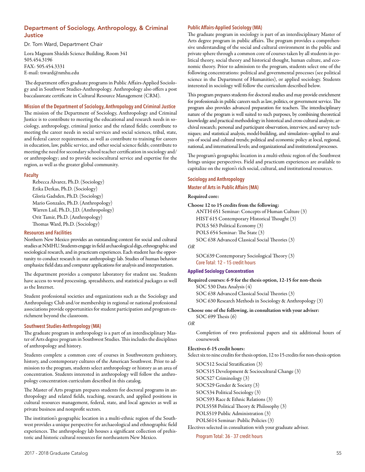# Department of Sociology, Anthropology, & Criminal **Justice**

Dr. Tom Ward, Department Chair

Lora Magnum Shields Science Building, Room 341 505.454.3196 FAX: 505.454.3331 E-mail: tsward@nmhu.edu

 The department offers graduate programs in Public Affairs-Applied Sociology and in Southwest Studies-Anthropology. Anthropology also offers a post baccalaureate certificate in Cultural Resource Management (CRM).

## **Mission of the Department of Sociology, Anthropology and Criminal Justice**

The mission of the Department of Sociology, Anthropology and Criminal Justice is to contribute to meeting the educational and research needs in sociology, anthropology, criminal justice and the related fields; contribute to meeting the career needs in social services and social sciences, tribal, state, and federal career requirements, as well as contribute to training for careers in education, law, public service, and other social science fields; contribute to meeting the need for secondary school teacher certification in sociology and/ or anthropology; and to provide sociocultural service and expertise for the region, as well as the greater global community.

# **Faculty**

Rebecca Álvarez, Ph.D. (Sociology) Erika Derkas, Ph.D. (Sociology) Gloria Gadsden, Ph.D. (Sociology) Mario Gonzales, Ph.D. (Anthropology) Warren Lail, Ph.D., J.D. (Anthropology) Orit Tamir, Ph.D. (Anthropology) Thomas Ward, Ph.D. (Sociology)

# **Resources and Facilities**

Northern New Mexico provides an outstanding context for social and cultural studies at NMHU. Students engage in field archaeological digs, ethnographic and sociological research, and in practicum experiences. Each student has the opportunity to conduct research in our anthropology lab. Studies of human behavior emphasize field data and computer applications for analysis and interpretation.

The department provides a computer laboratory for student use. Students have access to word processing, spreadsheets, and statistical packages as well as the Internet.

Student professional societies and organizations such as the Sociology and Anthropology Club and/or membership in regional or national professional associations provide opportunities for student participation and program enrichment beyond the classroom.

# **Southwest Studies-Anthropology (MA)**

The graduate program in anthropology is a part of an interdisciplinary Master of Arts degree program in Southwest Studies. This includes the disciplines of anthropology and history.

Students complete a common core of courses in Southwestern prehistory, history, and contemporary cultures of the American Southwest. Prior to admission to the program, students select anthropology or history as an area of concentration. Students interested in anthropology will follow the anthropology concentration curriculum described in this catalog.

The Master of Arts program prepares students for doctoral programs in anthropology and related fields, teaching, research, and applied positions in cultural resources management, federal, state, and local agencies as well as private business and nonprofit sectors.

The institution's geographic location in a multi-ethnic region of the Southwest provides a unique perspective for archaeological and ethnographic field experiences. The anthropology lab houses a significant collection of prehistoric and historic cultural resources for northeastern New Mexico.

# **Public Affairs-Applied Sociology (MA)**

The graduate program in sociology is part of an interdisciplinary Master of Arts degree program in public affairs. The program provides a comprehensive understanding of the social and cultural environment in the public and private sphere through a common core of courses taken by all students in political theory, social theory and historical thought, human culture, and economic theory. Prior to admission to the program, students select one of the following concentrations: political and governmental processes (see political science in the Department of Humanities), or applied sociology. Students interested in sociology will follow the curriculum described below.

This program prepares students for doctoral studies and may provide enrichment for professionals in public careers such as law, politics, or government service. The program also provides advanced preparation for teachers. The interdisciplinary nature of the program is well suited to such purposes, by combining theoretical knowledge and practical methodology in historical and cross-cultural analysis; archival research; personal and participant observation, interview, and survey techniques; and statistical analysis, model-building, and simulation–applied to analysis of social and cultural trends; political and economic policy at local, regional, national, and international levels; and organizational and institutional processes.

The program's geographic location in a multi-ethnic region of the Southwest brings unique perspectives. Field and practicum experiences are available to capitalize on the region's rich social, cultural, and institutional resources.

# **Sociology and Anthropology Master of Arts in Public Affairs (MA)**

# Required core:

```
Choose 12 to 15 credits from the following:
```
ANTH 651 Seminar: Concepts of Human Culture (3) HIST 615 Contemporary Historical Thought (3) POLS 563 Political Economy (3) POLS 654 Seminar: The State (3)

SOC 638 Advanced Classical Social Theories (3)

# *OR*

SOC639 Contemporary Sociological Theory (3) Core Total: 12 – 15 credit hours

# **Applied Sociology Concentration**

Required courses: 6-9 for the thesis option, 12-15 for non-thesis SOC 530 Data Analysis (4) SOC 638 Advanced Classical Social Theories (3) SOC 630 Research Methods in Sociology & Anthropology (3)

Choose one of the following, in consultation with your adviser:

SOC 699 Thesis (6)

### *OR*

Completion of two professional papers and six additional hours of coursework

### Electives 6-15 credit hours:

Select six to nine credits for thesis option, 12 to 15 credits for non-thesis option

SOC512 Social Stratification (3) SOC515 Development & Sociocultural Change (3) SOC527 Criminology (3) SOC529 Gender & Society (3) SOC534 Political Sociology (3) SOC593 Race & Ethnic Relations (3) POLS558 Political Theory & Philosophy (3) POLS519 Public Administration (3) POLS614 Seminar: Public Policies (3)

Electives selected in consultation with your graduate adviser.

Program Total: 36 - 37 credit hours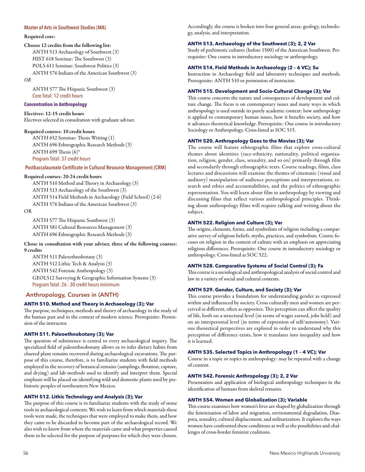### **Master of Arts in Southwest Studies (MA)**

#### Required core:

Choose 12 credits from the following list: ANTH 513 Archaeology of Southwest (3) HIST 618 Seminar: The Southwest (3) POLS 611 Seminar: Southwest Politics (3) ANTH 576 Indians of the American Southwest (3)

*OR*

ANTH 577 The Hispanic Southwest (3) Core Total: 12 credit hours

# **Concentration in Anthropology**

Electives: 12-15 credit hours Electives selected in consultation with graduate adviser.

#### Required courses: 10 credit hours

ANTH 652 Seminar: Thesis Writing (1) ANTH 696 Ethnographic Research Methods (3) ANTH 699 Thesis (6)\* Program Total: 37 credit hours

## **Postbaccalaureate Certificate in Cultural Resource Management (CRM)**

# Required courses: 20-24 credit hours

ANTH 510 Method and Theory in Archaeology (3) ANTH 513 Archaeology of the Southwest (3) ANTH 514 Field Methods in Archaeology (Field School) (2-6) ANTH 576 Indians of the American Southwest (3) OR

ANTH 577 The Hispanic Southwest (3) ANTH 581 Cultural Resources Management (3) ANTH 696 Ethnographic Research Methods (3)

Chose in consultation with your adviser, three of the following courses: 9 credits

ANTH 511 Paleoethnobotany (3) ANTH 512 Lithic Tech & Analysis (3) ANTH 542 Forensic Anthropology (3) GEOL512 Surveying & Geographic Information Systems (3) Program Total: 26 - 30 credit hours minimum

# Anthropology, Courses in (ANTH)

# **ANTH 510. Method and Theory in Archaeology (3); Var**

The purpose, techniques, methods and theory of archaeology in the study of the human past and in the context of modern science. Prerequisite: Permission of the instructor.

### **ANTH 511. Paleoethnobotany (3); Var**

The question of subsistence is central to every archaeological inquiry. The specialized field of paleoethnobotany allows us to infer dietary habits from charred plant remains recovered during archaeological excavations. The purpose of this course, therefore, is to familiarize students with field methods employed in the recovery of botanical remains (samplings, flotation, capture, and drying) and lab methods used to identify and interpret them. Special emphasis will be placed on identifying wild and domestic plants used by prehistoric peoples of northeastern New Mexico.

# **ANTH 512. Lithic Technology and Analysis (3); Var**

The purpose of this course is to familiarize students with the study of stone tools in archaeological contexts. We wish to learn from which materials these tools were made, the techniques that were employed to make them, and how they came to be discarded to become part of the archaeological record. We also wish to know from where the materials came and what properties caused them to be selected for the purpose of purposes for which they were chosen. Accordingly, the course is broken into four general areas: geology, technology, analysis, and interpretation.

#### **ANTH 513. Archaeology of the Southwest (3); 2, 2 Var**

Study of prehistoric cultures (before 1500) of the American Southwest. Prerequisite: One course in introductory sociology or anthropology.

#### **ANTH 514. Field Methods in Archaeology (2 – 6 VC); Su**

Instruction in Archaeology field and laboratory techniques and methods. Prerequisite: ANTH 510 or permission of instructor.

# **ANTH 515. Development and Socio-Cultural Change (3); Var**

This course concerns the nature and consequences of development and culture change. The focus is on contemporary issues and many ways in which anthropology is used outside its purely academic context: how anthropology is applied to contemporary human issues, how it benefits society, and how it advances theoretical knowledge. Prerequisite: One course in introductory Sociology or Anthropology. Cross-listed as SOC 515.

# **ANTH 520. Anthropology Goes to the Movies (3); Var**

The course will feature ethnographic films that explore cross-cultural themes about identities (race-ethnicity, nationality, political organization, religion, gender, class, sexuality, and so on) primarily through film and secondarily through ethnographic texts. Course readings, films, class lectures and discussions will examine the themes of cinematic (visual and auditory) manipulation of audience perceptions and interpretations, research and ethics and accountabilities, and the politics of ethnographic representation. You will learn about film in anthropology by viewing and discussing films that reflect various anthropological principles. Thinking about anthropology films will require talking and writing about the subject.

# **ANTH 522. Religion and Culture (3); Var**

The origins, elements, forms, and symbolism of religion including a comparative survey of religious beliefs, myths, practices, and symbolism. Course focuses on religion in the context of culture with an emphasis on appreciating religious differences. Prerequisite: One course in introductory sociology or anthropology. Cross-listed as SOC 522.

# **ANTH 528. Comparative Systems of Social Control (3); Fa**

This course is a sociological and anthropological analysis of social control and law in a variety of social and cultural contexts.

# **ANTH 529. Gender, Culture, and Society (3); Var**

This course provides a foundation for understanding gender as expressed within and influenced by society. Cross culturally men and women are perceived as different, often as opposites. This perception can affect the quality of life, both on a structural level (in terms of wages earned, jobs held) and on an interpersonal level (in terms of expression of self/autonomy). Various theoretical perspectives are explored in order to understand why this perception of difference exists, how it translates into inequality and how it is learned.

#### **ANTH 535. Selected Topics in Anthropology (1 – 4 VC); Var**

Course in a topic or topics in anthropology: may be repeated with a change of content.

#### **ANTH 542. Forensic Anthropology (3); 2, 2 Var**

Presentation and application of biological anthropology techniques in the identification of humans from skeletal remains.

### **ANTH 554. Women and Globalization (3); Variable**

This course examines how women's lives are shaped by globalization through the feminization of labor and migration, environmental degradation, Diaspora, sexuality, cultural displacement, and militarization. It explores the ways women have confronted these conditions as well as the possibilities and challenges of cross-border feminist coalitions.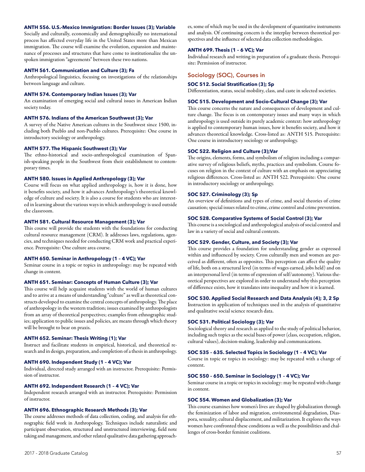#### **ANTH 556. U.S.-Mexico Immigration: Border Issues (3); Variable**

Socially and culturally, economically and demographically no international process has affected everyday life in the United States more than Mexican immigration. The course will examine the evolution, expansion and maintenance of processes and structures that have come to institutionalize the unspoken immigration "agreements" between these two nations.

#### **ANTH 561. Communication and Culture (3); Fa**

Anthropological linguistics, focusing on investigations of the relationships between language and culture.

### **ANTH 574. Contemporary Indian Issues (3); Var**

An examination of emerging social and cultural issues in American Indian society today.

# **ANTH 576. Indians of the American Southwest (3); Var**

A survey of the Native American cultures in the Southwest since 1500, including both Pueblo and non-Pueblo cultures. Prerequisite: One course in introductory sociology or anthropology.

#### **ANTH 577. The Hispanic Southwest (3); Var**

The ethno-historical and socio-anthropological examination of Spanish-speaking people in the Southwest from their establishment to contemporary times.

#### **ANTH 580. Issues in Applied Anthropology (3); Var**

Course will focus on what applied anthropology is, how it is done, how it benefits society, and how it advances Anthropology's theoretical knowledge of culture and society. It is also a course for students who are interested in learning about the various ways in which anthropology is used outside the classroom.

#### **ANTH 581. Cultural Resource Management (3); Var**

This course will provide the students with the foundations for conducting cultural resource management (CRM). It addresses laws, regulations, agencies, and techniques needed for conducting CRM work and practical experience. Prerequisite: One culture area course.

# **ANTH 650. Seminar in Anthropology (1 – 4 VC); Var**

Seminar course in a topic or topics in anthropology: may be repeated with change in content.

#### **ANTH 651. Seminar: Concepts of Human Culture (3); Var**

This course will help acquaint students with the world of human cultures and to arrive at a means of understanding "culture" as well as theoretical constructs developed to examine the central concepts of anthropology. The place of anthropology in the western tradition; issues examined by anthropologists from an array of theoretical perspectives; examples from ethnographic studies; application to public issues and policies, are means through which theory will be brought to bear on praxis.

## **ANTH 652. Seminar: Thesis Writing (1); Var**

Instruct and facilitate students in empirical, historical, and theoretical research and in design, preparation, and completion of a thesis in anthropology.

### **ANTH 690. Independent Study (1 – 4 VC); Var**

Individual, directed study arranged with an instructor. Prerequisite: Permission of instructor.

### **ANTH 692. Independent Research (1 – 4 VC); Var**

Independent research arranged with an instructor. Prerequisite: Permission of instructor.

#### **ANTH 696. Ethnographic Research Methods (3); Var**

The course addresses methods of data collection, coding, and analysis for ethnographic field work in Anthropology. Techniques include naturalistic and participant observation, structured and unstructured interviewing, field note taking and management, and other related qualitative data gathering approaches, some of which may be used in the development of quantitative instruments and analysis. Of continuing concern is the interplay between theoretical perspectives and the influence of selected data collection methodologies.

#### **ANTH 699. Thesis (1 – 6 VC); Var**

Individual research and writing in preparation of a graduate thesis. Prerequisite: Permission of instructor.

# Sociology (SOC), Courses in

#### **SOC 512. Social Stratification (3); Sp**

Differentiation, status, social mobility, class, and caste in selected societies.

#### **SOC 515. Development and Socio-Cultural Change (3); Var**

This course concerns the nature and consequences of development and culture change. The focus is on contemporary issues and many ways in which anthropology is used outside its purely academic context: how anthropology is applied to contemporary human issues, how it benefits society, and how it advances theoretical knowledge. Cross-listed as: ANTH 515. Prerequisite: One course in introductory sociology or anthropology.

### **SOC 522. Religion and Culture (3);Var**

The origins, elements, forms, and symbolism of religion including a comparative survey of religious beliefs, myths, practices and symbolism. Course focuses on religion in the context of culture with an emphasis on appreciating religious differences. Cross-listed as: ANTH 522. Prerequisite: One course in introductory sociology or anthropology.

#### **SOC 527. Criminology (3); Sp**

An overview of definitions and types of crime, and social theories of crime causation; special issues related to crime, crime control and crime prevention.

#### **SOC 528. Comparative Systems of Social Control (3); Var**

This course is a sociological and anthropological analysis of social control and law in a variety of social and cultural contexts.

## **SOC 529. Gender, Culture, and Society (3); Var**

This course provides a foundation for understanding gender as expressed within and influenced by society. Cross culturally men and women are perceived as different, often as opposites. This perception can affect the quality of life, both on a structural level (in terms of wages earned, jobs held) and on an interpersonal level (in terms of expression of self/autonomy). Various theoretical perspectives are explored in order to understand why this perception of difference exists, how it translates into inequality and how it is learned.

# **SOC 530. Applied Social Research and Data Analysis (4); 3, 2 Sp**

Instruction in application of techniques used in the analysis of quantitative and qualitative social science research data.

#### **SOC 531. Political Sociology (3); Var**

Sociological theory and research as applied to the study of political behavior, including such topics as the social bases of power (class, occupation, religion, cultural values), decision-making, leadership and communications.

#### **SOC 535 – 635. Selected Topics in Sociology (1 – 4 VC); Var**

Course in topic or topics in sociology: may be repeated with a change of content.

#### **SOC 550 – 650. Seminar in Sociology (1 – 4 VC); Var**

Seminar course in a topic or topics in sociology: may be repeated with change in content.

# **SOC 554. Women and Globalization (3); Var**

This course examines how women's lives are shaped by globalization through the feminization of labor and migration, environmental degradation, Diaspora, sexuality, cultural displacement, and militarization. It explores the ways women have confronted these conditions as well as the possibilities and challenges of cross-border feminist coalitions.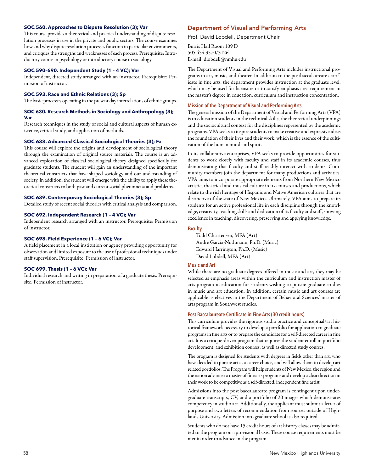### **SOC 560. Approaches to Dispute Resolution (3); Var**

This course provides a theoretical and practical understanding of dispute resolution processes in use in the private and public sectors. The course examines how and why dispute resolution processes function in particular environments, and critiques the strengths and weaknesses of each process. Prerequisite: Introductory course in psychology or introductory course in sociology.

#### **SOC 590–690. Independent Study (1 – 4 VC); Var**

Independent, directed study arranged with an instructor. Prerequisite: Permission of instructor.

# **SOC 593. Race and Ethnic Relations (3); Sp**

The basic processes operating in the present day interrelations of ethnic groups.

# **SOC 630. Research Methods in Sociology and Anthropology (3); Var**

Research techniques in the study of social and cultural aspects of human existence, critical study, and application of methods.

#### **SOC 638. Advanced Classical Sociological Theories (3); Fa**

This course will explore the origins and development of sociological theory through the examination of original source materials. The course is an advanced exploration of classical sociological theory designed specifically for graduate students. The student will gain an understanding of the important theoretical constructs that have shaped sociology and our understanding of society. In addition, the student will emerge with the ability to apply these theoretical constructs to both past and current social phenomena and problems.

# **SOC 639. Contemporary Sociological Theories (3); Sp**

Detailed study of recent social theories with critical analysis and comparison.

#### **SOC 692. Independent Research (1 – 4 VC); Var**

Independent research arranged with an instructor. Prerequisite: Permission of instructor.

#### **SOC 698. Field Experience (1 – 6 VC); Var**

A field placement in a local institution or agency providing opportunity for observation and limited exposure to the use of professional techniques under staff supervision. Prerequisite: Permission of instructor.

# **SOC 699. Thesis (1 – 6 VC); Var**

Individual research and writing in preparation of a graduate thesis. Prerequisite: Permission of instructor.

# Department of Visual and Performing Arts

Prof. David Lobdell, Department Chair

Burris Hall Room 109 D 505.454.3570/3126 E-mail: dlobdell@nmhu.edu

The Department of Visual and Performing Arts includes instructional programs in art, music, and theater. In addition to the postbaccalaureate certificate in fine arts, the department provides instruction at the graduate level, which may be used for licensure or to satisfy emphasis area requirement in the master's degree in education, curriculum and instruction concentration.

# **Mission of the Department of Visual and Performing Arts**

The general mission of the Department of Visual and Performing Arts (VPA) is to education students in the technical skills, the theoretical underpinnings and the sociocultural context for the disciplines represented by the academic programs. VPA seeks to inspire students to make creative and expressive ideas the foundation of their lives and their work, which is the essence of the cultivation of the human mind and spirit.

In its collaborative enterprises, VPA seeks to provide opportunities for students to work closely with faculty and staff in its academic courses, thus demonstrating that faculty and staff readily interact with students. Community members join the department for many productions and activities. VPA aims to incorporate appropriate elements from Northern New Mexico artistic, theatrical and musical culture in its courses and productions, which relate to the rich heritage of Hispanic and Native American cultures that are distinctive of the state of New Mexico. Ultimately, VPA aims to prepare its students for an active professional life in each discipline through the knowledge, creativity, teaching skills and dedication of its faculty and staff, showing excellence in teaching, discovering, preserving and applying knowledge.

# **Faculty**

Todd Christensen, MFA (Art) Andre Garcia-Nuthmann, Ph.D. (Music) Edward Harrington, Ph.D. (Music) David Lobdell, MFA (Art)

### **Music and Art**

While there are no graduate degrees offered in music and art, they may be selected as emphasis areas within the curriculum and instruction master of arts program in education for students wishing to pursue graduate studies in music and art education. In addition, certain music and art courses are applicable as electives in the Department of Behavioral Sciences' master of arts program in Southwest studies.

# **Post Baccalaureate Certificate in Fine Arts (30 credit hours)**

This curriculum provides the rigorous studio practice and conceptual/art historical framework necessary to develop a portfolio for application to graduate programs in fine arts or to prepare the candidate for a self-directed career in fine art. It is a critique-driven program that requires the student enroll in portfolio development, and exhibition courses, as well as directed study courses.

The program is designed for students with degrees in fields other than art, who have decided to pursue art as a career choice, and will allow them to develop art related portfolios. The Program will help students of New Mexico, the region and the nation advance to master of fine arts programs and develop a clear direction in their work to be competitive as a self-directed, independent fine artist.

Admissions into the post baccalaureate program is contingent upon undergraduate transcripts, CV, and a portfolio of 20 images which demonstrates competency in studio art. Additionally, the applicant must submit a letter of purpose and two letters of recommendation from sources outside of Highlands University. Admission into graduate school is also required.

Students who do not have 15 credit hours of art history classes may be admitted to the program on a provisional basis. These course requirements must be met in order to advance in the program.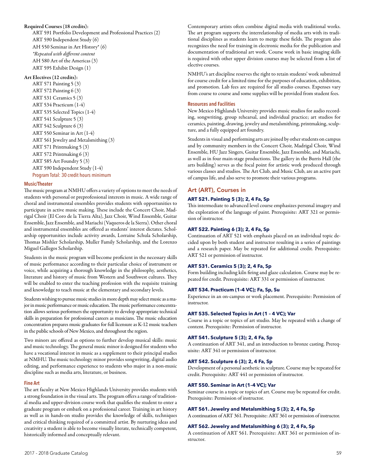## Required Courses (18 credits):

ART 591 Portfolio Development and Professional Practices (2) ART 590 Independent Study (6) AH 550 Seminar in Art History\* (6) *\*Repeated with different content*  AH 580 Art of the Americas (3) ART 595 Exhibit Design (1)

## Art Electives (12 credits):

ART 571 Painting 5 (3) ART 572 Painting 6 (3) ART 531 Ceramics 5 (3) ART 534 Practicum (1-4) ART 535 Selected Topics (1-4) ART 541 Sculpture 5 (3) ART 542 Sculpture 6 (3) ART 550 Seminar in Art (1-4) ART 561 Jewelry and Metalsmithing (3) ART 571 Printmaking 5 (3) ART 572 Printmaking 6 (3) ART 585 Art Foundry 5 (3) ART 590 Independent Study (1-4) Program Total: 30 credit hours minimum

### **Music/Theater**

The music program at NMHU offers a variety of options to meet the needs of students with personal or preprofessional interests in music. A wide range of choral and instrumental ensembles provides students with opportunities to participate in active music making. These include the Concert Choir, Madrigal Choir (El Coro de la Tierra Alta), Jazz Choir, Wind Ensemble, Guitar Ensemble, Jazz Ensemble, and Mariachi (Vaqueros de la Sierra). Other choral and instrumental ensembles are offered as students' interest dictates. Scholarship opportunities include activity awards, Lorraine Schula Scholarship, Thomas Mishler Scholarship, Muller Family Scholarship, and the Lorenzo Miguel Gallegos Scholarship.

Students in the music program will become proficient in the necessary skills of music performance according to their particular choice of instrument or voice, while acquiring a thorough knowledge in the philosophy, aesthetics, literature and history of music from Western and Southwest cultures. They will be enabled to enter the teaching profession with the requisite training and knowledge to teach music at the elementary and secondary levels.

Students wishing to pursue music studies in more depth may select music as a major in music performance or music education. The music performance concentration allows serious performers the opportunity to develop appropriate technical skills in preparation for professional careers as musicians. The music education concentration prepares music graduates for full licensure as K-12 music teachers in the public schools of New Mexico, and throughout the region.

Two minors are offered as options to further develop musical skills: music and music technology. The general music minor is designed for students who have a vocational interest in music as a supplement to their principal studies at NMHU. The music technology minor provides songwriting, digital audio editing, and performance experience to students who major in a non-music discipline such as media arts, literature, or business.

### **Fine Art**

The art faculty at New Mexico Highlands University provides students with a strong foundation in the visual arts. The program offers a range of traditional media and upper-division course work that qualifies the student to enter a graduate program or embark on a professional career. Training in art history as well as in hands-on studio provides the knowledge of skills, techniques and critical thinking required of a committed artist. By nurturing ideas and creativity a student is able to become visually literate, technically competent, historically informed and conceptually relevant.

Contemporary artists often combine digital media with traditional works. The art program supports the interrelationship of media arts with its traditional disciplines as students learn to merge these fields. The program also recognizes the need for training in electronic media for the publication and documentation of traditional art work. Course work in basic imaging skills is required with other upper division courses may be selected from a list of elective courses.

NMHU's art discipline reserves the right to retain students' work submitted for course credit for a limited time for the purposes of education, exhibition, and promotion. Lab fees are required for all studio courses. Expenses vary from course to course and some supplies will be provided from student fees.

## **Resources and Facilities**

New Mexico Highlands University provides music studios for audio recording, songwriting, group rehearsal, and individual practice; art studios for ceramics, painting, drawing, jewelry and metalsmithing, printmaking, sculpture, and a fully equipped art foundry.

Students in visual and performing arts are joined by other students on campus and by community members in the Concert Choir, Madrigal Choir, Wind Ensemble, HU Jazz Singers, Guitar Ensemble, Jazz Ensemble, and Mariachi, as well as in four main-stage productions. The gallery in the Burris Hall (the arts building) serves as the focal point for artistic work produced through various classes and studios. The Art Club, and Music Club, are an active part of campus life, and also serve to promote their various programs.

# Art (ART), Courses in

# **ART 521. Painting 5 (3); 2, 4 Fa, Sp**

This intermediate to advanced level course emphasizes personal imagery and the exploration of the language of paint. Prerequisite: ART 321 or permission of instructor.

#### **ART 522. Painting 6 (3); 2, 4 Fa, Sp**

Continuation of ART 521 with emphasis placed on an individual topic decided upon by both student and instructor resulting in a series of paintings and a research paper. May be repeated for additional credit. Prerequisite: ART 521 or permission of instructor.

# **ART 531. Ceramics 5 (3); 2, 4 Fa, Sp**

Form building including kiln firing and glaze calculation. Course may be repeated for credit. Prerequisite: ART 331 or permission of instructor.

### **ART 534. Practicum (1-4 VC); Fa, Sp, Su**

Experience in an on-campus or work placement. Prerequisite: Permission of instructor.

# **ART 535. Selected Topics in Art (1 – 4 VC); Var**

Course in a topic or topics of art studio. May be repeated with a change of content. Prerequisite: Permission of instructor.

## **ART 541. Sculpture 5 (3); 2, 4 Fa, Sp**

A continuation of ART 341, and an introduction to bronze casting. Prerequisite: ART 341 or permission of instructor.

### **ART 542. Sculpture 6 (3); 2, 4 Fa, Sp**

Development of a personal aesthetic in sculpture. Course may be repeated for credit. Prerequisite: ART 441 or permission of instructor.

#### **ART 550. Seminar in Art (1–4 VC); Var**

Seminar course in a topic or topics of art. Course may be repeated for credit. Prerequisite: Permission of instructor.

# **ART 561. Jewelry and Metalsmithing 5 (3); 2, 4 Fa, Sp**

A continuation of ART 361. Prerequisite: ART 361 or permission of instructor.

# **ART 562. Jewelry and Metalsmithing 6 (3); 2, 4 Fa, Sp**

A continuation of ART 561. Prerequisite: ART 361 or permission of instructor.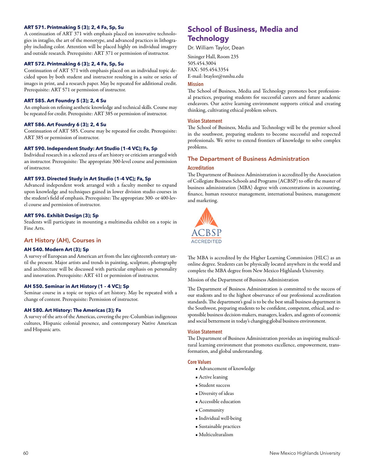# **ART 571. Printmaking 5 (3); 2, 4 Fa, Sp, Su**

A continuation of ART 371 with emphasis placed on innovative technologies in intaglio, the art of the monotype, and advanced practices in lithography including color. Attention will be placed highly on individual imagery and outside research. Prerequisite: ART 371 or permission of instructor.

# **ART 572. Printmaking 6 (3); 2, 4 Fa, Sp, Su**

Continuation of ART 571 with emphasis placed on an individual topic decided upon by both student and instructor resulting in a suite or series of images in print, and a research paper. May be repeated for additional credit. Prerequisite: ART 571 or permission of instructor.

# **ART 585. Art Foundry 5 (3); 2, 4 Su**

An emphasis on refining aesthetic knowledge and technical skills. Course may be repeated for credit. Prerequisite: ART 385 or permission of instructor.

# **ART 586. Art Foundry 6 (3); 2, 4 Su**

Continuation of ART 585. Course may be repeated for credit. Prerequisite: ART 385 or permission of instructor.

# **ART 590. Independent Study: Art Studio (1–4 VC); Fa, Sp**

Individual research in a selected area of art history or criticism arranged with an instructor. Prerequisite: The appropriate 300-level course and permission of instructor.

# **ART 593. Directed Study in Art Studio (1–4 VC); Fa, Sp**

Advanced independent work arranged with a faculty member to expand upon knowledge and techniques gained in lower division studio courses in the student's field of emphasis. Prerequisite: The appropriate 300- or 400-level course and permission of instructor.

# **ART 596. Exhibit Design (3); Sp**

Students will participate in mounting a multimedia exhibit on a topic in Fine Arts.

# Art History (AH), Courses in

# **AH 540. Modern Art (3); Sp**

A survey of European and American art from the late eighteenth century until the present. Major artists and trends in painting, sculpture, photography and architecture will be discussed with particular emphasis on personality and innovation. Prerequisite: ART 411 or permission of instructor.

# **AH 550. Seminar in Art History (1 – 4 VC); Sp**

Seminar course in a topic or topics of art history. May be repeated with a change of content. Prerequisite: Permission of instructor.

# **AH 580. Art History: The Americas (3); Fa**

A survey of the arts of the Americas, covering the pre-Columbian indigenous cultures, Hispanic colonial presence, and contemporary Native American and Hispanic arts.

# School of Business, Media and **Technology**

Dr. William Taylor, Dean

Sininger Hall, Room 235 505.454.3004 FAX: 505.454.3354 E-mail: btaylor@nmhu.edu

### **Mission**

The School of Business, Media and Technology promotes best professional practices, preparing students for successful careers and future academic endeavors. Our active learning environment supports critical and creating thinking, cultivating ethical problem solvers.

# **Vision Statement**

The School of Business, Media and Technology will be the premier school in the southwest, preparing students to become successful and respected professionals. We strive to extend frontiers of knowledge to solve complex problems.

# The Department of Business Administration

# **Accreditation**

The Department of Business Administration is accredited by the Association of Collegiate Business Schools and Programs (ACBSP) to offer the master of business administration (MBA) degree with concentrations in accounting, finance, human resource management, international business, management and marketing.



The MBA is accredited by the Higher Learning Commission (HLC) as an online degree. Students can be physically located anywhere in the world and complete the MBA degree from New Mexico Highlands University.

Mission of the Department of Business Administration

The Department of Business Administration is committed to the success of our students and to the highest observance of our professional accreditation standards. The department's goal is to be the best small business department in the Southwest, preparing students to be confident, competent, ethical, and responsible business decision-makers, managers, leaders, and agents of economic and social betterment in today's changing global business environment.

### **Vision Statement**

The Department of Business Administration provides an inspiring multicultural learning environment that promotes excellence, empowerment, transformation, and global understanding.

### **Core Values**

- Advancement of knowledge
- Active leaning
- Student success
- Diversity of ideas
- Accessible education
- Community
- Individual well-being
- Sustainable practices
- Multiculturalism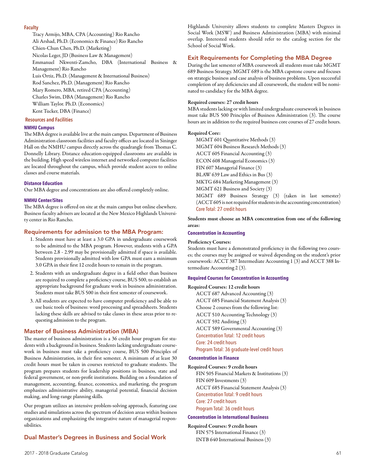# **Faculty**

Tracy Armijo, MBA, CPA (Accounting) Rio Rancho Ali Arshad, Ph.D. (Economics & Finance) Rio Rancho Chien-Chun Chen, Ph.D. (Marketing) Nicolas Leger, JD (Business Law & Management) Emmanuel Nkwenti-Zamcho, DBA (International Business & Management) Rio Rancho Luis Ortiz, Ph.D. (Management & International Business) Rod Sanchez, Ph.D. (Management) Rio Rancho Mary Romero, MBA, retired CPA (Accounting) Charles Swim, DBA (Management) Rio Rancho William Taylor. Ph.D. (Economics) Kent Tucker, DBA (Finance)

### **Resources and Facilities**

### **NMHU Campus**

The MBA degree is available live at the main campus. Department of Business Administration classroom facilities and faculty offices are located in Sininger Hall on the NMHU campus directly across the quadrangle from Thomas C. Donnelly Library. Distance education-equipped classrooms are available in the building. High speed wireless internet and networked computer facilities are located throughout the campus, which provide student access to online classes and course materials.

### **Distance Education**

Our MBA degree and concentrations are also offered completely online.

### **NMHU Center/Sites**

The MBA degree is offered on site at the main campus but online elsewhere. Business faculty advisers are located at the New Mexico Highlands University center in Rio Rancho.

### Requirements for admission to the MBA Program:

- 1. Students must have at least a 3.0 GPA in undergraduate coursework to be admitted to the MBA program. However, students with a GPA between 2.8 - 2.99 may be provisionally admitted if space is available. Students provisionally admitted with low GPA must earn a minimum 3.0 GPA in their first 12 credit hours to remain in the program.
- 2. Students with an undergraduate degree in a field other than business are required to complete a proficiency course, BUS 500, to establish an appropriate background for graduate work in business administration. Students must take BUS 500 in their first semester of coursework.
- 3. All students are expected to have computer proficiency and be able to use basic tools of business: word processing and spreadsheets. Students lacking these skills are advised to take classes in these areas prior to requesting admission to the program.

### Master of Business Administration (MBA)

The master of business administration is a 36 credit hour program for students with a background in business. Students lacking undergraduate coursework in business must take a proficiency course, BUS 500 Principles of Business Administration, in their first semester. A minimum of at least 30 credit hours must be taken in courses restricted to graduate students. The program prepares students for leadership positions in business, state and federal government, or non-profit institutions. Building on a foundation of management, accounting, finance, economics, and marketing, the program emphasizes administrative ability, managerial potential, financial decision making, and long-range planning skills.

Our program utilizes an intensive problem-solving approach, featuring case studies and simulations across the spectrum of decision areas within business organizations and emphasizing the integrative nature of managerial responsibilities.

# Dual Master's Degrees in Business and Social Work

# Exit Requirements for Completing the MBA Degree

During the last semester of MBA coursework all students must take MGMT 689 Business Strategy. MGMT 689 is the MBA capstone course and focuses on strategic business and case analysis of business problems. Upon successful completion of any deficiencies and all coursework, the student will be nominated to candidacy for the MBA degree.

#### Required courses: 27 credit hours

MBA students lacking or with limited undergraduate coursework in business must take BUS 500 Principles of Business Administration (3). The course hours are in addition to the required business core courses of 27 credit hours.

#### Required Core:

MGMT 601 Quantitative Methods (3) MGMT 604 Business Research Methods (3) ACCT 605 Financial Accounting (3) ECON 608 Managerial Economics (3) FIN 607 Managerial Finance (3) BLAW 639 Law and Ethics in Bus (3) MKTG 684 Marketing Management (3) MGMT 621 Business and Society (3) MGMT 689 Business Strategy (3) (taken in last semester) (ACCT 605 is not required for students in the accounting concentration) Core Total: 27 credit hours

Students must choose an MBA concentration from one of the following areas:

# **Concentration in Accounting**

#### Proficiency Courses:

Students must have a demonstrated proficiency in the following two courses; the courses may be assigned or waived depending on the student's prior coursework: ACCT 387 Intermediate Accounting 1 (3) and ACCT 388 Intermediate Accounting 2 (3).

#### **Required Courses for Concentration in Accounting**

Required Courses: 12 credit hours ACCT 687 Advanced Accounting (3) ACCT 685 Financial Statement Analysis (3) Choose 2 courses from the following list: ACCT 510 Accounting Technology (3) ACCT 592 Auditing (3) ACCT 589 Governmental Accounting (3) Concentration Total: 12 credit hours Core: 24 credit hours Program Total: 36 graduate-level credit hours

#### **Concentration in Finance**

# Required Courses: 9 credit hours

FIN 505 Financial Markets & Institutions (3) FIN 609 Investments (3) ACCT 685 Financial Statement Analysis (3) Concentration Total: 9 credit hours Core: 27 credit hours Program Total: 36 credit hours

#### **Concentration in International Business**

Required Courses: 9 credit hours FIN 575 International Finance (3) INTB 640 International Business (3)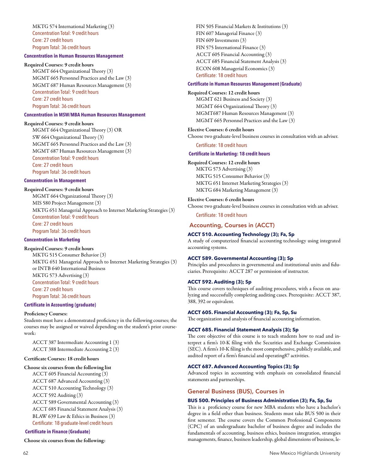MKTG 574 International Marketing (3) Concentration Total: 9 credit hours Core: 27 credit hours Program Total: 36 credit hours

#### **Concentration in Human Resources Management**

#### Required Courses: 9 credit hours

MGMT 664 Organizational Theory (3) MGMT 665 Personnel Practices and the Law (3) MGMT 687 Human Resources Management (3) Concentration Total: 9 credit hours Core: 27 credit hours Program Total: 36 credit hours

# **Concentration in MSW/MBA Human Resources Management**

## Required Courses: 9 credit hours

MGMT 664 Organizational Theory (3) OR SW 664 Organizational Theory (3) MGMT 665 Personnel Practices and the Law (3) MGMT 687 Human Resources Management (3) Concentration Total: 9 credit hours Core: 27 credit hours Program Total: 36 credit hours

### **Concentration in Management**

Required Courses: 9 credit hours MGMT 664 Organizational Theory (3) MIS 580 Project Management (3) MKTG 651 Managerial Approach to Internet Marketing Strategies (3) Concentration Total: 9 credit hours Core: 27 credit hours Program Total: 36 credit hours

# **Concentration in Marketing**

Required Courses: 9 credit hours

MKTG 515 Consumer Behavior (3) MKTG 651 Managerial Approach to Internet Marketing Strategies (3) or INTB 640 International Business MKTG 573 Advertising (3) Concentration Total: 9 credit hours Core: 27 credit hours Program Total: 36 credit hours

### **Certificate in Accounting (graduate)**

#### Proficiency Courses:

Students must have a demonstrated proficiency in the following courses; the courses may be assigned or waived depending on the student's prior coursework:

ACCT 387 Intermediate Accounting 1 (3) ACCT 388 Intermediate Accounting 2 (3)

## Certificate Courses: 18 credit hours

#### Choose six courses from the following list

ACCT 605 Financial Accounting (3) ACCT 687 Advanced Accounting (3) ACCT 510 Accounting Technology (3) ACCT 592 Auditing (3) ACCT 589 Governmental Accounting (3) ACCT 685 Financial Statement Analysis (3) BLAW 639 Law & Ethics in Business (3) Certificate: 18 graduate-level credit hours

# **Certificate in Finance (Graduate)**

Choose six courses from the following:

FIN 505 Financial Markets & Institutions (3) FIN 607 Managerial Finance (3) FIN 609 Investments (3) FIN 575 International Finance (3) ACCT 605 Financial Accounting (3) ACCT 685 Financial Statement Analysis (3) ECON 608 Managerial Economics (3) Certificate: 18 credit hours

#### **Certificate in Human Resources Management (Graduate)**

#### Required Courses: 12 credit hours

MGMT 621 Business and Society (3) MGMT 664 Organizational Theory (3) MGMT687 Human Resources Management (3) MGMT 665 Personnel Practices and the Law (3)

Elective Courses: 6 credit hours

Choose two graduate-level business courses in consultation with an adviser.

Certificate: 18 credit hours

### **Certificate in Marketing: 18 credit hours**

Required Courses: 12 credit hours MKTG 573 Advertising (3) MKTG 515 Consumer Behavior (3) MKTG 651 Internet Marketing Strategies (3) MKTG 684 Marketing Management (3)

Elective Courses: 6 credit hours

Choose two graduate-level business courses in consultation with an adviser.

# Certificate: 18 credit hours

# Accounting, Courses in (ACCT)

# **ACCT 510. Accounting Technology (3); Fa, Sp**

A study of computerized financial accounting technology using integrated accounting systems.

### **ACCT 589. Governmental Accounting (3); Sp**

Principles and procedures in governmental and institutional units and fiduciaries. Prerequisite: ACCT 287 or permission of instructor.

# **ACCT 592. Auditing (3); Sp**

This course covers techniques of auditing procedures, with a focus on analyzing and successfully completing auditing cases. Prerequisite: ACCT 387, 388, 392 or equivalent.

#### **ACCT 605. Financial Accounting (3); Fa, Sp, Su**

The organization and analysis of financial accounting information.

## **ACCT 685. Financial Statement Analysis (3); Sp**

The core objective of this course is to teach students how to read and interpret a firm's 10-K filing with the Securities and Exchange Commission (SEC). A firm's 10-K filing is the most comprehensive, publicly available, and audited report of a firm's financial and operating87 activities.

## **ACCT 687. Advanced Accounting Topics (3); Sp**

Advanced topics in accounting with emphasis on consolidated financial statements and partnerships.

# General Business (BUS), Courses in

### **BUS 500. Principles of Business Administration (3); Fa, Sp, Su**

This is a proficiency course for new MBA students who have a bachelor's degree in a field other than business. Students must take BUS 500 in their first semester. The course covers the Common Professional Components (CPC) of an undergraduate bachelor of business degree and includes the fundamentals of accounting, business ethics, business integration, strategies managements, finance, business leadership, global dimensions of business, le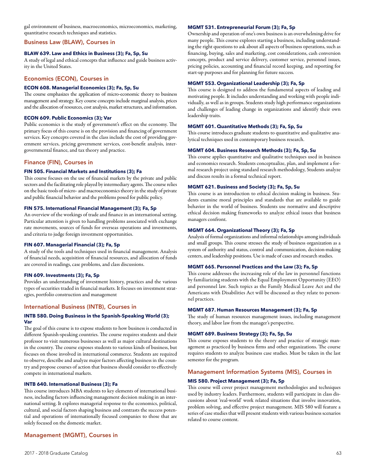gal environment of business, macroeconomics, microeconomics, marketing, quantitative research techniques and statistics.

## Business Law (BLAW), Courses in

# **BLAW 639. Law and Ethics in Business (3); Fa, Sp, Su**

A study of legal and ethical concepts that influence and guide business activity in the United States.

# Economics (ECON), Courses in

# **ECON 608. Managerial Economics (3); Fa, Sp, Su**

The course emphasizes the application of micro-economic theory to business management and strategy. Key course concepts include marginal analysis, prices and the allocation of resources, cost analysis, market structures, and information.

# **ECON 609. Public Economics (3); Var**

Public economics is the study of government's effect on the economy. The primary focus of this course is on the provision and financing of government services. Key concepts covered in the class include the cost of providing government services, pricing government services, cost-benefit analysis, intergovernmental finance, and tax theory and practice.

# Finance (FIN), Courses in

# **FIN 505. Financial Markets and Institutions (3); Fa**

This course focuses on the use of financial markets by the private and public sectors and the facilitating role played by intermediary agents. The course relies on the basic tools of micro- and macroeconomics theory in the study of private and public financial behavior and the problems posed for public policy.

# **FIN 575. International Financial Management (3); Fa, Sp**

An overview of the workings of trade and finance in an international setting. Particular attention is given to handling problems associated with exchange rate movements, sources of funds for overseas operations and investments, and criteria to judge foreign investment opportunities.

# **FIN 607. Managerial Financial (3); Fa, Sp**

A study of the tools and techniques used in financial management. Analysis of financial needs, acquisition of financial resources, and allocation of funds are covered in readings, case problems, and class discussions.

### **FIN 609. Investments (3); Fa, Sp**

Provides an understanding of investment history, practices and the various types of securities traded in financial markets. It focuses on investment strategies, portfolio construction and management

# International Business (INTB), Courses in

# **INTB 580. Doing Business in the Spanish-Speaking World (3); Var**

The goal of this course is to expose students to how business is conducted in different Spanish-speaking countries. The course requires students and their professor to visit numerous businesses as well as major cultural destinations in the country. The course exposes students to various kinds of business, but focuses on those involved in international commerce. Students are required to observe, describe and analyze major factors affecting business in the country and propose courses of action that business should consider to effectively compete in international markets.

# **INTB 640. International Business (3); Fa**

This course introduces MBA students to key elements of international business, including factors influencing management decision making in an international setting. It explores managerial response to the economics, political, cultural, and social factors shaping business and contrasts the success potential and operations of internationally focused companies to those that are solely focused on the domestic market.

# Management (MGMT), Courses in

# **MGMT 531. Entrepreneurial Forum (3); Fa, Sp**

Ownership and operation of one's own business is an overwhelming drive for many people. This course explores starting a business, including understanding the right questions to ask about all aspects of business operations, such as financing, buying, sales and marketing, cost considerations, cash conversion concepts, product and service delivery, customer service, personnel issues, pricing policies, accounting and financial record keeping, and reporting for start-up purposes and for planning for future success.

## **MGMT 553. Organizational Leadership (3); Fa, Sp**

This course is designed to address the fundamental aspects of leading and motivating people. It includes understanding and working with people individually, as well as in groups. Students study high performance organizations and challenges of leading change in organizations and identify their own leadership traits.

## **MGMT 601. Quantitative Methods (3); Fa, Sp, Su**

This course introduces graduate students to quantitative and qualitative analytical techniques used in contemporary business research.

### **MGMT 604. Business Research Methods (3); Fa, Sp, Su**

This course applies quantitative and qualitative techniques used in business and economics research. Students conceptualize, plan, and implement a formal research project using standard research methodology, Students analyze and discuss results in a formal technical report.

# **MGMT 621. Business and Society (3); Fa, Sp, Su**

This course is an introduction to ethical decision making in business. Students examine moral principles and standards that are available to guide behavior in the world of business. Students use normative and descriptive ethical decision making frameworks to analyze ethical issues that business managers confront.

# **MGMT 664. Organizational Theory (3); Fa, Sp**

Analysis of formal organizations and informal relationships among individuals and small groups. This course stresses the study of business organization as a system of authority and status, control and communication, decision-making centers, and leadership positions. Use is made of cases and research studies.

### **MGMT 665. Personnel Practices and the Law (3); Fa, Sp**

This course addresses the increasing role of the law in personnel functions by familiarizing students with the Equal Employment Opportunity (EEO) and personnel law. Such topics as the Family Medical Leave Act and the Americans with Disabilities Act will be discussed as they relate to personnel practices.

### **MGMT 687. Human Resources Management (3); Fa, Sp**

The study of human resources management issues, including management theory, and labor law from the manager's perspective.

# **MGMT 689. Business Strategy (3); Fa, Sp, Su**

This course exposes students to the theory and practice of strategic management as practiced by business firms and other organizations. The course requires students to analyze business case studies. Must be taken in the last semester for the program.

# Management Information Systems (MIS), Courses in

### **MIS 580. Project Management (3); Fa, Sp**

This course will cover project management methodologies and techniques used by industry leaders. Furthermore, students will participate in class discussions about 'real-world' work related situations that involve innovation, problem solving, and effective project management. MIS 580 will feature a series of case studies that will present students with various business scenarios related to course content.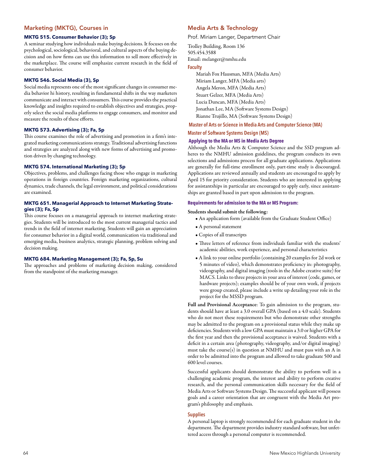# Marketing (MKTG), Courses in

## **MKTG 515. Consumer Behavior (3); Sp**

A seminar studying how individuals make buying decisions. It focuses on the psychological, sociological, behavioral, and cultural aspects of the buying decision and on how firms can use this information to sell more effectively in the marketplace. The course will emphasize current research in the field of consumer behavior.

# **MKTG 546. Social Media (3), Sp**

Social media represents one of the most significant changes in consumer media behavior hi history, resulting in fundamental shifts in the way marketers communicate and interact with consumers. This course provides the practical knowledge and insights required to establish objectives and strategies, properly select the social media platforms to engage consumers, and monitor and measure the results of these efforts.

### **MKTG 573. Advertising (3); Fa, Sp**

This course examines the role of advertising and promotion in a firm's integrated marketing communications strategy. Traditional advertising functions and strategies are analyzed along with new forms of advertising and promotion driven by changing technology.

# **MKTG 574. International Marketing (3); Sp**

Objectives, problems, and challenges facing those who engage in marketing operations in foreign countries. Foreign marketing organizations, cultural dynamics, trade channels, the legal environment, and political considerations are examined.

# **MKTG 651. Managerial Approach to Internet Marketing Strategies (3); Fa, Sp**

This course focuses on a managerial approach to internet marketing strategies. Students will be introduced to the most current managerial tactics and trends in the field of internet marketing. Students will gain an appreciation for consumer behavior in a digital world, communication via traditional and emerging media, business analytics, strategic planning, problem solving and decision making.

# **MKTG 684. Marketing Management (3); Fa, Sp, Su**

The approaches and problems of marketing decision making, considered from the standpoint of the marketing manager.

# Media Arts & Technology

Prof. Miriam Langer, Department Chair

Trolley Building, Room 136 505.454.3588 Email: melanger@nmhu.edu

# **Faculty**

Mariah Fox Hausman, MFA (Media Arts) Miriam Langer, MFA (Media arts) Angela Meron, MFA (Media Arts) Stuart Gelzer, MFA (Media Arts) Lucia Duncan, MFA (Media Arts) Jonathan Lee, MA (Software Systems Design) Rianne Trujillo, MA (Software Systems Design)

# **Master of Arts or Science in Media Arts and Computer Science (MA)**

### **Master of Software Systems Design (MS)**

# **Applying to the MA or MS in Media Arts Degree**

Although the Media Arts & Computer Science and the SSD program adheres to the NMHU admission guidelines, the program conducts its own selections and admissions process for all graduate applications. Applications are generally for full-time enrollment only, part-time study is discouraged. Applications are reviewed annually and students are encouraged to apply by April 15 for priority consideration. Students who are interested in applying for assistantships in particular are encouraged to apply early, since assistantships are granted based in part upon admission to the program.

# **Requirements for admission to the MA or MS Program:**

#### Students should submit the following:

- An application form (available from the Graduate Student Office)
- A personal statement
- Copies of all transcripts
- Three letters of reference from individuals familiar with the students' academic abilities, work experience, and personal characteristics
- A link to your online portfolio (containing 20 examples for 2d work or 5 minutes of video), which demonstrates proficiency in: photography, videography, and digital imaging (tools in the Adobe creative suite) for MACS. Links to three projects in your area of interest (code, games, or hardware projects); examples should be of your own work, if projects were group created, please include a write up detailing your role in the project for the MSSD program.

Full and Provisional Acceptance: To gain admission to the program, students should have at least a 3.0 overall GPA (based on a 4.0 scale). Students who do not meet these requirements but who demonstrate other strengths may be admitted to the program on a provisional status while they make up deficiencies. Students with a low GPA must maintain a 3.0 or higher GPA for the first year and then the provisional acceptance is waived. Students with a deficit in a certain area (photography, videography, and/or digital imaging) must take the course(s) in question at NMHU and must pass with an A in order to be admitted into the program and allowed to take graduate 500 and 600 level courses.

Successful applicants should demonstrate the ability to perform well in a challenging academic program, the interest and ability to perform creative research, and the personal communication skills necessary for the field of Media Arts or Software Systems Design. The successful applicant will possess goals and a career orientation that are congruent with the Media Art program's philosophy and emphasis.

### **Supplies**

A personal laptop is strongly recommended for each graduate student in the department. The department provides industry standard software, but unfettered access through a personal computer is recommended.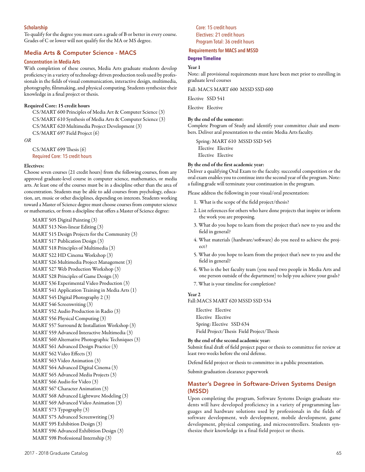# **Scholarship**

To qualify for the degree you must earn a grade of B or better in every course. Grades of C or lower will not qualify for the MA or MS degree.

# Media Arts & Computer Science - MACS

### **Concentration in Media Arts**

With completion of these courses, Media Arts graduate students develop proficiency in a variety of technology driven production tools used by professionals in the fields of visual communication, interactive design, multimedia, photography, filmmaking, and physical computing. Students synthesize their knowledge in a final project or thesis.

### Required Core: 15 credit hours

CS/MART 600 Principles of Media Art & Computer Science (3) CS/MART 610 Synthesis of Media Arts & Computer Science (3) CS/MART 620 Multimedia Project Development (3) CS/MART 697 Field Project (6)

*OR*

CS/MART 699 Thesis (6) Required Core: 15 credit hours

### Electives:

Choose seven courses (21 credit hours) from the following courses, from any approved graduate-level course in computer science, mathematics, or media arts. At least one of the courses must be in a discipline other than the area of concentration. Students may be able to add courses from psychology, education, art, music or other disciplines, depending on interests. Students working toward a Master of Science degree must choose courses from computer science or mathematics, or from a discipline that offers a Master of Science degree:

MART 505 Digital Painting (3) MART 513 Non-linear Editing (3) MART 515 Design Projects for the Community (3) MART 517 Publication Design (3) MART 518 Principles of Multimedia (3) MART 522 HD Cinema Workshop (3) MART 526 Multimedia Project Management (3) MART 527 Web Production Workshop (3) MART 528 Principles of Game Design (3) MART 536 Experimental Video Production (3) MART 541 Application Training in Media Arts (1) MART 545 Digital Photography 2 (3) MART 546 Screenwriting (3) MART 552 Audio Production in Radio (3) MART 556 Physical Computing (3) MART 557 Surround & Installation Workshop (3) MART 559 Advanced Interactive Multimedia (3) MART 560 Alternative Photographic Techniques (3) MART 561 Advanced Design Practice (3) MART 562 Video Effects (3) MART 563 Video Animation (3) MART 564 Advanced Digital Cinema (3) MART 565 Advanced Media Projects (3) MART 566 Audio for Video (3) MART 567 Character Animation (3) MART 568 Advanced Lightwave Modeling (3) MART 569 Advanced Video Animation (3) MART 573 Typography (3) MART 575 Advanced Screenwriting (3) MART 595 Exhibition Design (3) MART 596 Advanced Exhibition Design (3) MART 598 Professional Internship (3)

Core: 15 credit hours Electives: 21 credit hours Program Total: 36 credit hours

### **Requirements for MACS and MSSD**

#### **Degree Timeline**

### Year 1

Note: all provisional requirements must have been met prior to enrolling in graduate level courses

Fall: MACS MART 600 MSSD SSD 600

Elective SSD 541

Elective Elective

### By the end of the semester:

Complete Program of Study and identify your committee chair and members. Deliver aral presentation to the entire Media Arts faculty.

Spring: MART 610 MSSD SSD 545 Elective Elective Elective Elective

### By the end of the first academic year:

Deliver a qualifying Oral Exam to the faculty. successful competition or the oral exam enables you to continue into the second year of the program. Note: a failing grade will terminate your continuation in the program.

Please address the following in your visual/oral presentation:

- 1. What is the scope of the field project/thesis?
- 2. List references for others who have done projects that inspire or inform the work you are proposing.
- 3. What do you hope to learn from the project that's new to you and the field in general?
- 4. What materials (hardware/software) do you need to achieve the project?
- 5. What do you hope to learn from the project that's new to you and the field in general?
- 6. Who is the bet faculty team (you need two people in Media Arts and one person outside of the department) to help you achieve your goals?
- 7. What is your timeline for completion?

# Year 2

Fall:MACS MART 620 MSSD SSD 534

Elective Elective Elective Elective Spring: Elective SSD 634 Field Project/Thesis Field Project/Thesis

#### By the end of the second academic year:

Submit final draft of field project paper or thesis to committee for review at least two weeks before the oral defense.

Defend field project or thesis to committee in a public presentation.

Submit graduation clearance paperwork

# Master's Degree in Software-Driven Systems Design (MSSD)

Upon completing the program, Software Systems Design graduate students will have developed proficiency in a variety of programming languages and hardware solutions used by professionals in the fields of software development, web development, mobile development, game development, physical computing, and microcontrollers. Students synthesize their knowledge in a final field project or thesis.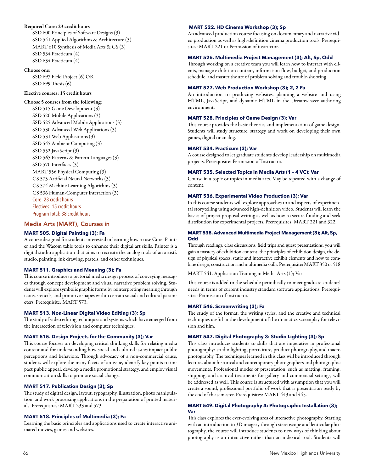# Required Core: 23 credit hours

SSD 600 Principles of Software Designs (3) SSD 541 Applied Algorithms & Architecture (3) MART 610 Synthesis of Media Arts & CS (3) SSD 534 Practicum (4) SSD 634 Practicum (4)

### Choose one:

SSD 697 Field Project (6) OR SSD 699 Thesis (6)

# Elective courses: 15 credit hours

# Choose 5 courses from the following:

SSD 515 Game Development (3) SSD 520 Mobile Applications (3) SSD 525 Advanced Mobile Applications (3) SSD 530 Advanced Web Applications (3) SSD 531 Web Applications (3) SSD 545 Ambient Computing (3) SSD 552 JavaScript (3) SSD 565 Patterns & Pattern Languages (3) SSD 570 Interfaces (3) MART 556 Physical Computing (3) CS 573 Artificial Neural Networks (3) CS 574 Machine Learning Algorithms (3) CS 536 Human-Computer Interaction (3) Core: 23 credit hours Electives: 15 credit hours Program Total: 38 credit hours

# Media Arts (MART), Courses in

# **MART 505. Digital Painting (3); Fa**

A course designed for students interested in learning how to use Corel Painter and the Wacom table tools to enhance their digital art skills. Painter is a digital studio application that aims to recreate the analog tools of an artist's studio, painting, ink drawing, pastels, and other techniques.

### **MART 511. Graphics and Meaning (3); Fa**

This course introduces a pictorial media design process of conveying messages through concept development and visual narrative problem solving. Students will explore symbolic graphic forms by reinterpreting meaning through icons, stencils, and primitive shapes within certain social and cultural parameters. Prerequisite: MART 573.

### **MART 513. Non-Linear Digital Video Editing (3); Sp**

The study of video editing techniques and systems which have emerged from the intersection of television and computer techniques.

#### **MART 515. Design Projects for the Community (3); Var**

This course focuses on developing critical thinking skills for relating media content and for understanding how social and cultural issues impact public perceptions and behaviors. Through advocacy of a non-commercial cause, students will explore the many facets of an issue, identify key points to impact public appeal, develop a media promotional strategy, and employ visual communication skills to promote social change.

### **MART 517. Publication Design (3); Sp**

The study of digital design, layout, typography, illustration, photo manipulation, and work processing applications in the preparation of printed materials. Prerequisites: MART 233 and 573.

### **MART 518. Principles of Multimedia (3); Fa**

Learning the basic principles and applications used to create interactive animated movies, games and websites.

### **MART 522. HD Cinema Workshop (3); Sp**

An advanced production course focusing on documentary and narrative video production as well as high-definition cinema production tools. Prerequisites: MART 221 or Permission of instructor.

#### **MART 526. Multimedia Project Management (3); Alt, Sp, Odd**

Through working on a creative team you will learn how to interact with clients, manage exhibition content, information flow, budget, and production schedule, and master the art of problem solving and trouble-shooting.

# **MART 527. Web Production Workshop (3); 2, 2 Fa**

An introduction to producing websites, planning a website and using HTML, JavaScript, and dynamic HTML in the Dreamweaver authoring environment.

### **MART 528. Principles of Game Design (3); Var**

This course provides the basic theories and implementation of game design. Students will study structure, strategy and work on developing their own games, digital or analog.

### **MART 534. Practicum (3); Var**

A course designed to let graduate students develop leadership on multimedia projects. Prerequisite: Permission of Instructor.

# **MART 535. Selected Topics in Media Arts (1 – 4 VC); Var**

Course in a topic or topics in media arts. May be repeated with a change of content.

# **MART 536. Experimental Video Production (3); Var**

In this course students will explore approaches to and aspects of experimental storytelling using advanced high-definition video. Students will learn the basics of project proposal writing as well as how to secure funding and seek distribution for experimental projects. Prerequisites: MART 221 and 322.

# **MART 538. Advanced Multimedia Project Management (3); Alt, Sp, Odd**

Through readings, class discussions, field trips and guest presentations, you will gain a mastery of exhibition content, the principles of exhibition design, the design of physical spaces, static and interactive exhibit elements and how to combine design, construction and multimedia skills. Prerequisite: MART 350 or 518

MART 541. Application Training in Media Arts (1); Var

This course is added to the schedule periodically to meet graduate students' needs in terms of current industry standard software applications. Prerequisites: Permission of instructor.

#### **MART 546. Screenwriting (3); Fa**

The study of the format, the writing styles, and the creative and technical techniques useful in the development of the dramatics screenplay for television and film.

## **MART 547. Digital Photography 3: Studio Lighting (3); Sp**

This class introduces students to skills that are imperative in professional photography: studio lighting, portraiture, product photography, and macro photography. The techniques learned in this class will be introduced through lectures about historical and contemporary photographers and photographic movements. Professional modes of presentation, such as matting, framing, shipping, and archival treatments for gallery and commercial settings, will be addressed as well. This course is structured with assumption that you will create a sound, professional portfolio of work that is presentation ready by the end of the semester. Prerequisites: MART 443 and 445.

# **MART 549. Digital Photography 4: Photographic Installation (3); Var**

This class explores the ever-evolving area of interactive photography. Starting with an introduction to 3D imagery through stereoscope and lenticular photography, the course will introduce students to new ways of thinking about photography as an interactive rather than an indexical tool. Students will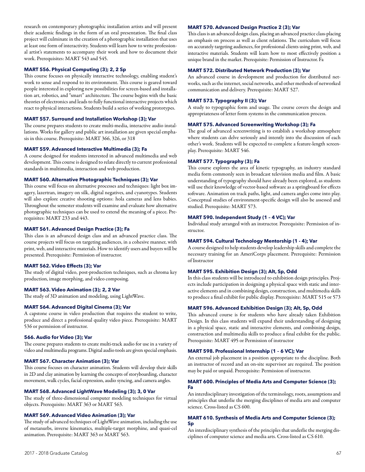research on contemporary photographic installation artists and will present their academic findings in the form of an oral presentation. The final class project will culminate in the creation of a photographic installation that uses at least one form of interactivity. Students will learn how to write professional artist's statements to accompany their work and how to document their work. Prerequisites: MART 543 and 545.

### **MART 556. Physical Computing (3); 2, 2 Sp**

This course focuses on physically interactive technology, enabling student's work to sense and respond to its environment. This course is geared toward people interested in exploring new possibilities for screen-based and installation art, robotics, and "smart" architecture. The course begins with the basic theories of electronics and leads to fully functional interactive projects which react to physical interactions. Students build a series of working prototypes.

# **MART 557. Surround and Installation Workshop (3); Var**

The course prepares students to create multi-media, interactive audio installations. Works for gallery and public art installation are given special emphasis in this course. Prerequisite: MART 366, 326, or 318

#### **MART 559. Advanced Interactive Multimedia (3); Fa**

A course designed for students interested in advanced multimedia and web development. This course is designed to relate directly to current professional standards in multimedia, interaction and web production.

# **MART 560. Alternative Photographic Techniques (3); Var**

This course will focus on alternative processes and techniques: light box imagery, lazertran, imagery on silk, digital negatives, and cyanotypes. Students will also explore creative shooting options: hola cameras and lens babies. Throughout the semester students will examine and evaluate how alternative photographic techniques can be used to extend the meaning of a piece. Prerequisites: MART 233 and 443.

### **MART 561. Advanced Design Practice (3); Fa**

This class is an advanced design class and an advanced practice class. The course projects will focus on targeting audiences, in a cohesive manner, with print, web, and interactive materials. How to identify users and buyers will be presented. Prerequisite: Permission of instructor.

# **MART 562. Video Effects (3); Var**

The study of digital video, post-production techniques, such as chroma key production, image morphing, and video composing.

#### **MART 563. Video Animation (3); 2, 2 Var**

The study of 3D animation and modeling, using LightWave.

#### **MART 564. Advanced Digital Cinema (3); Var**

A capstone course in video production that requires the student to write, produce and direct a professional quality video piece. Prerequisite: MART 536 or permission of instructor.

# **566. Audio for Video (3); Var**

The course prepares students to create multi-track audio for use in a variety of video and multimedia programs. Digital audio tools are given special emphasis.

#### **MART 567. Character Animation (3); Var**

This course focuses on character animation. Students will develop their skills in 2D and clay animation by learning the concepts of storyboarding, character movement, walk cycles, facial expression, audio syncing, and camera angles.

### **MART 568. Advanced LightWave Modeling (3); 3, 0 Var**

The study of three-dimensional computer modeling techniques for virtual objects. Prerequisite: MART 363 or MART 563.

# **MART 569. Advanced Video Animation (3); Var**

The study of advanced techniques of LightWave animation, including the use of metanurbs, inverse kinematics, multiple-target morphine, and quasi-cel animation. Prerequisite: MART 363 or MART 563.

# **MART 570. Advanced Design Practice 2 (3); Var**

This class is an advanced design class, placing an advanced practice class-placing an emphasis on process as well as client relations. The curriculum will focus on accurately targeting audiences, for professional clients using print, web, and interactive materials. Students will learn how to most effectively position a unique brand in the market. Prerequisite: Permission of Instructor. Fa

#### **MART 572. Distributed Network Production (3); Var**

An advanced course in development and production for distributed networks, such as the internet, social networks, and other methods of networked communication and delivery. Prerequisite: MART 527.

### **MART 573. Typography II (3); Var**

A study to typographic form and usage. The course covers the design and appropriateness of letter form systems in the communication process.

# **MART 575. Advanced Screenwriting Workshop (3); Fa**

The goal of advanced screenwriting is to establish a workshop atmosphere where students can delve seriously and intently into the discussion of each other's work. Students will be expected to complete a feature-length screenplay. Prerequisite: MART 546.

### **MART 577. Typography (3); Fa**

This course explores the area of kinetic typography, an industry standard media form commonly seen in broadcast television media and film. A basic understanding of typography should have already been explored, as students will use their knowledge of vector-based software as a springboard for effects software. Animation on track paths, light, and camera angles come into play. Conceptual studies of environment-specific design will also be assessed and studied. Prerequisite: MART 573.

### **MART 590. Independent Study (1 – 4 VC); Var**

Individual study arranged with an instructor. Prerequisite: Permission of instructor.

#### **MART 594. Cultural Technology Mentorship (1 - 4); Var**

A course designed to help students develop leadership skills and complete the necessary training for an AmeriCorps placement. Prerequisite: Permission of Instructor

#### **MART 595. Exhibition Design (3); Alt, Sp, Odd**

In this class students will be introduced to exhibition design principles. Projects include participation in designing a physical space with static and interactive elements and in combining design, construction, and multimedia skills to produce a final exhibit for public display. Prerequisite: MART 515 or 573

#### **MART 596. Advanced Exhibition Design (3); Alt, Sp, Odd**

This advanced course is for students who have already taken Exhibition Design. In this class students will expand their understanding of designing in a physical space, static and interactive elements, and combining design, construction and multimedia skills to produce a final exhibit for the public. Prerequisite: MART 495 or Permission of instructor

### **MART 598. Professional Internship (1 – 6 VC); Var**

An external job placement in a position appropriate to the discipline. Both an instructor of record and an on-site supervisor are required. The position may be paid or unpaid. Prerequisite: Permission of instructor.

#### **MART 600. Principles of Media Arts and Computer Science (3); Fa**

An interdisciplinary investigation of the terminology, roots, assumptions and principles that underlie the merging disciplines of media arts and computer science. Cross-listed as CS 600.

### **MART 610. Synthesis of Media Arts and Computer Science (3); Sp**

An interdisciplinary synthesis of the principles that underlie the merging disciplines of computer science and media arts. Cross-listed as CS 610.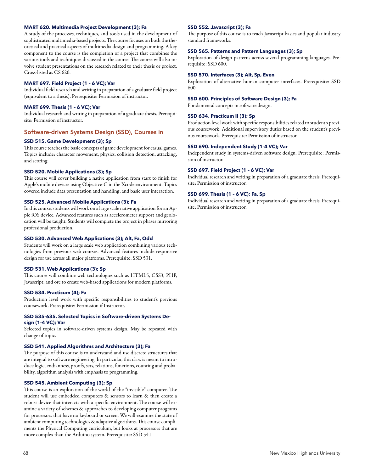### **MART 620. Multimedia Project Development (3); Fa**

A study of the processes, techniques, and tools used in the development of sophisticated multimedia-based projects. The course focuses on both the theoretical and practical aspects of multimedia design and programming. A key component to the course is the completion of a project that combines the various tools and techniques discussed in the course. The course will also involve student presentations on the research related to their thesis or project. Cross-listed as CS 620.

#### **MART 697. Field Project (1 – 6 VC); Var**

Individual field research and writing in preparation of a graduate field project (equivalent to a thesis). Prerequisite: Permission of instructor.

### **MART 699. Thesis (1 – 6 VC); Var**

Individual research and writing in preparation of a graduate thesis. Prerequisite: Permission of instructor.

## Software-driven Systems Design (SSD), Courses in

### **SSD 515. Game Development (3); Sp**

This course teaches the basic concepts of game development for casual games. Topics include: character movement, physics, collision detection, attacking, and scoring.

#### **SSD 520. Mobile Applications (3); Sp**

This course will cover building a native application from start to finish for Apple's mobile devices using Objective-C in the Xcode environment. Topics covered include data presentation and handling, and basic user interaction.

#### **SSD 525. Advanced Mobile Applications (3); Fa**

In this course, students will work on a large scale native application for an Apple iOS device. Advanced features such as accelerometer support and geolocation will be taught. Students will complete the project in phases mirroring professional production.

### **SSD 530. Advanced Web Applications (3); Alt, Fa, Odd**

Students will work on a large scale web application combining various technologies from previous web courses. Advanced features include responsive design for use across all major platforms. Prerequisite: SSD 531.

#### **SSD 531. Web Applications (3); Sp**

This course will combine web technologies such as HTML5, CSS3, PHP, Javascript, and ore to create web-based applications for modern platforms.

#### **SSD 534. Practicum (4); Fa**

Production level work with specific responsibilities to student's previous coursework. Prerequisite: Permission if Instructor.

#### **SSD 535-635. Selected Topics in Software-driven Systems Design (1-4 VC); Var**

Selected topics in software-driven systems design. May be repeated with change of topic.

#### **SSD 541. Applied Algorithms and Architecture (3); Fa**

The purpose of this course is to understand and use discrete structures that are integral to software engineering. In particular, this class is meant to introduce logic, endianness, proofs, sets, relations, functions, counting and probability, algorithm analysis with emphasis to programming.

## **SSD 545. Ambient Computing (3); Sp**

This course is an exploration of the world of the "invisible" computer. The student will use embedded computers & sensors to learn & then create a robust device that interacts with a specific environment. The course will examine a variety of schemes & approaches to developing computer programs for processors that have no keyboard or screen. We will examine the state of ambient computing technologies & adaptive algorithms. This course compliments the Physical Computing curriculum, but looks at processors that are move complex than the Arduino system. Prerequisite: SSD 541

### **SSD 552. Javascript (3); Fa**

The purpose of this course is to teach Javascript basics and popular industry standard frameworks.

### **SSD 565. Patterns and Pattern Languages (3); Sp**

Exploration of design patterns across several programming languages. Prerequisite: SSD 600.

#### **SSD 570. Interfaces (3); Alt, Sp, Even**

Exploration of alternative human computer interfaces. Prerequisite: SSD 600.

#### **SSD 600. Principles of Software Design (3); Fa**

Fundamental concepts in software design.

### **SSD 634. Practicum II (3); Sp**

Production level work with specific responsibilities related to student's previous coursework. Additional supervisory duties based on the student's previous coursework. Prerequisite: Permission of instructor.

### **SSD 690. Independent Study (1-4 VC); Var**

Independent study in systems-driven software design. Prerequisite: Permission of instructor.

### **SSD 697. Field Project (1 – 6 VC); Var**

Individual research and writing in preparation of a graduate thesis. Prerequisite: Permission of instructor.

#### **SSD 699. Thesis (1 – 6 VC); Fa, Sp**

Individual research and writing in preparation of a graduate thesis. Prerequisite: Permission of instructor.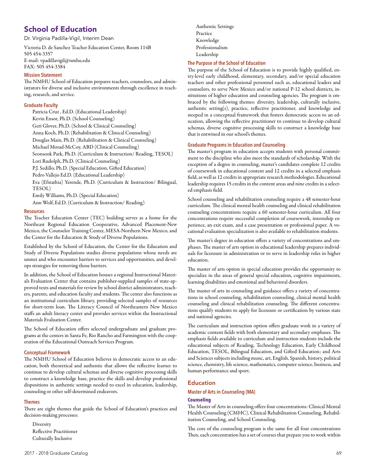# School of Education

Dr. Virginia Padilla-Vigil, Interim Dean

Victoria D. de Sanchez Teacher Education Center, Room 114B 505 454-3357 E-mail: vpadillavigil@nmhu.edu FAX: 505 454-3384

# **Mission Statement**

The NMHU School of Education prepares teachers, counselors, and administrators for diverse and inclusive environments through excellence in teaching, research, and service.

# **Graduate Faculty**

Patricia Cruz , Ed.D. (Educational Leadership) Kevin Ensor, Ph.D. (School Counseling) Geri Glover, Ph.D. (School & Clinical Counseling) Anna Koch, Ph.D. (Rehabilitation & Clinical Counseling) Douglas Main, Ph.D. (Rehabilitation & Clinical Counseling) Michael Morad-McCoy, ABD (Clinical Counseling) Seonsook Park, Ph.D. (Curriculum & Instruction/ Reading, TESOL) Lori Rudolph, Ph.D. (Clinical Counseling) P.J. Sedillo, Ph.D. (Special Education, Gifted Education) Pedro Vallejo Ed.D. (Educational Leadership) Eva (Efstathia) Yerende, Ph.D. (Curriculum & Instruction/ Bilingual, TESOL) Emily Williams, Ph.D. (Special Education) Ann Wolf, Ed.D. (Curriculum & Instruction/ Reading)

# **Resources**

The Teacher Education Center (TEC) building serves as a home for the Northeast Regional Education Cooperative, Advanced Placement-New Mexico, the Counselor Training Center, MESA-Northern New Mexico, and the Center for the Education & Study of Diverse Populations.

Established by the School of Education, the Center for the Education and Study of Diverse Populations studies diverse populations whose needs are unmet and who encounter barriers to services and opportunities, and develops strategies for removing those barriers.

In addition, the School of Education houses a regional Instructional Materials Evaluation Center that contains publisher-supplied samples of state-approved texts and materials for review by school district administrators, teachers, parents, and education faculty and students. The center also functions as an institutional curriculum library, providing selected samples of resources for short-term loan. The Literacy Council of Northeastern New Mexico staffs an adult literacy center and provides services within the Instructional Materials Evaluation Center.

The School of Education offers selected undergraduate and graduate programs at the centers in Santa Fe, Rio Rancho and Farmington with the cooperation of the Educational Outreach Services Program.

# **Conceptual Framework**

The NMHU School of Education believes in democratic access to an education, both theoretical and authentic that allows the reflective learner to continue to develop cultural schemas and diverse cognitive processing skills to construct a knowledge base, practice the skills and develop professional dispositions in authentic settings needed to excel in education, leadership, counseling or other self-determined endeavors.

# **Themes**

There are eight themes that guide the School of Education's practices and decision-making processes:

**Diversity** Reflective Practitioner Culturally Inclusive

Authentic Settings Practice Knowledge Professionalism Leadership

# **The Purpose of the School of Education**

The purpose of the School of Education is to provide highly qualified, entry-level early childhood, elementary, secondary, and/or special education teachers and other professional personnel such as, educational leaders and counselors, to serve New Mexico and/or national P-12 school districts, institutions of higher education and counseling agencies. The program is embraced by the following themes: diversity, leadership, culturally inclusive, authentic setting(s), practice, reflective practitioner, and knowledge and steeped in a conceptual framework that fosters democratic access to an education, allowing the reflective practitioner to continue to develop cultural schemas, diverse cognitive processing skills to construct a knowledge base that is entwined in our school's themes.

# **Graduate Programs in Education and Counseling**

The master's program in education accepts students with personal commitment to the discipline who also meet the standards of scholarship. With the exception of a degree in counseling, master's candidates complete 12 credits of coursework in educational content and 12 credits in a selected emphasis field, as well as 12 credits in appropriate research methodologies. Educational leadership requires 15 credits in the content areas and nine credits in a selected emphasis field.

School counseling and rehabilitation counseling require a 48 semester-hour curriculum. The clinical mental health counseling and clinical rehabilitation counseling concentrations require a 60 semester-hour curriculum. All four concentrations require successful completion of coursework, internship experience, an exit exam, and a case presentation or professional paper. A vocational evaluation specialization is also available to rehabilitation students.

The master's degree in education offers a variety of concentrations and emphases. The master of arts option in educational leadership prepares individuals for licensure in administration or to serve in leadership roles in higher education.

The master of arts option in special education provides the opportunity to specialize in the areas of general special education, cognitive impairments, learning disabilities and emotional and behavioral disorders.

The master of arts in counseling and guidance offers a variety of concentrations in school counseling, rehabilitation counseling, clinical mental health counseling and clinical rehabilitation counseling. The different concentrations qualify students to apply for licensure or certification by various state and national agencies.

The curriculum and instruction option offers graduate work in a variety of academic content fields with both elementary and secondary emphases. The emphasis fields available to curriculum and instruction students include the educational subjects of Reading, Technology Education, Early Childhood Education, TESOL, Bilingual Education, and Gifted Education; and Arts and Sciences subjects including music, art, English, Spanish, history, political science, chemistry, life science, mathematics, computer science, business, and human performance and sport.

# Education

# **Master of Arts in Counseling (MA)**

### **Counseling**

The Master of Arts in counseling offers four concentrations: Clinical Mental Health Counseling (CMHC), Clinical Rehabilitation Counseling, Rehabilitation Counseling, and School Counseling.

The core of the counseling program is the same for all four concentrations Then, each concentration has a set of courses that prepare you to work within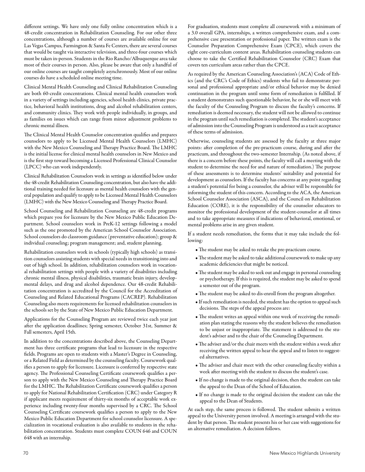different settings. We have only one fully online concentration which is a 48-credit concentration in Rehabilitation Counseling. For our other three concentrations, although a number of courses are available online for our Las Vegas Campus, Farmington & Santa Fe Centers, there are several courses that would be taught via interactive television, and three-four courses which must be taken in-person. Students in the Rio Rancho/Albuquerque area take most of their courses in person. Also, please be aware that only a handful of our online courses are taught completely asynchronously. Most of our online courses do have a scheduled online meeting time.

Clinical Mental Health Counseling and Clinical Rehabilitation Counseling are both 60-credit concentrations. Clinical mental health counselors work in a variety of settings including agencies, school health clinics, private practice, behavioral health institutions, drug and alcohol rehabilitation centers, and community clinics. They work with people individually, in groups, and as families on issues which can range from minor adjustment problems to chronic mental illness.

The Clinical Mental Health Counselor concentration qualifies and prepares counselors to apply to be Licensed Mental Health Counselors (LMHC) with the New Mexico Counseling and Therapy Practice Board. The LMHC is the initial license for clinical mental health counselors in New Mexico and is the first step toward becoming a Licensed Professional Clinical Counselor (LPCC) who can work independently.

Clinical Rehabilitation Counselors work in settings as identified below under the 48-credit Rehabilitation Counseling concentration, but also have the additional training needed for licensure as mental health counselors with the general population and qualify to apply to be Licensed Mental Health Counselors (LMHC) with the New Mexico Counseling and Therapy Practice Board.

School Counseling and Rehabilitation Counseling are 48-credit programs which prepare you for licensure by the New Mexico Public Education Department. School counselors work in PreK-12 settings following a model such as the one promoted by the American School Counselor Association. School counselors do classroom guidance (preventative education); group & individual counseling; program management; and, student planning.

Rehabilitation counselors work in schools (typically high schools) as transition counselors assisting students with special needs in transitioning into and out of high school. In addition, rehabilitation counselors work in vocational rehabilitation settings with people with a variety of disabilities including chronic mental illness, physical disabilities, traumatic brain injury, developmental delays, and drug and alcohol dependence. Our 48-credit Rehabilitation concentration is accredited by the Council for the Accreditation of Counseling and Related Educational Programs (CACREP). Rehabilitation Counseling also meets requirements for licensed rehabilitation counselors in the schools set by the State of New Mexico Public Education Department.

Applications for the Counseling Program are reviewed twice each year just after the application deadlines; Spring semester, October 31st, Summer & Fall semesters, April 15th.

In addition to the concentrations described above, the Counseling Department has three certificate programs that lead to licensure in the respective fields. Programs are open to students with a Master's Degree in Counseling, or a Related Field as determined by the counseling faculty. Coursework qualifies a person to apply for licensure. Licensure is conferred by respective state agency. The Professional Counseling Certificate coursework qualifies a person to apply with the New Mexico Counseling and Therapy Practice Board for the LMHC. The Rehabilitation Certificate coursework qualifies a person to apply for National Rehabilitation Certification (CRC) under Category R if applicant meets requirement of thirty-six months of acceptable work experience including twenty-four months supervised by a CRC. The School Counseling Certificate coursework qualifies a person to apply to the New Mexico Public Education Department for school counselor licensure. A specialization in vocational evaluation is also available to students in the rehabilitation concentration. Students must complete COUN 646 and COUN 648 with an internship.

For graduation, students must complete all coursework with a minimum of a 3.0 overall GPA, internships, a written comprehensive exam, and a comprehensive case presentation or professional paper. The written exam is the Counselor Preparation Comprehensive Exam (CPCE), which covers the eight core-curriculum content areas. Rehabilitation counseling students can choose to take the Certified Rehabilitation Counselor (CRC) Exam that covers ten curriculum areas rather than the CPCE.

As required by the American Counseling Association's (ACA) Code of Ethics (and the CRC's Code of Ethics) students who fail to demonstrate personal and professional appropriate and/or ethical behavior may be denied continuation in the program until some form of remediation is fulfilled. If a student demonstrates such questionable behavior, he or she will meet with the faculty of the Counseling Program to discuss the faculty's concerns. If remediation is deemed necessary, the student will not be allowed to continue in the program until such remediation is completed. The student's acceptance of admission into the Counseling Program is understood as a tacit acceptance of these terms of admission.

Otherwise, counseling students are assessed by the faculty at three major points: after completion of the pre-practicum course, during and after the practicum, and throughout the two-semester Internship. (As noted above, if there is a concern before these points, the faculty will call a meeting with the student to determine the need for and nature of remediation.) The purpose of these assessments is to determine students' suitability and potential for development as counselors. If the faculty has concerns at any point regarding a student's potential for being a counselor, the adviser will be responsible for informing the student of this concern. According to the ACA, the American School Counselor Association (ASCA), and the Council on Rehabilitation Education (CORE), it is the responsibility of the counselor educators to monitor the professional development of the student-counselor at all times and to take appropriate measures if indications of behavioral, emotional, or mental problems arise in any given student.

If a student needs remediation, the forms that it may take include the following:

- The student may be asked to retake the pre-practicum course.
- The student may be asked to take additional coursework to make up any academic deficiencies that might be noticed.
- The student may be asked to seek out and engage in personal counseling or psychotherapy. If this is required, the student may be asked to spend a semester out of the program.
- The student may be asked to dis-enroll from the program altogether.
- If such remediation is needed, the student has the option to appeal such decisions. The steps of the appeal process are:
- The student writes an appeal within one week of receiving the remediation plan stating the reasons why the student believes the remediation to be unjust or inappropriate. The statement is addressed to the student's adviser and to the chair of the Counseling Department.
- The adviser and/or the chair meets with the student within a week after receiving the written appeal to hear the appeal and to listen to suggested alternatives.
- The adviser and chair meet with the other counseling faculty within a week after meeting with the student to discuss the student's case.
- If no change is made to the original decision, then the student can take the appeal to the Dean of the School of Education.
- If no change is made to the original decision the student can take the appeal to the Dean of Students.

At each step, the same process is followed. The student submits a written appeal to the University person involved. A meeting is arranged with the student by that person. The student presents his or her case with suggestions for an alternative remediation. A decision follows.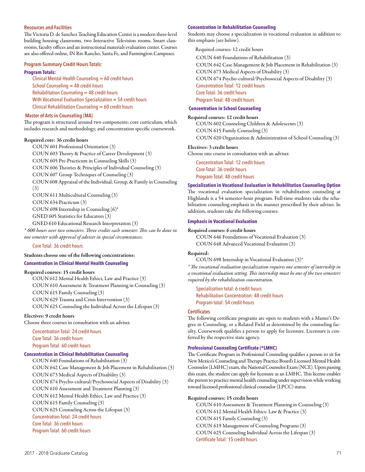### **Resources and Facilities**

The Victoria D. de Sanchez Teaching Education Center is a modern three-level building housing classrooms, two Interactive Television rooms, Smart classrooms, faculty offices and an instructional materials evaluation center. Courses are also offered online, IN Rio Rancho, Santa Fe, and Farmington Campuses.

### **Program Summary Credit Hours Totals:**

#### **Program Totals:**

Clinical Mental Health Counseling = 60 credit hours School Counseling = 48 credit hours  $Rehabilitation$  Counseling  $=$  48 credit hours With Vocational Evaluation Specialization = 54 credit hours Clinical Rehabilitation Counseling = 60 credit hours

## **Master of Arts in Counseling (MA)**

The program is structured around two components: core curriculum, which includes research and methodology, and concentration specific coursework.

# Required core: 36 credit hours

COUN 601 Professional Orientation (3) COUN 603 Theory & Practice of Career Development (3) COUN 605 Pre-Practicum in Counseling Skills (3) COUN 606 Theories & Principles of Individual Counseling (3) COUN 607 Group Techniques of Counseling (3) COUN 608 Appraisal of the Individual, Group, & Family in Counseling (3) COUN 611 Multicultural Counseling (3) COUN 634 Practicum (3) COUN 698 Internship in Counseling (6)\* GNED 605 Statistics for Educators (3)

GNED 610 Educational Research Interpretation (3)

*\* 600 hours over two semesters. Three credits each semester. This can be done in one semester with approval of adviser in special circumstances.* 

Core Total: 36 credit hours

# Students choose one of the following concentrations: **Concentration in Clinical Mental Health Counseling**

#### Required courses: 15 credit hours

COUN 612 Mental Health Ethics, Law and Practice (3) COUN 610 Assessment & Treatment Planning in Counseling (3) COUN 615 Family Counseling (3) COUN 629 Trauma and Crisis Intervention (3) COUN 625 Counseling the Individual Across the Lifespan (3)

### Electives: 9 credit hours

Choose three courses in consultation with an adviser.

Concentration Total: 24 credit hours Core Total: 36 credit hours Program Total: 60 credit hours

# **Concentration in Clinical Rehabilitation Counseling**

COUN 640 Foundations of Rehabilitation (3) COUN 642 Case Management & Job Placement in Rehabilitation (3) COUN 673 Medical Aspects of Disability (3) COUN 674 Psycho-cultural/Psychosocial Aspects of Disability (3) COUN 610 Assessment and Treatment Planning (3) COUN 612 Mental Health Ethics, Law and Practice (3) COUN 615 Family Counseling (3) COUN 625 Counseling Across the Lifespan (3) Concentration Total: 24 credit hours Core Total: 36 credit hours Program Total: 60 credit hours

#### **Concentration in Rehabilitation Counseling**

Students may choose a specialization in vocational evaluation in addition to this emphasis (see below).

Required courses: 12 credit hours COUN 640 Foundations of Rehabilitation (3) COUN 642 Case Management & Job Placement in Rehabilitation (3) COUN 673 Medical Aspects of Disability (3) COUN 674 Psycho-cultural/Psychosocial Aspects of Disability (3) Concentration Total: 12 credit hours Core Total: 36 credit hours Program Total: 48 credit hours

# **Concentration in School Counseling**

Required courses: 12 credit hours COUN 602 Counseling Children & Adolescents (3)

COUN 615 Family Counseling (3) COUN 620 Organization & Administration of School Counseling (3)

### Electives: 3 credit hours

Choose one course in consultation with an adviser.

Concentration Total: 12 credit hours Core Total: 36 credit hours Program Total: 48 credit hours

#### **Specialization in Vocational Evaluation in Rehabilitation Counseling Option**

The vocational evaluation specialization in rehabilitation counseling at Highlands is a 54 semester-hour program. Full-time students take the rehabilitation counseling emphasis in the manner prescribed by their adviser. In addition, students take the following courses:

#### **Emphasis in Vocational Evaluation**

#### Required courses: 6 credit hours

COUN 646 Foundations of Vocational Evaluation (3) COUN 648 Advanced Vocational Evaluation (3)

#### Required:

COUN 698 Internship in Vocational Evaluation (3)\*

*\* The vocational evaluation specialization requires one semester of internship in a vocational evaluation setting. This internship must be one of the two semesters required by the rehabilitation concentration.* 

Specialization total: 6 credit hours Rehabilitation Concentration: 48 credit hours Program total: 54 credit hours

# **Certificates**

The following certificate programs are open to students with a Master's Degree in Counseling, or a Related Field as determined by the counseling faculty. Coursework qualifies a person to apply for licensure. Licensure is conferred by the respective state agency.

# **Professional Counseling Certificate (\*LMHC)**

The Certificate Program in Professional Counseling qualifies a person to sit for New Mexico's Counseling and Therapy Practice Board's Licensed Mental Health Counselor (LMHC) exam, the National Counselor Exam (NCE). Upon passing this exam, the student can apply for licensure as an LMHC. This license enables the person to practice mental health counseling under supervision while working toward licensed professional clinical counselor (LPCC) status.

### Required courses: 15 credit hours

COUN 610 Assessment & Treatment Planning in Counseling (3) COUN 612 Mental Health Ethics: Law & Practice (3) COUN 615 Family Counseling (3) COUN 619 Management of Counseling Programs (3) COUN 625 Counseling Individual Across the Lifespan (3) Certificate Total: 15 credit hours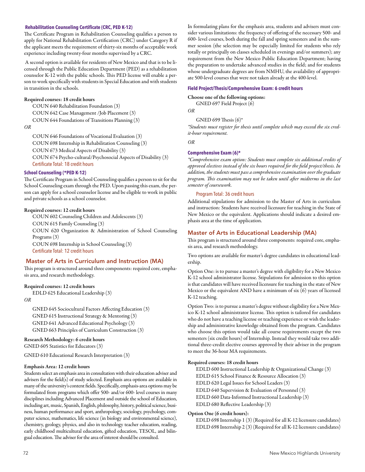## **Rehabilitation Counseling Certificate (CRC, PED K-12)**

The Certificate Program in Rehabilitation Counseling qualifies a person to apply for National Rehabilitation Certification (CRC) under Category R if the applicant meets the requirement of thirty-six months of acceptable work experience including twenty-four months supervised by a CRC.

 A second option is available for residents of New Mexico and that is to be licensed through the Public Education Department (PED) as a rehabilitation counselor K-12 with the public schools. This PED license will enable a person to work specifically with students in Special Education and with students in transition in the schools.

### Required courses: 18 credit hours

COUN 640 Rehabilitation Foundation (3) COUN 642 Case Management /Job Placement (3) COUN 644 Foundations of Transitions Planning (3)

*OR*

COUN 646 Foundations of Vocational Evaluation (3) COUN 698 Internship in Rehabilitation Counseling (3) COUN 673 Medical Aspects of Disability (3) COUN 674 Psycho-cultural/Psychosocial Aspects of Disability (3) Certificate Total: 18 credit hours

## **School Counseling (\*PED K-12)**

The Certificate Program in School Counseling qualifies a person to sit for the School Counseling exam through the PED. Upon passing this exam, the person can apply for a school counselor license and be eligible to work in public and private schools as a school counselor.

## Required courses: 12 credit hours

COUN 602 Counseling Children and Adolescents (3)

COUN 615 Family Counseling (3)

COUN 620 Organization & Administration of School Counseling Programs (3) COUN 698 Internship in School Counseling (3)

Certificate Total: 12 credit hours

## Master of Arts in Curriculum and Instruction (MA)

This program is structured around three components: required core, emphasis area, and research methodology.

### Required courses: 12 credit hours

EDLD 625 Educational Leadership (3)

*OR*

GNED 645 Sociocultural Factors Affecting Education (3) GNED 615 Instructional Strategy & Mentoring (3) GNED 641 Advanced Educational Psychology (3) GNED 663 Principles of Curriculum Construction (3)

## Research Methodology: 6 credit hours

GNED 605 Statistics for Educators (3)

GNED 610 Educational Research Interpretation (3)

## Emphasis Area: 12 credit hours

Students select an emphasis area in consultation with their education adviser and advisers for the field(s) of study selected. Emphasis area options are available in many of the university's content fields. Specifically, emphasis-area options may be formulated from programs which offer 500- and/or 600- level courses in many disciplines including Advanced Placement and outside the school of Education, including art, music, Spanish, English, philosophy, history, political science, business, human performance and sport, anthropology, sociology, psychology, computer science, mathematics, life science (in biology and environmental science), chemistry, geology, physics, and also in technology teacher education, reading, early childhood multicultural education, gifted education, TESOL, and bilingual education. The adviser for the area of interest should be consulted.

In formulating plans for the emphasis area, students and advisers must consider various limitations: the frequency of offering of the necessary 500- and 600- level courses, both during the fall and spring semesters and in the summer session (the selection may be especially limited for students who rely totally or principally on classes scheduled in evenings and/or summers); any requirement from the New Mexico Public Education Department; having the preparation to undertake advanced studies in the field; and for students whose undergraduate degrees are from NMHU, the availability of appropriate 500-level courses that were not taken already at the 400-level.

## **Field Project/Thesis/Comprehensive Exam: 6 credit hours**

#### Choose one of the following options:

GNED 697 Field Project (6)

*OR*

GNED 699 Thesis (6)\*

*\*Students must register for thesis until complete which may exceed the six credit-hour requirement.* 

*OR* 

#### **Comprehensive Exam (6)\***

*\*Comprehensive exam option: Students must complete six additional credits of approved electives instead of the six hours required for the field project/thesis. In addition, the students must pass a comprehensive examination over the graduate program. This examination may not be taken until after midterms in the last semester of coursework.* 

## Program Total: 36 credit hours

Additional stipulations for admission to the Master of Arts in curriculum and instruction: Students have received licensure for teaching in the State of New Mexico or the equivalent. Applications should indicate a desired emphasis area at the time of application.

## Master of Arts in Educational Leadership (MA)

This program is structured around three components: required core, emphasis area, and research methodology.

Two options are available for master's degree candidates in educational leadership.

Option One: is to pursue a master's degree with eligibility for a New Mexico K-12 school administrator license. Stipulations for admission to this option is that candidates will have received licensure for teaching in the state of New Mexico or the equivalent AND have a minimum of six (6) years of licensed K-12 teaching.

Option Two: is to pursue a master's degree without eligibility for a New Mexico K-12 school administrator license. This option is tailored for candidates who do not have a teaching license or teaching experience or wish the leadership and administrative knowledge obtained from the program. Candidates who choose this option would take all course requirements except the two semesters (six credit hours) of Internship. Instead they would take two additional three-credit elective courses approved by their adviser in the program to meet the 36-hour MA requirements.

## Required courses: 18 credit hours

EDLD 600 Instructional Leadership & Organizational Change (3) EDLD 615 School Finance & Resource Allocation (3) EDLD 620 Legal Issues for School Leaders (3) EDLD 640 Supervision & Evaluation of Personnel (3) EDLD 660 Data-Informed Instructional Leadership (3) EDLD 680 Reflective Leadership (3)

### Option One (6 credit hours):

EDLD 698 Internship 1 (3) (Required for all K-12 licensure candidates) EDLD 698 Internship 2 (3) (Required for all K-12 licensure candidates)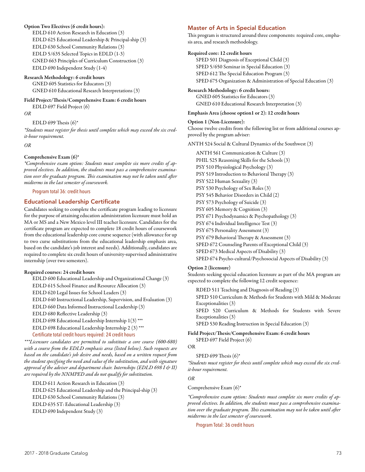## Option Two Electives (6 credit hours):

EDLD 610 Action Research in Education (3) EDLD 625 Educational Leadership & Principal-ship (3) EDLD 630 School Community Relations (3) EDLD 5/635 Selected Topics in EDLD (1-3) GNED 663 Principles of Curriculum Construction (3) EDLD 690 Independent Study (1-4)

Research Methodology: 6 credit hours GNED 605 Statistics for Educators (3) GNED 610 Educational Research Interpretations (3)

Field Project/Thesis/Comprehensive Exam: 6 credit hours EDLD 697 Field Project (6)

*OR*

EDLD 699 Thesis  $(6)^*$ 

*\*Students must register for thesis until complete which may exceed the six credit-hour requirement.* 

*OR*

## Comprehensive Exam (6)\*

*\*Comprehensive exam option: Students must complete six more credits of approved electives. In addition, the students must pass a comprehensive examination over the graduate program. This examination may not be taken until after midterms in the last semester of coursework.* 

Program total 36: credit hours

## Educational Leadership Certificate

Candidates seeking to complete the certificate program leading to licensure for the purpose of attaining education administration licensure must hold an MA or MS and a New Mexico level III teacher licensure. Candidates for the certificate program are expected to complete 18 credit hours of coursework from the educational leadership core course sequence (with allowance for up to two curse substitutions from the educational leadership emphasis area, based on the candidate's job interest and needs). Additionally, candidates are required to complete six credit hours of university-supervised administrative internship (over two semesters).

## Required courses: 24 credit hours

EDLD 600 Educational Leadership and Organizational Change (3) EDLD 615 School Finance and Resource Allocation (3) EDLD 620 Legal Issues for School Leaders (3) EDLD 640 Instructional Leadership, Supervision, and Evaluation (3) EDLD 660 Data Informed Instructional Leadership (3) EDLD 680 Reflective Leadership (3) EDLD 698 Educational Leadership Internship 1(3) \*\*\* EDLD 698 Educational Leadership Internship 2 (3) \*\*\* Certificate total credit hours required: 24 credit hours *\*\*\*Licensure candidates are permitted to substitute a core course (600-680)* 

*with a course from the EDLD emphasis area (listed below). Such requests are based on the candidate's job desire and needs, based on a written request from the student specifying the need and value of the substitution, and with signature approval of the adviser and department chair. Internships (EDLD 698 I & II) are required by the NNMPED and do not qualify for substitution.* 

EDLD 611 Action Research in Education (3) EDLD 625 Educational Leadership and the Principal-ship (3) EDLD 630 School Community Relations (3) EDLD 635 ST: Educational Leadership (3)

EDLD 690 Independent Study (3)

## Master of Arts in Special Education

This program is structured around three components: required core, emphasis area, and research methodology.

### Required core: 12 credit hours

SPED 501 Diagnosis of Exceptional Child (3) SPED 5/650 Seminar in Special Education (3) SPED 612 The Special Education Program (3) SPED 675 Organization & Administration of Special Education (3)

# Research Methodology: 6 credit hours:

GNED 605 Statistics for Educators (3) GNED 610 Educational Research Interpretation (3)

## Emphasis Area (choose option1 or 2): 12 credit hours

Option 1 (Non-Licensure): Choose twelve credits from the following list or from additional courses approved by the program adviser:

ANTH 524 Social & Cultural Dynamics of the Southwest (3)

ANTH 561 Communication & Culture (3) PHIL 525 Reasoning Skills for the Schools (3) PSY 510 Physiological Psychology (3) PSY 519 Introduction to Behavioral Therapy (3) PSY 522 Human Sexuality (3) PSY 530 Psychology of Sex Roles (3) PSY 545 Behavior Disorders in Child (2) PSY 573 Psychology of Suicide (3) PSY 605 Memory & Cognition (3) PSY 671 Psychodynamics & Psychopathology (3) PSY 674 Individual Intelligence Test (3) PSY 675 Personality Assessment (3) PSY 679 Behavioral Therapy & Assessment (3) SPED 672 Counseling Parents of Exceptional Child (3) SPED 673 Medical Aspects of Disability (3) SPED 674 Psycho-cultural/Psychosocial Aspects of Disability (3)

## Option 2 (licensure)

Students seeking special education licensure as part of the MA program are expected to complete the following 12 credit sequence:

RDED 511 Teaching and Diagnosis of Reading (3) SPED 510 Curriculum & Methods for Students with Mild & Moderate Exceptionalities (3) SPED 520 Curriculum & Methods for Students with Severe Exceptionalities (3) SPED 530 Reading Instruction in Special Education (3)

## Field Project/Thesis/Comprehensive Exam: 6 credit hours SPED 697 Field Project (6)

## OR

SPED 699 Thesis (6)\*

*\*Students must register for thesis until complete which may exceed the six credit-hour requirement.* 

## *OR*

Comprehensive Exam (6)\*

*\*Comprehensive exam option: Students must complete six more credits of approved electives. In addition, the students must pass a comprehensive examination over the graduate program. This examination may not be taken until after midterms in the last semester of coursework.* 

Program Total: 36 credit hours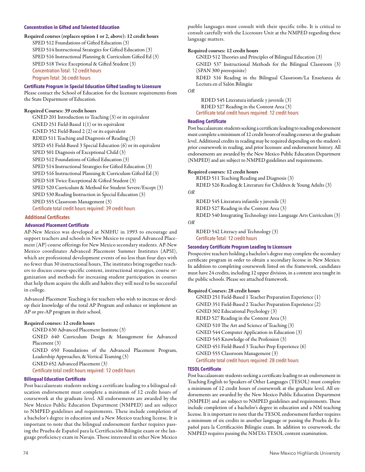## **Concentration in Gifted and Talented Education**

Required courses (replaces option 1 or 2, above): 12 credit hours SPED 512 Foundations of Gifted Education (3) SPED 514 Instructional Strategies for Gifted Education (3) SPED 516 Instructional Planning & Curriculum Gifted Ed (3) SPED 518 Twice Exceptional & Gifted Student (3) Concentration Total: 12 credit hours Program Total: 36 credit hours

#### **Certificate Program in Special Education Gifted Leading to Licensure**

Please contact the School of Education for the licensure requirements from the State Department of Education.

### Required Courses: 39 credit hours

GNED 201 Introduction to Teaching (3) or its equivalent GNED 251 Field-Based 1(1) or its equivalent GNED 352 Field-Based 2 (2) or its equivalent RDED 511 Teaching and Diagnosis of Reading (3) SPED 451 Field-Based 3 Special Education (6) or its equivalent SPED 501 Diagnosis of Exceptional Child (3) SPED 512 Foundations of Gifted Education (3) SPED 514 Instructional Strategies for Gifted Education (3) SPED 516 Instructional Planning & Curriculum Gifted Ed (3) SPED 518 Twice Exceptional & Gifted Student (3) SPED 520 Curriculum & Method for Student Severe/Except (3) SPED 530 Reading Instruction in Special Education (3) SPED 555 Classroom Management (3) Certificate total credit hours required: 39 credit hours  **Additional Certificates** 

#### **Advanced Placement Certificate**

AP-New Mexico was developed at NMHU in 1993 to encourage and support teachers and schools in New Mexico to expand Advanced Placement (AP) course offerings for New Mexico secondary students. AP-New Mexico coordinates Advanced Placement Summer Institutes (APSI), which are professional development events of no less than four days with no fewer than 30 instructional hours, The institutes bring together teachers to discuss course-specific content, instructional strategies, course organization and methods for increasing student participation in courses that help them acquire the skills and habits they will need to be successful in college.

Advanced Placement Teaching is for teachers who wish to increase or develop their knowledge of the total AP Program and enhance or implement an AP or pre-AP program in their school.

### Required courses: 12 credit hours

GNED 630 Advanced Placement Institute (3)

GNED 640 Curriculum Design & Management for Advanced Placement (3)

GNED 650 Foundations of the Advanced Placement Program, Leadership Approaches, & Vertical Teaming (3)

GNED 652 Advanced Placement (3)

Certificate total credit hours required: 12 credit hours

#### **Bilingual Education Certificate**

Post baccalaureate students seeking a certificate leading to a bilingual education endorsement must complete a minimum of 12 credit hours of coursework at the graduate level. All endorsements are awarded by the New Mexico Public Education Department (NMPED) and are subject to NMPED guidelines and requirements. These include completion of a bachelor's degree in education and a New Mexico teaching license. It is important to note that the bilingual endorsement further requires passing the Prueba de Español para la Certificación Bilingüe exam or the language proficiency exam in Navajo. Those interested in other New Mexico

pueblo languages must consult with their specific tribe. It is critical to consult carefully with the Licensure Unit at the NMPED regarding these language matters.

#### Required courses: 12 credit hours

GNED 512 Theories and Principles of Bilingual Education (3) GNED 537 Instructional Methods for the Bilingual Classroom (3) (SPAN 300 prerequisite)

RDED 516 Reading in the Bilingual Classroom/La Enseñanza de Lectura en el Salón Bilingüe

*OR*

RDED 545 Literatura infantile y juvenile (3) RDED 527 Reading in the Content Area (3) Certificate total credit hours required: 12 credit hours

## **Reading Certificate**

Post baccalaureate students seeking a certificate leading to reading endorsement must complete a minimum of 12 credit hours of reading courses at the graduate level. Additional credits in reading may be required depending on the student's prior coursework in reading, and prior licensure and endorsement history. All endorsements are awarded by the New Mexico Public Education Department (NMPED) and are subject to NMPED guidelines and requirements.

#### Required courses: 12 credit hours

RDED 511 Teaching Reading and Diagnosis (3)

RDED 526 Reading & Literature for Children & Young Adults (3)

*OR*

RDED 545 Literatura infantile y juvenile (3) RDED 527 Reading in the Content Area (3) RDED 540 Integrating Technology into Language Arts Curriculum (3)

*OR*

RDED 542 Literacy and Technology (3) Certificate Total: 12 credit hours

#### **Secondary Certificate Program Leading to Licensure**

Prospective teachers holding a bachelor's degree may complete the secondary certificate program in order to obtain a secondary license in New Mexico. In addition to completing coursework listed on the framework, candidates must have 24 credits, including 12 upper division, in a content area taught in the public schools. Please see attached framework.

#### Required Courses: 28 credit hours

GNED 251 Field-Based 1 Teacher Preparation Experience (1) GNED 351 Field-Based 2 Teacher Preparation Experience (2) GNED 302 Educational Psychology (3) RDED 527 Reading in the Content Area (3) GNED 510 The Art and Science of Teaching (3) GNED 544 Computer Application in Education (3) GNED 545 Knowledge of the Profession (3) GNED 451 Field-Based 3 Teacher Prep Experience (6) GNED 555 Classroom Management (3) Certificate total credit hours required: 28 credit hours

## **TESOL Certificate**

Post baccalaureate students seeking a certificate leading to an endorsement in Teaching English to Speakers of Other Languages (TESOL) must complete a minimum of 12 credit hours of coursework at the graduate level. All endorsements are awarded by the New Mexico Public Education Department (NMPED) and are subject to NMPED guidelines and requirements. These include completion of a bachelor's degree in education and a NM teaching license. It is important to note that the TESOL endorsement further requires a minimum of six credits in another language or passing the Prueba de Español para la Certificación Bilingüe exam. In addition to coursework, the NMPED requires passing the NMTA's TESOL content examination.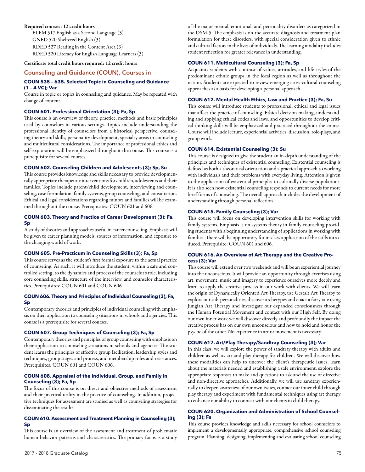## Required courses: 12 credit hours

ELEM 517 English as a Second Language (3) GNED 520 Sheltered English (3) RDED 527 Reading in the Content Area (3) RDED 520 Literacy for English Language Learners (3)

Certificate total credit hours required: 12 credit hours

## Counseling and Guidance (COUN), Courses in

## **COUN 535 – 635. Selected Topic in Counseling and Guidance (1 – 4 VC); Var**

Course in topic or topics in counseling and guidance. May be repeated with change of content.

## **COUN 601. Professional Orientation (3); Fa, Sp**

This course is an overview of theory, practice, methods and basic principles used by counselors in various settings. Topics include understanding the professional identity of counselors from a historical perspective, counseling theory and skills, personality development, specialty areas in counseling and multicultural considerations. The importance of professional ethics and self-exploration will be emphasized throughout the course. This course is a prerequisite for several courses.

## **COUN 602. Counseling Children and Adolescents (3); Sp, Su**

This course provides knowledge and skills necessary to provide developmentally appropriate therapeutic interventions for children, adolescents and their families. Topics include parent/child development, interviewing and counseling, case formulation, family systems, group counseling, and consultation. Ethical and legal considerations regarding minors and families will be examined throughout the course. Prerequisites: COUN 601 and 606.

## **COUN 603. Theory and Practice of Career Development (3); Fa, Sp**

A study of theories and approaches useful in career counseling. Emphasis will be given to career planning models, sources of information, and exposure to the changing world of work.

## **COUN 605. Pre-Practicum in Counseling Skills (3); Fa, Sp**

This course serves as the student's first formal exposure to the actual practice of counseling. As such, it will introduce the student, within a safe and controlled setting, to the dynamics and process of the counselor's role, including core counseling skills, structure of the interview, and counselor characteristics. Prerequisites: COUN 601 and COUN 606.

#### **COUN 606. Theory and Principles of Individual Counseling (3); Fa, Sp**

Contemporary theories and principles of individual counseling with emphasis on their application to counseling situations in schools and agencies. This course is a prerequisite for several courses.

## **COUN 607. Group Techniques of Counseling (3); Fa, Sp**

Contemporary theories and principles of group counseling with emphasis on their application to counseling situations in schools and agencies. The student learns the principles of effective group facilitation, leadership styles and techniques, group stages and process, and membership roles and resistances. Prerequisites: COUN 601 and COUN 606.

## **COUN 608. Appraisal of the Individual, Group, and Family in Counseling (3); Fa, Sp**

The focus of this course is on direct and objective methods of assessment and their practical utility in the practice of counseling. In addition, projective techniques for assessment are studied as well as counseling strategies for disseminating the results.

## **COUN 610. Assessment and Treatment Planning in Counseling (3); Sp**

This course is an overview of the assessment and treatment of problematic human behavior patterns and characteristics. The primary focus is a study of the major mental, emotional, and personality disorders as categorized in the DSM-5. The emphasis is on the accurate diagnosis and treatment plan formulation for these disorders, with special consideration given to ethnic and cultural factors in the lives of individuals. The learning modality includes student reflection for greater relevance in understanding.

## **COUN 611. Multicultural Counseling (3); Fa, Sp**

Acquaints students with contrast of values, attitudes, and life styles of the predominant ethnic groups in the local region as well as throughout the nation. Students are expected to review emerging cross-cultural counseling approaches as a basis for developing a personal approach.

#### **COUN 612. Mental Health Ethics, Law and Practice (3); Fa, Su**

This course will introduce students to professional, ethical and legal issues that affect the practice of counseling. Ethical decision-making, understanding and applying ethical codes and laws, and opportunities to develop critical thinking skills will be emphasized and practiced throughout the course. Course will include lecture, experiential activities, discussion, role-plays, and group work.

### **COUN 614. Existential Counseling (3); Su**

This course is designed to give the student an in-depth understanding of the principles and techniques of existential counseling. Existential counseling is defined as both a theoretical orientation and a practical approach to working with individuals and their problems with everyday living. Attention is given to the application of existential principles to culturally diverse populations. It is also seen how existential counseling responds to current needs for more brief forms of counseling. The overall approach includes the development of understanding through personal reflection.

#### **COUN 615. Family Counseling (3); Var**

This course will focus on developing intervention skills for working with family systems. Emphasis is on systems theory in family counseling providing students with a beginning understanding of applications in working with families. There will be opportunity for in-class application of the skills introduced. Prerequisite: COUN 601 and 606.

## **COUN 616. An Overview of Art Therapy and the Creative Process (3); Var**

This course will extend over two weekends and will be an experiential journey into the unconscious. It will provide an opportunity through exercises using art, movement, music and imagery to experience ourselves more deeply and learn to apply the creative process in our work with clients. We will learn the origin of Dynamically Oriented Art Therapy, use Gestalt Art Therapy to explore our sub-personalities, discover archetypes and enact a fairy tale using Jungian Art Therapy and investigate our expanded consciousness through the Human Potential Movement and contact with our High Self. By doing our own inner work we will discover directly and profoundly the impact the creative process has on our own unconscious and how to hold and honor the psyche of the other. No experience in art or movement is necessary.

#### **COUN 617. Art/Play Therapy/Sandtray Counseling (3); Var**

In this class, we will explore the power of sandtray therapy with adults and children as well as art and play therapy for children. We will discover how these modalities can help to uncover the client's therapeutic issues, learn about the materials needed and establishing a safe environment, explore the appropriate responses to make and questions to ask and the use of directive and non-directive approaches. Additionally, we will use sandtray experientially to deepen awareness of our own issues, contact our inner child through play therapy and experiment with fundamental techniques using art therapy to enhance our ability to connect with our clients in child therapy.

## **COUN 620. Organization and Administration of School Counseling (3); Fa**

This course provides knowledge and skills necessary for school counselors to implement a developmentally appropriate, comprehensive school counseling program. Planning, designing, implementing and evaluating school counseling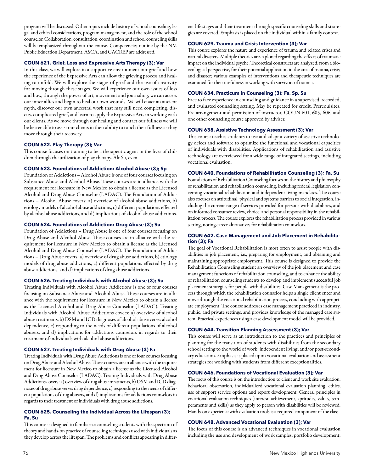program will be discussed. Other topics include history of school counseling, legal and ethical considerations, program management, and the role of the school counselor. Collaboration, consultation, coordination and school counseling skills will be emphasized throughout the course. Competencies outline by the NM Public Education Department, ASCA, and CACREP are addressed.

## **COUN 621. Grief, Loss and Expressive Arts Therapy (3); Var**

In this class, we will explore in a supportive environment our grief and how the experience of the Expressive Arts can allow the grieving process and healing to unfold. We will explore the stages of grief and the use of creativity for moving through these stages. We will experience our own issues of loss and how, through the power of art, movement and journaling, we can access our inner allies and begin to heal our own wounds. We will enact an ancient myth, discover our own ancestral work that may still need completing, discuss complicated grief, and learn to apply the Expressive Arts in working with our clients. As we move through our healing and contact our fullness we will be better able to assist our clients in their ability to touch their fullness as they move through their recovery.

## **COUN 622. Play Therapy (3); Var**

This course focuses on training to be a therapeutic agent in the lives of children through the utilization of play therapy. Alt Su, even

## **COUN 623. Foundations of Addiction: Alcohol Abuse (3); Sp**

Foundation of Addictions – Alcohol Abuse is one of four courses focusing on Substance Abuse and Alcohol Abuse. These courses are in alliance with the requirement for licensure in New Mexico to obtain a license as the Licensed Alcohol and Drug Abuse Counselor (LADAC). The Foundation of Addictions – Alcohol Abuse covers: a) overview of alcohol abuse addictions, b) etiology models of alcohol abuse addictions, c) different populations effected by alcohol abuse addictions, and d) implications of alcohol abuse addictions.

## **COUN 624. Foundations of Addiction: Drug Abuse (3); Su**

Foundation of Addictions – Drug Abuse is one of four courses focusing on Drug Abuse and Alcohol Abuse. These courses are in alliance with the requirement for licensure in New Mexico to obtain a license as the Licensed Alcohol and Drug Abuse Counselor (LADAC). The Foundation of Addictions – Drug Abuse covers: a) overview of drug abuse addictions, b) etiology models of drug abuse addictions, c) different populations effected by drug abuse addictions, and d) implications of drug abuse addictions.

## **COUN 626. Treating Individuals with Alcohol Abuse (3); Su**

Treating Individuals with Alcohol Abuse Addictions is one of four courses focusing on Substance Abuse and Alcohol Abuse. These courses are in alliance with the requirement for licensure in New Mexico to obtain a license as the Licensed Alcohol and Drug Abuse Counselor (LADAC). Treating Individuals with Alcohol Abuse Addictions covers: a) overview of alcohol abuse treatments, b) DSM and ICD diagnoses of alcohol abuse verses alcohol dependence, c) responding to the needs of different populations of alcohol abusers, and d) implications for addictions counselors in regards to their treatment of individuals with alcohol abuse addictions.

## **COUN 627. Treating Individuals with Drug Abuse (3) Fa**

Treating Individuals with Drug Abuse Addictions is one of four courses focusing on Drug Abuse and Alcohol Abuse. These courses are in alliance with the requirement for licensure in New Mexico to obtain a license as the Licensed Alcohol and Drug Abuse Counselor (LADAC). Treating Individuals with Drug Abuse Addictions covers: a) overview of drug abuse treatments, b) DSM and ICD diagnoses of drug abuse verses drug dependence, c) responding to the needs of different populations of drug abusers, and d) implications for addictions counselors in regards to their treatment of individuals with drug abuse addictions.

## **COUN 625. Counseling the Individual Across the Lifespan (3); Fa, Su**

This course is designed to familiarize counseling students with the spectrum of theory and hands-on practice of counseling techniques used with individuals as they develop across the lifespan. The problems and conflicts appearing in different life stages and their treatment through specific counseling skills and strategies are covered. Emphasis is placed on the individual within a family context.

### **COUN 629. Trauma and Crisis Intervention (3); Var**

This course explores the nature and experience of trauma and related crises and natural disasters. Multiple theories are explored regarding the effects of traumatic impact on the individual psyche. Theoretical constructs are analyzed, from a bioecological perspective, for their potential application in the area of trauma, crisis, and disaster; various examples of interventions and therapeutic techniques are examined for their usefulness in working with survivors of trauma.

## **COUN 634. Practicum in Counseling (3); Fa, Sp, Su**

Face to face experience in counseling and guidance in a supervised, recorded, and evaluated counseling setting. May be repeated for credit. Prerequisites: Pre-arrangement and permission of instructor, COUN 601, 605, 606, and one other counseling course approved by adviser.

## **COUN 638. Assistive Technology Assessment (3); Var**

This course teaches students to use and adapt a variety of assistive technology deices and software to optimize the functional and vocational capacities of individuals with disabilities. Applications of rehabilitation and assistive technology are overviewed for a wide range of integrated settings, including vocational evaluation.

## **COUN 640. Foundations of Rehabilitation Counseling (3); Fa, Su**

Foundations of Rehabilitation Counseling focuses on the history and philosophy of rehabilitation and rehabilitation counseling, including federal legislation concerning vocational rehabilitation and independent living mandates. The course also focuses on attitudinal, physical and systems barriers to social integration, including the current range of services provided for persons with disabilities, and on informed consumer review, choice, and personal responsibility in the rehabilitation process. The course explores the rehabilitation process provided in various setting, noting career alternatives for rehabilitation counselors.

## **COUN 642. Case Management and Job Placement in Rehabilitation (3); Fa**

The goal of Vocational Rehabilitation is most often to assist people with disabilities in job placement, i.e., preparing for employment, and obtaining and maintaining appropriate employment. This course is designed to provide the Rehabilitation Counseling student an overview of the job placement and case management functions of rehabilitation counseling, and to enhance the ability of rehabilitation counseling students to develop and implement successful job placement strategies for people with disabilities. Case Management is the process through which the rehabilitation counselor helps a single client enter and move through the vocational rehabilitation process, concluding with appropriate employment. The course addresses case management practiced in industry, public, and private settings, and provides knowledge of the managed care system. Practical experiences using a case development model will be provided.

## **COUN 644. Transition Planning Assessment (3); Var**

This course will serve as an introduction to the practices and principles of planning for the transition of students with disabilities from the secondary school setting to the world of work, independent living, and/or post-secondary education. Emphasis is placed upon vocational evaluation and assessment strategies for working with students from different exceptionalities.

## **COUN 646. Foundations of Vocational Evaluation (3); Var**

The focus of this course is on the introduction to client and work site evaluation, behavioral observation, individualized vocational evaluation planning, ethics, use of support service options and report development. General principles in vocational evaluation techniques (interest, achievement, aptitudes, values, temperaments and skills) as they apply to person with disabilities will be reviewed. Hands-on experience with evaluation tools is a required component of the class.

## **COUN 648. Advanced Vocational Evaluation (3); Var**

The focus of this course is on advanced techniques in vocational evaluation including the use and development of work samples, portfolio development,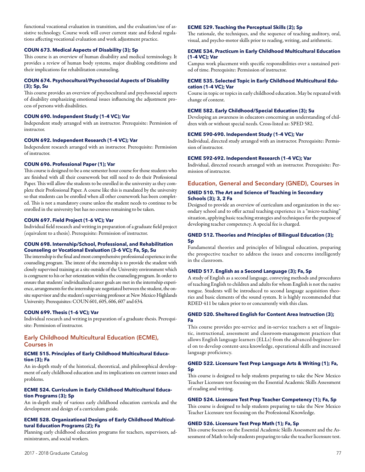functional vocational evaluation in transition, and the evaluation/use of assistive technology. Course work will cover current state and federal regulations affecting vocational evaluation and work adjustment practice.

## **COUN 673. Medical Aspects of Disability (3); Sp**

This course is an overview of human disability and medical terminology. It provides a review of human body systems, major disabling conditions and their implications for rehabilitation counseling.

## **COUN 674. Psychocultural/Psychosocial Aspects of Disability (3); Sp, Su**

This course provides an overview of psychocultural and psychosocial aspects of disability emphasizing emotional issues influencing the adjustment process of persons with disabilities.

## **COUN 690. Independent Study (1–4 VC); Var**

Independent study arranged with an instructor. Prerequisite: Permission of instructor.

## **COUN 692. Independent Research (1–4 VC); Var**

Independent research arranged with an instructor. Prerequisite: Permission of instructor.

### **COUN 696. Professional Paper (1); Var**

This course is designed to be a one semester hour course for those students who are finished with all their coursework but still need to do their Professional Paper. This will allow the students to be enrolled in the university as they complete their Professional Paper. A course like this is mandated by the university so that students can be enrolled when all other coursework has been completed. This is not a mandatory course unless the student needs to continue to be enrolled in the university but has no courses remaining to be taken.

#### **COUN 697. Field Project (1–6 VC); Var**

Individual field research and writing in preparation of a graduate field project (equivalent to a thesis). Prerequisite: Permission of instructor.

## **COUN 698. Internship/School, Professional, and Rehabilitation Counseling or Vocational Evaluation (3–6 VC); Fa, Sp, Su**

The internship is the final and most comprehensive professional experience in the counseling program. The intent of the internship is to provide the student with closely supervised training at a site outside of the University environment which is congruent to his or her orientation within the counseling program. In order to ensure that students' individualized career goals are met in the internship experience, arrangements for the internship are negotiated between the student, the onsite supervisor and the student's supervising professor at New Mexico Highlands University. Prerequisites: COUN 601, 605, 606, 607 and 634.

## **COUN 699. Thesis (1–6 VC); Var**

Individual research and writing in preparation of a graduate thesis. Prerequisite: Permission of instructor.

## Early Childhood Multicultural Education (ECME), Courses in

#### **ECME 515. Principles of Early Childhood Multicultural Education (3); Fa**

An in-depth study of the historical, theoretical, and philosophical development of early childhood education and its implications on current issues and problems.

## **ECME 524. Curriculum in Early Childhood Multicultural Education Programs (3); Sp**

An in-depth study of various early childhood education curricula and the development and design of a curriculum guide.

## **ECME 528. Organizational Designs of Early Childhood Multicultural Education Programs (2); Fa**

Planning early childhood education programs for teachers, supervisors, administrators, and social workers.

## **ECME 529. Teaching the Perceptual Skills (2); Sp**

The rationale, the techniques, and the sequence of teaching auditory, oral, visual, and psycho-motor skills prior to reading, writing, and arithmetic.

#### **ECME 534. Practicum in Early Childhood Multicultural Education (1–4 VC); Var**

Campus work placement with specific responsibilities over a sustained period of time. Prerequisite: Permission of instructor.

#### **ECME 535. Selected Topic in Early Childhood Multicultural Education (1–4 VC); Var**

Course in topic or topics in early childhood education. May be repeated with change of content.

## **ECME 582. Early Childhood/Special Education (3); Su**

Developing an awareness in educators concerning an understanding of children with or without special needs. Cross-listed as: SPED 582.

## **ECME 590-690. Independent Study (1–4 VC); Var**

Individual, directed study arranged with an instructor. Prerequisite: Permission of instructor.

#### **ECME 592-692. Independent Research (1–4 VC); Var**

Individual, directed research arranged with an instructor. Prerequisite: Permission of instructor.

Education, General and Secondary (GNED), Courses in

## **GNED 510. The Art and Science of Teaching in Secondary Schools (3); 3, 2 Fa**

Designed to provide an overview of curriculum and organization in the secondary school and to offer actual teaching experience in a "micro-teaching" situation, applying basic teaching strategies and techniques for the purpose of developing teacher competency. A special fee is charged.

## **GNED 512. Theories and Principles of Bilingual Education (3); Sp**

Fundamental theories and principles of bilingual education, preparing the prospective teacher to address the issues and concerns intelligently in the classroom.

## **GNED 517. English as a Second Language (3); Fa, Sp**

A study of English as a second language, conveying methods and procedures of teaching English to children and adults for whom English is not the native tongue. Students will be introduced to second language acquisition theories and basic elements of the sound system. It is highly recommended that RDED 411 be taken prior to or concurrently with this class.

## **GNED 520. Sheltered English for Content Area Instruction (3); Fa**

This course provides pre-service and in-service teachers a set of linguistic, instructional, assessment and classroom-management practices that allows English language learners (ELLs) from the advanced-beginner level on to develop content-area knowledge, operational skills and increased language proficiency.

## **GNED 522. Licensure Test Prep Language Arts & Writing (1); Fa, Sp**

This course is designed to help students preparing to take the New Mexico Teacher Licensure test focusing on the Essential Academic Skills Assessment of reading and writing.

## **GNED 524. Licensure Test Prep Teacher Competency (1); Fa, Sp**

This course is designed to help students preparing to take the New Mexico Teacher Licensure test focusing on the Professional Knowledge.

## **GNED 526. Licensure Test Prep Math (1); Fa, Sp**

This course focuses on the Essential Academic Skills Assessment and the Assessment of Math to help students preparing to take the teacher licensure test.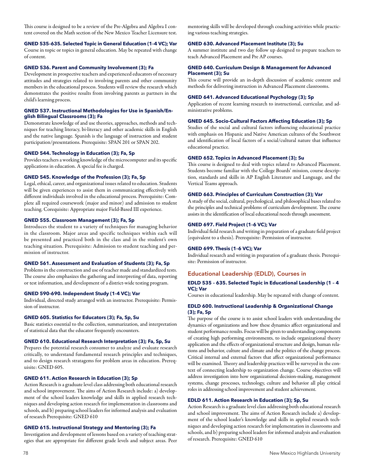This course is designed to be a review of the Pre-Algebra and Algebra I content covered on the Math section of the New Mexico Teacher Licensure test.

## **GNED 535–635. Selected Topic in General Education (1–4 VC); Var**

Course in topic or topics in general education. May be repeated with change of content.

## **GNED 536. Parent and Community Involvement (3); Fa**

Development in prospective teachers and experienced educators of necessary attitudes and strategies related to involving parents and other community members in the educational process. Students will review the research which demonstrates the positive results from involving parents as partners in the child's learning process.

## **GNED 537. Instructional Methodologies for Use in Spanish/English Bilingual Classrooms (3); Fa**

Demonstrate knowledge of and use theories, approaches, methods and techniques for teaching literacy, bi-literacy and other academic skills in English and the native language. Spanish is the language of instruction and student participation/presentations. Prerequisite: SPAN 201 or SPAN 202.

## **GNED 544. Technology in Education (3); Fa, Sp**

Provides teachers a working knowledge of the microcomputer and its specific applications in education. A special fee is charged.

## **GNED 545. Knowledge of the Profession (3); Fa, Sp**

Legal, ethical, career, and organizational issues related to education. Students will be given experiences to assist them in communicating effectively with different individuals involved in the educational process. Prerequisite: Complete all required coursework (major and minor) and admission to student teaching. Corequisite: Appropriate major Field-Based III experience.

## **GNED 555. Classroom Management (3); Fa, Sp**

Introduces the student to a variety of techniques for managing behavior in the classroom. Major areas and specific techniques within each will be presented and practiced both in the class and in the student's own teaching situation. Prerequisite: Admission to student teaching and permission of instructor.

## **GNED 561. Assessment and Evaluation of Students (3); Fa, Sp**

Problems in the construction and use of teacher made and standardized tests. The course also emphasizes the gathering and interpreting of data, reporting or test information, and development of a district-wide testing program.

## **GNED 590-690. Independent Study (1-4 VC); Var**

Individual, directed study arranged with an instructor. Prerequisite: Permission of instructor.

## **GNED 605. Statistics for Educators (3); Fa, Sp, Su**

Basic statistics essential to the collection, summarization, and interpretation of statistical data that the educator frequently encounters.

## **GNED 610. Educational Research Interpretation (3); Fa, Sp, Su**

Prepares the potential research consumer to analyze and evaluate research critically, to understand fundamental research principles and techniques, and to design research stratagems for problem areas in education. Prerequisite: GNED 605.

## **GNED 611. Action Research in Education (3); Sp**

Action Research is a graduate level class addressing both educational research and school improvement. The aims of Action Research include: a) development of the school leaders knowledge and skills in applied research techniques and developing action research for implementation in classrooms and schools, and b) preparing school leaders for informed analysis and evaluation of research Prerequisite: GNED 610

## **GNED 615. Instructional Strategy and Mentoring (3); Fa**

Investigation and development of lessons based on a variety of teaching strategies that are appropriate for different grade levels and subject areas. Peer mentoring skills will be developed through coaching activities while practicing various teaching strategies.

## **GNED 630. Advanced Placement Institute (3); Su**

A summer institute and two day follow up designed to prepare teachers to teach Advanced Placement and Pre AP courses.

## **GNED 640. Curriculum Design & Management for Advanced Placement (3); Su**

This course will provide an in-depth discussion of academic content and methods for delivering instruction in Advanced Placement classrooms.

## **GNED 641. Advanced Educational Psychology (3); Sp**

Application of recent learning research to instructional, curricular, and administrative problems.

## **GNED 645. Socio-Cultural Factors Affecting Education (3); Sp**

Studies of the social and cultural factors influencing educational practice with emphasis on Hispanic and Native American cultures of the Southwest and identification of local factors of a social/cultural nature that influence educational practice.

## **GNED 652. Topics in Advanced Placement (3); Su**

This course is designed to deal with topics related to Advanced Placement. Students become familiar with the College Boards' mission, course description, standards and skills in AP English Literature and Language, and the Vertical Teams approach.

## **GNED 663. Principles of Curriculum Construction (3); Var**

A study of the social, cultural, psychological, and philosophical bases related to the principles and technical problems of curriculum development. The course assists in the identification of local educational needs through assessment.

## **GNED 697. Field Project (1–6 VC); Var**

Individual field research and writing in preparation of a graduate field project (equivalent to a thesis). Prerequisite: Permission of instructor.

## **GNED 699. Thesis (1–6 VC); Var**

Individual research and writing in preparation of a graduate thesis. Prerequisite: Permission of instructor.

## Educational Leadership (EDLD), Courses in

## **EDLD 535 – 635. Selected Topic in Educational Leadership (1 – 4 VC); Var**

Courses in educational leadership. May be repeated with change of content.

## **EDLD 600. Instructional Leadership & Organizational Change (3); Fa, Sp**

The purpose of the course is to assist school leaders with understanding the dynamics of organizations and how these dynamics affect organizational and student performance results. Focus will be given to understanding components of creating high performing environments, to include organizational theory application and the effects of organizational structure and design, human relations and behavior, culture and climate and the politics of the change process. Critical internal and external factors that affect organizational performance will be examined. Theory and leadership practices will be surveyed in the context of connecting leadership to organization change. Course objectives will address investigation into how organizational decision-making, management systems, change processes, technology, culture and behavior all play critical roles in addressing school improvement and student achievement.

## **EDLD 611. Action Research in Education (3); Sp, Su**

Action Research is a graduate level class addressing both educational research and school improvement. The aims of Action Research include a) development of the school leader's knowledge and skills in applied research techniques and developing action research for implementation in classrooms and schools, and b) preparing school leaders for informed analysis and evaluation of research. Prerequisite: GNED 610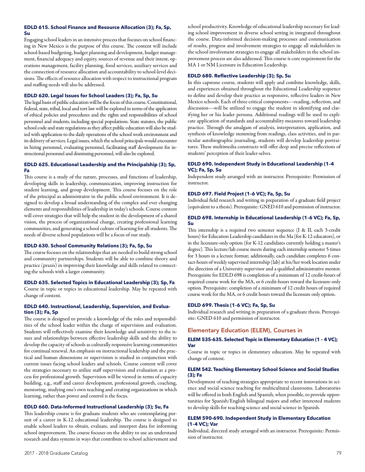## **EDLD 615. School Finance and Resource Allocation (3); Fa, Sp, Su**

Engaging school leaders in an intensive process that focuses on school financing in New Mexico is the purpose of this course. The content will include school-based budgeting, budget planning and development, budget management, financial adequacy and equity, sources of revenue and their intent, operations management, facility planning, food services, auxiliary services and the connection of resource allocation and accountability to school-level decisions. The effects of resource allocation with respect to instructional program and staffing needs will also be addressed.

## **EDLD 620. Legal Issues for School Leaders (3); Fa, Sp, Su**

The legal basis of public education will be the focus of this course. Constitutional, federal, state, tribal, local and tort law will be explored in terms of the application of ethical policies and procedures and the rights and responsibilities of school personnel and students, including special populations. State statutes, the public school code and state regulations as they affect public education will also be studied with application to the daily operations of the school work environment and its delivery of services. Legal issues, which the school principals would encounter in hiring personnel, evaluating personnel, facilitating staff development for instructional personnel and dismissing personnel, will also be explored.

## **EDLD 625. Educational Leadership and the Principalship (3); Sp, Fa**

This course is a study of the nature, processes, and functions of leadership, developing skills in leadership, communication, improving instruction for student learning, and group development. This course focuses on the role of the principal as administrator in the public school environment. It is designed to develop a broad understanding of the complex and ever changing elements and responsibilities of leadership in today's schools. Course content will cover strategies that will help the student in the development of a shared vision, the process of organizational change, creating professional learning communities, and generating a school culture of learning for all students. The needs of diverse school populations will be a focus of our study.

## **EDLD 630. School Community Relations (3); Fa, Sp, Su**

The course focuses on the relationships that are needed to build strong school and community partnerships. Students will be able to combine theory and practice (praxis) in improving their knowledge and skills related to connecting the schools with a larger community.

## **EDLD 635. Selected Topics in Educational Leadership (3); Sp, Fa**

Course in topic or topics in educational leadership. May be repeated with change of content.

## **EDLD 640. Instructional, Leadership, Supervision, and Evaluation (3); Fa, Sp**

The course is designed to provide a knowledge of the roles and responsibilities of the school leader within the charge of supervision and evaluation. Students will reflectively examine their knowledge and sensitivity to the issues and relationships between effective leadership skills and the ability to develop the capacity of schools as culturally responsive learning communities for continual renewal. An emphasis on instructional leadership and the practical and human dimensions or supervision is studied in conjunction with current issues facing school leaders and schools. Course content will cover the strategies necessary to utilize staff supervision and evaluation as a process for professional growth. Supervision will be viewed in terms of capacity building, e.g., staff and career development, professional growth, coaching, mentoring, studying one's own teaching and creating organizations in which learning, rather than power and control is the focus.

## **EDLD 660. Data-Informed Instructional Leadership (3); Su, Fa**

This leadership course is for graduate students who are contemplating pursuit of a career in K-12 educational leadership. The course is designed to enable school leaders to obtain, evaluate, and interpret data for informing school improvement. The course focuses on the ability to use an understand research and data systems in ways that contribute to school achievement and

school productivity. Knowledge of educational leadership necessary for leading school improvement in diverse school setting in integrated throughout the course. Data-informed decision-making processes and communication of results, progress and involvement strategies to engage all stakeholders in the school involvement strategies to engage all stakeholders in the school improvement process are also addressed. This course is core requirement for the MA 1 or NM Licensure in Education Leadership.

## **EDLD 680. Reflective Leadership (3); Sp, Su**

In this capstone course, students will apply and combine knowledge, skills, and experiences obtained throughout the Educational Leadership sequence to define and develop their practice as responsive, reflective leaders in New Mexico schools. Each of three critical components––reading, reflection, and discussion––will be utilized to engage the student in identifying and clarifying her or his leader persona. Additional readings will be used to explicate application of standards and accountability measures toward leadership practice. Through the amalgam of analysis, interpretation, application, and synthesis of knowledge stemming from readings, class activities, and in particular autobiographic journaling, students will develop leadership portraitures. These multimedia constructs will offer deep and precise reflections of students' perception of their leader-selves.

## **EDLD 690. Independent Study in Educational Leadership (1–4 VC); Fa, Sp, Su**

Independent study arranged with an instructor. Prerequisite: Permission of instructor.

## **EDLD 697. Field Project (1–6 VC); Fa, Sp, Su**

Individual field research and writing in preparation of a graduate field project (equivalent to a thesis). Prerequisite: GNED 610 and permission of instructor.

## **EDLD 698. Internship in Educational Leadership (1–6 VC); Fa, Sp, Su**

This internship is a required two semester sequence (I & II, each 3-credit hours) for Education Leadership candidates in the Ma (for K-12 educators), or in the licensure-only option (for K-12 candidates currently holding a master's degree). This lecture/lab course meets during each internship semester 5 times for 3 hours in a lecture format; additionally, each candidate completes 6 contact-hours of weekly supervised internship (lab) at his/her work location under the direction of a University supervisor and a qualified administrative mentor. Prerequisite for EDLD 698 is completion of a minimum of 12 credit-hours of required course work for the MA, or 6 credit-hours toward the licensure-only option. Prerequisite: completion of a minimum of 12 credit hours of required course work for the MA, or 6 credit hours toward the licensure only option.

## **EDLD 699. Thesis (1–6 VC); Fa, Sp, Su**

Individual research and writing in preparation of a graduate thesis. Prerequisite: GNED 610 and permission of instructor.

## Elementary Education (ELEM), Courses in

## **ELEM 535-635. Selected Topic in Elementary Education (1 – 4 VC); Var**

Course in topic or topics in elementary education. May be repeated with change of content.

## **ELEM 542. Teaching Elementary School Science and Social Studies (3); Fa**

Development of teaching strategies appropriate to recent innovations in science and social science teaching for multicultural classrooms. Laboratories will be offered in both English and Spanish, when possible, to provide opportunities for Spanish/English bilingual majors and other interested students to develop skills for teaching science and social science in Spanish.

## **ELEM 590-690. Independent Study in Elementary Education (1–4 VC); Var**

Individual, directed study arranged with an instructor. Prerequisite: Permission of instructor.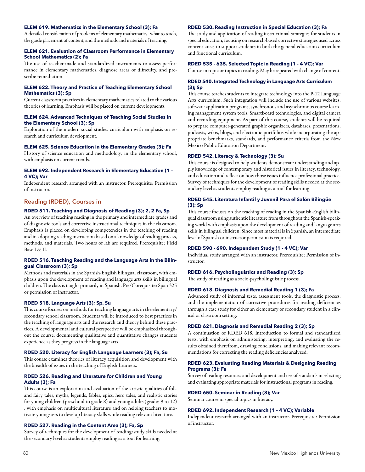## **ELEM 619. Mathematics in the Elementary School (3); Fa**

A detailed consideration of problems of elementary mathematics–what to teach, the grade placement of content, and the methods and materials of teaching.

### **ELEM 621. Evaluation of Classroom Performance in Elementary School Mathematics (2); Fa**

The use of teacher-made and standardized instruments to assess performance in elementary mathematics, diagnose areas of difficulty, and prescribe remediation.

### **ELEM 622. Theory and Practice of Teaching Elementary School Mathematics (3): Sp**

Current classroom practices in elementary mathematics related to the various theories of learning. Emphasis will be placed on current developments.

## **ELEM 624. Advanced Techniques of Teaching Social Studies in the Elementary School (3); Sp**

Exploration of the modern social studies curriculum with emphasis on research and curriculum development.

## **ELEM 625. Science Education in the Elementary Grades (3); Fa**

History of science education and methodology in the elementary school, with emphasis on current trends.

### **ELEM 692. Independent Research in Elementary Education (1 – 4 VC); Var**

Independent research arranged with an instructor. Prerequisite: Permission of instructor.

## Reading (RDED), Courses in

#### **RDED 511. Teaching and Diagnosis of Reading (3); 2, 2 Fa, Sp**

An overview of teaching reading in the primary and intermediate grades and of diagnostic tools and corrective instructional techniques in the classroom. Emphasis is placed on developing competencies in the teaching of reading and in adopting reading instruction based on a knowledge of reading process, methods, and materials. Two hours of lab are required. Prerequisite: Field Base I & II.

### **RDED 516. Teaching Reading and the Language Arts in the Bilingual Classroom (3); Sp**

Methods and materials in the Spanish-English bilingual classroom, with emphasis upon the development of reading and language arts skills in bilingual children. The class is taught primarily in Spanish. Pre/Corequisite: Span 325 or permission of instructor.

#### **RDED 518. Language Arts (3); Sp, Su**

This course focuses on methods for teaching language arts in the elementary/ secondary school classroom. Students will be introduced to best practices in the teaching of language arts and the research and theory behind these practices. A developmental and cultural perspective will be emphasized throughout the course, documenting qualitative and quantitative changes students experience as they progress in the language arts.

#### **RDED 520. Literacy for English Language Learners (3); Fa, Su**

This course examines theories of literacy acquisition and development with the breadth of issues in the teaching of English Learners.

## **RDED 526. Reading and Literature for Children and Young Adults (3); Fa**

This course is an exploration and evaluation of the artistic qualities of folk and fairy tales, myths, legends, fables, epics, hero tales, and realistic stories for young children (preschool to grade 8) and young adults (grades 9 to 12) , with emphasis on multicultural literature and on helping teachers to motivate youngsters to develop literacy skills while reading relevant literature.

## **RDED 527. Reading in the Content Area (3); Fa, Sp**

Survey of techniques for the development of reading/study skills needed at the secondary level as students employ reading as a tool for learning.

#### **RDED 530. Reading Instruction in Special Education (3); Fa**

The study and application of reading instructional strategies for students in special education, focusing on research-based corrective strategies used across content areas to support students in both the general education curriculum and functional curriculum.

## **RDED 535 - 635. Selected Topic in Reading (1 - 4 VC); Var**

Course in topic or topics in reading. May be repeated with change of content.

## **RDED 540. Integrated Technology in Language Arts Curriculum (3); Sp**

This course teaches students to integrate technology into the P-12 Language Arts curriculum. Such integration will include the use of various websites, software application programs, synchronous and asynchronous course learning management system tools, SmartBoard technologies, and digital camera and recording equipment. As part of this course, students will be required to prepare computer-generated graphic organizers, databases, presentations, podcasts, wikis, blogs, and electronic portfolios while incorporating the appropriate benchmarks, standards, and performance criteria from the New Mexico Public Education Department.

#### **RDED 542. Literacy & Technology (3); Su**

This course is designed to help students demonstrate understanding and apply knowledge of contemporary and historical issues in literacy, technology, and education and reflect on how those issues influence professional practice. Survey of techniques for the development of reading skills needed at the secondary level as students employ reading as a tool for learning.

## **RDED 545. Literatura Infantil y Juvenil Para el Salón Bilingüe (3); Sp**

This course focuses on the teaching of reading in the Spanish-English bilingual classroom using authentic literature from throughout the Spanish-speaking world with emphasis upon the development of reading and language arts skills in bilingual children. Since most material is in Spanish, an intermediate level of Spanish or instructor permission is required.

## **RDED 590 - 690. Independent Study (1 - 4 VC); Var**

Individual study arranged with an instructor. Prerequisite: Permission of instructor.

## **RDED 616. Psycholinguistics and Reading (3); Sp**

The study of reading as a socio-psycholinguistic process.

## **RDED 618. Diagnosis and Remedial Reading 1 (3); Fa**

Advanced study of informal tests, assessment tools, the diagnostic process, and the implementation of corrective procedures for reading deficiencies through a case study for either an elementary or secondary student in a clinical or classroom setting.

#### **RDED 621. Diagnosis and Remedial Reading 2 (3); Sp**

A continuation of RDED 618. Introduction to formal and standardized tests, with emphasis on administering, interpreting, and evaluating the results obtained therefrom, drawing conclusions, and making relevant recommendations for correcting the reading deficiencies analyzed.

#### **RDED 623. Evaluating Reading Materials & Designing Reading Programs (3); Fa**

Survey of reading resources and development and use of standards in selecting and evaluating appropriate materials for instructional programs in reading.

#### **RDED 650. Seminar in Reading (3); Var**

Seminar course in special topics in literacy.

#### **RDED 692. Independent Research (1 – 4 VC); Variable**

Independent research arranged with an instructor. Prerequisite: Permission of instructor.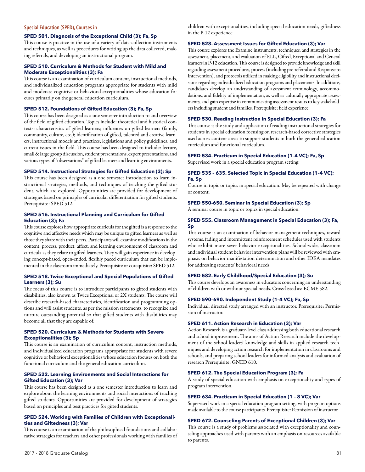#### **Special Education (SPED), Courses in**

## **SPED 501. Diagnosis of the Exceptional Child (3); Fa, Sp**

This course is practice in the use of a variety of data-collection instruments and techniques, as well as procedures for writing up the data collected, making referrals, and developing an instructional program.

## **SPED 510. Curriculum & Methods for Student with Mild and Moderate Exceptionalities (3); Fa**

This course is an examination of curriculum content, instructional methods, and individualized education programs appropriate for students with mild and moderate cognitive or behavioral exceptionalities whose education focuses primarily on the general education curriculum.

## **SPED 512. Foundations of Gifted Education (3); Fa, Sp**

This course has been designed as a one semester introduction to and overview of the field of gifted education. Topics include: theoretical and historical contexts; characteristics of gifted learners; influences on gifted learners (family, community, culture, etc.); identification of gifted, talented and creative learners; instructional models and practices; legislations and policy guidelines; and current issues in the field. This course has been designed to include: lecture, small & large group discussion, student presentations, expert presentations, and various types of "observations" of gifted learners and learning environments.

#### **SPED 514. Instructional Strategies for Gifted Education (3); Sp**

This course has been designed as a one semester introduction to learn instructional strategies, methods, and techniques of teaching the gifted student, which are explored. Opportunities are provided for development of strategies based on principles of curricular differentiation for gifted students. Prerequisite: SPED 512.

## **SPED 516. Instructional Planning and Curriculum for Gifted Education (3); Fa**

This course explores how appropriate curricula for the gifted is a response to the cognitive and affective needs which may be unique to gifted learners as well as those they share with their peers. Participants will examine modifications in the content, process, product, affect, and learning environment of classroom and curricula as they relate to gifted learners. They will gain experience in developing concept-based, open-ended, flexibly paced curriculum that can be implemented in the classroom immediately. Prerequisite or corequisite: SPED 512.

## **SPED 518. Twice Exceptional and Special Populations of Gifted Learners (3); Su**

The focus of this course is to introduce participants to gifted students with disabilities, also known as Twice Exceptional or 2X students. The course will describe research-based characteristics, identification and programming options and will assist students, as per the mission statements, to recognize and nurture outstanding potential so that gifted students with disabilities may become all that they are capable of.

## **SPED 520. Curriculum & Methods for Students with Severe Exceptionalities (3); Sp**

This course is an examination of curriculum content, instruction methods, and individualized education programs appropriate for students with severe cognitive or behavioral exceptionalities whose education focuses on both the functional curriculum and the general education curriculum.

## **SPED 522. Learning Environments and Social Interactions for Gifted Education (3); Var**

This course has been designed as a one semester introduction to learn and explore about the learning environments and social interactions of teaching gifted students. Opportunities are provided for development of strategies based on principles and best practices for gifted students.

## **SPED 524. Working with Families of Children with Exceptionalities and Giftedness (3); Var**

This course is an examination of the philosophical foundations and collaborative strategies for teachers and other professionals working with families of children with exceptionalities, including special education needs, giftedness in the P-12 experience.

#### **SPED 528. Assessment Issues for Gifted Education (3); Var**

This course explores the Examine instruments, techniques, and strategies in the assessment, placement, and evaluation of ELL, Gifted, Exceptional and General learners in P-12 education. This course is designed to provide knowledge and skill regarding assessment procedures, process (including pre-referral and Response to Intervention), and protocols utilized in making eligibility and instructional decisions regarding individualized education programs and placements. In additions, candidates develop an understanding of assessment terminology, accommodations, and fidelity of implementation, as well as culturally appropriate assessments, and gain expertise in communicating assessment results to key stakeholders including student and families. Prerequisite: field experience.

#### **SPED 530. Reading Instruction in Special Education (3); Fa**

This course is the study and application of reading instructional strategies for students in special education focusing on research-based corrective strategies used across content areas to support students in both the general education curriculum and functional curriculum.

#### **SPED 534. Practicum in Special Education (1–4 VC); Fa, Sp**

Supervised work in a special education program setting.

## **SPED 535 – 635. Selected Topic in Special Education (1–4 VC); Fa, Sp**

Course in topic or topics in special education. May be repeated with change of content.

## **SPED 550-650. Seminar in Special Education (3); Sp**

A seminar course in topic or topics in special education.

## **SPED 555. Classroom Management in Special Education (3); Fa, Sp**

This course is an examination of behavior management techniques, reward systems, fading and intermittent reinforcement schedules used with students who exhibit more sever behavior exceptionalities. School-wide, classroom and individual student behavior intervention plans will be reviewed with emphasis on behavior manifestation determination and other IDEA mandates for addressing students' behavioral needs.

## **SPED 582. Early Childhood/Special Education (3); Su**

This course develops an awareness in educators concerning an understanding of children with or without special needs. Cross-listed as: ECME 582.

#### **SPED 590–690. Independent Study (1–4 VC); Fa, Sp**

Individual, directed study arranged with an instructor. Prerequisite: Permission of instructor.

#### **SPED 611. Action Research in Education (3); Var**

Action Research is a graduate-level class addressing both educational research and school improvement. The aims of Action Research include the development of the school leaders' knowledge and skills in applied research techniques and developing action research for implementation in classrooms and schools, and preparing school leaders for informed analysis and evaluation of research Prerequisite: GNED 610.

## **SPED 612. The Special Education Program (3); Fa**

A study of special education with emphasis on exceptionality and types of program intervention.

### **SPED 634. Practicum in Special Education (1 – 8 VC); Var**

Supervised work in a special education program setting, with program options made available to the course participants. Prerequisite: Permission of instructor.

## **SPED 672. Counseling Parents of Exceptional Children (3); Var**

This course is a study of problems associated with exceptionality and counseling approaches used with parents with an emphasis on resources available to parents.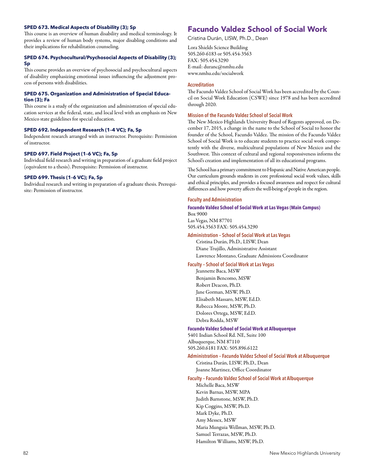## **SPED 673. Medical Aspects of Disability (3); Sp**

This course is an overview of human disability and medical terminology. It provides a review of human body systems, major disabling conditions and their implications for rehabilitation counseling.

### **SPED 674. Psychocultural/Psychosocial Aspects of Disability (3); Sp**

This course provides an overview of psychosocial and psychocultural aspects of disability emphasizing emotional issues influencing the adjustment process of persons with disabilities.

### **SPED 675. Organization and Administration of Special Education (3); Fa**

This course is a study of the organization and administration of special education services at the federal, state, and local level with an emphasis on New Mexico state guidelines for special education.

## **SPED 692. Independent Research (1–4 VC); Fa, Sp**

Independent research arranged with an instructor. Prerequisite: Permission of instructor.

## **SPED 697. Field Project (1–6 VC); Fa, Sp**

Individual field research and writing in preparation of a graduate field project (equivalent to a thesis). Prerequisite: Permission of instructor.

## **SPED 699. Thesis (1–6 VC); Fa, Sp**

Individual research and writing in preparation of a graduate thesis. Prerequisite: Permission of instructor.

# Facundo Valdez School of Social Work

Cristina Durán, LISW, Ph.D., Dean

Lora Shields Science Building 505.260-6183 or 505.454-3563 FAX: 505.454.3290 E-mail: duranc@nmhu.edu www.nmhu.edu/socialwork

## **Accreditation**

The Facundo Valdez School of Social Work has been accredited by the Council on Social Work Education (CSWE) since 1978 and has been accredited through 2020.

## **Mission of the Facundo Valdez School of Social Work**

The New Mexico Highlands University Board of Regents approved, on December 17, 2015, a change in the name to the School of Social to honor the founder of the School, Facundo Valdez. The mission of the Facundo Valdez School of Social Work is to educate students to practice social work competently with the diverse, multicultural populations of New Mexico and the Southwest. This context of cultural and regional responsiveness informs the School's creation and implementation of all its educational programs.

The School has a primary commitment to Hispanic and Native American people. Our curriculum grounds students in core professional social work values, skills and ethical principles, and provides a focused awareness and respect for cultural differences and how poverty affects the well-being of people in the region.

## **Faculty and Administration**

## **Facundo Valdez School of Social Work at Las Vegas (Main Campus)**  Box 9000 Las Vegas, NM 87701

505.454.3563 FAX: 505.454.3290

**Administration – School of Social Work at Las Vegas** 

Cristina Durán, Ph.D., LISW, Dean Diane Trujillo, Administrative Assistant Lawrence Montano, Graduate Admissions Coordinator

**Faculty – School of Social Work at Las Vegas** 

Jeannette Baca, MSW Benjamin Bencomo, MSW Robert Deacon, Ph.D. Jane Gorman, MSW, Ph.D. Elisabeth Massaro, MSW, Ed.D. Rebecca Moore, MSW, Ph.D. Dolores Ortega, MSW, Ed.D. Debra Rodda, MSW

#### **Facundo Valdez School of Social Work at Albuquerque**

5401 Indian School Rd. NE, Suite 100 Albuquerque, NM 87110 505.260.6181 FAX: 505.896.6122

**Administration – Facundo Valdez School of Social Work at Albuquerque** 

Cristina Durán, LISW, Ph.D., Dean Joanne Martinez, Office Coordinator

#### **Faculty – Facundo Valdez School of Social Work at Albuquerque**

Michelle Baca, MSW Kevin Barnas, MSW, MPA Judith Barnstone, MSW, Ph.D. Kip Coggins, MSW, Ph.D. Mark Dyke, Ph.D. Amy Messex, MSW Maria Munguia Wellman, MSW, Ph.D. Samuel Terrazas, MSW, Ph.D. Hamilton Williams, MSW, Ph.D.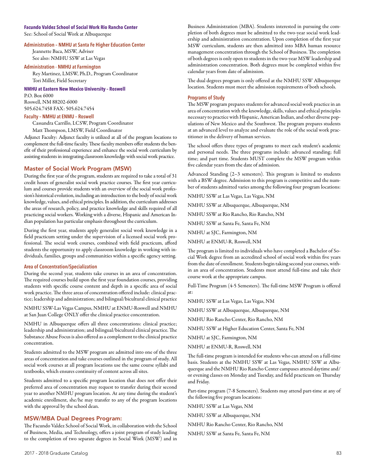## **Facundo Valdez School of Social Work Rio Rancho Center**

See: School of Social Work at Albuquerque

## **Administration – NMHU at Santa Fe Higher Education Center**

Jeannette Baca, MSW, Adviser See also: NMHU SSW at Las Vegas

#### **Administration - NMHU at Farmington**

Rey Martinez, LMSW, Ph.D., Program Coordinator Tori Miller, Field Secretary

**NMHU at Eastern New Mexico University – Roswell** 

P.O. Box 6000 Roswell, NM 88202-6000 505.624.7458 FAX: 505.624.7454

## **Faculty – NMHU at ENMU – Roswell**

Cassandra Carrillo, LCSW, Program Coordinator

Matt Thompson, LMSW, Field Coordinator

Adjunct Faculty: Adjunct faculty is utilized at all of the program locations to complement the full-time faculty. These faculty members offer students the benefit of their professional experience and enhance the social work curriculum by assisting students in integrating classroom knowledge with social work practice.

## Master of Social Work Program (MSW)

During the first year of the program, students are required to take a total of 31 credit hours of generalist social work practice courses. The first year curriculum and courses provide students with an overview of the social work profession's historical evolution, including an introduction to the body of social work knowledge, values, and ethical principles. In addition, the curriculum addresses the areas of research, policy, and practice knowledge and skills required of all practicing social workers. Working with a diverse, Hispanic and American Indian population has particular emphasis throughout the curriculum.

During the first year, students apply generalist social work knowledge in a field practicum setting under the supervision of a licensed social work professional. The social work courses, combined with field practicum, afford students the opportunity to apply classroom knowledge in working with individuals, families, groups and communities within a specific agency setting.

#### **Area of Concentration/Specialization**

During the second year, students take courses in an area of concentration. The required courses build upon the first year foundation courses, providing students with specific course content and depth in a specific area of social work practice. The three areas of concentration offered include: clinical practice; leadership and administration; and bilingual/bicultural clinical practice

NMHU SSW-Las Vegas Campus, NMHU at ENMU-Roswell and NMHU at San Juan College ONLY offer the clinical practice concentration.

NMHU in Albuquerque offers all three concentrations: clinical practice; leadership and administration; and bilingual/bicultural clinical practice. The Substance Abuse Focus is also offered as a complement to the clinical practice concentration.

Students admitted to the MSW program are admitted into one of the three areas of concentration and take courses outlined in the program of study. All social work courses at all program locations use the same course syllabi and textbooks, which ensures continuity of content across all sites.

Students admitted to a specific program location that does not offer their preferred area of concentration may request to transfer during their second year to another NMHU program location. At any time during the student's academic enrollment, she/he may transfer to any of the program locations with the approval by the school dean.

## MSW/MBA Dual Degrees Program:

The Facundo Valdez School of Social Work, in collaboration with the School of Business, Media, and Technology, offers a joint program of study leading to the completion of two separate degrees in Social Work (MSW) and in Business Administration (MBA). Students interested in pursuing the completion of both degrees must be admitted to the two-year social work leadership and administration concentration. Upon completion of the first year MSW curriculum, students are then admitted into MBA human resource management concentration through the School of Business. The completion of both degrees is only open to students in the two-year MSW leadership and administration concentration. Both degrees must be completed within five calendar years from date of admission.

The dual degrees program is only offered at the NMHU SSW Albuquerque location. Students must meet the admission requirements of both schools.

## **Programs of Study**

The MSW program prepares students for advanced social work practice in an area of concentration with the knowledge, skills, values and ethical principles necessary to practice with Hispanic, American Indian, and other diverse populations of New Mexico and the Southwest. The program prepares students at an advanced level to analyze and evaluate the role of the social work practitioner in the delivery of human services.

The school offers three types of programs to meet each student's academic and personal needs. The three programs include: advanced standing; full time; and part time. Students MUST complete the MSW program within five calendar years from the date of admission.

Advanced Standing (2–3 semesters). This program is limited to students with a BSW degree. Admission to this program is competitive and the number of students admitted varies among the following four program locations:

NMHU SSW at Las Vegas, Las Vegas, NM

NMHU SSW at Albuquerque, Albuquerque, NM

NMHU SSW at Rio Rancho, Rio Rancho, NM

NMHU SSW at Santa Fe, Santa Fe, NM

NMHU at SJC, Farmington, NM

NMHU at ENMU-R, Roswell, NM

The program is limited to individuals who have completed a Bachelor of Social Work degree from an accredited school of social work within five years from the date of enrollment. Students begin taking second year courses, within an area of concentration. Students must attend full-time and take their course work at the appropriate campus.

Full-Time Program (4-5 Semesters). The full-time MSW Program is offered at:

NMHU SSW at Las Vegas, Las Vegas, NM

NMHU SSW at Albuquerque, Albuquerque, NM

NMHU Rio Rancho Center, Rio Rancho, NM

NMHU SSW at Higher Education Center, Santa Fe, NM

NMHU at SJC, Farmington, NM

NMHU at ENMU-R, Roswell, NM

The full-time program is intended for students who can attend on a full-time basis. Students at the NMHU SSW at Las Vegas, NMHU SSW at Albuquerque and the NMHU Rio Rancho Center campuses attend daytime and/ or evening classes on Monday and Tuesday, and field practicum on Thursday and Friday.

Part-time program (7-8 Semesters). Students may attend part-time at any of the following five program locations:

NMHU SSW at Las Vegas, NM

NMHU SSW at Albuquerque, NM

NMHU Rio Rancho Center, Rio Rancho, NM

NMHU SSW at Santa Fe, Santa Fe, NM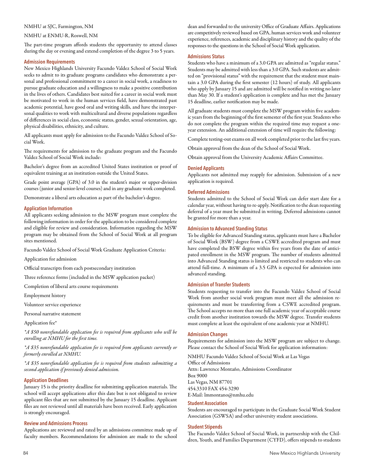## NMHU at SJC, Farmington, NM

## NMHU at ENMU-R, Roswell, NM

The part-time program affords students the opportunity to attend classes during the day or evening and extend completion of the degree 3 to 5 years.

## **Admission Requirements**

New Mexico Highlands University Facundo Valdez School of Social Work seeks to admit to its graduate programs candidates who demonstrate a personal and professional commitment to a career in social work, a readiness to pursue graduate education and a willingness to make a positive contribution in the lives of others. Candidates best suited for a career in social work must be motivated to work in the human services field, have demonstrated past academic potential, have good oral and writing skills, and have the interpersonal qualities to work with multicultural and diverse populations regardless of differences in social class, economic status, gender, sexual orientation, age, physical disabilities, ethnicity, and culture.

All applicants must apply for admission to the Facundo Valdez School of Social Work.

The requirements for admission to the graduate program and the Facundo Valdez School of Social Work include:

Bachelor's degree from an accredited United States institution or proof of equivalent training at an institution outside the United States.

Grade point average (GPA) of 3.0 in the student's major or upper-division courses (junior and senior-level courses) and in any graduate work completed.

Demonstrate a liberal arts education as part of the bachelor's degree.

## **Application Information**

All applicants seeking admission to the MSW program must complete the following information in order for the application to be considered complete and eligible for review and consideration. Information regarding the MSW program may be obtained from the School of Social Work at all program sites mentioned.

Facundo Valdez School of Social Work Graduate Application Criteria:

Application for admission

Official transcripts from each postsecondary institution

Three reference forms (included in the MSW application packet)

Completion of liberal arts course requirements

Employment history

Volunteer service experience

Personal narrative statement

Application fee\*

*\*A \$50 nonrefundable application fee is required from applicants who will be enrolling at NMHU for the first time.* 

*\*A \$35 nonrefundable application fee is required from applicants currently or formerly enrolled at NMHU.* 

*\*A \$35 nonrefundable application fee is required from students submitting a second application if previously denied admission.* 

## **Application Deadlines**

January 15 is the priority deadline for submitting application materials. The school will accept applications after this date but is not obligated to review applicant files that are not submitted by the January 15 deadline. Applicant files are not reviewed until all materials have been received. Early application is strongly encouraged.

#### **Review and Admissions Process**

Applications are reviewed and rated by an admissions committee made up of faculty members. Recommendations for admission are made to the school

dean and forwarded to the university Office of Graduate Affairs. Applications are competitively reviewed based on GPA, human services work and volunteer experience, references, academic and disciplinary history and the quality of the responses to the questions in the School of Social Work application.

#### **Admissions Status**

Students who have a minimum of a 3.0 GPA are admitted as "regular status." Students may be admitted with less than a 3.0 GPA. Such students are admitted on "provisional status" with the requirement that the student must maintain a 3.0 GPA during the first semester (12 hours) of study. All applicants who apply by January 15 and are admitted will be notified in writing no later than May 30. If a student's application is complete and has met the January 15 deadline, earlier notification may be made.

All graduate students must complete the MSW program within five academic years from the beginning of the first semester of the first year. Students who do not complete the program within the required time may request a oneyear extension. An additional extension of time will require the following:

Complete testing-out exams on all work completed prior to the last five years.

Obtain approval from the dean of the School of Social Work.

Obtain approval from the University Academic Affairs Committee.

## **Denied Applicants**

Applicants not admitted may reapply for admission. Submission of a new application is required.

## **Deferred Admissions**

Students admitted to the School of Social Work can defer start date for a calendar year, without having to re-apply. Notification to the dean requesting deferral of a year must be submitted in writing. Deferred admissions cannot be granted for more than a year.

## **Admission to Advanced Standing Status**

To be eligible for Advanced Standing status, applicants must have a Bachelor of Social Work (BSW) degree from a CSWE accredited program and must have completed the BSW degree within five years from the date of anticipated enrollment in the MSW program. The number of students admitted into Advanced Standing status is limited and restricted to students who can attend full-time. A minimum of a 3.5 GPA is expected for admission into advanced standing.

## **Admission of Transfer Students**

Students requesting to transfer into the Facundo Valdez School of Social Work from another social work program must meet all the admission requirements and must be transferring from a CSWE accredited program. The School accepts no more than one full academic year of acceptable course credit from another institution towards the MSW degree. Transfer students must complete at least the equivalent of one academic year at NMHU.

## **Admission Changes**

Requirements for admission into the MSW program are subject to change. Please contact the School of Social Work for application information:

NMHU Facundo Valdez School of Social Work at Las Vegas Office of Admissions Attn: Lawrence Montaño, Admissions Coordinator Box 9000 Las Vegas, NM 87701 454.3310 FAX 454-3290 E-Mail: lmmontano@nmhu.edu

#### **Student Association**

Students are encouraged to participate in the Graduate Social Work Student Association (GSWSA) and other university student associations.

#### **Student Stipends**

The Facundo Valdez School of Social Work, in partnership with the Children, Youth, and Families Department (CYFD), offers stipends to students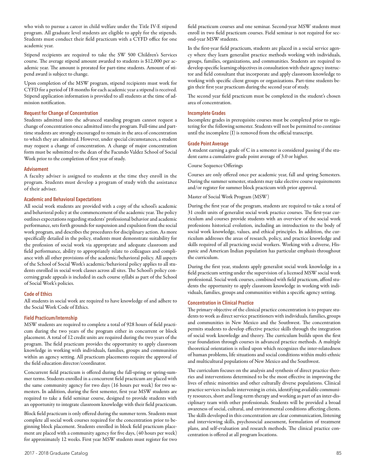who wish to pursue a career in child welfare under the Title IV-E stipend program. All graduate level students are eligible to apply for the stipends. Students must conduct their field practicum with a CYFD office for one academic year.

Stipend recipients are required to take the SW 500 Children's Services course. The average stipend amount awarded to students is \$12,000 per academic year. The amount is prorated for part-time students. Amount of stipend award is subject to change.

Upon completion of the MSW program, stipend recipients must work for CYFD for a period of 18 months for each academic year a stipend is received. Stipend application information is provided to all students at the time of admission notification.

## **Request for Change of Concentration**

Students admitted into the advanced standing program cannot request a change of concentration once admitted into the program. Full-time and parttime students are strongly encouraged to remain in the area of concentration to which they are admitted. However, under special circumstances, a student may request a change of concentration. A change of major concentration form must be submitted to the dean of the Facundo Valdez School of Social Work prior to the completion of first year of study.

## **Advisement**

A faculty adviser is assigned to students at the time they enroll in the program. Students must develop a program of study with the assistance of their adviser.

## **Academic and Behavioral Expectations**

All social work students are provided with a copy of the school's academic and behavioral policy at the commencement of the academic year. The policy outlines expectations regarding students' professional behavior and academic performance, sets forth grounds for suspension and expulsion from the social work program, and describes the procedures for disciplinary action. As more specifically detailed in the policy, students must demonstrate suitability for the profession of social work via appropriate and adequate classroom and field performance, ability to appropriately relate to colleagues and compliance with all other provisions of the academic/behavioral policy. All aspects of the School of Social Work's academic/behavioral policy applies to all students enrolled in social work classes across all sites. The School's policy concerning grade appeals is included in each course syllabi as part of the School of Social Work's policies.

## **Code of Ethics**

All students in social work are required to have knowledge of and adhere to the Social Work Code of Ethics.

## **Field Practicum/Internship**

MSW students are required to complete a total of 928 hours of field practicum during the two years of the program either in concurrent or block placement. A total of 12 credit units are required during the two years of the program. The field practicum provides the opportunity to apply classroom knowledge in working with individuals, families, groups and communities within an agency setting. All practicum placements require the approval of the field education director/coordinator.

Concurrent field practicum is offered during the fall-spring or spring-summer terms. Students enrolled in a concurrent field practicum are placed with the same community agency for two days (16 hours per week) for two semesters. In addition, during the first semester, first year MSW students are required to take a field seminar course, designed to provide students with an opportunity to integrate classroom knowledge with their field practicum.

Block field practicum is only offered during the summer term. Students must complete all social work courses required for the concentration prior to beginning block placement. Students enrolled in block field practicum placement are placed with a community agency for five days, (40 hours per week) for approximately 12 weeks. First year MSW students must register for two

field practicum courses and one seminar. Second-year MSW students must enroll in two field practicum courses. Field seminar is not required for second-year MSW students.

In the first-year field practicum, students are placed in a social service agency where they learn generalist practice methods working with individuals, groups, families, organizations, and communities. Students are required to develop specific learning objectives in consultation with their agency instructor and field consultant that incorporate and apply classroom knowledge to working with specific client groups or organizations. Part-time students begin their first year practicum during the second year of study.

The second year field practicum must be completed in the student's chosen area of concentration.

### **Incomplete Grades**

Incomplete grades in prerequisite courses must be completed prior to registering for the following semester. Students will not be permitted to continue until the incomplete (I) is removed from the official transcript.

## **Grade Point Average**

A student earning a grade of C in a semester is considered passing if the student earns a cumulative grade point average of 3.0 or higher.

## Course Sequence Offerings

Courses are only offered once per academic year, fall and spring Semesters. During the summer semester, students may take elective course requirements and/or register for summer block practicum with prior approval.

## Master of Social Work Program (MSW)

During the first year of the program, students are required to take a total of 31 credit units of generalist social work practice courses. The first-year curriculum and courses provide students with an overview of the social work professions historical evolution, including an introduction to the body of social work knowledge, values, and ethical principles. In addition, the curriculum addresses the areas of research, policy, and practice knowledge and skills required of all practicing social workers. Working with a diverse, Hispanic and American Indian population has particular emphasis throughout the curriculum.

During the first year, students apply generalist social work knowledge in a field practicum setting under the supervision of a licensed MSW social work professional. Social work courses, combined with field practicum, afford students the opportunity to apply classroom knowledge in working with individuals, families, groups and communities within a specific agency setting.

#### **Concentration in Clinical Practice**

The primary objective of the clinical practice concentration is to prepare students to work as direct service practitioners with individuals, families, groups and communities in New Mexico and the Southwest. The concentration permits students to develop effective practice skills through the integration of social work knowledge and theory. The curriculum builds upon the first year foundation through courses in advanced practice methods. A multiple theoretical orientation is relied upon which recognizes the inter-relatedness of human problems, life situations and social conditions within multi-ethnic and multicultural populations of New Mexico and the Southwest.

The curriculum focuses on the analysis and synthesis of direct practice theories and interventions determined to be the most effective in improving the lives of ethnic minorities and other culturally diverse populations. Clinical practice services include intervening in crisis, identifying available community resources, short and long-term therapy and working as part of an inter-disciplinary team with other professionals. Students will be provided a broad awareness of social, cultural, and environmental conditions affecting clients. The skills developed in this concentration are clear communication, listening and interviewing skills, psychosocial assessment, formulation of treatment plans, and self-evaluation and research methods. The clinical practice concentration is offered at all program locations.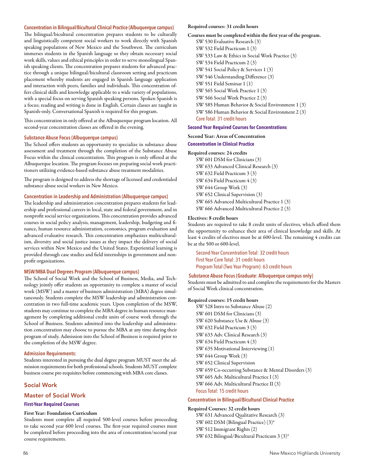#### **Concentration in Bilingual/Bicultural Clinical Practice (Albuquerque campus)**

The bilingual/bicultural concentration prepares students to be culturally and linguistically competent social workers to work directly with Spanish speaking populations of New Mexico and the Southwest. The curriculum immerses students in the Spanish language so they obtain necessary social work skills, values and ethical principles in order to serve monolingual Spanish speaking clients. The concentration prepares students for advanced practice through a unique bilingual/bicultural classroom setting and practicum placement whereby students are engaged in Spanish language application and interaction with peers, families and individuals. This concentration offers clinical skills and knowledge applicable to a wide variety of populations, with a special focus on serving Spanish speaking persons. Spoken Spanish is a focus; reading and writing is done in English. Certain classes are taught in Spanish-only. Conversational Spanish is required for this program.

This concentration in only offered at the Albuquerque program location. All second-year concentration classes are offered in the evening.

## **Substance Abuse Focus (Albuquerque campus)**

The School offers students an opportunity to specialize in substance abuse assessment and treatment through the completion of the Substance Abuse Focus within the clinical concentration. This program is only offered at the Albuquerque location. The program focuses on preparing social work practitioners utilizing evidence-based substance abuse treatment modalities.

The program is designed to address the shortage of licensed and credentialed substance abuse social workers in New Mexico.

## **Concentration in Leadership and Administration (Albuquerque campus)**

The leadership and administration concentration prepares students for leadership and professional careers in local, state and federal government, and in nonprofit social service organizations. This concentration provides advanced courses in social policy analysis, management, leadership, budgeting and finance, human resource administration, economics, program evaluation and advanced evaluative research. This concentration emphasizes multiculturalism, diversity and social justice issues as they impact the delivery of social services within New Mexico and the United States. Experiential learning is provided through case studies and field internships in government and nonprofit organizations.

## **MSW/MBA Dual Degrees Program (Albuquerque campus)**

The School of Social Work and the School of Business, Media, and Technology jointly offer students an opportunity to complete a master of social work (MSW) and a master of business administration (MBA) degree simultaneously. Students complete the MSW leadership and administration concentration in two full-time academic years. Upon completion of the MSW, students may continue to complete the MBA degree in human resource management by completing additional credit units of course work through the School of Business. Students admitted into the leadership and administration concentration may choose to pursue the MBA at any time during their program of study. Admission into the School of Business is required prior to the completion of the MSW degree.

## **Admission Requirements:**

Students interested in pursuing the dual degree program MUST meet the admission requirements for both professional schools. Students MUST complete business course pre-requisites before commencing with MBA core classes.

## Social Work

## Master of Social Work

## **First-Year Required Courses**

## First Year: Foundation Curriculum

Students must complete all required 500-level courses before proceeding to take second year 600 level courses. The first-year required courses must be completed before proceeding into the area of concentration/second year course requirements.

## Required courses: 31 credit hours

Courses must be completed within the first year of the program.

SW 530 Evaluative Research (3) SW 532 Field Practicum 1 (3) SW 533 Law & Ethics in Social Work Practice (3) SW 534 Field Practicum 2 (3) SW 541 Social Policy & Services 1 (3) SW 546 Understanding Difference (3) SW 551 Field Seminar 1 (1) SW 565 Social Work Practice 1 (3) SW 566 Social Work Practice 2 (3) SW 585 Human Behavior & Social Environment 1 (3) SW 586 Human Behavior & Social Environment 2 (3) Core Total: 31 credit hours

#### **Second Year Required Courses for Concentrations**

Second Year: Areas of Concentration **Concentration in Clinical Practice** 

### Required courses: 24 credits

SW 601 DSM for Clinicians (3) SW 633 Advanced Clinical Research (3) SW 632 Field Practicum 3 (3) SW 634 Field Practicum 4 (3) SW 644 Group Work (3) SW 652 Clinical Supervision (3) SW 665 Advanced Multicultural Practice 1 (3) SW 666 Advanced Multicultural Practice 2 (3)

#### Electives: 8 credit hours

Students are required to take 8 credit units of electives, which afford them the opportunity to enhance their area of clinical knowledge and skills. At least 4 credits of electives must be at 600-level. The remaining 4 credits can be at the 500 or 600-level.

Second-Year Concentration Total: 32 credit hours First Year Core Total: 31 credit hours Program Total (Two Year Program): 63 credit hours

#### **Substance Abuse Focus (Graduate: Albuquerque campus only)**

Students must be admitted to and complete the requirements for the Masters of Social Work clinical concentration.

#### Required courses: 15 credit hours

SW 528 Intro to Substance Abuse (2) SW 601 DSM for Clinicians (3) SW 620 Substance Use & Abuse (3) SW 632 Field Practicum 3 (3) SW 633 Adv. Clinical Research (3) SW 634 Field Practicum 4 (3) SW 635 Motivational Interviewing (1) SW 644 Group Work (3) SW 652 Clinical Supervision SW 659 Co-occurring Substance & Mental Disorders (3) SW 665 Adv. Multicultural Practice I (3) SW 666 Adv. Multicultural Practice II (3) Focus Total: 15 credit hours

## **Concentration in Bilingual/Bicultural Clinical Practice**

## Required Courses: 32 credit hours

SW 631 Advanced Qualitative Research (3) SW 602 DSM (Bilingual Practice) (3)\* SW 512 Immigrant Rights (2) SW 632 Bilingual/Bicultural Practicum 3 (3)\*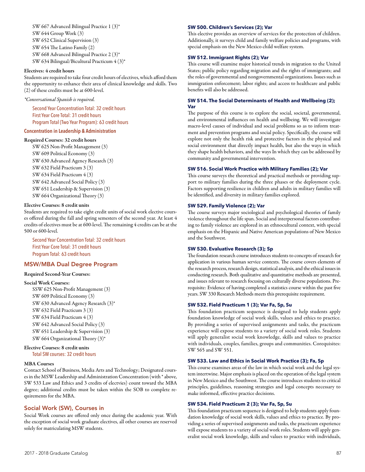SW 667 Advanced Bilingual Practice 1 (3)\* SW 644 Group Work (3) SW 652 Clinical Supervision (3) SW 654 The Latino Family (2) SW 668 Advanced Bilingual Practice 2 (3)\* SW 634 Bilingual/Bicultural Practicum 4 (3)\*

## Electives: 4 credit hours

Students are required to take four credit hours of electives, which afford them the opportunity to enhance their area of clinical knowledge and skills. Two (2) of these credits must be at 600-level.

## *\*Conversational Spanish is required.*

Second Year Concentration Total: 32 credit hours First Year Core Total: 31 credit hours Program Total (Two Year Program): 63 credit hours

## **Concentration in Leadership & Administration**

## Required Courses: 32 credit hours

SW 625 Non-Profit Management (3) SW 609 Political Economy (3) SW 630 Advanced Agency Research (3) SW 632 Field Practicum 3 (3) SW 634 Field Practicum 4 (3) SW 642 Advanced Social Policy (3) SW 651 Leadership & Supervision (3) SW 664 Organizational Theory (3)

## Elective Courses: 8 credit units

Students are required to take eight credit units of social work elective courses offered during the fall and spring semesters of the second year. At least 4 credits of electives must be at 600-level. The remaining 4 credits can be at the 500 or 600-level.

Second Year Concentration Total: 32 credit hours First Year Core Total: 31 credit hours Program Total: 63 credit hours

## MSW/MBA Dual Degree Program

## Required Second-Year Courses:

#### Social Work Courses:

SSW 625 Non-Profit Management (3) SW 609 Political Economy (3) SW 630 Advanced Agency Research (3)\* SW 632 Field Practicum 3 (3) SW 634 Field Practicum 4 (3) SW 642 Advanced Social Policy (3) SW 651 Leadership & Supervision (3) SW 664 Organizational Theory (3)\*

## Elective Courses: 8 credit units Total SW courses: 32 credit hours

#### MBA Courses

Contact School of Business, Media Arts and Technology; Designated courses in the MSW Leadership and Administration Concentration (with \* above, SW 533 Law and Ethics and 3 credits of electvies) count toward the MBA degree; additional credits must be taken within the SOB to complete requirements for the MBA.

## Social Work (SW), Courses in

Social Work courses are offered only once during the academic year. With the exception of social work graduate electives, all other courses are reserved solely for matriculating MSW students.

#### **SW 500. Children's Services (2); Var**

This elective provides an overview of services for the protection of children. Additionally, it surveys child and family welfare policies and programs, with special emphasis on the New Mexico child welfare system.

#### **SW 512. Immigrant Rights (2); Var**

This course will examine major historical trends in migration to the United States; public policy regarding migration and the rights of immigrants; and the roles of governmental and nongovernmental organizations. Issues such as immigration enforcement; labor rights; and access to healthcare and public benefits will also be addressed.

## **SW 514. The Social Determinants of Health and Wellbeing (2); Var**

The purpose of this course is to explore the social, societal, governmental, and environmental influences on health and wellbeing. We will investigate macro-level causes of individual and social problems so as to inform treatment and prevention programs and social policy. Specifically, the course will explore not only the health risk and protective factors in the physical and social environment that directly impact health, but also the ways in which they shape health behaviors, and the ways In which they can be addressed by community and governmental intervention.

## **SW 516. Social Work Practice with Military Families (2); Var**

This course surveys the theoretical and practical methods or providing support to military families during the three phases or the deployment cycle. Factors supporting resilience in children and adults in military families will be identified, and diversity in military families explored.

#### **SW 529. Family Violence (2); Var**

The course surveys major sociological and psychological theories of family violence throughout the life span. Social and interpersonal factors contributing to family violence are explored in an ethnocultural context, with special emphasis on the Hispanic and Native American populations of New Mexico and the Southwest.

## **SW 530. Evaluative Research (3); Sp**

The foundation research course introduces students to concepts of research for application in various human service contexts. The course covers elements of the research process, research design, statistical analysis, and the ethical issues in conducting research. Both qualitative and quantitative methods are presented, and issues relevant to research focusing on culturally diverse populations. Prerequisite: Evidence of having completed a statistics course within the past five years. SW 330 Research Methods meets this prerequisite requirement.

## **SW 532. Field Practicum 1 (3); Var Fa, Sp, Su**

This foundation practicum sequence is designed to help students apply foundation knowledge of social work skills, values and ethics to practice. By providing a series of supervised assignments and tasks, the practicum experience will expose students to a variety of social work roles. Students will apply generalist social work knowledge, skills and values to practice with individuals, couples, families, groups and communities. Corequisites: SW 565 and SW 551.

## **SW 533. Law and Ethics in Social Work Practice (3); Fa, Sp**

This course examines areas of the law in which social work and the legal system intertwine. Major emphasis is placed on the operation of the legal system in New Mexico and the Southwest. The course introduces students to critical principles, guidelines, reasoning strategies and legal concepts necessary to make informed, effective practice decisions.

#### **SW 534. Field Practicum 2 (3); Var Fa, Sp, Su**

This foundation practicum sequence is designed to help students apply foundation knowledge of social work skills, values and ethics to practice. By providing a series of supervised assignments and tasks, the practicum experience will expose students to a variety of social work roles. Students will apply generalist social work knowledge, skills and values to practice with individuals,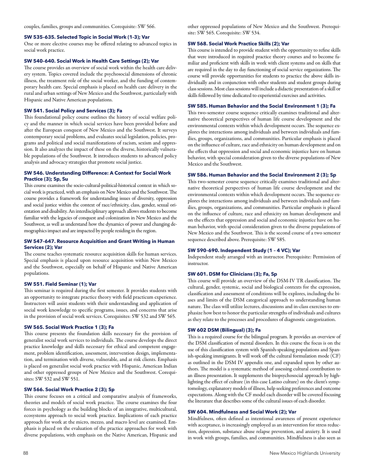## **SW 535–635. Selected Topic in Social Work (1-3); Var**

One or more elective courses may be offered relating to advanced topics in social work practice.

#### **SW 540–640. Social Work in Health Care Settings (2); Var**

The course provides an overview of social work within the health care delivery system. Topics covered include the psychosocial dimensions of chronic illness, the treatment role of the social worker, and the funding of contemporary health care. Special emphasis is placed on health care delivery in the rural and urban settings of New Mexico and the Southwest, particularly with Hispanic and Native American populations.

### **SW 541. Social Policy and Services (3); Fa**

This foundational policy course outlines the history of social welfare policy and the manner in which social services have been provided before and after the European conquest of New Mexico and the Southwest. It surveys contemporary social problems, and evaluates social legislation, policies, programs and political and social manifestations of racism, sexism and oppression. It also analyzes the impact of these on the diverse, historically vulnerable populations of the Southwest. It introduces students to advanced policy analysis and advocacy strategies that promote social justice.

## **SW 546. Understanding Difference: A Context for Social Work Practice (3); Sp, Su**

This course examines the socio-cultural-political-historical context in which social work is practiced, with an emphasis on New Mexico and the Southwest. The course provides a framework for understanding issues of diversity, oppression and social justice within the context of race/ethnicity, class, gender, sexual orientation and disability. An interdisciplinary approach allows students to become familiar with the legacies of conquest and colonization in New Mexico and the Southwest, as well as understand how the dynamics of power and changing demographics impact and are impacted by people residing in the region.

#### **SW 547–647. Resource Acquisition and Grant Writing in Human Services (2); Var**

The course teaches systematic resource acquisition skills for human services. Special emphasis is placed upon resource acquisition within New Mexico and the Southwest, especially on behalf of Hispanic and Native American populations.

#### **SW 551. Field Seminar (1); Var**

This seminar is required during the first semester. It provides students with an opportunity to integrate practice theory with field practicum experience. Instructors will assist students with their understanding and application of social work knowledge to specific programs, issues, and concerns that arise in the provision of social work services. Corequisites: SW 532 and SW 565.

## **SW 565. Social Work Practice 1 (3); Fa**

This course presents the foundation skills necessary for the provision of generalist social work services to individuals. The course develops the direct practice knowledge and skills necessary for ethical and competent engagement, problem identification, assessment, intervention design, implementation, and termination with diverse, vulnerable, and at risk clients. Emphasis is placed on generalist social work practice with Hispanic, American Indian and other oppressed groups of New Mexico and the Southwest. Corequisites: SW 532 and SW 551.

## **SW 566. Social Work Practice 2 (3); Sp**

This course focuses on a critical and comparative analysis of frameworks, theories and models of social work practice. The course examines the four forces in psychology as the building blocks of an integrative, multicultural, ecosystems approach to social work practice. Implications of each practice approach for work at the micro, mezzo, and macro level are examined. Emphasis is placed on the evaluation of the practice approaches for work with diverse populations, with emphasis on the Native American, Hispanic and

other oppressed populations of New Mexico and the Southwest. Prerequisite: SW 565. Corequisite: SW 534.

#### **SW 568. Social Work Practice Skills (2); Var**

This course is intended to provide student with the opportunity to refine skills that were introduced in required practice theory courses and to become familiar and proficient with skills in work with client systems and on skills that are required in the day to day functioning of social service organizations. The course will provide opportunities for students to practice the above skills individually and in conjunction with other students and student groups during class sessions. Most class sessions will include a didactic presentation of a skill or skills followed by time dedicated to experiential exercises and activities.

## **SW 585. Human Behavior and the Social Environment 1 (3); Fa**

This two-semester course sequence critically examines traditional and alternative theoretical perspectives of human life course development and the environmental contexts within which development occurs. The sequence explores the interactions among individuals and between individuals and families, groups, organizations, and communities. Particular emphasis is placed on the influence of culture, race and ethnicity on human development and on the effects that oppression and social and economic injustice have on human behavior, with special consideration given to the diverse populations of New Mexico and the Southwest.

#### **SW 586. Human Behavior and the Social Environment 2 (3); Sp**

This two-semester course sequence critically examines traditional and alternative theoretical perspectives of human life course development and the environmental contexts within which development occurs. The sequence explores the interactions among individuals and between individuals and families, groups, organizations, and communities. Particular emphasis is placed on the influence of culture, race and ethnicity on human development and on the effects that oppression and social and economic injustice have on human behavior, with special consideration given to the diverse populations of New Mexico and the Southwest. This is the second course of a two semester sequence described above. Prerequisite: SW 585.

## **SW 590–690. Independent Study (1 – 4 VC); Var**

Independent study arranged with an instructor. Prerequisite: Permission of instructor.

## **SW 601. DSM for Clinicians (3); Fa, Sp**

This course will provide an overview of the DSM-IV TR classification. The cultural, gender, systemic, social and biological contexts for the expression, classification and assessment of conditions will be explores, including the biases and limits of the DSM categorical approach to understanding human nature. The class will utilize lectures, discussions and in-class exercises to emphasize how best to honor the particular strengths of individuals and cultures as they relate to the processes and procedures of diagnostic categorization.

## **SW 602 DSM (Bilingual) (3); Fa**

This is a required course for the bilingual program. It provides an overview of the DSM classification of mental disorders. In this course the focus is on the use of this classification system with Spanish-speaking populations and Spanish-speaking immigrants. It will work off the cultural formulation mode (CF) as outlined in the DSM IV appendix one, and expanded upon by other authors. The model is a systematic method of assessing cultural contribution to an illness presentation. It supplements the biopsychosocial approach by highlighting the effect of culture (in this case Latino culture) on the client's symptomology, explanatory models of illness, help seeking preferences and outcome expectations. Along with the CF model each disorder will be covered focusing the literature that describes some of the cultural issues of each disorder.

## **SW 604. Mindfulness and Social Work (2); Var**

Mindfulness, often defined as intentional awareness of present experience with acceptance, is increasingly employed as an intervention for stress reduction, depression, substance abuse relapse prevention, and anxiety. It is used in work with groups, families, and communities. Mindfulness is also seen as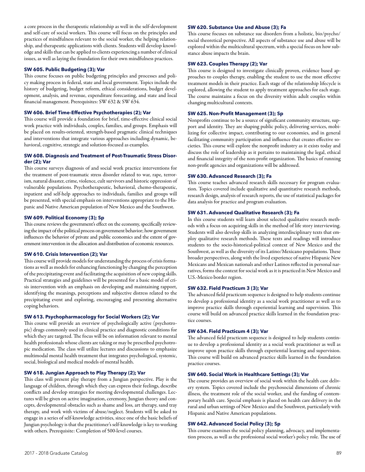a core process in the therapeutic relationship as well in the self-development and self-care of social workers. This course will focus on the principles and practices of mindfulness relevant to the social worker, the helping relationship, and therapeutic applications with clients. Students will develop knowledge and skills that can be applied to clients experiencing a number of clinical issues, as well as laying the foundation for their own mindfulness practices.

## **SW 605. Public Budgeting (3); Var**

This course focuses on public budgeting principles and processes and policy making process in federal, state and local government. Topics include the history of budgeting, budget reform, ethical considerations, budget development, analysis, and revenue, expenditure forecasting, and state and local financial management. Prerequisites: SW 632 & SW 634.

### **SW 606. Brief Time-Effective Psychotherapies (2); Var**

This course will provide a foundation for brief, time-effective clinical social work practice with individuals, couples, families, and groups. Emphasis will be placed on results-oriented, strength-based pragmatic clinical techniques and interventions that integrate various approaches including dynamic, behavioral, cognitive, strategic and solution-focused as examples.

## **SW 608. Diagnosis and Treatment of Post-Traumatic Stress Disorder (2); Var**

This course surveys diagnosis of and social work practice interventions for the treatment of post-traumatic stress disorder related to war, rape, terrorism, natural disaster, crime, violence, cult survivors and historic oppression of vulnerable populations. Psychotherapeutic, behavioral, chemo-therapeutic, inpatient and self-help approaches to individuals, families and groups will be presented, with special emphasis on interventions appropriate to the Hispanic and Native American population of New Mexico and the Southwest.

## **SW 609. Political Economy (3); Sp**

This course reviews the government's effect on the economy, specifically reviewing the impact of the political process on government behavior; how government influences the behavior of private and public economics and the extent of government intervention in the allocation and distribution of economic resources.

#### **SW 610. Crisis Intervention (2); Var**

This course will provide models for understanding the process of crisis formations as well as models for enhancing functioning by changing the perception of the precipitating event and facilitating the acquisition of new coping skills. Practical strategies and guidelines will be presented for a basic model of crisis intervention with an emphasis on developing and maintaining rapport, identifying the meanings, perceptions and subjective distress related to the precipitating event and exploring, encouraging and presenting alternative coping behaviors.

#### **SW 613. Psychopharmacology for Social Workers (2); Var**

This course will provide an overview of psychologically active (psychotropic) drugs commonly used in clinical practice and diagnostic conditions for which they are targeted. The focus will be on information relevant to mental health professionals whose clients are taking or may be prescribed psychotropic medication. The class will utilize lectures and discussions to emphasize multimodal mental health treatment that integrates psychological, systemic, social, biological and medical models of mental health.

## **SW 618. Jungian Approach to Play Therapy (2); Var**

This class will present play therapy from a Jungian perspective. Play is the language of children, through which they can express their feelings, describe conflicts and develop strategies for meeting developmental challenges. Lectures will be given on active imagination, ceremony, Jungian theory and concepts, developmental obstacles such as shame and loss, art therapy, sand tray therapy, and work with victims of abuse/neglect. Students will be asked to engage in a series of self-knowledge activities, since one of the basic beliefs of Jungian psychology is that the practitioner's self-knowledge is key to working with others. Prerequisite: Completion of 500-level courses.

## **SW 620. Substance Use and Abuse (3); Fa**

This course focuses on substance sue disorders from a holistic, bio/psycho/ social theoretical perspective. All aspects of substance use and abuse will be explored within the multicultural spectrum, with a special focus on how substance abuse impacts the brain.

#### **SW 623. Couples Therapy (2); Var**

This course is designed to investigate clinically proven, evidence based approaches to couples therapy, enabling the student to use the most effective treatment models in their practice. Each stage of the relationship lifecycle is explored, allowing the student to apply treatment approaches for each stage. The course maintains a focus on the diversity within adult couples within changing multicultural contexts.

## **SW 625. Non-Profit Management (3); Sp**

Nonprofits continue to be a source of significant community structure, support and identity. They are shaping public policy, delivering services, mobilizing for collective impact, contributing to our economies, and in general facilitating community participation and influence that creates effective societies. This course will explore the nonprofit industry as it exists today and discuss the role of leadership as it pertains to maintaining the legal, ethical and financial integrity of the non-profit organization. The basics of running non-profit agencies and organizations will be addressed.

## **SW 630. Advanced Research (3); Fa**

This course teaches advanced research skills necessary for program evaluation. Topics covered include qualitative and quantitative research methods, research design, analysis of research reports, the use of statistical packages for data analysis for practice and program evaluation.

## **SW 631. Advanced Qualitative Research (3); Fa**

In this course students will learn about selected qualitative research methods with a focus on acquiring skills in the method of life story interviewing. Students will also develop skills in analyzing interdisciplinary texts that employ qualitative research methods. These texts and readings will introduce students to the socio-historical-political context of New Mexico and the Southwest, as well as the diversity of its Latino/Mexicano populations. These broader perspectives, along with the lived experience of native Hispanic New Mexicans and Mexican nationals and other Latinos reflected in personal narratives, forms the context for social work as it is practiced in New Mexico and U.S.-Mexico border region.

## **SW 632. Field Practicum 3 (3); Var**

The advanced field practicum sequence is designed to help students continue to develop a professional identity as a social work practitioner as well as to improve practice skills through experiential learning and supervision. This course will build on advanced practice skills learned in the foundation practice courses.

#### **SW 634. Field Practicum 4 (3); Var**

The advanced field practicum sequence is designed to help students continue to develop a professional identity as a social work practitioner as well as improve upon practice skills through experiential learning and supervision. This course will build on advanced practice skills learned in the foundation practice courses.

## **SW 640. Social Work in Healthcare Settings (3); Var**

The course provides an overview of social work within the health care delivery system. Topics covered include the psychosocial dimensions of chronic illness, the treatment role of the social worker, and the funding of contemporary health care. Special emphasis is placed on health care delivery in the rural and urban settings of New Mexico and the Southwest, particularly with Hispanic and Native American populations.

## **SW 642. Advanced Social Policy (3); Sp**

This course examines the social policy planning, advocacy, and implementation process, as well as the professional social worker's policy role. The use of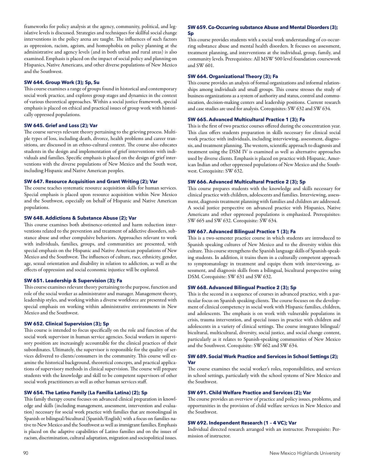frameworks for policy analysis at the agency, community, political, and legislative levels is discussed. Strategies and techniques for skillful social change interventions in the policy arena are taught. The influences of such factors as oppression, racism, ageism, and homophobia on policy planning at the administrative and agency levels (and in both urban and rural areas) is also examined. Emphasis is placed on the impact of social policy and planning on Hispanics, Native Americans, and other diverse populations of New Mexico and the Southwest.

## **SW 644. Group Work (3); Sp, Su**

This course examines a range of groups found in historical and contemporary social work practice, and explores group stages and dynamics in the context of various theoretical approaches. Within a social justice framework, special emphasis is placed on ethical and practical issues of group work with historically oppressed populations.

## **SW 645. Grief and Loss (2); Var**

The course surveys relevant theory pertaining to the grieving process. Multiple types of loss, including death, divorce, health problems and career transitions, are discussed in an ethno-cultural context. The course also educates students in the design and implementation of grief interventions with individuals and families. Specific emphasis is placed on the design of grief interventions with the diverse populations of New Mexico and the South west, including Hispanic and Native American peoples.

### **SW 647. Resource Acquisition and Grant Writing (2); Var**

The course teaches systematic resource acquisition skills for human services. Special emphasis is placed upon resource acquisition within New Mexico and the Southwest, especially on behalf of Hispanic and Native American populations.

#### **SW 648. Addictions & Substance Abuse (2); Var**

This course examines both abstinence-oriented and harm reduction interventions related to the prevention and treatment of addictive disorders, substance abuse and other compulsive behaviors. Approaches relevant to work with individuals, families, groups, and communities are presented, with special emphasis on the Hispanic and Native American populations of New Mexico and the Southwest. The influences of culture, race, ethnicity, gender, age, sexual orientation and disability in relation to addiction, as well as the effects of oppression and social economic injustice will be explored.

#### **SW 651. Leadership & Supervision (3); Fa**

This course examines relevant theory pertaining to the purpose, function and role of the social worker as administrator and manager. Management theory, leadership styles, and working within a diverse workforce are presented with special emphasis on working within administrative environments in New Mexico and the Southwest.

## **SW 652. Clinical Supervision (3); Sp**

This course is intended to focus specifically on the role and function of the social work supervisor in human service agencies. Social workers in supervisory position are increasingly accountable for the clinical practices of their subordinates. Ultimately, the supervisor is responsible for the quality of services delivered to clients/consumers in the community. This course will examine the historical background, theoretical concepts, and practical applications of supervisory methods in clinical supervision. The course will prepare students with the knowledge and skill to be competent supervisors of other social work practitioners as well as other human services staff.

## **SW 654. The Latino Family (La Familia Latina) (2); Sp**

This family therapy course focuses on advanced clinical preparation in knowledge and skills (including management, assessment, intervention and evaluation) necessary for social work practice with families that are monolingual in Spanish or bilingual/bicultural (Spanish/English) with a focus on families native to New Mexico and the Southwest as well as immigrant families. Emphasis is placed on the adaptive capabilities of Latino families and on the issues of racism, discrimination, cultural adaptation, migration and sociopolitical issues.

## **SW 659. Co-Occurring substance Abuse and Mental Disorders (3); Sp**

This course provides students with a social work understanding of co-occurring substance abuse and mental health disorders. It focuses on assessment, treatment planning, and interventions at the individual, group, family, and community levels. Prerequisites: All MSW 500 level foundation coursework and SW 601.

#### **SW 664. Organizational Theory (3); Fa**

This course provides an analysis of formal organizations and informal relationships among individuals and small groups. This course stresses the study of business organizations as a system of authority and status, control and communication, decision-making centers and leadership positions. Current research and case studies are used for analysis. Corequisites: SW 632 and SW 634.

### **SW 665. Advanced Multicultural Practice 1 (3); Fa**

This is the first of two practice courses offered during the concentration year. This class offers students preparation in skills necessary for clinical social work practice with individuals, including interviewing, assessment, diagnosis, and treatment planning. The western, scientific approach to diagnosis and treatment using the DSM IV is examined as well as alternative approaches used by diverse clients. Emphasis is placed on practice with Hispanic, American Indian and other oppressed populations of New Mexico and the Southwest. Corequisite: SW 632.

#### **SW 666. Advanced Multicultural Practice 2 (3); Sp**

This course prepares students with the knowledge and skills necessary for clinical practice with children, adolescents and families. Interviewing, assessment, diagnosis treatment planning with families and children are addressed. A social justice perspective on advanced practice with Hispanics, Native Americans and other oppressed populations is emphasized. Prerequisites: SW 665 and SW 632. Corequisite: SW 634.

#### **SW 667. Advanced Bilingual Practice 1 (3); Fa**

This is a two-semester practice course in which students are introduced to Spanish speaking cultures of New Mexico and to the diversity within this culture. This course strengthens the Spanish language skills of Spanish-speaking students. In addition, it trains them in a culturally competent approach to symptomatology in treatment and equips them with interviewing, assessment, and diagnosis skills from a bilingual, bicultural perspective using DSM. Corequisite: SW 631 and SW 632.

### **SW 668. Advanced Bilingual Practice 2 (3); Sp**

This is the second in a sequence of courses in advanced practice, with a particular focus on Spanish speaking clients. The course focuses on the development of clinical competency in social work with Hispanic families, children, and adolescents. The emphasis is on work with vulnerable populations in crisis, trauma intervention, and special issues in practice with children and adolescents in a variety of clinical settings. The course integrates bilingual/ bicultural, multicultural, diversity, social justice, and social change content, particularly as it relates to Spanish-speaking communities of New Mexico and the Southwest. Corequisite: SW 662 and SW 634.

### **SW 689. Social Work Practice and Services in School Settings (2); Var**

The course examines the social worker's roles, responsibilities, and services in school settings, particularly with the school systems of New Mexico and the Southwest.

#### **SW 691. Child Welfare Practice and Services (2); Var**

The course provides an overview of practice and policy issues, problems, and opportunities in the provision of child welfare services in New Mexico and the Southwest.

## **SW 692. Independent Research (1 – 4 VC); Var**

Individual directed research arranged with an instructor. Prerequisite: Permission of instructor.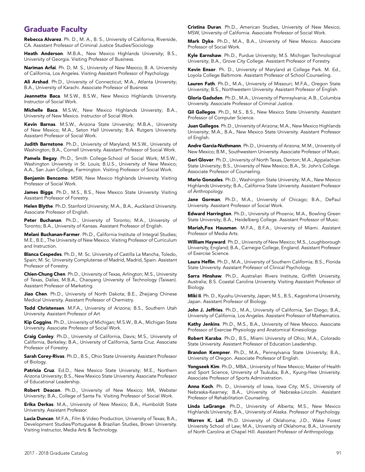# Graduate Faculty

Rebecca Alvarez. Ph. D., M. A., B. S., University of California, Riverside, CA. Assistant Professor of Criminal Justice Studies/Sociology.

Heath Anderson. M.B.A., New Mexico Highlands University; B.S., University of Georgia. Visiting Professor of Business.

Nariman Arfai. Ph. D, M. S., University of New Mexico; B. A. University of California, Los Angeles. Visiting Assistant Professor of Psychology.

Ali Arshad. Ph.D., University of Connecticut; M.A., Atlanta University; B.A., University of Karachi. Associate Professor of Business

Jeannette Baca. M.S.W., B.S.W., New Mexico Highlands University. Instructor of Social Work.

Michelle Baca. M.S.W., New Mexico Highlands University; B.A., University of New Mexico. Instructor of Social Work.

Kevin Barnas. M.S.W., Arizona State University; M.B.A., University of New Mexico; M.A., Seton Hall University; B.A. Rutgers University. Assistant Professor of Social Work.

Judith Barnstone. Ph.D., University of Maryland; M.S.W., University of Washington; B.A., Cornell University. Assistant Professor of Social Work.

Pamela Begay. Ph.D., Smith College-School of Social Work; M.S.W., Washington University in St. Louis; B.U.S., University of New Mexico; A.A., San Juan College, Farmington. Visiting Professor of Social Work.

Benjamin Bencomo. MSW, New Mexico Highlands University. Visiting Professor of Social Work.

James Biggs. Ph.D., M.S., B.S., New Mexico State University. Visiting Assistant Professor of Forestry.

Helen Blythe. Ph.D. Stanford University; M.A., B.A., Auckland University. Associate Professor of English.

Peter Buchanan. Ph.D., University of Toronto; M.A., University of Toronto; B.A., University of Kansas. Assistant Professor of English.

Melani Buchanan-Farmer. Ph.D., California Institute of Integral Studies; M.E., B.E., The University of New Mexico. Visiting Professor of Curriculum and Instruction.

Blanca Cespedes. Ph.D., M. Sc. University of Castilla La Mancha, Toledo, Spain; M. Sc. University Complutense of Madrid, Madrid, Spain. Assistant Professor of Forestry.

Chien-Chung Chen. Ph.D., University of Texas, Arlington; M.S., University of Texas, Dallas; M.B.A., Chaoyang University of Technology (Taiwan). Assistant Professor of Marketing.

Jiao Chen. Ph.D., University of North Dakota; B.E., Zhejiang Chinese Medical University. Assistant Professor of Chemistry.

Todd Christensen. M.F.A., University of Arizona; B.S., Southern Utah University. Assistant Professor of Art

Kip Coggins. Ph.D., University of Michigan; M.S.W., B.A., Michigan State University. Associate Professor of Social Work.

Craig Conley. Ph.D., University of California, Davis; M.S., University of California, Berkeley; B.A., University of California, Santa Cruz. Associate Professor of Forestry.

Sarah Corey-Rivas. Ph.D., B.S., Ohio State University. Assistant Professor of Biology.

Patricia Cruz. Ed.D., New Mexico State University; M.E., Northern Arizona University; B.S., New Mexico State University. Associate Professor of Educational Leadership.

Robert Deacon. Ph.D., University of New Mexico; MA, Webster University; B.A., College of Santa Fe. Visiting Professor of Social Work.

Erika Derkas. M.A., University of New Mexico; B.A., Humboldt State University. Assistant Professor.

Lucia Duncan. M.F.A., Film & Video Production, University of Texas; B.A., Development Studies/Portuguese & Brazilian Studies, Brown University. Visiting Instructor, Media Arts & Technology.

Cristina Duran. Ph.D., American Studies, University of New Mexico; MSW, University of California. Associate Professor of Social Work.

Mark Dyke. Ph.D., M.A., B.A., University of New Mexico. Associate Professor of Social Work.

Kyle Earnshaw. Ph.D., Purdue University; M.S. Michigan Technological University; B.A., Grove City College. Assistant Professor of Forestry.

Kevin Ensor. Ph. D., University of Maryland at College Park. M. Ed., Loyola College Baltimore. Assistant Professor of School Counseling.

Lauren Fath. Ph.D., M.A., University of Missouri; M.F.A., Oregon State University; B.S., Northwestern University. Assistant Professor of English.

Gloria Gadsden. Ph.D., M.A., University of Pennsylvania; A.B., Columbia University. Associate Professor of Criminal Justice.

Gil Gallegos. Ph.D., M.S., B.S., New Mexico State University. Assistant Professor of Computer Science.

Juan Gallegos. Ph.D., University of Arizona; M.A., New Mexico Highlands University; M.A., B.A., New Mexico State University. Assistant Professor of English.

Andre Garcia-Nuthmann. Ph.D., University of Arizona; M.M., University of New Mexico; B.M., Southwestern University. Associate Professor of Music.

Geri Glover. Ph.D., University of North Texas, Denton; M.A., Appalachian State University; B.S., University of New Mexico; B.A., St. John's College. Associate Professor of Counseling.

Mario Gonzales. Ph.D., Washington State University; M.A., New Mexico Highlands University; B.A., California State University. Assistant Professor of Anthropology.

Jane Gorman. Ph.D., M.A., University of Chicago; B.A., DePaul University. Assistant Professor of Social Work.

Edward Harrington. Ph.D., University of Phoenix; M.A., Bowling Green State University; B.A., Heidelberg College. Assistant Professor of Music.

Mariah,Fox Hausman. M.F.A., B.F.A., University of Miami. Assistant Professor of Media Arts.

William Hayward. Ph.D., University of New Mexico; M.S., Loughborough University, England; B.A., Carnegie College, England. Assistant Professor of Exercise Science.

Laura Heflin. Ph.D., M.A., University of Southern California; B.S., Florida State University. Assistant Professor of Clinical Psychology.

Sarra Hinshaw. Ph.D., Australian Rivers Institute, Griffith University, Australia; B.S. Coastal Carolina University. Visiting Assistant Professor of Biology.

Miki Ii. Ph. D., Kyushu University, Japan; M.S., B.S., Kagoshima University, Japan. Assistant Professor of Biology.

John J. Jeffries. Ph.D., M.A., University of California, San Diego; B.A., University of California, Los Angeles. Assistant Professor of Mathematics.

Kathy Jenkins. Ph.D., M.S., B.A., University of New Mexico. Associate Professor of Exercise Physiology and Anatomical Kinesiology.

Robert Karaba. Ph.D., B.S., Miami University of Ohio; M.A., Colorado State University. Assistant Professor of Education Leadership.

Brandon Kempner. Ph.D., M.A., Pennsylvania State University; B.A., University of Oregon. Associate Professor of English.

Yongseek Kim. Ph.D., MBA., University of New Mexico; Master of Health and Sport Science, University of Tsukuba; B.A., Kyung-Hee University. Associate Professor of Sports Administration.

Anna Koch. Ph. D., University of Iowa, Iowa City; M.S., University of Nebraska-Kearney; B.A., University of Nebraska-Lincoln. Assistant Professor of Rehabilitation Counseling.

Linda LaGrange. Ph.D., University of Alberta; M.S., New Mexico Highlands University; B.A., University of Alaska. Professor of Psychology.

Warren K. Lail. Ph.D. University of Oklahoma; J.D., Wake Forest University School of Law; M.A., University of Oklahoma; B.A., University of North Carolina at Chapel Hill. Assistant Professor of Anthropology.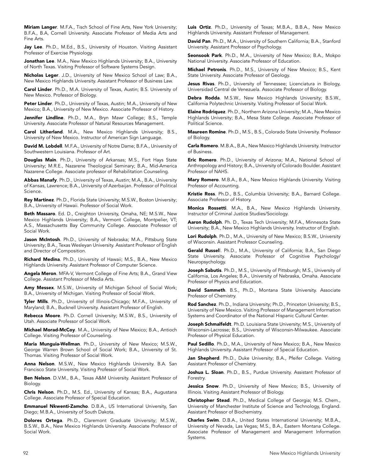Miriam Langer. M.F.A., Tisch School of Fine Arts, New York University; B.F.A., B.A, Cornell University. Associate Professor of Media Arts and Fine Arts.

Jay Lee. Ph.D., M.Ed., B.S., University of Houston. Visiting Assistant Professor of Exercise Physiology.

Jonathan Lee. M.A., New Mexico Highlands University; B.A., University of North Texas. Visiting Professor of Software Systems Design.

Nicholas Leger. J.D., University of New Mexico School of Law; B.A., New Mexico Highlands University. Assistant Professor of Business Law.

Carol Linder. Ph.D., M.A. University of Texas, Austin; B.S. University of New Mexico. Professor of Biology.

Peter Linder. Ph.D., University of Texas, Austin; M.A., University of New Mexico; B.A., University of New Mexico. Associate Professor of History.

Jennifer Lindline. Ph.D., M.A., Bryn Mawr College; B.S., Temple University. Associate Professor of Natural Resources Management.

Carol Litherland. M.A., New Mexico Highlands University; B.S., University of New Mexico. Instructor of American Sign Language.

David M. Lobdell. M.F.A., University of Notre Dame; B.F.A., University of Southwestern Louisiana. Professor of Art.

Douglas Main. Ph.D., University of Arkansas; M.S., Fort Hays State University; M.R.E., Nazarene Theological Seminary; B.A., Mid-America Nazarene College. Associate professor of Rehabilitation Counseling.

Abbas Manafy. Ph.D., University of Texas, Austin; M.A., B.A., University of Kansas, Lawrence; B.A., University of Azerbaijan. Professor of Political Science.

Rey Martinez. Ph.D., Florida State University; M.S.W., Boston University; B.A., University of Hawaii. Professor of Social Work.

Beth Massaro. Ed. D., Creighton University, Omaha, NE; M.S.W., New Mexico Highlands University; B.A., Vermont College, Montpelier, VT; A.S., Massachusetts Bay Community College. Associate Professor of Social Work.

Jason McIntosh. Ph.D., University of Nebraska; M.A., Pittsburg State University; B.A., Texas Wesleyan University. Assistant Professor of English and Director of Composition.

Richard Medina. Ph.D., University of Hawaii; M.S., B.A., New Mexico Highlands University. Assistant Professor of Computer Science.

Angela Meron. MFA-V, Vermont College of Fine Arts; B.A., Grand View College. Assistant Professor of Media Arts.

Amy Messex. M.S.W., University of Michigan School of Social Work; B.A., University of Michigan. Visiting Professor of Social Work.

Tyler Mills. Ph.D., University of Illinois-Chicago; M.F.A., University of Maryland; B.A., Bucknell University. Assistant Professor of English.

Rebecca Moore. Ph.D. Cornell University; M.S.W., B.S., University of Utah. Associate Professor of Social Work.

Michael Morad-McCoy. M.A., University of New Mexico; B.A., Antioch College. Visiting Professor of Counseling.

Maria Munguia-Wellman. Ph.D., University of New Mexico; M.S.W., George Warren Brown School of Social Work; B.A., University of St. Thomas. Visiting Professor of Social Work.

Anna Nelson. M.S.W., New Mexico Highlands University. B.A. San Francisco State University. Visiting Professor of Social Work.

Ben Nelson. D.V.M., B.A., Texas A&M University. Assistant Professor of Biology.

Chris Nelson. Ph.D., M.S. Ed., University of Kansas; B.A., Augustana College. Associate Professor of Special Education.

Emmanuel Nkwenti-Zamcho. D.B.A., US International University, San Diego; M.B.A., University of South Dakota.

Dolores Ortega. Ph.D., Claremont Graduate University; M.S.W., B.S.W., B.A., New Mexico Highlands University. Associate Professor of Social Work.

Luis Ortiz. Ph.D., University of Texas; M.B.A., B.B.A., New Mexico Highlands University. Assistant Professor of Management.

David Pan. Ph.D., M.A., University of Southern California; B.A., Stanford University. Assistant Professor of Psychology.

Seonsook Park. Ph.D., M.A., University of New Mexico; B.A., Mokpo National University. Associate Professor of Education.

Michael Petronis. Ph.D., M.S., University of New Mexico; B.S., Kent State University. Associate Professor of Geology.

Jesus Rivas. Ph.D., University of Tennessee; Licenciatura in Biology, Universidad Central de Venezuela. Associate Professor of Biology.

Debra Rodda. M.S.W., New Mexico Highlands University; B.S.W., California Polytechnic University. Visiting Professor of Social Work.

Elaine Rodriquez. Ph.D., Northern Arizona University; M.A., New Mexico Highlands University; B.A., Mesa State College. Associate Professor of Political Science.

Maureen Romine. Ph.D., M.S., B.S., Colorado State University. Professor of Biology.

Carla Romero. M.B.A., B.A., New Mexico Highlands University. Instructor of Business.

Eric Romero. Ph.D., University of Arizona; M.A., National School of Anthropology and History; B.A., University of Colorado Boulder. Assistant Professor of NAHS.

Mary Romero. M.B.A., B.A., New Mexico Highlands University. Visiting Professor of Accounting.

Kristie Ross. Ph.D., B.S., Columbia University; B.A., Barnard College. Associate Professor of History.

Monica Rossetti. M.A., B.A., New Mexico Highlands University. Instructor of Criminal Justice Studies/Sociology.

Aaron Rudolph. Ph. D., Texas Tech University; M.F.A., Minnesota State University; B.A., New Mexico Highlands University. Instructor of English.

Lori Rudolph. Ph.D., M.A., University of New Mexico; B.S.W., University of Wisconsin. Assistant Professor Counseling.

Gerald Russell. Ph.D., M.A., University of California; B.A., San Diego State University. Associate Professor of Cognitive Psychology/ Neuropsychology.

Joseph Sabutis. Ph.D., M.S., University of Pittsburgh; M.S., University of California, Los Angeles; B.A., University of Nebraska, Omaha. Associate Professor of Physics and Education.

David Sammeth. B.S., Ph.D., Montana State University. Associate Professor of Chemistry.

Rod Sanchez. Ph.D., Indiana University; Ph.D., Princeton University; B.S., University of New Mexico. Visiting Professor of Management Information Systems and Coordinator of the National Hispanic Cultural Center.

Joseph Schmalfeldt. Ph.D. Louisiana State University; M.S., University of Wisconsin-Lacrosse; B.S., University of Wisconsin-Milwaukee. Associate Professor of Physical Education.

Paul Sedillo. Ph.D., M.A., University of New Mexico; B.A., New Mexico Highlands University. Assistant Professor of Special Education.

Jan Shepherd. Ph.D., Duke University; B.A., Pfeifer College. Visiting Assistant Professor of Chemistry.

Joshua L. Sloan. Ph.D., B.S., Purdue University. Assistant Professor of Forestry.

Jessica Snow. Ph.D., University of New Mexico; B.S., University of Illinois. Visiting Assistant Professor of Biology.

Christopher Stead. Ph.D., Medical College of Georgia; M.S. Chem., University of Manchester Institute of Science and Technology, England. Assistant Professor of Biochemistry.

Charles Swim. D.B.A., United States International University; M.B.A., University of Nevada, Las Vegas; M.S., B.A., Eastern Montana College. Associate Professor of Management and Management Information Systems.